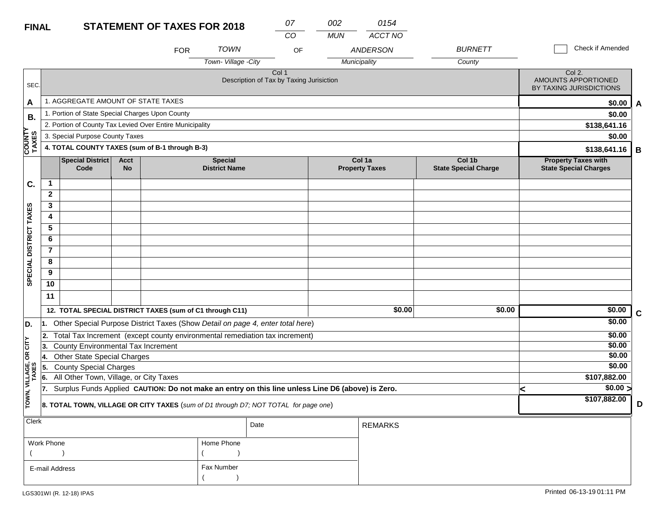| <b>FINAL</b>           |                                                                                     |                                                 |                          | <b>STATEMENT OF TAXES FOR 2018</b>                       |                                        | 07<br>CO                                                                                         | 002<br><b>MUN</b> | 0154<br><b>ACCT NO</b>          |                                       |   |                                                            |             |
|------------------------|-------------------------------------------------------------------------------------|-------------------------------------------------|--------------------------|----------------------------------------------------------|----------------------------------------|--------------------------------------------------------------------------------------------------|-------------------|---------------------------------|---------------------------------------|---|------------------------------------------------------------|-------------|
|                        |                                                                                     |                                                 |                          | <b>FOR</b>                                               | <b>TOWN</b><br>Town-Village -City      | OF                                                                                               |                   | <b>ANDERSON</b>                 | <b>BURNETT</b>                        |   | Check if Amended                                           |             |
| SEC.                   |                                                                                     |                                                 |                          |                                                          |                                        | Col 1<br>Description of Tax by Taxing Jurisiction                                                |                   | Municipality                    | County                                |   | Col 2.<br>AMOUNTS APPORTIONED<br>BY TAXING JURISDICTIONS   |             |
| A                      |                                                                                     | 1. AGGREGATE AMOUNT OF STATE TAXES              |                          |                                                          |                                        |                                                                                                  |                   |                                 |                                       |   | \$0.00                                                     | A           |
| В.                     |                                                                                     | 1. Portion of State Special Charges Upon County |                          |                                                          |                                        |                                                                                                  |                   |                                 |                                       |   | \$0.00                                                     |             |
|                        |                                                                                     |                                                 |                          | 2. Portion of County Tax Levied Over Entire Municipality |                                        |                                                                                                  |                   |                                 |                                       |   | \$138,641.16                                               |             |
|                        |                                                                                     | 3. Special Purpose County Taxes                 |                          |                                                          |                                        |                                                                                                  |                   |                                 |                                       |   | \$0.00                                                     |             |
| <b>COUNTY</b><br>TAXES |                                                                                     |                                                 |                          | 4. TOTAL COUNTY TAXES (sum of B-1 through B-3)           |                                        |                                                                                                  |                   |                                 |                                       |   | \$138,641.16                                               | B           |
|                        |                                                                                     | <b>Special District</b><br>Code                 | <b>Acct</b><br><b>No</b> |                                                          | <b>Special</b><br><b>District Name</b> |                                                                                                  |                   | Col 1a<br><b>Property Taxes</b> | Col 1b<br><b>State Special Charge</b> |   | <b>Property Taxes with</b><br><b>State Special Charges</b> |             |
| C.                     | $\mathbf{1}$                                                                        |                                                 |                          |                                                          |                                        |                                                                                                  |                   |                                 |                                       |   |                                                            |             |
|                        | $\mathbf{2}$                                                                        |                                                 |                          |                                                          |                                        |                                                                                                  |                   |                                 |                                       |   |                                                            |             |
|                        | 3                                                                                   |                                                 |                          |                                                          |                                        |                                                                                                  |                   |                                 |                                       |   |                                                            |             |
|                        | 4                                                                                   |                                                 |                          |                                                          |                                        |                                                                                                  |                   |                                 |                                       |   |                                                            |             |
|                        | 5                                                                                   |                                                 |                          |                                                          |                                        |                                                                                                  |                   |                                 |                                       |   |                                                            |             |
|                        | 6                                                                                   |                                                 |                          |                                                          |                                        |                                                                                                  |                   |                                 |                                       |   |                                                            |             |
|                        | $\overline{7}$                                                                      |                                                 |                          |                                                          |                                        |                                                                                                  |                   |                                 |                                       |   |                                                            |             |
|                        | 8                                                                                   |                                                 |                          |                                                          |                                        |                                                                                                  |                   |                                 |                                       |   |                                                            |             |
| SPECIAL DISTRICT TAXES | 9                                                                                   |                                                 |                          |                                                          |                                        |                                                                                                  |                   |                                 |                                       |   |                                                            |             |
|                        | 10                                                                                  |                                                 |                          |                                                          |                                        |                                                                                                  |                   |                                 |                                       |   |                                                            |             |
|                        | 11                                                                                  |                                                 |                          |                                                          |                                        |                                                                                                  |                   |                                 |                                       |   |                                                            |             |
|                        |                                                                                     |                                                 |                          | 12. TOTAL SPECIAL DISTRICT TAXES (sum of C1 through C11) |                                        |                                                                                                  |                   | \$0.00                          | \$0.00                                |   | \$0.00                                                     | $\mathbf C$ |
| D.                     |                                                                                     |                                                 |                          |                                                          |                                        | 1. Other Special Purpose District Taxes (Show Detail on page 4, enter total here)                |                   |                                 |                                       |   | \$0.00                                                     |             |
|                        | 12.                                                                                 |                                                 |                          |                                                          |                                        | Total Tax Increment (except county environmental remediation tax increment)                      |                   |                                 |                                       |   | \$0.00                                                     |             |
| čL                     | 13.                                                                                 | <b>County Environmental Tax Increment</b>       |                          |                                                          |                                        |                                                                                                  |                   |                                 |                                       |   | \$0.00                                                     |             |
| $\mathsf g$            | 14.                                                                                 | <b>Other State Special Charges</b>              |                          |                                                          |                                        |                                                                                                  |                   |                                 |                                       |   | \$0.00                                                     |             |
|                        | 5.                                                                                  | <b>County Special Charges</b>                   |                          |                                                          |                                        |                                                                                                  |                   |                                 |                                       |   | \$0.00                                                     |             |
| VILLAGE,<br>TAXES      | 6.                                                                                  | All Other Town, Village, or City Taxes          |                          |                                                          |                                        |                                                                                                  |                   |                                 |                                       |   | \$107,882.00                                               |             |
|                        | 17.                                                                                 |                                                 |                          |                                                          |                                        | Surplus Funds Applied CAUTION: Do not make an entry on this line unless Line D6 (above) is Zero. |                   |                                 |                                       | < | \$0.00 >                                                   |             |
| TOWN,                  | 8. TOTAL TOWN, VILLAGE OR CITY TAXES (sum of D1 through D7; NOT TOTAL for page one) |                                                 |                          |                                                          |                                        |                                                                                                  |                   |                                 |                                       |   | \$107,882.00                                               | D           |
| <b>Clerk</b>           |                                                                                     |                                                 |                          |                                                          |                                        | Date                                                                                             |                   | <b>REMARKS</b>                  |                                       |   |                                                            |             |

| $rac{1}{2}$    |            | Date | REMARKS |
|----------------|------------|------|---------|
| Work Phone     | Home Phone |      |         |
|                |            |      |         |
| E-mail Address | Fax Number |      |         |
|                |            |      |         |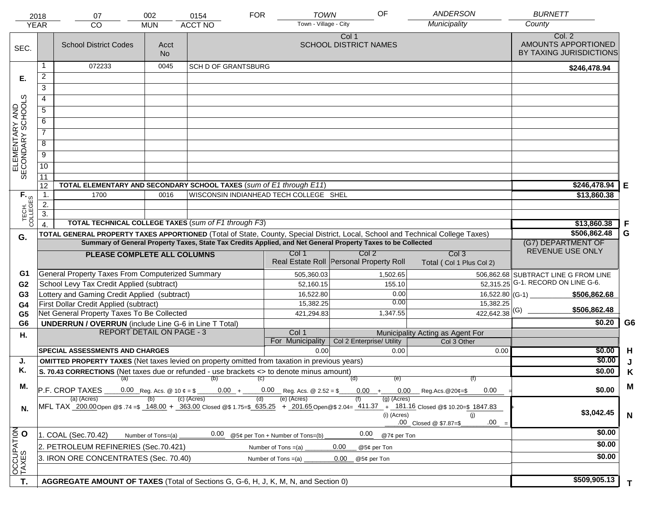|                                     | 2018<br><b>YEAR</b>                                                                                                                                                   | 07<br>CO                                                                                                                       | 002<br><b>MUN</b>                                                                                                                                                                                   | 0154<br><b>ACCT NO</b>                               | <b>TOWN</b><br><b>FOR</b><br>Town - Village - City        | OF                                                                                                           | <b>ANDERSON</b><br>Municipality                 | <b>BURNETT</b><br>County                                 |                |
|-------------------------------------|-----------------------------------------------------------------------------------------------------------------------------------------------------------------------|--------------------------------------------------------------------------------------------------------------------------------|-----------------------------------------------------------------------------------------------------------------------------------------------------------------------------------------------------|------------------------------------------------------|-----------------------------------------------------------|--------------------------------------------------------------------------------------------------------------|-------------------------------------------------|----------------------------------------------------------|----------------|
|                                     |                                                                                                                                                                       |                                                                                                                                |                                                                                                                                                                                                     |                                                      |                                                           |                                                                                                              |                                                 |                                                          |                |
| SEC.                                |                                                                                                                                                                       | <b>School District Codes</b>                                                                                                   | Acct<br>No.                                                                                                                                                                                         |                                                      |                                                           | Col 1<br><b>SCHOOL DISTRICT NAMES</b>                                                                        |                                                 | Col. 2<br>AMOUNTS APPORTIONED<br>BY TAXING JURISDICTIONS |                |
|                                     | 1                                                                                                                                                                     | 072233                                                                                                                         | 0045                                                                                                                                                                                                | <b>SCH D OF GRANTSBURG</b>                           |                                                           |                                                                                                              |                                                 | \$246,478.94                                             |                |
| Е.                                  | 2                                                                                                                                                                     |                                                                                                                                |                                                                                                                                                                                                     |                                                      |                                                           |                                                                                                              |                                                 |                                                          |                |
|                                     | $\overline{3}$                                                                                                                                                        |                                                                                                                                |                                                                                                                                                                                                     |                                                      |                                                           |                                                                                                              |                                                 |                                                          |                |
|                                     | 4                                                                                                                                                                     |                                                                                                                                |                                                                                                                                                                                                     |                                                      |                                                           |                                                                                                              |                                                 |                                                          |                |
|                                     | $\overline{5}$                                                                                                                                                        |                                                                                                                                |                                                                                                                                                                                                     |                                                      |                                                           |                                                                                                              |                                                 |                                                          |                |
|                                     | 6                                                                                                                                                                     |                                                                                                                                |                                                                                                                                                                                                     |                                                      |                                                           |                                                                                                              |                                                 |                                                          |                |
|                                     | $\overline{7}$                                                                                                                                                        |                                                                                                                                |                                                                                                                                                                                                     |                                                      |                                                           |                                                                                                              |                                                 |                                                          |                |
| ELEMENTARY AND<br>SECONDARY SCHOOLS | 8                                                                                                                                                                     |                                                                                                                                |                                                                                                                                                                                                     |                                                      |                                                           |                                                                                                              |                                                 |                                                          |                |
|                                     | $\overline{9}$                                                                                                                                                        |                                                                                                                                |                                                                                                                                                                                                     |                                                      |                                                           |                                                                                                              |                                                 |                                                          |                |
|                                     | 10                                                                                                                                                                    |                                                                                                                                |                                                                                                                                                                                                     |                                                      |                                                           |                                                                                                              |                                                 |                                                          |                |
|                                     | $\overline{11}$                                                                                                                                                       |                                                                                                                                |                                                                                                                                                                                                     |                                                      |                                                           |                                                                                                              |                                                 |                                                          |                |
|                                     | 12                                                                                                                                                                    | TOTAL ELEMENTARY AND SECONDARY SCHOOL TAXES (sum of E1 through E11)                                                            |                                                                                                                                                                                                     |                                                      |                                                           |                                                                                                              |                                                 | \$246,478.94                                             | E              |
|                                     | $\mathbf 1$ .                                                                                                                                                         | 1700                                                                                                                           | 0016                                                                                                                                                                                                |                                                      | WISCONSIN INDIANHEAD TECH COLLEGE SHEL                    |                                                                                                              |                                                 | \$13,860.38                                              |                |
| TECH. T                             | 2.                                                                                                                                                                    |                                                                                                                                |                                                                                                                                                                                                     |                                                      |                                                           |                                                                                                              |                                                 |                                                          |                |
|                                     | $\overline{3}$ .                                                                                                                                                      |                                                                                                                                |                                                                                                                                                                                                     |                                                      |                                                           |                                                                                                              |                                                 |                                                          |                |
|                                     | $\overline{4}$ .                                                                                                                                                      |                                                                                                                                |                                                                                                                                                                                                     | TOTAL TECHNICAL COLLEGE TAXES (sum of F1 through F3) |                                                           |                                                                                                              |                                                 | \$13,860.38                                              | .F             |
| G.                                  |                                                                                                                                                                       | TOTAL GENERAL PROPERTY TAXES APPORTIONED (Total of State, County, Special District, Local, School and Technical College Taxes) |                                                                                                                                                                                                     |                                                      |                                                           | Summary of General Property Taxes, State Tax Credits Applied, and Net General Property Taxes to be Collected |                                                 | \$506,862.48<br>(G7) DEPARTMENT OF                       | G              |
|                                     |                                                                                                                                                                       |                                                                                                                                | REVENUE USE ONLY                                                                                                                                                                                    |                                                      |                                                           |                                                                                                              |                                                 |                                                          |                |
|                                     |                                                                                                                                                                       | PLEASE COMPLETE ALL COLUMNS                                                                                                    |                                                                                                                                                                                                     |                                                      | Col 1                                                     | Col <sub>2</sub><br>Real Estate Roll Personal Property Roll                                                  | Col <sub>3</sub><br>Total (Col 1 Plus Col 2)    |                                                          |                |
| G1                                  |                                                                                                                                                                       | <b>General Property Taxes From Computerized Summary</b>                                                                        |                                                                                                                                                                                                     |                                                      | 505,360.03                                                | 1,502.65                                                                                                     |                                                 | 506,862.68 SUBTRACT LINE G FROM LINE                     |                |
| G <sub>2</sub>                      |                                                                                                                                                                       | School Levy Tax Credit Applied (subtract)                                                                                      |                                                                                                                                                                                                     |                                                      | 52,160.15                                                 | 155.10                                                                                                       |                                                 | $\overline{52,315.25}$ G-1. RECORD ON LINE G-6.          |                |
| G <sub>3</sub>                      |                                                                                                                                                                       | Lottery and Gaming Credit Applied (subtract)                                                                                   |                                                                                                                                                                                                     |                                                      | 16,522.80                                                 | 0.00                                                                                                         |                                                 | $16,522.80$ (G-1)<br>\$506,862.68                        |                |
| G4                                  |                                                                                                                                                                       | First Dollar Credit Applied (subtract)                                                                                         |                                                                                                                                                                                                     |                                                      | 15,382.25                                                 | 0.00                                                                                                         | 15,382.25                                       | \$506,862.48                                             |                |
| G <sub>5</sub>                      |                                                                                                                                                                       | Net General Property Taxes To Be Collected                                                                                     |                                                                                                                                                                                                     |                                                      | 421,294.83                                                | 1,347.55                                                                                                     | $422,642.38$ <sup>(G)</sup>                     |                                                          |                |
| G <sub>6</sub>                      |                                                                                                                                                                       | <b>UNDERRUN / OVERRUN</b> (include Line G-6 in Line T Total)                                                                   |                                                                                                                                                                                                     |                                                      |                                                           |                                                                                                              |                                                 | \$0.20                                                   | G <sub>6</sub> |
| Η.                                  |                                                                                                                                                                       | <b>REPORT DETAIL ON PAGE - 3</b>                                                                                               |                                                                                                                                                                                                     |                                                      | Col 1<br>For Municipality                                 | Col 2 Enterprise/ Utility                                                                                    | Municipality Acting as Agent For<br>Col 3 Other |                                                          |                |
|                                     |                                                                                                                                                                       | <b>SPECIAL ASSESSMENTS AND CHARGES</b>                                                                                         |                                                                                                                                                                                                     |                                                      | 0.00                                                      | 0.00                                                                                                         | 0.00                                            | \$0.00                                                   | H              |
| J.                                  |                                                                                                                                                                       | <b>OMITTED PROPERTY TAXES</b> (Net taxes levied on property omitted from taxation in previous years)                           |                                                                                                                                                                                                     |                                                      |                                                           |                                                                                                              |                                                 | \$0.00                                                   | J              |
| Κ.                                  |                                                                                                                                                                       | S. 70.43 CORRECTIONS (Net taxes due or refunded - use brackets <> to denote minus amount)                                      |                                                                                                                                                                                                     |                                                      |                                                           |                                                                                                              |                                                 | \$0.00                                                   | Κ              |
|                                     |                                                                                                                                                                       |                                                                                                                                |                                                                                                                                                                                                     | $(a)$ (b) (c)                                        |                                                           | (d)<br>(e)                                                                                                   | (f)                                             |                                                          |                |
| М.                                  |                                                                                                                                                                       | P.F. CROP TAXES                                                                                                                |                                                                                                                                                                                                     | (c) (Acres)                                          | $0.00 + 0.00$ Reg. Acs. @ 2.52 = \$<br>(e) (Acres)<br>(d) | $(g)$ (Acres)                                                                                                | $0.00 + 0.00$ Reg.Acs. @ 20¢=\$<br>0.00         | \$0.00                                                   | M              |
| N.                                  |                                                                                                                                                                       | (a) (Acres)                                                                                                                    | MFL TAX 200.00 Open @\$.74=\$ 148.00 + 363.00 Closed @\$1.75=\$ 635.25 + 201.65 Open @\$2.04= 411.37 + 181.16 Closed @\$10.20=\$ 1847.83<br>(i) (Acres)<br>(i)<br>$.00\,$<br>.00 Closed @ \$7.87=\$ | \$3,042.45                                           | $\mathsf{N}$                                              |                                                                                                              |                                                 |                                                          |                |
|                                     |                                                                                                                                                                       | 1. COAL (Sec.70.42)                                                                                                            | Number of Tons=(a)                                                                                                                                                                                  | 0.00                                                 | @5¢ per Ton + Number of Tons=(b)                          | 0.00<br>@7¢ per Ton                                                                                          |                                                 | \$0.00                                                   |                |
| OCCUPATION                          |                                                                                                                                                                       |                                                                                                                                |                                                                                                                                                                                                     |                                                      |                                                           | 0.00                                                                                                         |                                                 | \$0.00                                                   |                |
|                                     | 2. PETROLEUM REFINERIES (Sec.70.421)<br>Number of Tons $=(a)$<br>@5¢ per Ton<br>3. IRON ORE CONCENTRATES (Sec. 70.40)<br>Number of Tons $=(a)$<br>0.00<br>@5¢ per Ton |                                                                                                                                |                                                                                                                                                                                                     |                                                      |                                                           |                                                                                                              |                                                 | \$0.00                                                   |                |
|                                     |                                                                                                                                                                       |                                                                                                                                |                                                                                                                                                                                                     |                                                      |                                                           |                                                                                                              |                                                 |                                                          |                |
|                                     |                                                                                                                                                                       |                                                                                                                                |                                                                                                                                                                                                     |                                                      |                                                           |                                                                                                              |                                                 | \$509,905.13                                             |                |
| T.                                  |                                                                                                                                                                       | AGGREGATE AMOUNT OF TAXES (Total of Sections G, G-6, H, J, K, M, N, and Section 0)                                             |                                                                                                                                                                                                     |                                                      |                                                           |                                                                                                              |                                                 |                                                          | T.             |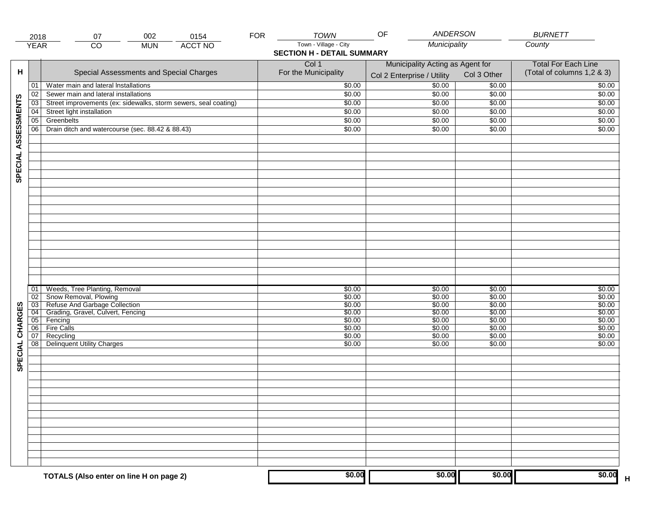|                     | 2018            | 002<br>0154<br>07                                               | <b>FOR</b> | TOWN                              | <b>ANDERSON</b><br>OF            |             | <b>BURNETT</b>                    |
|---------------------|-----------------|-----------------------------------------------------------------|------------|-----------------------------------|----------------------------------|-------------|-----------------------------------|
|                     | <b>YEAR</b>     | <b>ACCT NO</b><br>CO<br><b>MUN</b>                              |            | Town - Village - City             | Municipality                     |             | County                            |
|                     |                 |                                                                 |            | <b>SECTION H - DETAIL SUMMARY</b> |                                  |             |                                   |
|                     |                 |                                                                 |            | Col 1                             | Municipality Acting as Agent for |             | <b>Total For Each Line</b>        |
| н                   |                 | Special Assessments and Special Charges                         |            | For the Municipality              | Col 2 Enterprise / Utility       | Col 3 Other | (Total of columns 1,2 & 3)        |
|                     | 01              | Water main and lateral Installations                            |            | \$0.00                            | 50.00                            | \$0.00      | \$0.00                            |
|                     | 02              | Sewer main and lateral installations                            |            | \$0.00                            | \$0.00                           | \$0.00      | \$0.00                            |
|                     | $\overline{03}$ | Street improvements (ex: sidewalks, storm sewers, seal coating) |            | \$0.00                            | \$0.00                           | \$0.00      | \$0.00                            |
|                     | 04              | Street light installation                                       |            | \$0.00                            | \$0.00                           | \$0.00      | \$0.00                            |
|                     | $\overline{05}$ | Greenbelts                                                      |            | \$0.00                            | \$0.00                           |             | \$0.00                            |
|                     |                 |                                                                 |            |                                   |                                  | \$0.00      |                                   |
|                     | 06              | Drain ditch and watercourse (sec. 88.42 & 88.43)                |            | \$0.00                            | \$0.00                           | \$0.00      | \$0.00                            |
| SPECIAL ASSESSMENTS |                 |                                                                 |            |                                   |                                  |             |                                   |
|                     |                 |                                                                 |            |                                   |                                  |             |                                   |
|                     |                 |                                                                 |            |                                   |                                  |             |                                   |
|                     |                 |                                                                 |            |                                   |                                  |             |                                   |
|                     |                 |                                                                 |            |                                   |                                  |             |                                   |
|                     |                 |                                                                 |            |                                   |                                  |             |                                   |
|                     |                 |                                                                 |            |                                   |                                  |             |                                   |
|                     |                 |                                                                 |            |                                   |                                  |             |                                   |
|                     |                 |                                                                 |            |                                   |                                  |             |                                   |
|                     |                 |                                                                 |            |                                   |                                  |             |                                   |
|                     | 01              | Weeds, Tree Planting, Removal                                   |            | \$0.00                            | \$0.00                           | \$0.00      | \$0.00                            |
|                     | 02              | Snow Removal, Plowing                                           |            | \$0.00                            | \$0.00                           | \$0.00      | \$0.00                            |
|                     | 03              | Refuse And Garbage Collection                                   |            | \$0.00                            | \$0.00                           | \$0.00      | \$0.00                            |
|                     | $\overline{04}$ | Grading, Gravel, Culvert, Fencing                               |            | \$0.00                            | \$0.00                           | \$0.00      | \$0.00                            |
|                     | $\overline{05}$ | Fencing                                                         |            | \$0.00                            | \$0.00                           | \$0.00      | \$0.00                            |
|                     | 06              | <b>Fire Calls</b>                                               |            | \$0.00                            | \$0.00                           | \$0.00      | \$0.00                            |
|                     | 07              | Recycling                                                       |            | \$0.00                            | \$0.00                           | \$0.00      | \$0.00                            |
|                     | 08              | Delinquent Utility Charges                                      |            | \$0.00                            | \$0.00                           | \$0.00      | \$0.00                            |
| SPECIAL CHARGES     |                 |                                                                 |            |                                   |                                  |             |                                   |
|                     |                 |                                                                 |            |                                   |                                  |             |                                   |
|                     |                 |                                                                 |            |                                   |                                  |             |                                   |
|                     |                 |                                                                 |            |                                   |                                  |             |                                   |
|                     |                 |                                                                 |            |                                   |                                  |             |                                   |
|                     |                 |                                                                 |            |                                   |                                  |             |                                   |
|                     |                 |                                                                 |            |                                   |                                  |             |                                   |
|                     |                 |                                                                 |            |                                   |                                  |             |                                   |
|                     |                 |                                                                 |            | \$0.00                            | \$0.00                           | \$0.00      |                                   |
|                     |                 | TOTALS (Also enter on line H on page 2)                         |            |                                   |                                  |             | \$0.00<br>$\overline{\mathsf{H}}$ |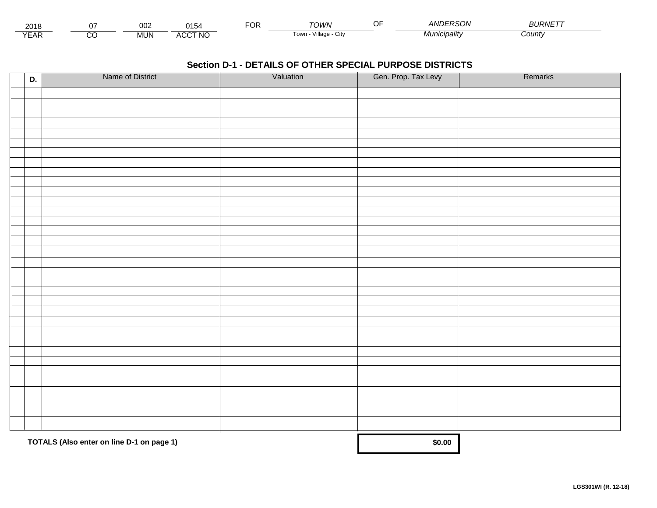| 2018<br>וו ש     |                | ∩∩ว<br><b>UUZ</b> | 0.4F<br>$\sim$                             | ---<br>ີ | <b>TOM/N</b>                          | $\sim$ $\sim$ | ANDERSOL<br>50N. | <b>URNE</b> |  |
|------------------|----------------|-------------------|--------------------------------------------|----------|---------------------------------------|---------------|------------------|-------------|--|
| $V = \ell$<br>⊢ี | ~~<br>$\cdots$ | <b>MUN</b>        | <b>CCT NO</b><br>$\cdots$<br><b>-11.11</b> |          | <br>Tow <sub>i</sub><br>лнаае<br>ノILV |               | 1unıcıpalıtv     | Count       |  |

| D. | Name of District                          | Valuation | Gen. Prop. Tax Levy | Remarks |
|----|-------------------------------------------|-----------|---------------------|---------|
|    |                                           |           |                     |         |
|    |                                           |           |                     |         |
|    |                                           |           |                     |         |
|    |                                           |           |                     |         |
|    |                                           |           |                     |         |
|    |                                           |           |                     |         |
|    |                                           |           |                     |         |
|    |                                           |           |                     |         |
|    |                                           |           |                     |         |
|    |                                           |           |                     |         |
|    |                                           |           |                     |         |
|    |                                           |           |                     |         |
|    |                                           |           |                     |         |
|    |                                           |           |                     |         |
|    |                                           |           |                     |         |
|    |                                           |           |                     |         |
|    |                                           |           |                     |         |
|    |                                           |           |                     |         |
|    |                                           |           |                     |         |
|    |                                           |           |                     |         |
|    |                                           |           |                     |         |
|    |                                           |           |                     |         |
|    |                                           |           |                     |         |
|    |                                           |           |                     |         |
|    |                                           |           |                     |         |
|    |                                           |           |                     |         |
|    |                                           |           |                     |         |
|    |                                           |           |                     |         |
|    |                                           |           |                     |         |
|    |                                           |           |                     |         |
|    |                                           |           |                     |         |
|    |                                           |           |                     |         |
|    |                                           |           |                     |         |
|    | TOTALS (Also enter on line D-1 on page 1) |           | \$0.00              |         |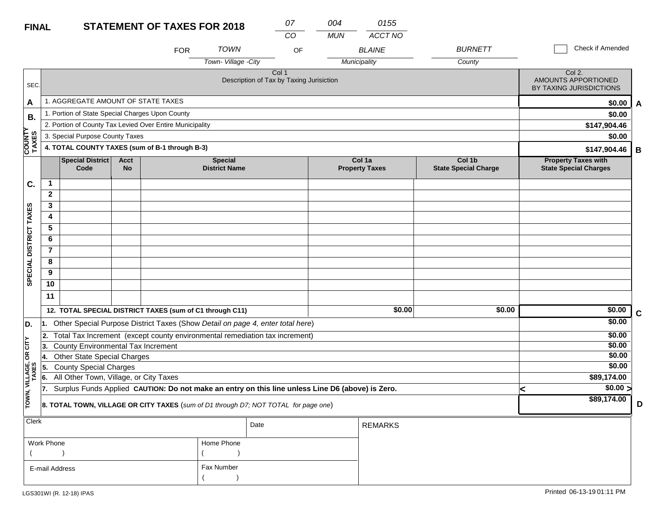| <b>FINAL</b>            |                |                                                                                                  |                   | <b>STATEMENT OF TAXES FOR 2018</b> |                                        | 07<br>CO                                          | 004<br><b>MUN</b> | 0155<br>ACCT NO                 |                                       |                                                                 |                               |             |
|-------------------------|----------------|--------------------------------------------------------------------------------------------------|-------------------|------------------------------------|----------------------------------------|---------------------------------------------------|-------------------|---------------------------------|---------------------------------------|-----------------------------------------------------------------|-------------------------------|-------------|
|                         |                |                                                                                                  |                   | <b>FOR</b>                         | <b>TOWN</b>                            | OF                                                |                   | <b>BLAINE</b>                   | <b>BURNETT</b>                        |                                                                 | Check if Amended              |             |
|                         |                |                                                                                                  |                   |                                    | Town-Village -City                     |                                                   |                   | Municipality                    | County                                |                                                                 |                               |             |
| SEC.                    |                |                                                                                                  |                   |                                    |                                        | Col 1<br>Description of Tax by Taxing Jurisiction |                   |                                 |                                       | Col 2.<br><b>AMOUNTS APPORTIONED</b><br>BY TAXING JURISDICTIONS |                               |             |
| A                       |                | 1. AGGREGATE AMOUNT OF STATE TAXES                                                               |                   |                                    |                                        |                                                   |                   |                                 |                                       |                                                                 | \$0.00                        | A           |
| В.                      |                | 1. Portion of State Special Charges Upon County                                                  |                   |                                    |                                        |                                                   |                   |                                 |                                       |                                                                 | \$0.00                        |             |
|                         |                | 2. Portion of County Tax Levied Over Entire Municipality                                         |                   |                                    |                                        |                                                   |                   |                                 |                                       |                                                                 | \$147,904.46                  |             |
|                         |                | 3. Special Purpose County Taxes                                                                  |                   |                                    |                                        |                                                   |                   |                                 |                                       |                                                                 | \$0.00                        |             |
| <b>COUNTY<br/>TAXES</b> |                | 4. TOTAL COUNTY TAXES (sum of B-1 through B-3)                                                   |                   |                                    |                                        |                                                   |                   |                                 |                                       |                                                                 | \$147,904.46                  | B           |
|                         |                | <b>Special District</b><br>Code                                                                  | <b>Acct</b><br>No |                                    | <b>Special</b><br><b>District Name</b> |                                                   |                   | Col 1a<br><b>Property Taxes</b> | Col 1b<br><b>State Special Charge</b> | <b>Property Taxes with</b><br><b>State Special Charges</b>      |                               |             |
| C.                      | 1              |                                                                                                  |                   |                                    |                                        |                                                   |                   |                                 |                                       |                                                                 |                               |             |
|                         | $\mathbf{2}$   |                                                                                                  |                   |                                    |                                        |                                                   |                   |                                 |                                       |                                                                 |                               |             |
|                         | 3              |                                                                                                  |                   |                                    |                                        |                                                   |                   |                                 |                                       |                                                                 |                               |             |
|                         | 4              |                                                                                                  |                   |                                    |                                        |                                                   |                   |                                 |                                       |                                                                 |                               |             |
|                         | $\overline{5}$ |                                                                                                  |                   |                                    |                                        |                                                   |                   |                                 |                                       |                                                                 |                               |             |
|                         | 6              |                                                                                                  |                   |                                    |                                        |                                                   |                   |                                 |                                       |                                                                 |                               |             |
|                         | $\overline{7}$ |                                                                                                  |                   |                                    |                                        |                                                   |                   |                                 |                                       |                                                                 |                               |             |
|                         | 8              |                                                                                                  |                   |                                    |                                        |                                                   |                   |                                 |                                       |                                                                 |                               |             |
| SPECIAL DISTRICT TAXES  | 9              |                                                                                                  |                   |                                    |                                        |                                                   |                   |                                 |                                       |                                                                 |                               |             |
|                         | 10             |                                                                                                  |                   |                                    |                                        |                                                   |                   |                                 |                                       |                                                                 |                               |             |
|                         | 11             |                                                                                                  |                   |                                    |                                        |                                                   |                   |                                 |                                       |                                                                 |                               |             |
|                         |                | 12. TOTAL SPECIAL DISTRICT TAXES (sum of C1 through C11)                                         |                   |                                    |                                        |                                                   |                   | \$0.00                          | \$0.00                                |                                                                 | \$0.00                        | $\mathbf c$ |
| D.                      |                | 1. Other Special Purpose District Taxes (Show Detail on page 4, enter total here)                |                   |                                    |                                        |                                                   |                   |                                 |                                       |                                                                 | \$0.00                        |             |
|                         | 2.             | Total Tax Increment (except county environmental remediation tax increment)                      |                   |                                    |                                        |                                                   |                   |                                 |                                       |                                                                 | \$0.00                        |             |
| OR CITY                 | 13.            | <b>County Environmental Tax Increment</b>                                                        |                   |                                    |                                        |                                                   |                   |                                 |                                       |                                                                 | \$0.00                        |             |
|                         | 14.            | <b>Other State Special Charges</b>                                                               |                   |                                    |                                        |                                                   |                   |                                 |                                       |                                                                 | \$0.00                        |             |
|                         | 15.            | <b>County Special Charges</b>                                                                    |                   |                                    |                                        |                                                   |                   |                                 |                                       |                                                                 | \$0.00                        |             |
|                         | 6.             | All Other Town, Village, or City Taxes                                                           |                   |                                    |                                        |                                                   |                   |                                 |                                       |                                                                 | \$89,174.00                   |             |
| TOWN, VILLAGE,<br>TAXES | 17.            | Surplus Funds Applied CAUTION: Do not make an entry on this line unless Line D6 (above) is Zero. |                   |                                    |                                        |                                                   |                   |                                 |                                       | k                                                               | $\sqrt{$0.00}$<br>\$89,174.00 |             |
|                         |                | 8. TOTAL TOWN, VILLAGE OR CITY TAXES (sum of D1 through D7; NOT TOTAL for page one)              |                   |                                    |                                        |                                                   |                   |                                 |                                       |                                                                 |                               | D           |
| Clerk                   |                |                                                                                                  |                   |                                    |                                        | Date                                              |                   | <b>REMARKS</b>                  |                                       |                                                                 |                               |             |

| Work Phone     | Home Phone |
|----------------|------------|
|                |            |
| E-mail Address | Fax Number |
|                |            |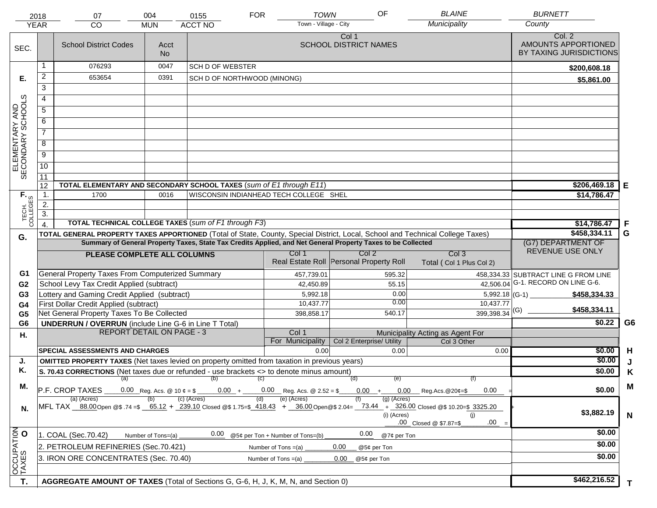|                                     | 2018<br><b>YEAR</b>                                                                   | 07<br><b>CO</b>                                                                                      | 004<br><b>MUN</b>  | 0155<br><b>ACCT NO</b>      | <b>FOR</b>                                                                                                   | OF<br><b>TOWN</b><br>Town - Village - City | <b>BLAINE</b><br>Municipality                                                                                                                                                                                     | <b>BURNETT</b><br>County                                 |
|-------------------------------------|---------------------------------------------------------------------------------------|------------------------------------------------------------------------------------------------------|--------------------|-----------------------------|--------------------------------------------------------------------------------------------------------------|--------------------------------------------|-------------------------------------------------------------------------------------------------------------------------------------------------------------------------------------------------------------------|----------------------------------------------------------|
| SEC.                                |                                                                                       | <b>School District Codes</b>                                                                         | Acct<br><b>No</b>  |                             |                                                                                                              | Col 1<br><b>SCHOOL DISTRICT NAMES</b>      |                                                                                                                                                                                                                   | Col. 2<br>AMOUNTS APPORTIONED<br>BY TAXING JURISDICTIONS |
|                                     | 1                                                                                     | 076293                                                                                               | 0047               | SCH D OF WEBSTER            |                                                                                                              |                                            |                                                                                                                                                                                                                   | \$200,608.18                                             |
| Е.                                  | 2                                                                                     | 653654                                                                                               | 0391               | SCH D OF NORTHWOOD (MINONG) |                                                                                                              |                                            |                                                                                                                                                                                                                   | \$5,861.00                                               |
|                                     | $\overline{3}$                                                                        |                                                                                                      |                    |                             |                                                                                                              |                                            |                                                                                                                                                                                                                   |                                                          |
|                                     | 4                                                                                     |                                                                                                      |                    |                             |                                                                                                              |                                            |                                                                                                                                                                                                                   |                                                          |
|                                     | 5                                                                                     |                                                                                                      |                    |                             |                                                                                                              |                                            |                                                                                                                                                                                                                   |                                                          |
|                                     | 6                                                                                     |                                                                                                      |                    |                             |                                                                                                              |                                            |                                                                                                                                                                                                                   |                                                          |
|                                     | $\overline{7}$                                                                        |                                                                                                      |                    |                             |                                                                                                              |                                            |                                                                                                                                                                                                                   |                                                          |
| ELEMENTARY AND<br>SECONDARY SCHOOLS | 8                                                                                     |                                                                                                      |                    |                             |                                                                                                              |                                            |                                                                                                                                                                                                                   |                                                          |
|                                     | $\overline{9}$                                                                        |                                                                                                      |                    |                             |                                                                                                              |                                            |                                                                                                                                                                                                                   |                                                          |
|                                     | 10                                                                                    |                                                                                                      |                    |                             |                                                                                                              |                                            |                                                                                                                                                                                                                   |                                                          |
|                                     | 11                                                                                    |                                                                                                      |                    |                             |                                                                                                              |                                            |                                                                                                                                                                                                                   |                                                          |
|                                     | 12                                                                                    | TOTAL ELEMENTARY AND SECONDARY SCHOOL TAXES (sum of E1 through E11)                                  |                    |                             |                                                                                                              |                                            |                                                                                                                                                                                                                   | \$206,469.18<br>Е                                        |
|                                     | 1.                                                                                    | 1700                                                                                                 | 0016               |                             | WISCONSIN INDIANHEAD TECH COLLEGE SHEL                                                                       |                                            |                                                                                                                                                                                                                   | \$14,786.47                                              |
|                                     | 2.                                                                                    |                                                                                                      |                    |                             |                                                                                                              |                                            |                                                                                                                                                                                                                   |                                                          |
| TECH. T                             | $\overline{3}$ .                                                                      |                                                                                                      |                    |                             |                                                                                                              |                                            |                                                                                                                                                                                                                   |                                                          |
|                                     | $\overline{4}$ .                                                                      | <b>TOTAL TECHNICAL COLLEGE TAXES (sum of F1 through F3)</b>                                          |                    |                             |                                                                                                              |                                            |                                                                                                                                                                                                                   | F<br>\$14,786.47                                         |
| G.                                  |                                                                                       |                                                                                                      |                    |                             | Summary of General Property Taxes, State Tax Credits Applied, and Net General Property Taxes to be Collected |                                            | TOTAL GENERAL PROPERTY TAXES APPORTIONED (Total of State, County, Special District, Local, School and Technical College Taxes)                                                                                    | \$458,334.11<br>G<br>(G7) DEPARTMENT OF                  |
|                                     |                                                                                       |                                                                                                      |                    |                             | Col 1                                                                                                        | Col 2                                      | Col <sub>3</sub>                                                                                                                                                                                                  | REVENUE USE ONLY                                         |
|                                     |                                                                                       | PLEASE COMPLETE ALL COLUMNS                                                                          |                    |                             |                                                                                                              | Real Estate Roll Personal Property Roll    | Total (Col 1 Plus Col 2)                                                                                                                                                                                          |                                                          |
| G1                                  |                                                                                       | <b>General Property Taxes From Computerized Summary</b>                                              |                    |                             | 457,739.01                                                                                                   |                                            | 595.32                                                                                                                                                                                                            | 458,334.33 SUBTRACT LINE G FROM LINE                     |
| G <sub>2</sub>                      |                                                                                       | School Levy Tax Credit Applied (subtract)                                                            |                    |                             | 42,450.89                                                                                                    |                                            | 42,506.04<br>55.15                                                                                                                                                                                                | G-1. RECORD ON LINE G-6.                                 |
| G <sub>3</sub>                      |                                                                                       | Lottery and Gaming Credit Applied (subtract)                                                         |                    |                             | 5,992.18                                                                                                     |                                            | 0.00                                                                                                                                                                                                              | $5,992.18$ (G-1)<br>\$458,334.33                         |
| G <sub>4</sub>                      |                                                                                       | First Dollar Credit Applied (subtract)                                                               |                    |                             | 10,437.77                                                                                                    |                                            | 0.00<br>10,437.77                                                                                                                                                                                                 | \$458,334.11                                             |
| G <sub>5</sub>                      |                                                                                       | Net General Property Taxes To Be Collected                                                           |                    |                             | 398,858.17                                                                                                   |                                            | $399,398.34$ <sup>(G)</sup><br>540.17                                                                                                                                                                             | G <sub>6</sub>                                           |
| G <sub>6</sub>                      |                                                                                       | <b>UNDERRUN / OVERRUN</b> (include Line G-6 in Line T Total)<br><b>REPORT DETAIL ON PAGE - 3</b>     |                    |                             | Col 1                                                                                                        |                                            |                                                                                                                                                                                                                   | \$0.22                                                   |
| Н.                                  |                                                                                       |                                                                                                      |                    |                             | For Municipality                                                                                             | Col 2 Enterprise/ Utility                  | Municipality Acting as Agent For<br>Col 3 Other                                                                                                                                                                   |                                                          |
|                                     |                                                                                       | <b>SPECIAL ASSESSMENTS AND CHARGES</b>                                                               |                    |                             | 0.00                                                                                                         |                                            | 0.00<br>0.00                                                                                                                                                                                                      | \$0.00<br>H                                              |
| J.                                  |                                                                                       | <b>OMITTED PROPERTY TAXES</b> (Net taxes levied on property omitted from taxation in previous years) |                    |                             |                                                                                                              |                                            |                                                                                                                                                                                                                   | \$0.00                                                   |
| Κ.                                  |                                                                                       | S. 70.43 CORRECTIONS (Net taxes due or refunded - use brackets <> to denote minus amount)            |                    |                             |                                                                                                              |                                            |                                                                                                                                                                                                                   | \$0.00<br>Κ                                              |
| М.                                  |                                                                                       | (a)<br>P.F. CROP TAXES                                                                               |                    | (b)                         | (c)<br>$0.00 + 0.00$ Reg. Acs. @ 2.52 = \$                                                                   | (d)<br>$0.00 +$                            | (e)<br>(f)<br>$0.00$ Reg.Acs. @20¢=\$<br>0.00                                                                                                                                                                     | M<br>\$0.00                                              |
|                                     |                                                                                       | (a) (Acres)                                                                                          |                    |                             |                                                                                                              |                                            |                                                                                                                                                                                                                   |                                                          |
| N.                                  |                                                                                       |                                                                                                      |                    |                             | (e) (Acres)                                                                                                  |                                            | $(g)$ (Acres)<br>MFL TAX 88.00 Open @\$ .74 =\$ 65.12 + 239.10 Closed @\$ 1.75=\$ 418.43 + 36.00 Open @\$ 2.04= 73.44 + 326.00 Closed @\$ 10.20=\$ 3325.20<br>(i) (Acres)<br>(i)<br>.00<br>.00 Closed @ \$7.87=\$ | \$3,882.19<br>N                                          |
|                                     |                                                                                       | 1. COAL (Sec.70.42)                                                                                  | Number of Tons=(a) | 0.00                        | @5¢ per Ton + Number of Tons=(b)                                                                             | 0.00                                       | @7¢ per Ton                                                                                                                                                                                                       | \$0.00                                                   |
|                                     | 2. PETROLEUM REFINERIES (Sec.70.421)<br>0.00<br>Number of Tons =(a)<br>@5¢ per Ton    |                                                                                                      |                    |                             |                                                                                                              |                                            |                                                                                                                                                                                                                   | \$0.00                                                   |
| OCCUPATION                          | 3. IRON ORE CONCENTRATES (Sec. 70.40)<br>Number of Tons $=(a)$<br>0.00<br>@5¢ per Ton |                                                                                                      |                    |                             |                                                                                                              |                                            | \$0.00                                                                                                                                                                                                            |                                                          |
|                                     |                                                                                       |                                                                                                      |                    |                             |                                                                                                              |                                            |                                                                                                                                                                                                                   |                                                          |
| T.                                  |                                                                                       | AGGREGATE AMOUNT OF TAXES (Total of Sections G, G-6, H, J, K, M, N, and Section 0)                   |                    |                             |                                                                                                              |                                            |                                                                                                                                                                                                                   | \$462,216.52<br>T.                                       |
|                                     |                                                                                       |                                                                                                      |                    |                             |                                                                                                              |                                            |                                                                                                                                                                                                                   |                                                          |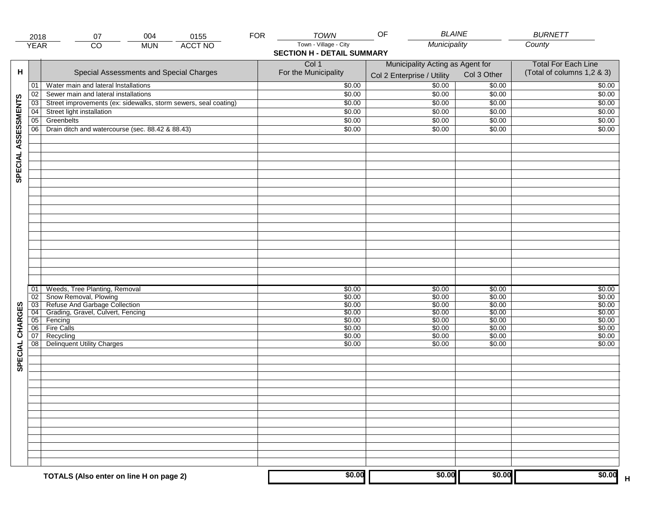|                     | 2018                  | 004<br>07                                                          | 0155           | <b>FOR</b> | <b>TOWN</b>                       | <b>BLAINE</b><br>OF              |                  | <b>BURNETT</b>             |
|---------------------|-----------------------|--------------------------------------------------------------------|----------------|------------|-----------------------------------|----------------------------------|------------------|----------------------------|
|                     | <b>YEAR</b>           | $\overline{CO}$<br><b>MUN</b>                                      | <b>ACCT NO</b> |            | Town - Village - City             | Municipality                     |                  | County                     |
|                     |                       |                                                                    |                |            | <b>SECTION H - DETAIL SUMMARY</b> |                                  |                  |                            |
|                     |                       |                                                                    |                |            | Col 1                             | Municipality Acting as Agent for |                  | <b>Total For Each Line</b> |
| н                   |                       | Special Assessments and Special Charges                            |                |            | For the Municipality              |                                  | Col 3 Other      | (Total of columns 1,2 & 3) |
|                     |                       |                                                                    |                |            |                                   | Col 2 Enterprise / Utility       |                  |                            |
|                     | 01                    | Water main and lateral Installations                               |                |            | \$0.00                            | \$0.00                           | \$0.00           | \$0.00                     |
|                     | 02                    | Sewer main and lateral installations                               |                |            | \$0.00                            | \$0.00                           | \$0.00           | \$0.00                     |
|                     | 03                    | Street improvements (ex: sidewalks, storm sewers, seal coating)    |                |            | \$0.00                            | \$0.00                           | \$0.00           | \$0.00                     |
|                     | 04                    | Street light installation                                          |                |            | \$0.00                            | \$0.00                           | \$0.00           | \$0.00                     |
|                     | $\overline{05}$       | Greenbelts                                                         |                |            | \$0.00                            | \$0.00                           | \$0.00           | \$0.00                     |
|                     | 06                    | Drain ditch and watercourse (sec. 88.42 & 88.43)                   |                |            | \$0.00                            | \$0.00                           | \$0.00           | \$0.00                     |
| SPECIAL ASSESSMENTS |                       |                                                                    |                |            |                                   |                                  |                  |                            |
|                     |                       |                                                                    |                |            |                                   |                                  |                  |                            |
|                     |                       |                                                                    |                |            |                                   |                                  |                  |                            |
|                     |                       |                                                                    |                |            |                                   |                                  |                  |                            |
|                     |                       |                                                                    |                |            |                                   |                                  |                  |                            |
|                     |                       |                                                                    |                |            |                                   |                                  |                  |                            |
|                     |                       |                                                                    |                |            |                                   |                                  |                  |                            |
|                     |                       |                                                                    |                |            |                                   |                                  |                  |                            |
|                     |                       |                                                                    |                |            |                                   |                                  |                  |                            |
|                     |                       |                                                                    |                |            |                                   |                                  |                  |                            |
|                     |                       |                                                                    |                |            |                                   |                                  |                  |                            |
|                     |                       |                                                                    |                |            |                                   |                                  |                  |                            |
|                     |                       |                                                                    |                |            |                                   |                                  |                  |                            |
|                     |                       |                                                                    |                |            |                                   |                                  |                  |                            |
|                     |                       |                                                                    |                |            |                                   |                                  |                  |                            |
|                     |                       |                                                                    |                |            |                                   |                                  |                  |                            |
|                     |                       |                                                                    |                |            |                                   |                                  |                  |                            |
|                     |                       |                                                                    |                |            |                                   |                                  |                  |                            |
|                     | 01                    | Weeds, Tree Planting, Removal                                      |                |            | \$0.00                            | \$0.00                           | \$0.00           | \$0.00                     |
|                     | $\overline{02}$       | Snow Removal, Plowing                                              |                |            | \$0.00                            | \$0.00                           | \$0.00           | \$0.00                     |
| SPECIAL CHARGES     | $\overline{03}$       | Refuse And Garbage Collection<br>Grading, Gravel, Culvert, Fencing |                |            | \$0.00                            | \$0.00                           | \$0.00           | \$0.00                     |
|                     | $\overline{04}$<br>05 | Fencing                                                            |                |            | \$0.00<br>\$0.00                  | \$0.00<br>\$0.00                 | \$0.00<br>\$0.00 | \$0.00<br>\$0.00           |
|                     | 06                    | <b>Fire Calls</b>                                                  |                |            | \$0.00                            | \$0.00                           | \$0.00           | \$0.00                     |
|                     | 07                    | Recycling                                                          |                |            | \$0.00                            | \$0.00                           | \$0.00           | \$0.00                     |
|                     | 08                    | <b>Delinquent Utility Charges</b>                                  |                |            | \$0.00                            | \$0.00                           | \$0.00           | \$0.00                     |
|                     |                       |                                                                    |                |            |                                   |                                  |                  |                            |
|                     |                       |                                                                    |                |            |                                   |                                  |                  |                            |
|                     |                       |                                                                    |                |            |                                   |                                  |                  |                            |
|                     |                       |                                                                    |                |            |                                   |                                  |                  |                            |
|                     |                       |                                                                    |                |            |                                   |                                  |                  |                            |
|                     |                       |                                                                    |                |            |                                   |                                  |                  |                            |
|                     |                       |                                                                    |                |            |                                   |                                  |                  |                            |
|                     |                       |                                                                    |                |            |                                   |                                  |                  |                            |
|                     |                       |                                                                    |                |            |                                   |                                  |                  |                            |
|                     |                       |                                                                    |                |            |                                   |                                  |                  |                            |
|                     |                       |                                                                    |                |            |                                   |                                  |                  |                            |
|                     |                       |                                                                    |                |            |                                   |                                  |                  |                            |
|                     |                       |                                                                    |                |            |                                   |                                  |                  |                            |
|                     |                       |                                                                    |                |            |                                   |                                  |                  |                            |
|                     |                       |                                                                    |                |            |                                   |                                  |                  |                            |
|                     |                       | TOTALS (Also enter on line H on page 2)                            |                |            | \$0.00                            | \$0.00                           | \$0.00           | \$0.00<br>$\mathsf H$      |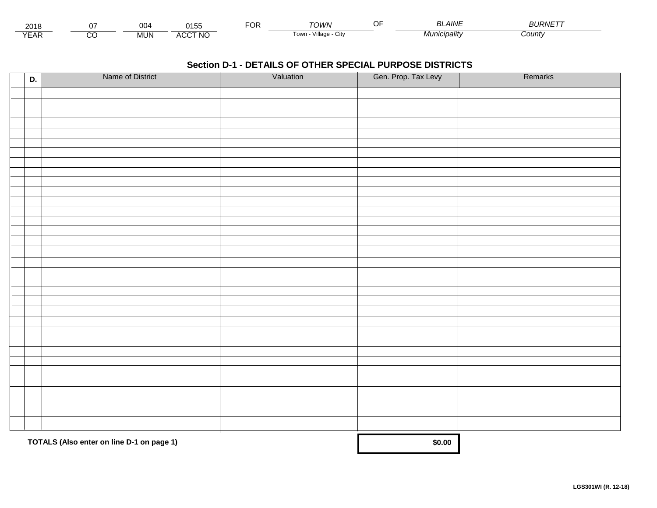| 201،          |        | nn.<br>∪∪' | $\bigcap A \sqsubset^{\circ}$<br>n.<br>. JJ | ◡ | ⊤∩WN                                 | <b>LAINF</b> | - - <i>. - -</i> -<br><b>OURIVE</b> |
|---------------|--------|------------|---------------------------------------------|---|--------------------------------------|--------------|-------------------------------------|
| $V = r$<br>⊢ี | ~<br>U | <b>MUN</b> | <b>ACCT NO</b>                              |   | $\cdots$<br>Village<br>l own<br>◡៲៶៶ | cıpalıtv     | ∶ountγ                              |

| D. | Name of District                          | Valuation | Gen. Prop. Tax Levy | Remarks |
|----|-------------------------------------------|-----------|---------------------|---------|
|    |                                           |           |                     |         |
|    |                                           |           |                     |         |
|    |                                           |           |                     |         |
|    |                                           |           |                     |         |
|    |                                           |           |                     |         |
|    |                                           |           |                     |         |
|    |                                           |           |                     |         |
|    |                                           |           |                     |         |
|    |                                           |           |                     |         |
|    |                                           |           |                     |         |
|    |                                           |           |                     |         |
|    |                                           |           |                     |         |
|    |                                           |           |                     |         |
|    |                                           |           |                     |         |
|    |                                           |           |                     |         |
|    |                                           |           |                     |         |
|    |                                           |           |                     |         |
|    |                                           |           |                     |         |
|    |                                           |           |                     |         |
|    |                                           |           |                     |         |
|    |                                           |           |                     |         |
|    |                                           |           |                     |         |
|    |                                           |           |                     |         |
|    |                                           |           |                     |         |
|    |                                           |           |                     |         |
|    |                                           |           |                     |         |
|    |                                           |           |                     |         |
|    |                                           |           |                     |         |
|    |                                           |           |                     |         |
|    |                                           |           |                     |         |
|    |                                           |           |                     |         |
|    | TOTALS (Also enter on line D-1 on page 1) | \$0.00    |                     |         |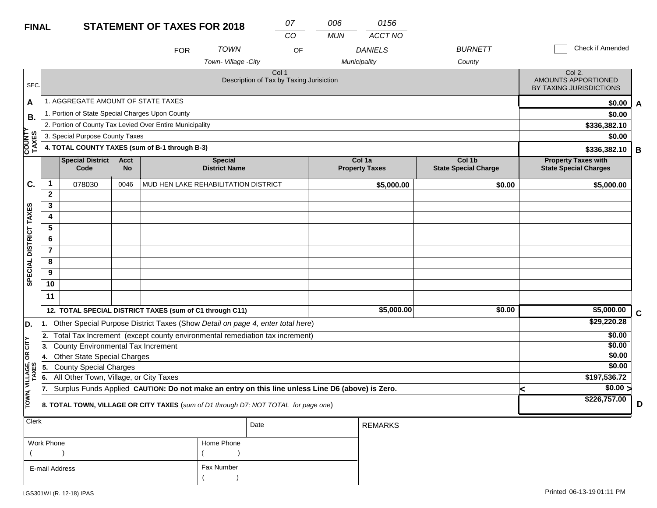| <b>FINAL</b>           |                |                                                                                                  |                          | <b>STATEMENT OF TAXES FOR 2018</b>                                                  |                                        | 07<br>CO                                                     |    | 006<br><b>MUN</b> | 0156<br>ACCT NO                 |                                       |  |                                                            |             |
|------------------------|----------------|--------------------------------------------------------------------------------------------------|--------------------------|-------------------------------------------------------------------------------------|----------------------------------------|--------------------------------------------------------------|----|-------------------|---------------------------------|---------------------------------------|--|------------------------------------------------------------|-------------|
|                        |                |                                                                                                  |                          | <b>FOR</b>                                                                          | <b>TOWN</b>                            |                                                              | OF |                   | <b>DANIELS</b>                  | <b>BURNETT</b>                        |  | Check if Amended                                           |             |
|                        |                |                                                                                                  |                          |                                                                                     | Town-Village -City                     |                                                              |    |                   | Municipality                    | County                                |  |                                                            |             |
| SEC.                   |                |                                                                                                  |                          |                                                                                     |                                        | Col <sub>1</sub><br>Description of Tax by Taxing Jurisiction |    |                   |                                 |                                       |  | Col 2.<br>AMOUNTS APPORTIONED<br>BY TAXING JURISDICTIONS   |             |
| A                      |                | 1. AGGREGATE AMOUNT OF STATE TAXES                                                               |                          |                                                                                     |                                        |                                                              |    |                   |                                 |                                       |  | \$0.00                                                     | A           |
| В.                     |                | 1. Portion of State Special Charges Upon County                                                  |                          |                                                                                     |                                        |                                                              |    |                   |                                 |                                       |  | \$0.00                                                     |             |
|                        |                |                                                                                                  |                          | 2. Portion of County Tax Levied Over Entire Municipality                            |                                        |                                                              |    |                   |                                 |                                       |  | \$336,382.10                                               |             |
|                        |                | 3. Special Purpose County Taxes                                                                  |                          |                                                                                     |                                        |                                                              |    |                   |                                 |                                       |  | \$0.00                                                     |             |
| <b>COUNTY</b><br>TAXES |                |                                                                                                  |                          | 4. TOTAL COUNTY TAXES (sum of B-1 through B-3)                                      |                                        |                                                              |    |                   |                                 |                                       |  | \$336,382.10                                               | B           |
|                        |                | <b>Special District</b><br>Code                                                                  | <b>Acct</b><br><b>No</b> |                                                                                     | <b>Special</b><br><b>District Name</b> |                                                              |    |                   | Col 1a<br><b>Property Taxes</b> | Col 1b<br><b>State Special Charge</b> |  | <b>Property Taxes with</b><br><b>State Special Charges</b> |             |
| C.                     | $\mathbf 1$    | 078030                                                                                           | 0046                     | MUD HEN LAKE REHABILITATION DISTRICT                                                |                                        |                                                              |    |                   | \$5,000.00                      | \$0.00                                |  | \$5,000.00                                                 |             |
|                        | $\mathbf{2}$   |                                                                                                  |                          |                                                                                     |                                        |                                                              |    |                   |                                 |                                       |  |                                                            |             |
|                        | 3              |                                                                                                  |                          |                                                                                     |                                        |                                                              |    |                   |                                 |                                       |  |                                                            |             |
|                        | 4              |                                                                                                  |                          |                                                                                     |                                        |                                                              |    |                   |                                 |                                       |  |                                                            |             |
|                        | 5              |                                                                                                  |                          |                                                                                     |                                        |                                                              |    |                   |                                 |                                       |  |                                                            |             |
|                        | 6              |                                                                                                  |                          |                                                                                     |                                        |                                                              |    |                   |                                 |                                       |  |                                                            |             |
|                        | $\overline{7}$ |                                                                                                  |                          |                                                                                     |                                        |                                                              |    |                   |                                 |                                       |  |                                                            |             |
|                        | 8              |                                                                                                  |                          |                                                                                     |                                        |                                                              |    |                   |                                 |                                       |  |                                                            |             |
| SPECIAL DISTRICT TAXES | 9              |                                                                                                  |                          |                                                                                     |                                        |                                                              |    |                   |                                 |                                       |  |                                                            |             |
|                        | 10             |                                                                                                  |                          |                                                                                     |                                        |                                                              |    |                   |                                 |                                       |  |                                                            |             |
|                        | 11             |                                                                                                  |                          |                                                                                     |                                        |                                                              |    |                   |                                 |                                       |  |                                                            |             |
|                        |                |                                                                                                  |                          | 12. TOTAL SPECIAL DISTRICT TAXES (sum of C1 through C11)                            |                                        |                                                              |    |                   | \$5,000.00                      | \$0.00                                |  | \$5,000.00                                                 | $\mathbf C$ |
| D.                     | I1.            |                                                                                                  |                          | Other Special Purpose District Taxes (Show Detail on page 4, enter total here)      |                                        |                                                              |    |                   |                                 |                                       |  | \$29,220.28                                                |             |
|                        | 12.            |                                                                                                  |                          | Total Tax Increment (except county environmental remediation tax increment)         |                                        |                                                              |    |                   |                                 |                                       |  | \$0.00                                                     |             |
| CITY                   | 3.             | <b>County Environmental Tax Increment</b>                                                        |                          |                                                                                     |                                        |                                                              |    |                   |                                 |                                       |  | \$0.00                                                     |             |
| бR                     | 14.            | <b>Other State Special Charges</b>                                                               |                          |                                                                                     |                                        |                                                              |    |                   |                                 |                                       |  | \$0.00                                                     |             |
|                        | 5.             | <b>County Special Charges</b>                                                                    |                          |                                                                                     |                                        |                                                              |    |                   |                                 |                                       |  | \$0.00                                                     |             |
| VILLAGE,<br>TAXES      | 6.             | All Other Town, Village, or City Taxes                                                           |                          |                                                                                     |                                        |                                                              |    |                   |                                 |                                       |  | \$197,536.72                                               |             |
|                        | 17.            | Surplus Funds Applied CAUTION: Do not make an entry on this line unless Line D6 (above) is Zero. |                          |                                                                                     |                                        |                                                              |    |                   |                                 |                                       |  | $\frac{1}{0.00}$                                           |             |
| TOWN,                  |                |                                                                                                  |                          | 8. TOTAL TOWN, VILLAGE OR CITY TAXES (sum of D1 through D7; NOT TOTAL for page one) |                                        |                                                              |    |                   |                                 |                                       |  | \$226,757.00                                               | D           |
| <b>Clerk</b>           |                |                                                                                                  |                          |                                                                                     |                                        | Date                                                         |    |                   | <b>REMARKS</b>                  |                                       |  |                                                            |             |

| Work Phone     | Home Phone |  |
|----------------|------------|--|
|                |            |  |
| E-mail Address | Fax Number |  |
|                |            |  |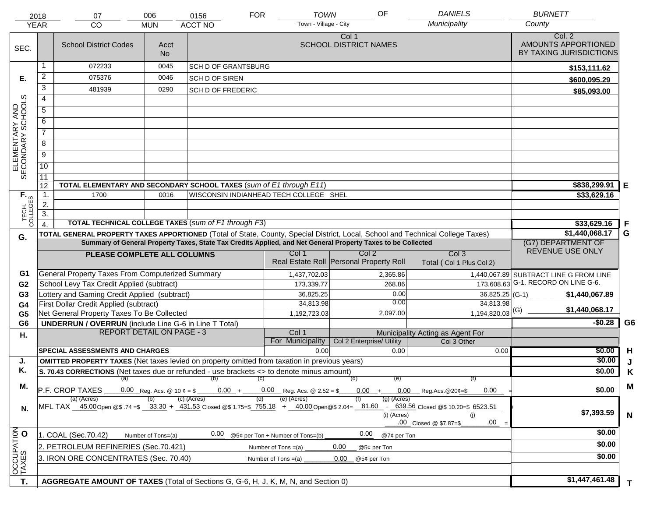|                                     | 2018<br><b>YEAR</b> | 07<br><b>CO</b>                                                                                                                | 006<br><b>MUN</b>               | 0156<br><b>ACCT NO</b>                 | <b>FOR</b> | <b>TOWN</b><br>Town - Village - City   | OF                                                                                                           | <b>DANIELS</b><br>Municipality                                                                                                                                                    | <b>BURNETT</b><br>County                                 |                |
|-------------------------------------|---------------------|--------------------------------------------------------------------------------------------------------------------------------|---------------------------------|----------------------------------------|------------|----------------------------------------|--------------------------------------------------------------------------------------------------------------|-----------------------------------------------------------------------------------------------------------------------------------------------------------------------------------|----------------------------------------------------------|----------------|
| SEC.                                |                     | <b>School District Codes</b>                                                                                                   | Acct<br><b>No</b>               |                                        |            |                                        | Col 1<br><b>SCHOOL DISTRICT NAMES</b>                                                                        |                                                                                                                                                                                   | Col. 2<br>AMOUNTS APPORTIONED<br>BY TAXING JURISDICTIONS |                |
|                                     |                     | 072233                                                                                                                         | 0045                            | <b>SCH D OF GRANTSBURG</b>             |            |                                        |                                                                                                              |                                                                                                                                                                                   | \$153,111.62                                             |                |
| Е.                                  | $\overline{a}$      | 075376                                                                                                                         | 0046                            | <b>SCH D OF SIREN</b>                  |            |                                        |                                                                                                              |                                                                                                                                                                                   | \$600,095.29                                             |                |
|                                     | 3                   | 481939                                                                                                                         | 0290                            | <b>SCH D OF FREDERIC</b>               |            |                                        |                                                                                                              |                                                                                                                                                                                   | \$85,093.00                                              |                |
|                                     | $\overline{4}$      |                                                                                                                                |                                 |                                        |            |                                        |                                                                                                              |                                                                                                                                                                                   |                                                          |                |
|                                     | 5                   |                                                                                                                                |                                 |                                        |            |                                        |                                                                                                              |                                                                                                                                                                                   |                                                          |                |
| ELEMENTARY AND<br>SECONDARY SCHOOLS | 6                   |                                                                                                                                |                                 |                                        |            |                                        |                                                                                                              |                                                                                                                                                                                   |                                                          |                |
|                                     | $\overline{7}$      |                                                                                                                                |                                 |                                        |            |                                        |                                                                                                              |                                                                                                                                                                                   |                                                          |                |
|                                     | 8                   |                                                                                                                                |                                 |                                        |            |                                        |                                                                                                              |                                                                                                                                                                                   |                                                          |                |
|                                     | $\overline{9}$      |                                                                                                                                |                                 |                                        |            |                                        |                                                                                                              |                                                                                                                                                                                   |                                                          |                |
|                                     | $\overline{10}$     |                                                                                                                                |                                 |                                        |            |                                        |                                                                                                              |                                                                                                                                                                                   |                                                          |                |
|                                     | 11                  |                                                                                                                                |                                 |                                        |            |                                        |                                                                                                              |                                                                                                                                                                                   |                                                          |                |
|                                     | 12                  | TOTAL ELEMENTARY AND SECONDARY SCHOOL TAXES (sum of E1 through E11)                                                            |                                 |                                        |            |                                        |                                                                                                              |                                                                                                                                                                                   | \$838,299.91                                             | Е              |
|                                     | $\mathbf{1}$ .      | 1700                                                                                                                           | 0016                            |                                        |            | WISCONSIN INDIANHEAD TECH COLLEGE SHEL |                                                                                                              |                                                                                                                                                                                   | \$33,629.16                                              |                |
|                                     | $\overline{2}$ .    |                                                                                                                                |                                 |                                        |            |                                        |                                                                                                              |                                                                                                                                                                                   |                                                          |                |
| TECH. T                             | $\overline{3}$ .    |                                                                                                                                |                                 |                                        |            |                                        |                                                                                                              |                                                                                                                                                                                   |                                                          |                |
|                                     | $\overline{4}$      | <b>TOTAL TECHNICAL COLLEGE TAXES (sum of F1 through F3)</b>                                                                    |                                 |                                        |            |                                        |                                                                                                              |                                                                                                                                                                                   | \$33,629.16                                              | F              |
| G.                                  |                     | TOTAL GENERAL PROPERTY TAXES APPORTIONED (Total of State, County, Special District, Local, School and Technical College Taxes) |                                 |                                        |            |                                        | Summary of General Property Taxes, State Tax Credits Applied, and Net General Property Taxes to be Collected |                                                                                                                                                                                   | \$1,440,068.17                                           | G              |
|                                     |                     |                                                                                                                                |                                 | (G7) DEPARTMENT OF<br>REVENUE USE ONLY |            |                                        |                                                                                                              |                                                                                                                                                                                   |                                                          |                |
|                                     |                     | PLEASE COMPLETE ALL COLUMNS                                                                                                    |                                 |                                        |            | Col 1                                  | Col 2<br>Real Estate Roll Personal Property Roll                                                             | Col <sub>3</sub><br>Total (Col 1 Plus Col 2)                                                                                                                                      |                                                          |                |
| G1                                  |                     | General Property Taxes From Computerized Summary                                                                               |                                 |                                        |            | 1,437,702.03                           | 2,365.86                                                                                                     |                                                                                                                                                                                   | 1,440,067.89 SUBTRACT LINE G FROM LINE                   |                |
| G <sub>2</sub>                      |                     | School Levy Tax Credit Applied (subtract)                                                                                      |                                 |                                        |            | 173,339.77                             | 268.86                                                                                                       |                                                                                                                                                                                   | 173,608.63 G-1. RECORD ON LINE G-6.                      |                |
| G <sub>3</sub>                      |                     | Lottery and Gaming Credit Applied (subtract)                                                                                   |                                 |                                        |            | 36,825.25                              | 0.00                                                                                                         | $36,825.25$ (G-1)                                                                                                                                                                 | \$1,440,067.89                                           |                |
| G4                                  |                     | First Dollar Credit Applied (subtract)                                                                                         |                                 |                                        |            | 34,813.98                              | 0.00                                                                                                         | 34,813.98                                                                                                                                                                         | \$1,440,068.17                                           |                |
| G <sub>5</sub>                      |                     | Net General Property Taxes To Be Collected                                                                                     |                                 |                                        |            | 1,192,723.03                           | 2,097.00                                                                                                     | $1,194,820.03$ <sup>(G)</sup>                                                                                                                                                     |                                                          |                |
| G <sub>6</sub>                      |                     | <b>UNDERRUN / OVERRUN</b> (include Line G-6 in Line T Total)<br><b>REPORT DETAIL ON PAGE - 3</b>                               |                                 |                                        |            | Col 1                                  |                                                                                                              |                                                                                                                                                                                   | $-$0.28$                                                 | G <sub>6</sub> |
| Η.                                  |                     |                                                                                                                                |                                 |                                        |            | For Municipality                       | Col 2 Enterprise/ Utility                                                                                    | Municipality Acting as Agent For<br>Col 3 Other                                                                                                                                   |                                                          |                |
|                                     |                     | <b>SPECIAL ASSESSMENTS AND CHARGES</b>                                                                                         |                                 |                                        |            | 0.00                                   | 0.00                                                                                                         | 0.00                                                                                                                                                                              | \$0.00                                                   | H              |
| J.                                  |                     | <b>OMITTED PROPERTY TAXES</b> (Net taxes levied on property omitted from taxation in previous years)                           |                                 |                                        |            |                                        |                                                                                                              |                                                                                                                                                                                   | \$0.00                                                   |                |
| Κ.                                  |                     | S. 70.43 CORRECTIONS (Net taxes due or refunded - use brackets <> to denote minus amount)                                      |                                 |                                        |            |                                        |                                                                                                              |                                                                                                                                                                                   | \$0.00                                                   | Κ              |
|                                     |                     | $(a)$ (b)                                                                                                                      |                                 |                                        | (C)        | $0.00 + 0.00$ Reg. Acs. @ 2.52 = \$    | (d)<br>(e)                                                                                                   | (f)                                                                                                                                                                               |                                                          |                |
| М.                                  |                     | P.F. CROP TAXES                                                                                                                | $0.00$ Reg.Acs. @20¢=\$<br>0.00 | \$0.00                                 | M          |                                        |                                                                                                              |                                                                                                                                                                                   |                                                          |                |
| N.                                  |                     | (a) (Acres)                                                                                                                    |                                 | $(c)$ (Acres)                          | (d)        | (e) (Acres)                            | $(g)$ (Acres)<br>(i) (Acres)                                                                                 | MFL TAX 45.00 Open @\$ .74 =\$ 33.30 + 431.53 Closed @\$ 1.75=\$ 755.18 + 40.00 Open @\$ 2.04= 81.60 + 639.56 Closed @\$ 10.20=\$ 6523.51<br>(i)<br>.00<br>.00 Closed @ \$7.87=\$ | \$7,393.59                                               | $\mathbf N$    |
|                                     |                     | 1. COAL (Sec.70.42)                                                                                                            | Number of Tons=(a)              | 0.00                                   |            | @5¢ per Ton + Number of Tons=(b)       | 0.00<br>@7¢ per Ton                                                                                          |                                                                                                                                                                                   | \$0.00                                                   |                |
| OCCUPATION                          |                     | 2. PETROLEUM REFINERIES (Sec.70.421)                                                                                           |                                 |                                        |            | Number of Tons $=(a)$                  | 0.00<br>@5¢ per Ton                                                                                          |                                                                                                                                                                                   | \$0.00                                                   |                |
|                                     |                     | 3. IRON ORE CONCENTRATES (Sec. 70.40)                                                                                          |                                 | \$0.00                                 |            |                                        |                                                                                                              |                                                                                                                                                                                   |                                                          |                |
|                                     |                     |                                                                                                                                |                                 |                                        |            |                                        |                                                                                                              |                                                                                                                                                                                   |                                                          |                |
|                                     |                     |                                                                                                                                |                                 |                                        |            |                                        |                                                                                                              |                                                                                                                                                                                   | \$1,447,461.48                                           |                |
| T.                                  |                     | AGGREGATE AMOUNT OF TAXES (Total of Sections G, G-6, H, J, K, M, N, and Section 0)                                             |                                 |                                        |            |                                        |                                                                                                              |                                                                                                                                                                                   |                                                          | T.             |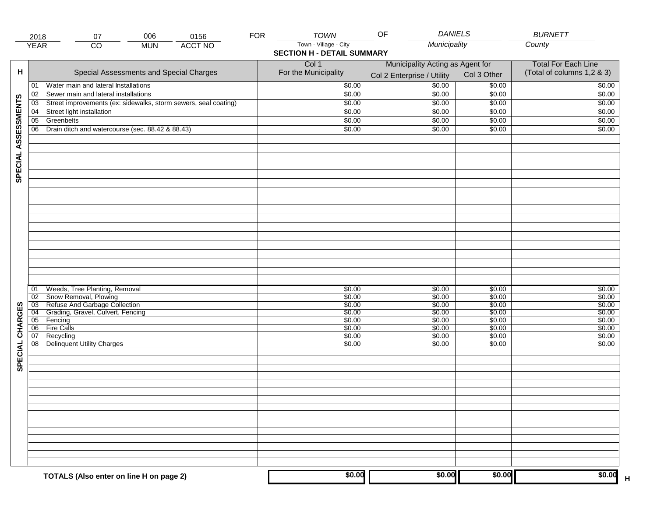|                     | 2018                               | 006<br>0156<br>07                                               | <b>FOR</b> | <b>TOWN</b>                       | <b>DANIELS</b><br>OF             |                  | <b>BURNETT</b>                    |
|---------------------|------------------------------------|-----------------------------------------------------------------|------------|-----------------------------------|----------------------------------|------------------|-----------------------------------|
|                     | <b>YEAR</b>                        | <b>ACCT NO</b><br>CO<br><b>MUN</b>                              |            | Town - Village - City             | Municipality                     |                  | County                            |
|                     |                                    |                                                                 |            | <b>SECTION H - DETAIL SUMMARY</b> |                                  |                  |                                   |
|                     |                                    |                                                                 |            | Col 1                             | Municipality Acting as Agent for |                  | <b>Total For Each Line</b>        |
| н                   |                                    | Special Assessments and Special Charges                         |            | For the Municipality              | Col 2 Enterprise / Utility       | Col 3 Other      | (Total of columns 1,2 & 3)        |
|                     | 01                                 | Water main and lateral Installations                            |            | \$0.00                            | 50.00                            | \$0.00           | \$0.00                            |
|                     | 02                                 | Sewer main and lateral installations                            |            | \$0.00                            | \$0.00                           | \$0.00           | \$0.00                            |
|                     | $\overline{03}$                    | Street improvements (ex: sidewalks, storm sewers, seal coating) |            | \$0.00                            | \$0.00                           | \$0.00           | \$0.00                            |
|                     | 04                                 | Street light installation                                       |            | \$0.00                            | \$0.00                           | \$0.00           | \$0.00                            |
|                     | $\overline{05}$                    | Greenbelts                                                      |            | \$0.00                            | \$0.00                           | \$0.00           | \$0.00                            |
|                     | 06                                 | Drain ditch and watercourse (sec. 88.42 & 88.43)                |            | \$0.00                            | \$0.00                           | \$0.00           | \$0.00                            |
| SPECIAL ASSESSMENTS |                                    |                                                                 |            |                                   |                                  |                  |                                   |
|                     |                                    |                                                                 |            |                                   |                                  |                  |                                   |
|                     |                                    |                                                                 |            |                                   |                                  |                  |                                   |
|                     |                                    |                                                                 |            |                                   |                                  |                  |                                   |
|                     |                                    |                                                                 |            |                                   |                                  |                  |                                   |
|                     |                                    |                                                                 |            |                                   |                                  |                  |                                   |
|                     |                                    |                                                                 |            |                                   |                                  |                  |                                   |
|                     |                                    |                                                                 |            |                                   |                                  |                  |                                   |
|                     |                                    |                                                                 |            |                                   |                                  |                  |                                   |
|                     |                                    |                                                                 |            |                                   |                                  |                  |                                   |
|                     |                                    |                                                                 |            |                                   |                                  |                  |                                   |
|                     |                                    |                                                                 |            |                                   |                                  |                  |                                   |
|                     |                                    |                                                                 |            |                                   |                                  |                  |                                   |
|                     |                                    |                                                                 |            |                                   |                                  |                  |                                   |
|                     |                                    |                                                                 |            |                                   |                                  |                  |                                   |
|                     |                                    |                                                                 |            |                                   |                                  |                  |                                   |
|                     |                                    |                                                                 |            |                                   |                                  |                  |                                   |
|                     | 01                                 | Weeds, Tree Planting, Removal                                   |            | \$0.00                            | \$0.00                           | \$0.00           | \$0.00                            |
|                     | 02                                 | Snow Removal, Plowing                                           |            | \$0.00                            | \$0.00                           | \$0.00           | \$0.00                            |
|                     | 03                                 | Refuse And Garbage Collection                                   |            | \$0.00                            | \$0.00                           | \$0.00           | \$0.00                            |
|                     | $\overline{04}$<br>$\overline{05}$ | Grading, Gravel, Culvert, Fencing<br>Fencing                    |            | \$0.00<br>\$0.00                  | \$0.00<br>\$0.00                 | \$0.00<br>\$0.00 | \$0.00<br>\$0.00                  |
| SPECIAL CHARGES     | 06                                 | <b>Fire Calls</b>                                               |            | \$0.00                            | \$0.00                           | \$0.00           | \$0.00                            |
|                     | 07                                 | Recycling                                                       |            | \$0.00                            | \$0.00                           | \$0.00           | \$0.00                            |
|                     | 08                                 | Delinquent Utility Charges                                      |            | \$0.00                            | \$0.00                           | \$0.00           | \$0.00                            |
|                     |                                    |                                                                 |            |                                   |                                  |                  |                                   |
|                     |                                    |                                                                 |            |                                   |                                  |                  |                                   |
|                     |                                    |                                                                 |            |                                   |                                  |                  |                                   |
|                     |                                    |                                                                 |            |                                   |                                  |                  |                                   |
|                     |                                    |                                                                 |            |                                   |                                  |                  |                                   |
|                     |                                    |                                                                 |            |                                   |                                  |                  |                                   |
|                     |                                    |                                                                 |            |                                   |                                  |                  |                                   |
|                     |                                    |                                                                 |            |                                   |                                  |                  |                                   |
|                     |                                    |                                                                 |            |                                   |                                  |                  |                                   |
|                     |                                    |                                                                 |            |                                   |                                  |                  |                                   |
|                     |                                    |                                                                 |            |                                   |                                  |                  |                                   |
|                     |                                    |                                                                 |            |                                   |                                  |                  |                                   |
|                     |                                    |                                                                 |            |                                   |                                  |                  |                                   |
|                     |                                    |                                                                 |            |                                   |                                  |                  |                                   |
|                     |                                    | TOTALS (Also enter on line H on page 2)                         |            | \$0.00                            | \$0.00                           | \$0.00           | \$0.00<br>$\overline{\mathsf{H}}$ |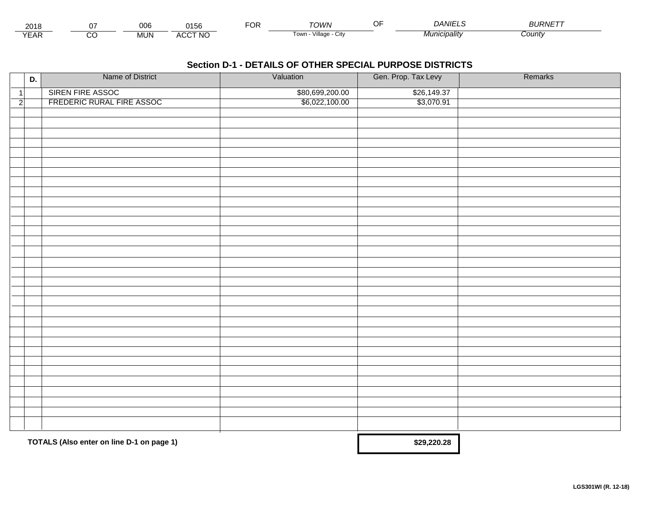| $\sim$<br>∠ ∪     | 006           | $\bigcap_{i=1}^n$<br>эc | . | TOWN                       | <i>JANIF</i> | םו ום<br>マハル |  |
|-------------------|---------------|-------------------------|---|----------------------------|--------------|--------------|--|
| $\sqrt{2}$<br>∟ี่ | <b>IVIUIN</b> | .CCT NC<br>- АСл.       |   | .<br>√illaɑe<br>Towr.<br>ີ | Municipality | sount        |  |

|                | D. | Name of District                                                  | Valuation       | Gen. Prop. Tax Levy | Remarks |
|----------------|----|-------------------------------------------------------------------|-----------------|---------------------|---------|
| $\vert$ 1      |    | SIREN FIRE ASSOC                                                  | \$80,699,200.00 | \$26,149.37         |         |
| $\overline{2}$ |    | FREDERIC RURAL FIRE ASSOC                                         | \$6,022,100.00  | \$3,070.91          |         |
|                |    |                                                                   |                 |                     |         |
|                |    |                                                                   |                 |                     |         |
|                |    |                                                                   |                 |                     |         |
|                |    |                                                                   |                 |                     |         |
|                |    |                                                                   |                 |                     |         |
|                |    |                                                                   |                 |                     |         |
|                |    |                                                                   |                 |                     |         |
|                |    |                                                                   |                 |                     |         |
|                |    |                                                                   |                 |                     |         |
|                |    |                                                                   |                 |                     |         |
|                |    |                                                                   |                 |                     |         |
|                |    |                                                                   |                 |                     |         |
|                |    |                                                                   |                 |                     |         |
|                |    |                                                                   |                 |                     |         |
|                |    |                                                                   |                 |                     |         |
|                |    |                                                                   |                 |                     |         |
|                |    |                                                                   |                 |                     |         |
|                |    |                                                                   |                 |                     |         |
|                |    |                                                                   |                 |                     |         |
|                |    |                                                                   |                 |                     |         |
|                |    |                                                                   |                 |                     |         |
|                |    |                                                                   |                 |                     |         |
|                |    |                                                                   |                 |                     |         |
|                |    |                                                                   |                 |                     |         |
|                |    |                                                                   |                 |                     |         |
|                |    |                                                                   |                 |                     |         |
|                |    |                                                                   |                 |                     |         |
|                |    |                                                                   |                 |                     |         |
|                |    |                                                                   |                 |                     |         |
|                |    |                                                                   |                 |                     |         |
|                |    |                                                                   |                 |                     |         |
|                |    |                                                                   |                 |                     |         |
|                |    | $TOTAI$ $C/Alco$ ontar on $\lim_{n \to \infty} D_1$ on nago $D_2$ |                 | 620.220.29          |         |

**TOTALS (Also enter on line D-1 on page 1)** 

 **\$29,220.28**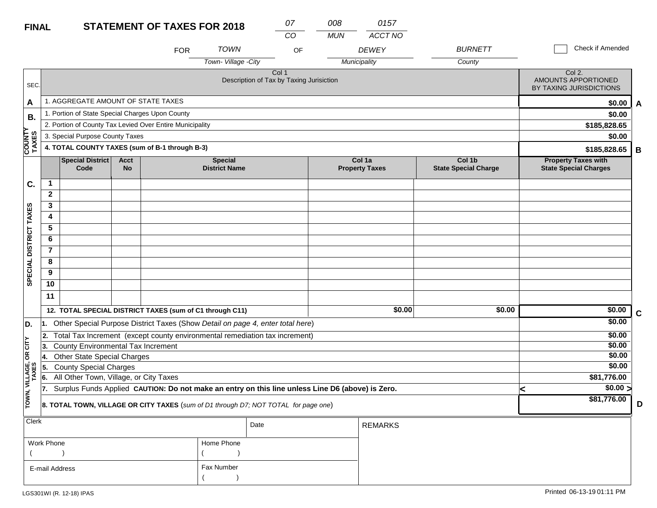| <b>FINAL</b>            |                 |                                                                                                  |                          | <b>STATEMENT OF TAXES FOR 2018</b> |                                        |                                                   | 07<br>$\overline{CO}$ | 008<br><b>MUN</b> | 0157<br>ACCT NO                 |                                       |  |                                                            |             |
|-------------------------|-----------------|--------------------------------------------------------------------------------------------------|--------------------------|------------------------------------|----------------------------------------|---------------------------------------------------|-----------------------|-------------------|---------------------------------|---------------------------------------|--|------------------------------------------------------------|-------------|
|                         |                 |                                                                                                  |                          | <b>FOR</b>                         | <b>TOWN</b>                            |                                                   | OF                    |                   | <b>DEWEY</b>                    | <b>BURNETT</b>                        |  | Check if Amended                                           |             |
|                         |                 |                                                                                                  |                          |                                    | Town-Village -City                     |                                                   |                       |                   | Municipality                    | County                                |  |                                                            |             |
| SEC.                    |                 |                                                                                                  |                          |                                    |                                        | Col 1<br>Description of Tax by Taxing Jurisiction |                       |                   |                                 |                                       |  | Col 2.<br>AMOUNTS APPORTIONED<br>BY TAXING JURISDICTIONS   |             |
| A                       |                 | 1. AGGREGATE AMOUNT OF STATE TAXES                                                               |                          |                                    |                                        |                                                   |                       |                   |                                 |                                       |  | \$0.00                                                     | A           |
| В.                      |                 | 1. Portion of State Special Charges Upon County                                                  |                          |                                    |                                        |                                                   |                       |                   |                                 |                                       |  | \$0.00                                                     |             |
|                         |                 | 2. Portion of County Tax Levied Over Entire Municipality                                         |                          |                                    |                                        |                                                   |                       |                   |                                 |                                       |  | \$185,828.65                                               |             |
|                         |                 | 3. Special Purpose County Taxes                                                                  |                          |                                    |                                        |                                                   |                       |                   |                                 |                                       |  | \$0.00                                                     |             |
| <b>COUNTY<br/>TAXES</b> |                 | 4. TOTAL COUNTY TAXES (sum of B-1 through B-3)                                                   |                          |                                    |                                        |                                                   |                       |                   |                                 |                                       |  | \$185,828.65                                               | B           |
|                         |                 | <b>Special District</b><br>Code                                                                  | <b>Acct</b><br><b>No</b> |                                    | <b>Special</b><br><b>District Name</b> |                                                   |                       |                   | Col 1a<br><b>Property Taxes</b> | Col 1b<br><b>State Special Charge</b> |  | <b>Property Taxes with</b><br><b>State Special Charges</b> |             |
| C.                      | $\mathbf 1$     |                                                                                                  |                          |                                    |                                        |                                                   |                       |                   |                                 |                                       |  |                                                            |             |
|                         | $\overline{2}$  |                                                                                                  |                          |                                    |                                        |                                                   |                       |                   |                                 |                                       |  |                                                            |             |
|                         | 3               |                                                                                                  |                          |                                    |                                        |                                                   |                       |                   |                                 |                                       |  |                                                            |             |
|                         | 4               |                                                                                                  |                          |                                    |                                        |                                                   |                       |                   |                                 |                                       |  |                                                            |             |
|                         | 5               |                                                                                                  |                          |                                    |                                        |                                                   |                       |                   |                                 |                                       |  |                                                            |             |
|                         | 6               |                                                                                                  |                          |                                    |                                        |                                                   |                       |                   |                                 |                                       |  |                                                            |             |
|                         | $\overline{7}$  |                                                                                                  |                          |                                    |                                        |                                                   |                       |                   |                                 |                                       |  |                                                            |             |
| SPECIAL DISTRICT TAXES  | 8               |                                                                                                  |                          |                                    |                                        |                                                   |                       |                   |                                 |                                       |  |                                                            |             |
|                         | 9               |                                                                                                  |                          |                                    |                                        |                                                   |                       |                   |                                 |                                       |  |                                                            |             |
|                         | $\overline{10}$ |                                                                                                  |                          |                                    |                                        |                                                   |                       |                   |                                 |                                       |  |                                                            |             |
|                         | 11              |                                                                                                  |                          |                                    |                                        |                                                   |                       |                   |                                 |                                       |  |                                                            |             |
|                         |                 | 12. TOTAL SPECIAL DISTRICT TAXES (sum of C1 through C11)                                         |                          |                                    |                                        |                                                   |                       |                   | \$0.00                          | \$0.00                                |  | \$0.00                                                     | $\mathbf c$ |
| D.                      | 1.              | Other Special Purpose District Taxes (Show Detail on page 4, enter total here)                   |                          |                                    |                                        |                                                   |                       |                   |                                 |                                       |  | \$0.00                                                     |             |
|                         | 2.              | Total Tax Increment (except county environmental remediation tax increment)                      |                          |                                    |                                        |                                                   |                       |                   |                                 |                                       |  | \$0.00                                                     |             |
| OR CITY                 | 13.             | County Environmental Tax Increment                                                               |                          |                                    |                                        |                                                   |                       |                   |                                 |                                       |  | \$0.00                                                     |             |
|                         | 14.             | <b>Other State Special Charges</b>                                                               |                          |                                    |                                        |                                                   |                       |                   |                                 |                                       |  | \$0.00                                                     |             |
|                         | 15.             | <b>County Special Charges</b>                                                                    |                          |                                    |                                        |                                                   |                       |                   |                                 |                                       |  | \$0.00                                                     |             |
|                         | 6.              | All Other Town, Village, or City Taxes                                                           |                          |                                    |                                        |                                                   |                       |                   |                                 |                                       |  | \$81,776.00                                                |             |
|                         | 17.             | Surplus Funds Applied CAUTION: Do not make an entry on this line unless Line D6 (above) is Zero. |                          |                                    |                                        |                                                   |                       |                   |                                 |                                       |  | $\sqrt{$0.00}$                                             |             |
| TOWN, VILLAGE,<br>TAXES |                 | 8. TOTAL TOWN, VILLAGE OR CITY TAXES (sum of D1 through D7; NOT TOTAL for page one)              |                          |                                    |                                        | \$81,776.00                                       | D                     |                   |                                 |                                       |  |                                                            |             |
| Clerk                   |                 |                                                                                                  |                          |                                    |                                        | Date                                              |                       |                   | <b>REMARKS</b>                  |                                       |  |                                                            |             |
|                         | $\cdots$        |                                                                                                  |                          |                                    |                                        |                                                   |                       |                   |                                 |                                       |  |                                                            |             |

| Work Phone     | Home Phone |
|----------------|------------|
|                |            |
| E-mail Address | Fax Number |
|                |            |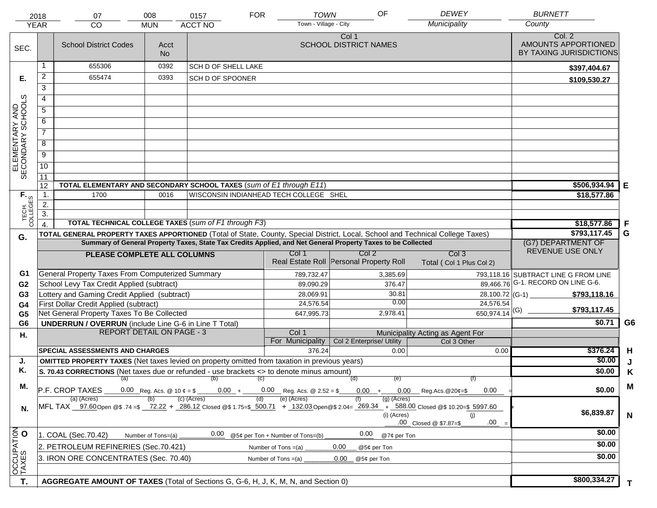|                                     | 2018             | 07                                                                                                                             | 008                | 0157                                   | <b>FOR</b> | <b>TOWN</b>                                               | OF                                      | <b>DEWEY</b>                                                                                                                                                                        | <b>BURNETT</b>                                           |                |
|-------------------------------------|------------------|--------------------------------------------------------------------------------------------------------------------------------|--------------------|----------------------------------------|------------|-----------------------------------------------------------|-----------------------------------------|-------------------------------------------------------------------------------------------------------------------------------------------------------------------------------------|----------------------------------------------------------|----------------|
|                                     | <b>YEAR</b>      | <b>CO</b>                                                                                                                      | <b>MUN</b>         | <b>ACCT NO</b>                         |            | Town - Village - City                                     |                                         | Municipality                                                                                                                                                                        | County                                                   |                |
| SEC.                                |                  | <b>School District Codes</b>                                                                                                   | Acct<br><b>No</b>  |                                        |            |                                                           | Col 1<br><b>SCHOOL DISTRICT NAMES</b>   |                                                                                                                                                                                     | Col. 2<br>AMOUNTS APPORTIONED<br>BY TAXING JURISDICTIONS |                |
|                                     |                  | 655306                                                                                                                         | 0392               | <b>SCH D OF SHELL LAKE</b>             |            |                                                           |                                         |                                                                                                                                                                                     | \$397,404.67                                             |                |
| Е.                                  | $\overline{a}$   | 655474                                                                                                                         | 0393               | SCH D OF SPOONER                       |            |                                                           |                                         |                                                                                                                                                                                     | \$109,530.27                                             |                |
|                                     | 3                |                                                                                                                                |                    |                                        |            |                                                           |                                         |                                                                                                                                                                                     |                                                          |                |
|                                     | $\overline{4}$   |                                                                                                                                |                    |                                        |            |                                                           |                                         |                                                                                                                                                                                     |                                                          |                |
|                                     | 5                |                                                                                                                                |                    |                                        |            |                                                           |                                         |                                                                                                                                                                                     |                                                          |                |
|                                     | 6                |                                                                                                                                |                    |                                        |            |                                                           |                                         |                                                                                                                                                                                     |                                                          |                |
| ELEMENTARY AND<br>SECONDARY SCHOOLS | $\overline{7}$   |                                                                                                                                |                    |                                        |            |                                                           |                                         |                                                                                                                                                                                     |                                                          |                |
|                                     |                  |                                                                                                                                |                    |                                        |            |                                                           |                                         |                                                                                                                                                                                     |                                                          |                |
|                                     | 8                |                                                                                                                                |                    |                                        |            |                                                           |                                         |                                                                                                                                                                                     |                                                          |                |
|                                     | $\overline{9}$   |                                                                                                                                |                    |                                        |            |                                                           |                                         |                                                                                                                                                                                     |                                                          |                |
|                                     | $\overline{10}$  |                                                                                                                                |                    |                                        |            |                                                           |                                         |                                                                                                                                                                                     |                                                          |                |
|                                     | 11<br>12         | TOTAL ELEMENTARY AND SECONDARY SCHOOL TAXES (sum of E1 through E11)                                                            |                    |                                        |            |                                                           |                                         |                                                                                                                                                                                     | \$506,934.94                                             |                |
|                                     | $\mathbf{1}$ .   | 1700                                                                                                                           | 0016               | WISCONSIN INDIANHEAD TECH COLLEGE SHEL |            |                                                           |                                         |                                                                                                                                                                                     | \$18,577.86                                              | Е              |
|                                     | 2.               |                                                                                                                                |                    |                                        |            |                                                           |                                         |                                                                                                                                                                                     |                                                          |                |
|                                     | $\overline{3}$ . |                                                                                                                                |                    |                                        |            |                                                           |                                         |                                                                                                                                                                                     |                                                          |                |
| TECH. T                             |                  | <b>TOTAL TECHNICAL COLLEGE TAXES (sum of F1 through F3)</b>                                                                    |                    |                                        |            |                                                           |                                         |                                                                                                                                                                                     | \$18,577.86                                              | F              |
| G.                                  |                  | TOTAL GENERAL PROPERTY TAXES APPORTIONED (Total of State, County, Special District, Local, School and Technical College Taxes) |                    | \$793,117.45                           | G          |                                                           |                                         |                                                                                                                                                                                     |                                                          |                |
|                                     |                  | Summary of General Property Taxes, State Tax Credits Applied, and Net General Property Taxes to be Collected                   | (G7) DEPARTMENT OF |                                        |            |                                                           |                                         |                                                                                                                                                                                     |                                                          |                |
|                                     |                  | PLEASE COMPLETE ALL COLUMNS                                                                                                    |                    |                                        |            | Col 1                                                     | Col <sub>2</sub>                        | Col <sub>3</sub>                                                                                                                                                                    | REVENUE USE ONLY                                         |                |
|                                     |                  |                                                                                                                                |                    |                                        |            |                                                           | Real Estate Roll Personal Property Roll | Total (Col 1 Plus Col 2)                                                                                                                                                            |                                                          |                |
| G1                                  |                  | General Property Taxes From Computerized Summary                                                                               |                    |                                        |            | 789,732.47                                                | 3,385.69                                |                                                                                                                                                                                     | 793,118.16 SUBTRACT LINE G FROM LINE                     |                |
| G <sub>2</sub>                      |                  | School Levy Tax Credit Applied (subtract)                                                                                      |                    |                                        |            | 89,090.29                                                 | 376.47                                  |                                                                                                                                                                                     | 89,466.76 G-1. RECORD ON LINE G-6.                       |                |
| G <sub>3</sub>                      |                  | Lottery and Gaming Credit Applied (subtract)                                                                                   |                    |                                        |            | 28,069.91                                                 | 30.81<br>0.00                           |                                                                                                                                                                                     | \$793,118.16                                             |                |
| G4                                  |                  | First Dollar Credit Applied (subtract)                                                                                         |                    |                                        |            | 24,576.54                                                 |                                         | 24,576.54<br>$650,974.14$ <sup>(G)</sup>                                                                                                                                            | \$793,117.45                                             |                |
| G <sub>5</sub><br>G <sub>6</sub>    |                  | Net General Property Taxes To Be Collected                                                                                     |                    |                                        |            | 647,995.73                                                | 2,978.41                                |                                                                                                                                                                                     | \$0.71                                                   | G <sub>6</sub> |
|                                     |                  | <b>UNDERRUN / OVERRUN</b> (include Line G-6 in Line T Total)<br><b>REPORT DETAIL ON PAGE - 3</b>                               |                    |                                        |            | Col 1                                                     |                                         | Municipality Acting as Agent For                                                                                                                                                    |                                                          |                |
| Η.                                  |                  |                                                                                                                                |                    |                                        |            | For Municipality                                          | Col 2 Enterprise/ Utility               | Col 3 Other                                                                                                                                                                         |                                                          |                |
|                                     |                  | <b>SPECIAL ASSESSMENTS AND CHARGES</b>                                                                                         |                    |                                        |            | 376.24                                                    | 0.00                                    | 0.00                                                                                                                                                                                | \$376.24                                                 | H              |
| J.                                  |                  | <b>OMITTED PROPERTY TAXES</b> (Net taxes levied on property omitted from taxation in previous years)                           |                    |                                        |            |                                                           |                                         |                                                                                                                                                                                     | \$0.00                                                   | J              |
| Κ.                                  |                  | S. 70.43 CORRECTIONS (Net taxes due or refunded - use brackets <> to denote minus amount)                                      |                    |                                        |            |                                                           |                                         |                                                                                                                                                                                     | \$0.00                                                   | Κ              |
| М.                                  |                  | (a) (b) (c)                                                                                                                    |                    |                                        |            |                                                           | (d)<br>(e)                              | (f)                                                                                                                                                                                 |                                                          | M              |
|                                     |                  | P.F. CROP TAXES                                                                                                                |                    | $0.00 +$                               |            | $0.00$ Reg. Acs. @ 2.52 = \$                              | $0.00 +$                                | $0.00$ Reg.Acs. @20¢=\$<br>0.00                                                                                                                                                     | \$0.00                                                   |                |
| N.                                  |                  | (a) (Acres)                                                                                                                    |                    | $(c)$ (Acres)                          | (d)        | (e) (Acres)                                               | $(g)$ (Acres)<br>(i) (Acres)            | MFL TAX 97.60 Open @\$ .74 =\$ 72.22 + 286.12 Closed @\$ 1.75=\$ 500.71 + 132.03 Open @\$ 2.04= 269.34 + 588.00 Closed @\$ 10.20=\$ 5997.60<br>(i)<br>.00<br>.00 Closed @ \$7.87=\$ | \$6,839.87                                               | N              |
|                                     |                  | 1. COAL (Sec.70.42)                                                                                                            |                    | 0.00                                   |            |                                                           | 0.00                                    |                                                                                                                                                                                     | \$0.00                                                   |                |
| OCCUPATION                          |                  |                                                                                                                                | Number of Tons=(a) |                                        |            | @5¢ per Ton + Number of Tons=(b)<br>Number of Tons $=(a)$ | @7¢ per Ton<br>0.00<br>@5¢ per Ton      |                                                                                                                                                                                     | \$0.00                                                   |                |
|                                     |                  | 2. PETROLEUM REFINERIES (Sec.70.421)                                                                                           |                    | \$0.00                                 |            |                                                           |                                         |                                                                                                                                                                                     |                                                          |                |
|                                     |                  | 3. IRON ORE CONCENTRATES (Sec. 70.40)                                                                                          |                    |                                        |            | Number of Tons $=(a)$                                     | 0.00<br>@5¢ per Ton                     |                                                                                                                                                                                     |                                                          |                |
|                                     |                  |                                                                                                                                |                    |                                        |            |                                                           |                                         |                                                                                                                                                                                     |                                                          |                |
| T.                                  |                  | AGGREGATE AMOUNT OF TAXES (Total of Sections G, G-6, H, J, K, M, N, and Section 0)                                             |                    | \$800,334.27                           | T.         |                                                           |                                         |                                                                                                                                                                                     |                                                          |                |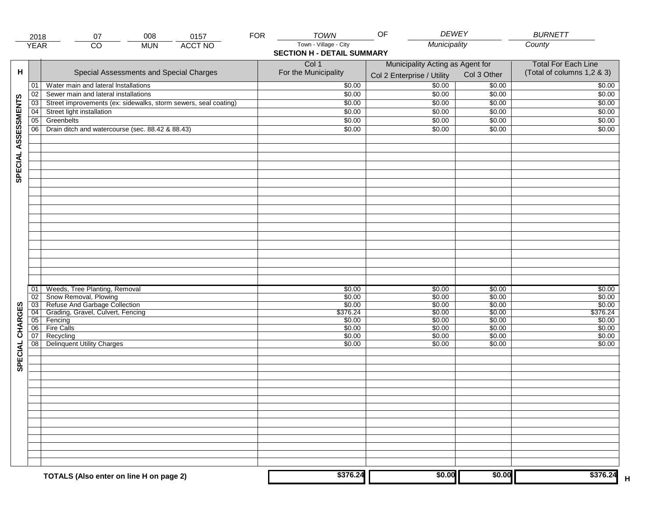|                     | 2018            | 07                                                              | 008        | 0157           | <b>FOR</b> | <b>TOWN</b>                       | <b>DEWEY</b><br>OF               |                            | <b>BURNETT</b>             |
|---------------------|-----------------|-----------------------------------------------------------------|------------|----------------|------------|-----------------------------------|----------------------------------|----------------------------|----------------------------|
|                     | <b>YEAR</b>     | $\overline{CO}$                                                 | <b>MUN</b> | <b>ACCT NO</b> |            | Town - Village - City             | Municipality                     |                            | County                     |
|                     |                 |                                                                 |            |                |            | <b>SECTION H - DETAIL SUMMARY</b> |                                  |                            |                            |
|                     |                 |                                                                 |            |                |            | Col 1                             | Municipality Acting as Agent for | <b>Total For Each Line</b> |                            |
| н                   |                 | Special Assessments and Special Charges                         |            |                |            | For the Municipality              |                                  | Col 3 Other                | (Total of columns 1,2 & 3) |
|                     |                 |                                                                 |            |                |            |                                   | Col 2 Enterprise / Utility       |                            |                            |
|                     | 01              | Water main and lateral Installations                            |            |                |            | \$0.00                            | \$0.00                           | \$0.00                     | \$0.00                     |
|                     | 02              | Sewer main and lateral installations                            |            |                |            | \$0.00                            | \$0.00                           | \$0.00                     | \$0.00                     |
| SPECIAL ASSESSMENTS | 03              | Street improvements (ex: sidewalks, storm sewers, seal coating) |            |                |            | \$0.00                            | \$0.00                           | \$0.00                     | \$0.00                     |
|                     | 04              | Street light installation                                       |            |                |            | \$0.00                            | \$0.00                           | \$0.00                     | \$0.00                     |
|                     | $\overline{05}$ | Greenbelts                                                      |            |                |            | \$0.00                            | \$0.00                           | \$0.00                     | \$0.00                     |
|                     | 06              | Drain ditch and watercourse (sec. 88.42 & 88.43)                |            |                |            | \$0.00                            | \$0.00                           | \$0.00                     | \$0.00                     |
|                     |                 |                                                                 |            |                |            |                                   |                                  |                            |                            |
|                     |                 |                                                                 |            |                |            |                                   |                                  |                            |                            |
|                     |                 |                                                                 |            |                |            |                                   |                                  |                            |                            |
|                     |                 |                                                                 |            |                |            |                                   |                                  |                            |                            |
|                     |                 |                                                                 |            |                |            |                                   |                                  |                            |                            |
|                     |                 |                                                                 |            |                |            |                                   |                                  |                            |                            |
|                     |                 |                                                                 |            |                |            |                                   |                                  |                            |                            |
|                     |                 |                                                                 |            |                |            |                                   |                                  |                            |                            |
|                     |                 |                                                                 |            |                |            |                                   |                                  |                            |                            |
|                     |                 |                                                                 |            |                |            |                                   |                                  |                            |                            |
|                     |                 |                                                                 |            |                |            |                                   |                                  |                            |                            |
|                     |                 |                                                                 |            |                |            |                                   |                                  |                            |                            |
|                     |                 |                                                                 |            |                |            |                                   |                                  |                            |                            |
|                     |                 |                                                                 |            |                |            |                                   |                                  |                            |                            |
|                     |                 |                                                                 |            |                |            |                                   |                                  |                            |                            |
|                     |                 |                                                                 |            |                |            |                                   |                                  |                            |                            |
|                     |                 |                                                                 |            |                |            |                                   |                                  |                            |                            |
|                     |                 |                                                                 |            |                |            |                                   |                                  |                            |                            |
|                     | 01              | Weeds, Tree Planting, Removal                                   |            |                |            | \$0.00                            | \$0.00                           | \$0.00                     | \$0.00                     |
|                     | $\overline{02}$ | Snow Removal, Plowing                                           |            |                |            | \$0.00                            | \$0.00                           | \$0.00                     | \$0.00                     |
|                     | $\overline{03}$ | Refuse And Garbage Collection                                   |            |                |            | \$0.00                            | \$0.00                           | \$0.00                     | \$0.00                     |
| SPECIAL CHARGES     | $\overline{04}$ | Grading, Gravel, Culvert, Fencing                               |            |                |            | \$376.24                          | \$0.00                           | \$0.00                     | \$376.24                   |
|                     | 05              | Fencing                                                         |            |                |            | \$0.00                            | \$0.00                           | \$0.00                     | \$0.00                     |
|                     | 06              | <b>Fire Calls</b>                                               |            |                |            | \$0.00                            | \$0.00                           | \$0.00                     | \$0.00                     |
|                     | 07              | Recycling                                                       |            |                |            | \$0.00                            | \$0.00                           | \$0.00                     | \$0.00                     |
|                     | 08              | <b>Delinquent Utility Charges</b>                               |            |                |            | \$0.00                            | \$0.00                           | \$0.00                     | \$0.00                     |
|                     |                 |                                                                 |            |                |            |                                   |                                  |                            |                            |
|                     |                 |                                                                 |            |                |            |                                   |                                  |                            |                            |
|                     |                 |                                                                 |            |                |            |                                   |                                  |                            |                            |
|                     |                 |                                                                 |            |                |            |                                   |                                  |                            |                            |
|                     |                 |                                                                 |            |                |            |                                   |                                  |                            |                            |
|                     |                 |                                                                 |            |                |            |                                   |                                  |                            |                            |
|                     |                 |                                                                 |            |                |            |                                   |                                  |                            |                            |
|                     |                 |                                                                 |            |                |            |                                   |                                  |                            |                            |
|                     |                 |                                                                 |            |                |            |                                   |                                  |                            |                            |
|                     |                 |                                                                 |            |                |            |                                   |                                  |                            |                            |
|                     |                 |                                                                 |            |                |            |                                   |                                  |                            |                            |
|                     |                 |                                                                 |            |                |            |                                   |                                  |                            |                            |
|                     |                 |                                                                 |            |                |            |                                   |                                  |                            |                            |
|                     |                 |                                                                 |            |                |            |                                   |                                  |                            |                            |
|                     |                 |                                                                 |            |                |            |                                   |                                  |                            |                            |
|                     |                 | TOTALS (Also enter on line H on page 2)                         |            |                |            | \$376.24                          | \$0.00                           | \$0.00                     | \$376.24                   |
|                     |                 |                                                                 |            |                |            |                                   |                                  |                            |                            |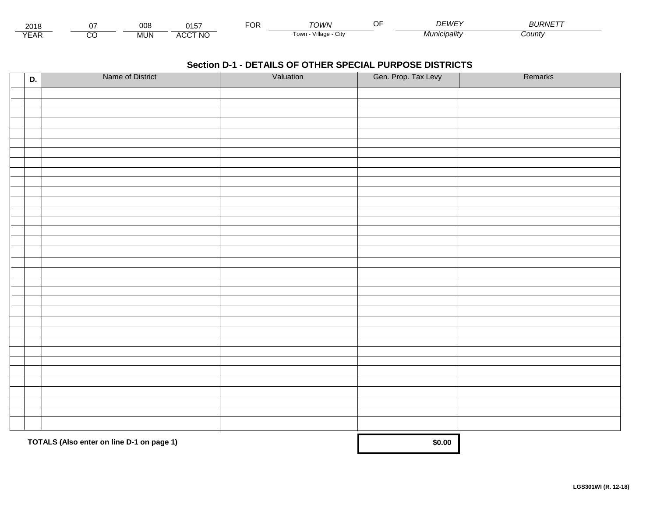| 201<br>2 U H   |        | ∩∩Я<br>vvc | $\bigcap_{i=1}^n$<br>.        | . . | יטומיר-                         | $\sim$ $\sim$<br>. | $\sim$ $-$<br>111<br>1/1/ <i>F</i> | חו וח<br>$\cdots$<br>RN⊩ |  |
|----------------|--------|------------|-------------------------------|-----|---------------------------------|--------------------|------------------------------------|--------------------------|--|
| $V = r$<br>LAI | ~<br>U | MUN.       | CCT NC،<br>$\cdots$<br>$\sim$ |     | <br><b>LOW.</b><br>шаое<br>ノILV |                    | ™nıcipalitv                        | :ount\                   |  |

| D. | Name of District                          | Valuation | Gen. Prop. Tax Levy | Remarks |
|----|-------------------------------------------|-----------|---------------------|---------|
|    |                                           |           |                     |         |
|    |                                           |           |                     |         |
|    |                                           |           |                     |         |
|    |                                           |           |                     |         |
|    |                                           |           |                     |         |
|    |                                           |           |                     |         |
|    |                                           |           |                     |         |
|    |                                           |           |                     |         |
|    |                                           |           |                     |         |
|    |                                           |           |                     |         |
|    |                                           |           |                     |         |
|    |                                           |           |                     |         |
|    |                                           |           |                     |         |
|    |                                           |           |                     |         |
|    |                                           |           |                     |         |
|    |                                           |           |                     |         |
|    |                                           |           |                     |         |
|    |                                           |           |                     |         |
|    |                                           |           |                     |         |
|    |                                           |           |                     |         |
|    |                                           |           |                     |         |
|    |                                           |           |                     |         |
|    |                                           |           |                     |         |
|    |                                           |           |                     |         |
|    |                                           |           |                     |         |
|    |                                           |           |                     |         |
|    |                                           |           |                     |         |
|    |                                           |           |                     |         |
|    |                                           |           |                     |         |
|    |                                           |           |                     |         |
|    |                                           |           |                     |         |
|    |                                           |           |                     |         |
|    |                                           |           |                     |         |
|    | TOTALS (Also enter on line D-1 on page 1) | \$0.00    |                     |         |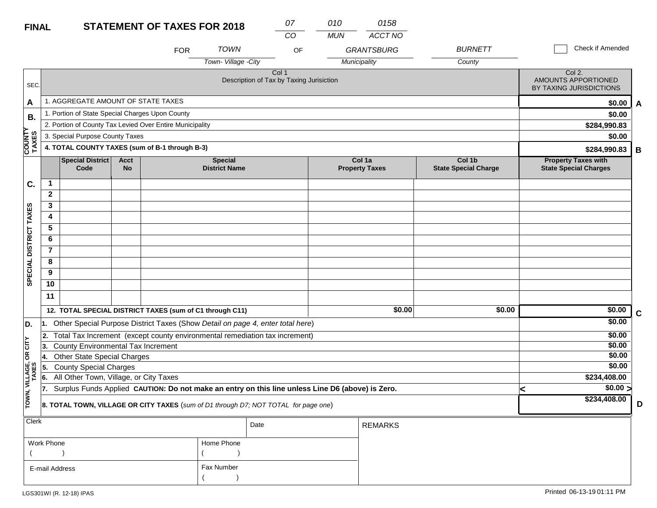| <b>FINAL</b>            |                |                                                          |                          | <b>STATEMENT OF TAXES FOR 2018</b>                       |                                        | 07<br>CO                                                                                         | 010<br><b>MUN</b> | 0158<br>ACCT NO                 |                                       |                                                            |             |
|-------------------------|----------------|----------------------------------------------------------|--------------------------|----------------------------------------------------------|----------------------------------------|--------------------------------------------------------------------------------------------------|-------------------|---------------------------------|---------------------------------------|------------------------------------------------------------|-------------|
|                         |                |                                                          |                          | <b>FOR</b>                                               | <b>TOWN</b>                            | OF                                                                                               |                   | <b>GRANTSBURG</b>               | <b>BURNETT</b>                        | Check if Amended                                           |             |
|                         |                |                                                          |                          |                                                          | Town-Village -City                     |                                                                                                  |                   | Municipality                    | County                                |                                                            |             |
| SEC.                    |                |                                                          |                          |                                                          |                                        | Col 1<br>Description of Tax by Taxing Jurisiction                                                |                   |                                 |                                       | Col 2.<br>AMOUNTS APPORTIONED<br>BY TAXING JURISDICTIONS   |             |
| A                       |                | 1. AGGREGATE AMOUNT OF STATE TAXES                       |                          | \$0.00                                                   | A                                      |                                                                                                  |                   |                                 |                                       |                                                            |             |
| В.                      |                | 1. Portion of State Special Charges Upon County          |                          | \$0.00                                                   |                                        |                                                                                                  |                   |                                 |                                       |                                                            |             |
| ≻                       |                | 2. Portion of County Tax Levied Over Entire Municipality | \$284,990.83             |                                                          |                                        |                                                                                                  |                   |                                 |                                       |                                                            |             |
|                         |                | 3. Special Purpose County Taxes                          |                          | \$0.00                                                   |                                        |                                                                                                  |                   |                                 |                                       |                                                            |             |
| <b>COUNT</b><br>TAXES   |                | 4. TOTAL COUNTY TAXES (sum of B-1 through B-3)           |                          | \$284,990.83                                             | B                                      |                                                                                                  |                   |                                 |                                       |                                                            |             |
|                         |                | <b>Special District</b><br>Code                          | <b>Acct</b><br><b>No</b> |                                                          | <b>Special</b><br><b>District Name</b> |                                                                                                  |                   | Col 1a<br><b>Property Taxes</b> | Col 1b<br><b>State Special Charge</b> | <b>Property Taxes with</b><br><b>State Special Charges</b> |             |
| C.                      | 1              |                                                          |                          |                                                          |                                        |                                                                                                  |                   |                                 |                                       |                                                            |             |
|                         | $\mathbf{2}$   |                                                          |                          |                                                          |                                        |                                                                                                  |                   |                                 |                                       |                                                            |             |
|                         | 3              |                                                          |                          |                                                          |                                        |                                                                                                  |                   |                                 |                                       |                                                            |             |
|                         | 4              |                                                          |                          |                                                          |                                        |                                                                                                  |                   |                                 |                                       |                                                            |             |
|                         | 5              |                                                          |                          |                                                          |                                        |                                                                                                  |                   |                                 |                                       |                                                            |             |
|                         | 6              |                                                          |                          |                                                          |                                        |                                                                                                  |                   |                                 |                                       |                                                            |             |
|                         | $\overline{7}$ |                                                          |                          |                                                          |                                        |                                                                                                  |                   |                                 |                                       |                                                            |             |
| SPECIAL DISTRICT TAXES  | 8              |                                                          |                          |                                                          |                                        |                                                                                                  |                   |                                 |                                       |                                                            |             |
|                         | 9              |                                                          |                          |                                                          |                                        |                                                                                                  |                   |                                 |                                       |                                                            |             |
|                         | 10             |                                                          |                          |                                                          |                                        |                                                                                                  |                   |                                 |                                       |                                                            |             |
|                         | 11             |                                                          |                          |                                                          |                                        |                                                                                                  |                   |                                 |                                       |                                                            |             |
|                         |                |                                                          |                          | 12. TOTAL SPECIAL DISTRICT TAXES (sum of C1 through C11) |                                        |                                                                                                  |                   | \$0.00                          | \$0.00                                | \$0.00                                                     | $\mathbf c$ |
| D.                      |                |                                                          |                          |                                                          |                                        | 1. Other Special Purpose District Taxes (Show Detail on page 4, enter total here)                |                   |                                 |                                       | \$0.00                                                     |             |
|                         | 2.             |                                                          |                          |                                                          |                                        | Total Tax Increment (except county environmental remediation tax increment)                      |                   |                                 |                                       | \$0.00                                                     |             |
| OR CITY                 | 3.             | County Environmental Tax Increment                       |                          |                                                          |                                        |                                                                                                  |                   |                                 |                                       | \$0.00                                                     |             |
|                         | ∣4.            | <b>Other State Special Charges</b>                       |                          |                                                          |                                        |                                                                                                  |                   |                                 |                                       | \$0.00                                                     |             |
|                         | 55.            | <b>County Special Charges</b>                            | \$0.00                   |                                                          |                                        |                                                                                                  |                   |                                 |                                       |                                                            |             |
|                         | 6.             | All Other Town, Village, or City Taxes                   |                          |                                                          |                                        |                                                                                                  |                   |                                 |                                       | \$234,408.00                                               |             |
|                         | 17.            |                                                          |                          |                                                          |                                        | Surplus Funds Applied CAUTION: Do not make an entry on this line unless Line D6 (above) is Zero. |                   |                                 |                                       | $\sqrt{$0.00}$<br>k                                        |             |
| TOWN, VILLAGE,<br>TAXES |                |                                                          |                          |                                                          |                                        | 8. TOTAL TOWN, VILLAGE OR CITY TAXES (sum of D1 through D7; NOT TOTAL for page one)              |                   |                                 |                                       | \$234,408.00                                               | D           |
| <b>Clerk</b>            |                |                                                          |                          |                                                          |                                        | Date                                                                                             |                   | <b>REMARKS</b>                  |                                       |                                                            |             |

| Work Phone     | Home Phone |
|----------------|------------|
|                |            |
| E-mail Address | Fax Number |
|                |            |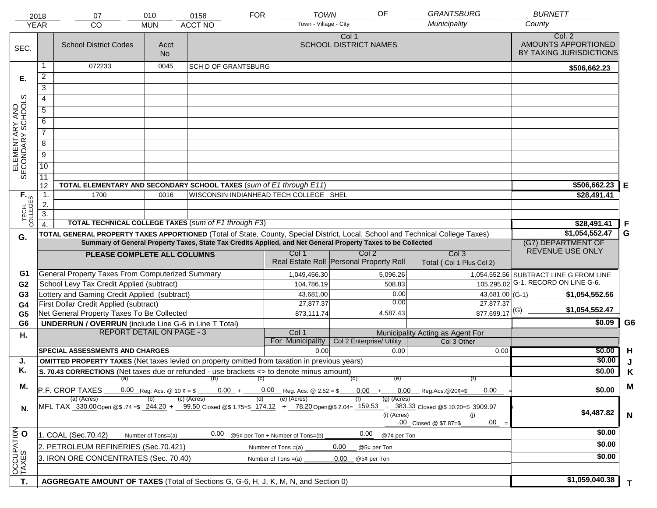|                                                                                                                                                                                                                          | 2018<br><b>YEAR</b> | 07<br><b>CO</b>                                                                                                                | 010<br><b>MUN</b>  | 0158<br><b>ACCT NO</b>     | <b>TOWN</b><br><b>FOR</b><br>Town - Village - City | OF                                                                                                           | <b>GRANTSBURG</b><br>Municipality        | <b>BURNETT</b><br>County                                 |                |
|--------------------------------------------------------------------------------------------------------------------------------------------------------------------------------------------------------------------------|---------------------|--------------------------------------------------------------------------------------------------------------------------------|--------------------|----------------------------|----------------------------------------------------|--------------------------------------------------------------------------------------------------------------|------------------------------------------|----------------------------------------------------------|----------------|
| SEC.                                                                                                                                                                                                                     |                     | <b>School District Codes</b>                                                                                                   | Acct<br><b>No</b>  |                            |                                                    | Col 1<br><b>SCHOOL DISTRICT NAMES</b>                                                                        |                                          | Col. 2<br>AMOUNTS APPORTIONED<br>BY TAXING JURISDICTIONS |                |
|                                                                                                                                                                                                                          | 1                   | 072233                                                                                                                         | 0045               | <b>SCH D OF GRANTSBURG</b> |                                                    |                                                                                                              |                                          | \$506,662.23                                             |                |
| Е.                                                                                                                                                                                                                       | 2                   |                                                                                                                                |                    |                            |                                                    |                                                                                                              |                                          |                                                          |                |
|                                                                                                                                                                                                                          | $\overline{3}$      |                                                                                                                                |                    |                            |                                                    |                                                                                                              |                                          |                                                          |                |
|                                                                                                                                                                                                                          | 4                   |                                                                                                                                |                    |                            |                                                    |                                                                                                              |                                          |                                                          |                |
|                                                                                                                                                                                                                          | 5                   |                                                                                                                                |                    |                            |                                                    |                                                                                                              |                                          |                                                          |                |
| ELEMENTARY AND<br>SECONDARY SCHOOLS                                                                                                                                                                                      | 6                   |                                                                                                                                |                    |                            |                                                    |                                                                                                              |                                          |                                                          |                |
|                                                                                                                                                                                                                          | $\overline{7}$      |                                                                                                                                |                    |                            |                                                    |                                                                                                              |                                          |                                                          |                |
|                                                                                                                                                                                                                          | 8                   |                                                                                                                                |                    |                            |                                                    |                                                                                                              |                                          |                                                          |                |
|                                                                                                                                                                                                                          | $\overline{9}$      |                                                                                                                                |                    |                            |                                                    |                                                                                                              |                                          |                                                          |                |
|                                                                                                                                                                                                                          | 10                  |                                                                                                                                |                    |                            |                                                    |                                                                                                              |                                          |                                                          |                |
|                                                                                                                                                                                                                          | 11                  |                                                                                                                                |                    |                            |                                                    |                                                                                                              |                                          |                                                          |                |
|                                                                                                                                                                                                                          | 12                  | TOTAL ELEMENTARY AND SECONDARY SCHOOL TAXES (sum of E1 through E11)                                                            |                    |                            |                                                    |                                                                                                              |                                          | \$506,662.23                                             | Е              |
|                                                                                                                                                                                                                          | 1.                  | 1700                                                                                                                           | 0016               |                            | WISCONSIN INDIANHEAD TECH COLLEGE SHEL             |                                                                                                              |                                          | \$28,491.41                                              |                |
|                                                                                                                                                                                                                          | 2.                  |                                                                                                                                |                    |                            |                                                    |                                                                                                              |                                          |                                                          |                |
| TECH. T                                                                                                                                                                                                                  | $\overline{3}$ .    |                                                                                                                                |                    |                            |                                                    |                                                                                                              |                                          |                                                          |                |
|                                                                                                                                                                                                                          | $\overline{4}$ .    | <b>TOTAL TECHNICAL COLLEGE TAXES (sum of F1 through F3)</b>                                                                    |                    |                            |                                                    |                                                                                                              |                                          | \$28,491.41                                              | -F             |
| G.                                                                                                                                                                                                                       |                     | TOTAL GENERAL PROPERTY TAXES APPORTIONED (Total of State, County, Special District, Local, School and Technical College Taxes) |                    |                            |                                                    | Summary of General Property Taxes, State Tax Credits Applied, and Net General Property Taxes to be Collected |                                          | \$1,054,552.47<br>(G7) DEPARTMENT OF                     | G              |
|                                                                                                                                                                                                                          |                     |                                                                                                                                |                    |                            | Col 1                                              | Col 2                                                                                                        | Col <sub>3</sub>                         | REVENUE USE ONLY                                         |                |
|                                                                                                                                                                                                                          |                     | PLEASE COMPLETE ALL COLUMNS                                                                                                    |                    |                            |                                                    | Real Estate Roll Personal Property Roll                                                                      | Total (Col 1 Plus Col 2)                 |                                                          |                |
| G1                                                                                                                                                                                                                       |                     | General Property Taxes From Computerized Summary                                                                               |                    |                            | 1,049,456.30                                       | 5,096.26                                                                                                     |                                          | 1,054,552.56 SUBTRACT LINE G FROM LINE                   |                |
| G <sub>2</sub>                                                                                                                                                                                                           |                     | School Levy Tax Credit Applied (subtract)                                                                                      |                    |                            | 104,786.19                                         | 508.83                                                                                                       |                                          | 105,295.02 G-1. RECORD ON LINE G-6.                      |                |
| G <sub>3</sub>                                                                                                                                                                                                           |                     | Lottery and Gaming Credit Applied (subtract)                                                                                   |                    |                            | 43,681.00                                          | 0.00<br>0.00                                                                                                 |                                          | $43,681.00$ (G-1)<br>\$1,054,552.56                      |                |
| G <sub>4</sub>                                                                                                                                                                                                           |                     | First Dollar Credit Applied (subtract)                                                                                         |                    |                            | 27,877.37                                          |                                                                                                              | 27,877.37<br>$877,699.17$ <sup>(G)</sup> | \$1,054,552.47                                           |                |
| G <sub>5</sub><br>G <sub>6</sub>                                                                                                                                                                                         |                     | Net General Property Taxes To Be Collected                                                                                     |                    |                            | 873,111.74                                         | 4,587.43                                                                                                     |                                          | \$0.09                                                   | G <sub>6</sub> |
|                                                                                                                                                                                                                          |                     | <b>UNDERRUN / OVERRUN</b> (include Line G-6 in Line T Total)<br><b>REPORT DETAIL ON PAGE - 3</b>                               |                    |                            | Col 1                                              |                                                                                                              | Municipality Acting as Agent For         |                                                          |                |
| Н.                                                                                                                                                                                                                       |                     |                                                                                                                                |                    |                            | For Municipality                                   | Col 2 Enterprise/ Utility                                                                                    | Col 3 Other                              |                                                          |                |
|                                                                                                                                                                                                                          |                     | <b>SPECIAL ASSESSMENTS AND CHARGES</b>                                                                                         |                    |                            | 0.00                                               | 0.00                                                                                                         | 0.00                                     | \$0.00                                                   | H              |
| J.                                                                                                                                                                                                                       |                     | <b>OMITTED PROPERTY TAXES</b> (Net taxes levied on property omitted from taxation in previous years)                           |                    |                            |                                                    |                                                                                                              |                                          | \$0.00                                                   |                |
| Κ.                                                                                                                                                                                                                       |                     | S. 70.43 CORRECTIONS (Net taxes due or refunded - use brackets <> to denote minus amount)                                      |                    |                            |                                                    |                                                                                                              |                                          | \$0.00                                                   | Κ              |
| М.                                                                                                                                                                                                                       |                     | (a)<br>P.F. CROP TAXES                                                                                                         |                    | (b)                        | (C)<br>$0.00 + 0.00$ Reg. Acs. @ 2.52 = \$         | (d)<br>(e)<br>$0.00 +$                                                                                       | (f)<br>$0.00$ Reg.Acs. @20¢=\$<br>0.00   | \$0.00                                                   | M              |
| $(c)$ (Acres)<br>(e) (Acres)<br>(a) (Acres)<br>$(g)$ (Acres)<br>(d)<br>MFL TAX 330.00 Open @\$ .74 =\$ 244.20 + 99.50 Closed @\$ 1.75=\$ 174.12 + 78.20 Open @\$ 2.04= 159.53 + 383.33 Closed @\$ 10.20=\$ 3909.97<br>N. |                     |                                                                                                                                |                    |                            |                                                    |                                                                                                              |                                          | \$4,487.82                                               |                |
|                                                                                                                                                                                                                          |                     |                                                                                                                                |                    |                            |                                                    | (i) (Acres)                                                                                                  | (i)<br>.00<br>.00 Closed @ \$7.87=\$     |                                                          | $\mathbf N$    |
|                                                                                                                                                                                                                          |                     | 1. COAL (Sec.70.42)                                                                                                            | Number of Tons=(a) | 0.00                       | @5¢ per Ton + Number of Tons=(b)                   | 0.00<br>@7¢ per Ton                                                                                          |                                          | \$0.00                                                   |                |
|                                                                                                                                                                                                                          |                     | 2. PETROLEUM REFINERIES (Sec.70.421)                                                                                           |                    | \$0.00                     |                                                    |                                                                                                              |                                          |                                                          |                |
| OCCUPATION                                                                                                                                                                                                               |                     | 3. IRON ORE CONCENTRATES (Sec. 70.40)                                                                                          |                    | \$0.00                     |                                                    |                                                                                                              |                                          |                                                          |                |
| T.                                                                                                                                                                                                                       |                     | AGGREGATE AMOUNT OF TAXES (Total of Sections G, G-6, H, J, K, M, N, and Section 0)                                             |                    |                            |                                                    |                                                                                                              |                                          | \$1,059,040.38                                           |                |
|                                                                                                                                                                                                                          |                     |                                                                                                                                |                    |                            |                                                    |                                                                                                              |                                          |                                                          | T.             |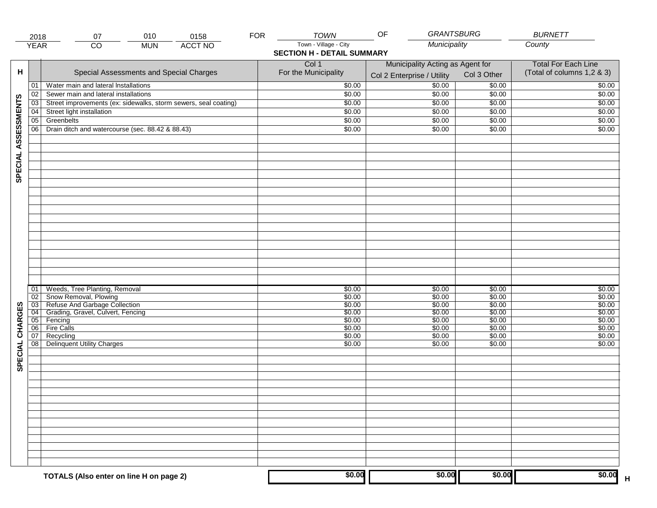|                     | 2018                               | 010<br>07                                                       | <b>FOR</b><br>0158 | <b>TOWN</b>                       | <b>GRANTSBURG</b><br>OF          |                  | <b>BURNETT</b>             |
|---------------------|------------------------------------|-----------------------------------------------------------------|--------------------|-----------------------------------|----------------------------------|------------------|----------------------------|
|                     | <b>YEAR</b>                        | $\overline{CO}$<br><b>MUN</b>                                   | <b>ACCT NO</b>     | Town - Village - City             | Municipality                     |                  | County                     |
|                     |                                    |                                                                 |                    | <b>SECTION H - DETAIL SUMMARY</b> |                                  |                  |                            |
|                     |                                    |                                                                 |                    | Col 1                             | <b>Total For Each Line</b>       |                  |                            |
| н                   |                                    | Special Assessments and Special Charges                         |                    | For the Municipality              | Municipality Acting as Agent for | Col 3 Other      | (Total of columns 1,2 & 3) |
|                     |                                    |                                                                 |                    |                                   | Col 2 Enterprise / Utility       |                  |                            |
|                     | 01                                 | Water main and lateral Installations                            |                    | \$0.00                            | \$0.00                           | \$0.00           | \$0.00                     |
|                     | 02                                 | Sewer main and lateral installations                            |                    | \$0.00                            | \$0.00                           | \$0.00           | \$0.00                     |
|                     | 03                                 | Street improvements (ex: sidewalks, storm sewers, seal coating) |                    | \$0.00                            | \$0.00                           | \$0.00           | \$0.00                     |
|                     | 04                                 | Street light installation                                       |                    | \$0.00                            | \$0.00                           | \$0.00           | \$0.00                     |
|                     | $\overline{05}$                    | Greenbelts                                                      |                    | \$0.00                            | \$0.00                           | \$0.00           | \$0.00                     |
|                     | 06                                 | Drain ditch and watercourse (sec. 88.42 & 88.43)                |                    | \$0.00                            | \$0.00                           | \$0.00           | \$0.00                     |
| SPECIAL ASSESSMENTS |                                    |                                                                 |                    |                                   |                                  |                  |                            |
|                     |                                    |                                                                 |                    |                                   |                                  |                  |                            |
|                     |                                    |                                                                 |                    |                                   |                                  |                  |                            |
|                     |                                    |                                                                 |                    |                                   |                                  |                  |                            |
|                     |                                    |                                                                 |                    |                                   |                                  |                  |                            |
|                     |                                    |                                                                 |                    |                                   |                                  |                  |                            |
|                     |                                    |                                                                 |                    |                                   |                                  |                  |                            |
|                     |                                    |                                                                 |                    |                                   |                                  |                  |                            |
|                     |                                    |                                                                 |                    |                                   |                                  |                  |                            |
|                     | 01                                 | Weeds, Tree Planting, Removal                                   |                    | \$0.00                            | \$0.00                           | \$0.00           | \$0.00                     |
|                     | $\overline{02}$                    | Snow Removal, Plowing<br>Refuse And Garbage Collection          |                    | \$0.00                            | \$0.00                           | \$0.00           | \$0.00                     |
|                     | $\overline{03}$<br>$\overline{04}$ | Grading, Gravel, Culvert, Fencing                               |                    | \$0.00<br>\$0.00                  | \$0.00<br>\$0.00                 | \$0.00<br>\$0.00 | \$0.00<br>\$0.00           |
|                     | 05                                 | Fencing                                                         |                    | \$0.00                            | \$0.00                           | \$0.00           | \$0.00                     |
|                     | 06                                 | <b>Fire Calls</b>                                               |                    | \$0.00                            | \$0.00                           | \$0.00           | \$0.00                     |
|                     | 07                                 | Recycling                                                       |                    | \$0.00                            | \$0.00                           | \$0.00           | \$0.00                     |
|                     | 08                                 | <b>Delinquent Utility Charges</b>                               |                    | \$0.00                            | \$0.00                           | \$0.00           | \$0.00                     |
| SPECIAL CHARGES     |                                    |                                                                 |                    |                                   |                                  |                  |                            |
|                     |                                    |                                                                 |                    |                                   |                                  |                  |                            |
|                     |                                    |                                                                 |                    |                                   |                                  |                  |                            |
|                     |                                    |                                                                 |                    |                                   |                                  |                  |                            |
|                     |                                    |                                                                 |                    |                                   |                                  |                  |                            |
|                     |                                    |                                                                 |                    |                                   |                                  |                  |                            |
|                     |                                    |                                                                 |                    |                                   |                                  |                  |                            |
|                     |                                    | TOTALS (Also enter on line H on page 2)                         |                    | \$0.00                            | \$0.00                           | \$0.00           | \$0.00<br>$\mathsf H$      |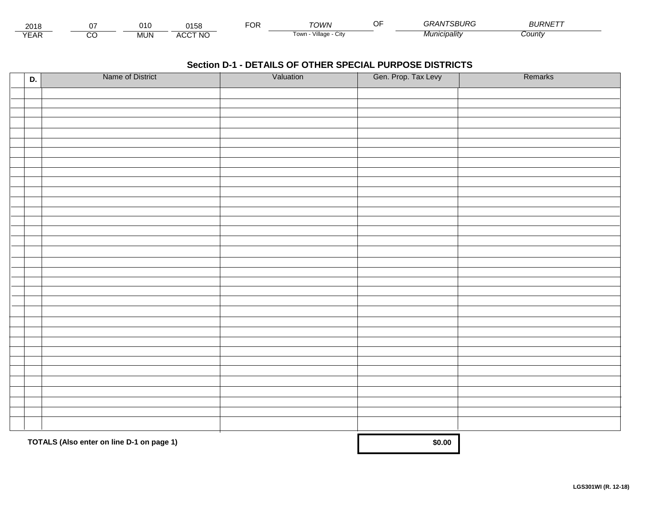| 2018                             |        | J10        | $\Delta$ A $\Gamma$ $\Omega$<br>סכונ | $-0.5$<br>, и | <b>OWN</b>                | Œ | <i><b>INTSBURG</b></i> | $1 - 1 - 1$<br><i>BURNE</i> |  |
|----------------------------------|--------|------------|--------------------------------------|---------------|---------------------------|---|------------------------|-----------------------------|--|
| $\sqrt{2}$<br>$\mathsf{L}$<br>⊢ี | ~<br>w | <b>MUN</b> | <b>CCT NO</b><br>$\mathbf{u}$<br>ישר |               | 'illaαe -<br>l own<br>utv |   | Municipalitv           | ∠ount∨                      |  |

| D. | Name of District                          | Valuation | Gen. Prop. Tax Levy | Remarks |
|----|-------------------------------------------|-----------|---------------------|---------|
|    |                                           |           |                     |         |
|    |                                           |           |                     |         |
|    |                                           |           |                     |         |
|    |                                           |           |                     |         |
|    |                                           |           |                     |         |
|    |                                           |           |                     |         |
|    |                                           |           |                     |         |
|    |                                           |           |                     |         |
|    |                                           |           |                     |         |
|    |                                           |           |                     |         |
|    |                                           |           |                     |         |
|    |                                           |           |                     |         |
|    |                                           |           |                     |         |
|    |                                           |           |                     |         |
|    |                                           |           |                     |         |
|    |                                           |           |                     |         |
|    |                                           |           |                     |         |
|    |                                           |           |                     |         |
|    |                                           |           |                     |         |
|    |                                           |           |                     |         |
|    |                                           |           |                     |         |
|    |                                           |           |                     |         |
|    |                                           |           |                     |         |
|    |                                           |           |                     |         |
|    |                                           |           |                     |         |
|    |                                           |           |                     |         |
|    |                                           |           |                     |         |
|    |                                           |           |                     |         |
|    |                                           |           |                     |         |
|    |                                           |           |                     |         |
|    |                                           |           |                     |         |
|    |                                           |           |                     |         |
|    |                                           |           |                     |         |
|    | TOTALS (Also enter on line D-1 on page 1) |           | \$0.00              |         |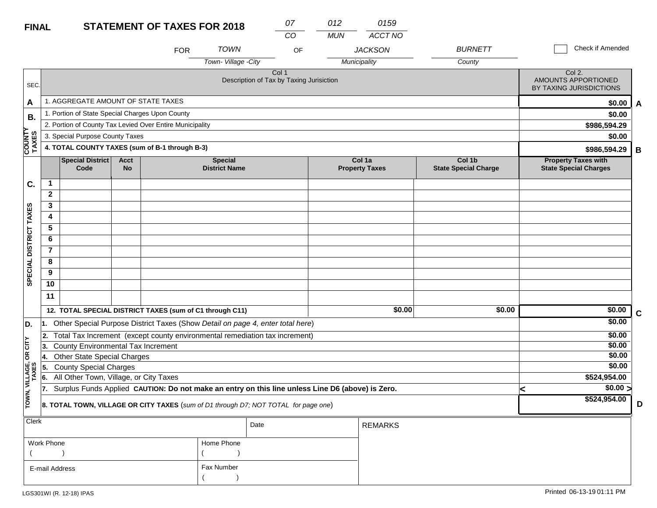| <b>FINAL</b>            |                                                          |                                                 |                          | <b>STATEMENT OF TAXES FOR 2018</b>                                                               |                                        |                                                              | 07<br>$\overline{CO}$ | 012<br><b>MUN</b> | 0159<br><b>ACCT NO</b>          |                                       |   |                                                            |             |
|-------------------------|----------------------------------------------------------|-------------------------------------------------|--------------------------|--------------------------------------------------------------------------------------------------|----------------------------------------|--------------------------------------------------------------|-----------------------|-------------------|---------------------------------|---------------------------------------|---|------------------------------------------------------------|-------------|
|                         |                                                          |                                                 |                          | <b>FOR</b>                                                                                       | <b>TOWN</b>                            |                                                              | OF                    |                   | <b>JACKSON</b>                  | <b>BURNETT</b>                        |   | Check if Amended                                           |             |
|                         |                                                          |                                                 |                          |                                                                                                  | Town-Village -City                     |                                                              |                       |                   | Municipality                    | County                                |   |                                                            |             |
| SEC.                    |                                                          |                                                 |                          |                                                                                                  |                                        | Col <sub>1</sub><br>Description of Tax by Taxing Jurisiction |                       |                   |                                 |                                       |   | Col 2.<br>AMOUNTS APPORTIONED<br>BY TAXING JURISDICTIONS   |             |
| A                       |                                                          | 1. AGGREGATE AMOUNT OF STATE TAXES              |                          |                                                                                                  |                                        |                                                              |                       |                   |                                 |                                       |   | \$0.00                                                     | A           |
| В.                      |                                                          | 1. Portion of State Special Charges Upon County |                          |                                                                                                  |                                        |                                                              |                       |                   |                                 |                                       |   | \$0.00                                                     |             |
|                         | 2. Portion of County Tax Levied Over Entire Municipality |                                                 |                          |                                                                                                  |                                        |                                                              |                       |                   |                                 |                                       |   | \$986,594.29                                               |             |
|                         | 3. Special Purpose County Taxes                          |                                                 |                          |                                                                                                  |                                        |                                                              |                       |                   |                                 |                                       |   | \$0.00                                                     |             |
| <b>COUNTY</b><br>TAXES  |                                                          |                                                 |                          | 4. TOTAL COUNTY TAXES (sum of B-1 through B-3)                                                   |                                        |                                                              |                       |                   |                                 |                                       |   | \$986,594.29                                               | B           |
|                         |                                                          | <b>Special District</b><br>Code                 | <b>Acct</b><br><b>No</b> |                                                                                                  | <b>Special</b><br><b>District Name</b> |                                                              |                       |                   | Col 1a<br><b>Property Taxes</b> | Col 1b<br><b>State Special Charge</b> |   | <b>Property Taxes with</b><br><b>State Special Charges</b> |             |
| C.                      | 1                                                        |                                                 |                          |                                                                                                  |                                        |                                                              |                       |                   |                                 |                                       |   |                                                            |             |
|                         | $\mathbf{2}$                                             |                                                 |                          |                                                                                                  |                                        |                                                              |                       |                   |                                 |                                       |   |                                                            |             |
|                         | 3                                                        |                                                 |                          |                                                                                                  |                                        |                                                              |                       |                   |                                 |                                       |   |                                                            |             |
|                         | 4                                                        |                                                 |                          |                                                                                                  |                                        |                                                              |                       |                   |                                 |                                       |   |                                                            |             |
|                         | 5                                                        |                                                 |                          |                                                                                                  |                                        |                                                              |                       |                   |                                 |                                       |   |                                                            |             |
|                         | 6                                                        |                                                 |                          |                                                                                                  |                                        |                                                              |                       |                   |                                 |                                       |   |                                                            |             |
|                         | $\overline{7}$                                           |                                                 |                          |                                                                                                  |                                        |                                                              |                       |                   |                                 |                                       |   |                                                            |             |
| SPECIAL DISTRICT TAXES  | 8                                                        |                                                 |                          |                                                                                                  |                                        |                                                              |                       |                   |                                 |                                       |   |                                                            |             |
|                         | 9                                                        |                                                 |                          |                                                                                                  |                                        |                                                              |                       |                   |                                 |                                       |   |                                                            |             |
|                         | 10                                                       |                                                 |                          |                                                                                                  |                                        |                                                              |                       |                   |                                 |                                       |   |                                                            |             |
|                         | 11                                                       |                                                 |                          |                                                                                                  |                                        |                                                              |                       |                   |                                 |                                       |   |                                                            |             |
|                         |                                                          |                                                 |                          | 12. TOTAL SPECIAL DISTRICT TAXES (sum of C1 through C11)                                         |                                        |                                                              |                       |                   | \$0.00                          | \$0.00                                |   | \$0.00                                                     | $\mathbf c$ |
| D.                      | 11.                                                      |                                                 |                          | Other Special Purpose District Taxes (Show Detail on page 4, enter total here)                   |                                        |                                                              |                       |                   |                                 |                                       |   | \$0.00                                                     |             |
|                         | 12.                                                      |                                                 |                          | Total Tax Increment (except county environmental remediation tax increment)                      |                                        |                                                              |                       |                   |                                 |                                       |   | \$0.00                                                     |             |
| OR CITY                 | 3.                                                       | <b>County Environmental Tax Increment</b>       |                          |                                                                                                  |                                        |                                                              |                       |                   |                                 |                                       |   | \$0.00                                                     |             |
|                         | 4.                                                       | <b>Other State Special Charges</b>              |                          |                                                                                                  |                                        |                                                              |                       |                   |                                 |                                       |   | \$0.00                                                     |             |
|                         | 55.                                                      | <b>County Special Charges</b>                   |                          |                                                                                                  |                                        |                                                              |                       |                   |                                 |                                       |   | \$0.00                                                     |             |
|                         | 6.                                                       | All Other Town, Village, or City Taxes          |                          |                                                                                                  |                                        |                                                              |                       |                   |                                 |                                       |   | \$524,954.00                                               |             |
|                         | 17.                                                      |                                                 |                          | Surplus Funds Applied CAUTION: Do not make an entry on this line unless Line D6 (above) is Zero. |                                        |                                                              |                       |                   |                                 |                                       | < | $\sqrt{$0.00}$                                             |             |
| TOWN, VILLAGE,<br>TAXES |                                                          |                                                 |                          | 8. TOTAL TOWN, VILLAGE OR CITY TAXES (sum of D1 through D7; NOT TOTAL for page one)              |                                        |                                                              |                       |                   |                                 |                                       |   | \$524,954.00                                               | D           |
| <b>Clerk</b>            |                                                          |                                                 |                          |                                                                                                  |                                        | Date                                                         |                       |                   | <b>REMARKS</b>                  |                                       |   |                                                            |             |
|                         |                                                          |                                                 |                          |                                                                                                  |                                        |                                                              |                       |                   |                                 |                                       |   |                                                            |             |

| Home Phone |  |
|------------|--|
|            |  |
| Fax Number |  |
|            |  |
|            |  |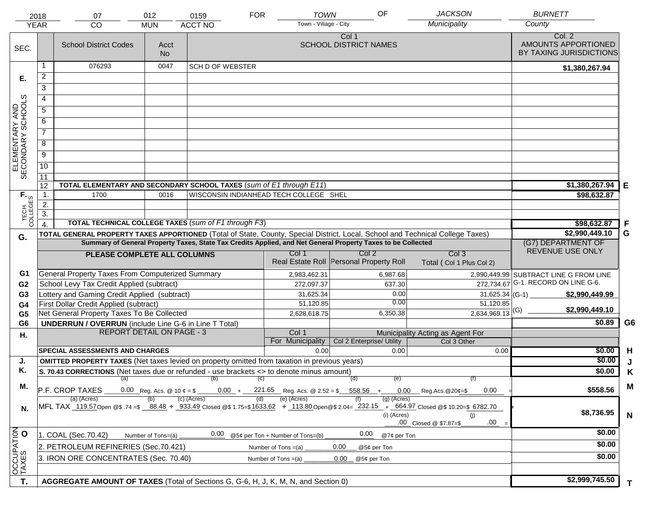|                                     | 2018             | 07                                                                                                                             | 012                | 0159                                                 | <b>TOWN</b><br><b>FOR</b>              | OF                                                                                                                                                                 | <b>JACKSON</b>                                                                                                                                                                       | <b>BURNETT</b>                                           |                |
|-------------------------------------|------------------|--------------------------------------------------------------------------------------------------------------------------------|--------------------|------------------------------------------------------|----------------------------------------|--------------------------------------------------------------------------------------------------------------------------------------------------------------------|--------------------------------------------------------------------------------------------------------------------------------------------------------------------------------------|----------------------------------------------------------|----------------|
|                                     | <b>YEAR</b>      | CO                                                                                                                             | <b>MUN</b>         | <b>ACCT NO</b>                                       | Town - Village - City                  |                                                                                                                                                                    | Municipality                                                                                                                                                                         | County                                                   |                |
| SEC.                                |                  | <b>School District Codes</b>                                                                                                   | Acct<br><b>No</b>  |                                                      |                                        | Col 1<br><b>SCHOOL DISTRICT NAMES</b>                                                                                                                              |                                                                                                                                                                                      | Col. 2<br>AMOUNTS APPORTIONED<br>BY TAXING JURISDICTIONS |                |
|                                     | 1                | 076293                                                                                                                         | 0047               | <b>SCH D OF WEBSTER</b>                              |                                        |                                                                                                                                                                    |                                                                                                                                                                                      | \$1,380,267.94                                           |                |
| Е.                                  | 2                |                                                                                                                                |                    |                                                      |                                        |                                                                                                                                                                    |                                                                                                                                                                                      |                                                          |                |
|                                     | $\overline{3}$   |                                                                                                                                |                    |                                                      |                                        |                                                                                                                                                                    |                                                                                                                                                                                      |                                                          |                |
|                                     | 4                |                                                                                                                                |                    |                                                      |                                        |                                                                                                                                                                    |                                                                                                                                                                                      |                                                          |                |
|                                     | $\overline{5}$   |                                                                                                                                |                    |                                                      |                                        |                                                                                                                                                                    |                                                                                                                                                                                      |                                                          |                |
|                                     | 6                |                                                                                                                                |                    |                                                      |                                        |                                                                                                                                                                    |                                                                                                                                                                                      |                                                          |                |
|                                     | $\overline{7}$   |                                                                                                                                |                    |                                                      |                                        |                                                                                                                                                                    |                                                                                                                                                                                      |                                                          |                |
| ELEMENTARY AND<br>SECONDARY SCHOOLS | 8                |                                                                                                                                |                    |                                                      |                                        |                                                                                                                                                                    |                                                                                                                                                                                      |                                                          |                |
|                                     | $\overline{9}$   |                                                                                                                                |                    |                                                      |                                        |                                                                                                                                                                    |                                                                                                                                                                                      |                                                          |                |
|                                     | 10               |                                                                                                                                |                    |                                                      |                                        |                                                                                                                                                                    |                                                                                                                                                                                      |                                                          |                |
|                                     | $\overline{11}$  |                                                                                                                                |                    |                                                      |                                        |                                                                                                                                                                    |                                                                                                                                                                                      |                                                          |                |
|                                     | 12               | TOTAL ELEMENTARY AND SECONDARY SCHOOL TAXES (sum of E1 through E11)                                                            |                    |                                                      |                                        |                                                                                                                                                                    |                                                                                                                                                                                      | \$1,380,267.94                                           | Е              |
| TECH. T                             | $\mathbf 1$ .    | 1700                                                                                                                           | 0016               |                                                      | WISCONSIN INDIANHEAD TECH COLLEGE SHEL |                                                                                                                                                                    |                                                                                                                                                                                      | \$98,632.87                                              |                |
|                                     | 2.               |                                                                                                                                |                    |                                                      |                                        |                                                                                                                                                                    |                                                                                                                                                                                      |                                                          |                |
|                                     | $\overline{3}$ . |                                                                                                                                |                    |                                                      |                                        |                                                                                                                                                                    |                                                                                                                                                                                      |                                                          |                |
|                                     | $\overline{4}$ . |                                                                                                                                |                    | TOTAL TECHNICAL COLLEGE TAXES (sum of F1 through F3) |                                        |                                                                                                                                                                    |                                                                                                                                                                                      | \$98,632.87<br>\$2,990,449.10                            | .F<br>G        |
| G.                                  |                  | TOTAL GENERAL PROPERTY TAXES APPORTIONED (Total of State, County, Special District, Local, School and Technical College Taxes) |                    |                                                      |                                        | Summary of General Property Taxes, State Tax Credits Applied, and Net General Property Taxes to be Collected                                                       |                                                                                                                                                                                      | (G7) DEPARTMENT OF                                       |                |
|                                     |                  | PLEASE COMPLETE ALL COLUMNS                                                                                                    |                    |                                                      | Col 1                                  | Col <sub>2</sub>                                                                                                                                                   | Col <sub>3</sub>                                                                                                                                                                     | REVENUE USE ONLY                                         |                |
|                                     |                  |                                                                                                                                |                    |                                                      |                                        | Real Estate Roll Personal Property Roll                                                                                                                            | Total (Col 1 Plus Col 2)                                                                                                                                                             |                                                          |                |
| G1                                  |                  | <b>General Property Taxes From Computerized Summary</b>                                                                        |                    |                                                      | 2,983,462.31                           | 6,987.68                                                                                                                                                           |                                                                                                                                                                                      | 2,990,449.99 SUBTRACT LINE G FROM LINE                   |                |
| G <sub>2</sub>                      |                  | School Levy Tax Credit Applied (subtract)                                                                                      |                    |                                                      | 272,097.37                             | 637.30                                                                                                                                                             |                                                                                                                                                                                      | 272,734.67 G-1. RECORD ON LINE G-6.                      |                |
| G <sub>3</sub>                      |                  | Lottery and Gaming Credit Applied (subtract)                                                                                   |                    |                                                      | 31,625.34                              | 0.00                                                                                                                                                               |                                                                                                                                                                                      | $31,625.34$ (G-1)<br>\$2,990,449.99                      |                |
| G <sub>4</sub>                      |                  | First Dollar Credit Applied (subtract)                                                                                         |                    |                                                      | 51,120.85                              | 0.00                                                                                                                                                               | 51,120.85                                                                                                                                                                            |                                                          |                |
| G <sub>5</sub>                      |                  | Net General Property Taxes To Be Collected                                                                                     |                    |                                                      | 2,628,618.75                           | 6,350.38                                                                                                                                                           | $2,634,969.13$ <sup>(G)</sup>                                                                                                                                                        | \$2,990,449.10                                           |                |
| G <sub>6</sub>                      |                  | <b>UNDERRUN / OVERRUN</b> (include Line G-6 in Line T Total)                                                                   |                    |                                                      |                                        |                                                                                                                                                                    |                                                                                                                                                                                      | \$0.89                                                   | G <sub>6</sub> |
| Н.                                  |                  | <b>REPORT DETAIL ON PAGE - 3</b>                                                                                               |                    |                                                      | Col 1<br>For Municipality              | Col 2 Enterprise/ Utility                                                                                                                                          | Municipality Acting as Agent For<br>Col 3 Other                                                                                                                                      |                                                          |                |
|                                     |                  | <b>SPECIAL ASSESSMENTS AND CHARGES</b>                                                                                         |                    |                                                      | 0.00                                   | 0.00                                                                                                                                                               | 0.00                                                                                                                                                                                 | \$0.00                                                   | H              |
| J.                                  |                  | <b>OMITTED PROPERTY TAXES</b> (Net taxes levied on property omitted from taxation in previous years)                           |                    |                                                      |                                        |                                                                                                                                                                    |                                                                                                                                                                                      | \$0.00                                                   | J              |
| Κ.                                  |                  | S. 70.43 CORRECTIONS (Net taxes due or refunded - use brackets <> to denote minus amount)                                      |                    |                                                      |                                        |                                                                                                                                                                    |                                                                                                                                                                                      | \$0.00                                                   | Κ              |
|                                     |                  |                                                                                                                                |                    | $(a)$ (b) (c)                                        |                                        | (d)<br>(e)                                                                                                                                                         | (f)                                                                                                                                                                                  |                                                          |                |
| М.                                  |                  | P.F. CROP TAXES                                                                                                                |                    |                                                      |                                        | $0.00$ Reg. Acs. @ 10 $\mathfrak{e} = \mathfrak{F}$ $0.00$ + $221.65$ Reg. Acs. @ 2.52 = $\mathfrak{F}$ 558.56 + 0.00 Reg. Acs. @ 20 $\mathfrak{e} = \mathfrak{F}$ | 0.00                                                                                                                                                                                 | \$558.56                                                 | M              |
| N.                                  |                  | (a) (Acres)                                                                                                                    |                    | (c) (Acres)                                          | (e) (Acres)<br>(d)                     | (a) (Acres)<br>(i) (Acres)                                                                                                                                         | MFL TAX 119.57 Open @\$ .74 =\$ 88.48 + 933.49 Closed @\$ 1.75=\$1633.62 + 113.80 Open @\$ 2.04= 232.15 + 664.97 Closed @\$ 10.20=\$ 6782.70<br>(i)<br>.00<br>.00 Closed @ \$7.87=\$ | \$8,736.95                                               | $\mathsf{N}$   |
|                                     |                  | 1. COAL (Sec.70.42)                                                                                                            | Number of Tons=(a) | 0.00                                                 | @5¢ per Ton + Number of Tons=(b)       | 0.00<br>@7¢ per Ton                                                                                                                                                |                                                                                                                                                                                      | \$0.00                                                   |                |
| OCCUPATION                          |                  | 2. PETROLEUM REFINERIES (Sec.70.421)                                                                                           |                    |                                                      | Number of Tons $=(a)$                  | 0.00<br>@5¢ per Ton                                                                                                                                                |                                                                                                                                                                                      | \$0.00                                                   |                |
|                                     |                  | 3. IRON ORE CONCENTRATES (Sec. 70.40)                                                                                          |                    | \$0.00                                               |                                        |                                                                                                                                                                    |                                                                                                                                                                                      |                                                          |                |
|                                     |                  |                                                                                                                                |                    |                                                      |                                        |                                                                                                                                                                    |                                                                                                                                                                                      |                                                          |                |
|                                     |                  |                                                                                                                                |                    |                                                      |                                        |                                                                                                                                                                    |                                                                                                                                                                                      | \$2,999,745.50                                           |                |
| T.                                  |                  | AGGREGATE AMOUNT OF TAXES (Total of Sections G, G-6, H, J, K, M, N, and Section 0)                                             |                    |                                                      |                                        |                                                                                                                                                                    |                                                                                                                                                                                      |                                                          | T.             |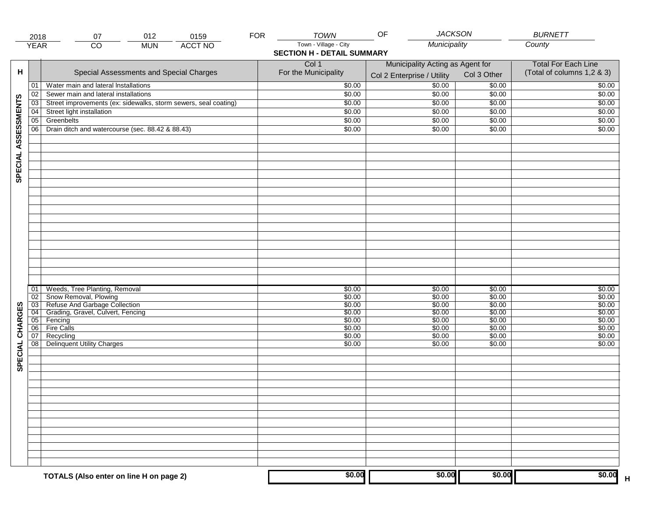|                     | 2018            | 012<br>0159<br>07                                               | <b>FOR</b> | <b>TOWN</b>                       | <b>JACKSON</b><br>OF             |             | <b>BURNETT</b>                    |
|---------------------|-----------------|-----------------------------------------------------------------|------------|-----------------------------------|----------------------------------|-------------|-----------------------------------|
|                     | <b>YEAR</b>     | <b>ACCT NO</b><br>CO<br><b>MUN</b>                              |            | Town - Village - City             | Municipality                     |             | County                            |
|                     |                 |                                                                 |            | <b>SECTION H - DETAIL SUMMARY</b> |                                  |             |                                   |
|                     |                 |                                                                 |            | Col 1                             | Municipality Acting as Agent for |             | <b>Total For Each Line</b>        |
| н                   |                 | Special Assessments and Special Charges                         |            | For the Municipality              | Col 2 Enterprise / Utility       | Col 3 Other | (Total of columns 1,2 & 3)        |
|                     | 01              | Water main and lateral Installations                            |            | \$0.00                            | 50.00                            | \$0.00      | \$0.00                            |
|                     | 02              | Sewer main and lateral installations                            |            | \$0.00                            | \$0.00                           | \$0.00      | \$0.00                            |
|                     | $\overline{03}$ | Street improvements (ex: sidewalks, storm sewers, seal coating) |            | \$0.00                            | \$0.00                           | \$0.00      | \$0.00                            |
|                     | 04              | Street light installation                                       |            | \$0.00                            | \$0.00                           | \$0.00      | \$0.00                            |
|                     | $\overline{05}$ | Greenbelts                                                      |            | \$0.00                            | \$0.00                           |             | \$0.00                            |
|                     |                 |                                                                 |            |                                   |                                  | \$0.00      |                                   |
|                     | 06              | Drain ditch and watercourse (sec. 88.42 & 88.43)                |            | \$0.00                            | \$0.00                           | \$0.00      | \$0.00                            |
| SPECIAL ASSESSMENTS |                 |                                                                 |            |                                   |                                  |             |                                   |
|                     |                 |                                                                 |            |                                   |                                  |             |                                   |
|                     |                 |                                                                 |            |                                   |                                  |             |                                   |
|                     |                 |                                                                 |            |                                   |                                  |             |                                   |
|                     |                 |                                                                 |            |                                   |                                  |             |                                   |
|                     |                 |                                                                 |            |                                   |                                  |             |                                   |
|                     |                 |                                                                 |            |                                   |                                  |             |                                   |
|                     |                 |                                                                 |            |                                   |                                  |             |                                   |
|                     |                 |                                                                 |            |                                   |                                  |             |                                   |
|                     |                 |                                                                 |            |                                   |                                  |             |                                   |
|                     | 01              | Weeds, Tree Planting, Removal                                   |            | \$0.00                            | \$0.00                           | \$0.00      | \$0.00                            |
|                     | 02              | Snow Removal, Plowing                                           |            | \$0.00                            | \$0.00                           | \$0.00      | \$0.00                            |
|                     | 03              | Refuse And Garbage Collection                                   |            | \$0.00                            | \$0.00                           | \$0.00      | \$0.00                            |
|                     | $\overline{04}$ | Grading, Gravel, Culvert, Fencing                               |            | \$0.00                            | \$0.00                           | \$0.00      | \$0.00                            |
|                     | 05              | Fencing                                                         |            | \$0.00                            | \$0.00                           | \$0.00      | \$0.00                            |
|                     | 06              | <b>Fire Calls</b>                                               |            | \$0.00                            | \$0.00                           | \$0.00      | \$0.00                            |
|                     | 07              | Recycling                                                       |            | \$0.00                            | \$0.00                           | \$0.00      | \$0.00                            |
|                     | 08              | Delinquent Utility Charges                                      |            | \$0.00                            | \$0.00                           | \$0.00      | \$0.00                            |
| SPECIAL CHARGES     |                 |                                                                 |            |                                   |                                  |             |                                   |
|                     |                 |                                                                 |            |                                   |                                  |             |                                   |
|                     |                 |                                                                 |            |                                   |                                  |             |                                   |
|                     |                 |                                                                 |            |                                   |                                  |             |                                   |
|                     |                 |                                                                 |            |                                   |                                  |             |                                   |
|                     |                 |                                                                 |            |                                   |                                  |             |                                   |
|                     |                 |                                                                 |            |                                   |                                  |             |                                   |
|                     |                 |                                                                 |            |                                   |                                  |             |                                   |
|                     |                 | TOTALS (Also enter on line H on page 2)                         |            | \$0.00                            | \$0.00                           | \$0.00      | \$0.00<br>$\overline{\mathsf{H}}$ |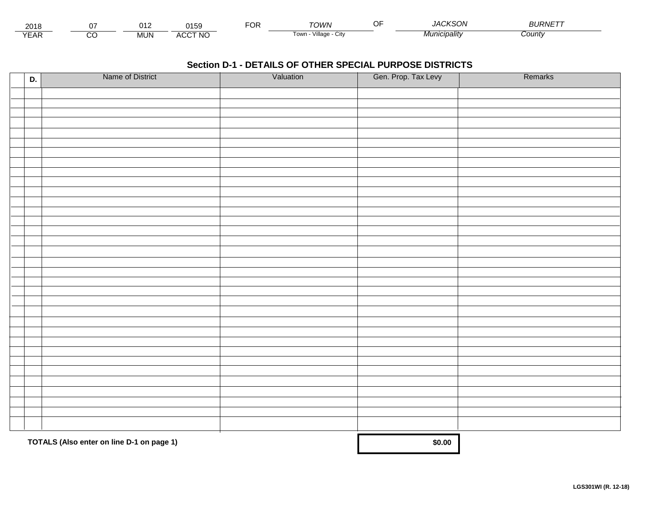| 201۱          |         | 71 O<br>. . | $\bigcap_{i=1}^n$<br>יכה | ◡ | ⊤∩WN                     | 1012001<br>. I A (<br>- ភេមា - | $P^{\text{I}}$<br>⊃∪KI\∟ |  |
|---------------|---------|-------------|--------------------------|---|--------------------------|--------------------------------|--------------------------|--|
| $V = r$<br>⊢ี | ~<br>ىد | <b>MUN</b>  | <b>ACCT NO</b>           |   | Village<br>l own<br>◡៲៶៶ | <i>cipality</i>                | ;ountγ                   |  |

| D. | Name of District                          | Valuation | Gen. Prop. Tax Levy | Remarks |
|----|-------------------------------------------|-----------|---------------------|---------|
|    |                                           |           |                     |         |
|    |                                           |           |                     |         |
|    |                                           |           |                     |         |
|    |                                           |           |                     |         |
|    |                                           |           |                     |         |
|    |                                           |           |                     |         |
|    |                                           |           |                     |         |
|    |                                           |           |                     |         |
|    |                                           |           |                     |         |
|    |                                           |           |                     |         |
|    |                                           |           |                     |         |
|    |                                           |           |                     |         |
|    |                                           |           |                     |         |
|    |                                           |           |                     |         |
|    |                                           |           |                     |         |
|    |                                           |           |                     |         |
|    |                                           |           |                     |         |
|    |                                           |           |                     |         |
|    |                                           |           |                     |         |
|    |                                           |           |                     |         |
|    |                                           |           |                     |         |
|    |                                           |           |                     |         |
|    |                                           |           |                     |         |
|    |                                           |           |                     |         |
|    |                                           |           |                     |         |
|    |                                           |           |                     |         |
|    |                                           |           |                     |         |
|    |                                           |           |                     |         |
|    |                                           |           |                     |         |
|    |                                           |           |                     |         |
|    |                                           |           |                     |         |
|    | TOTALS (Also enter on line D-1 on page 1) |           | \$0.00              |         |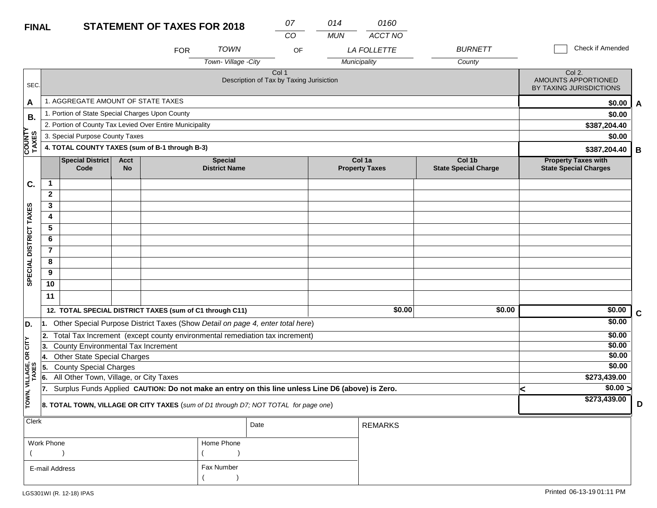| <b>FINAL</b>           |                                 |                                                                                                  |                          | <b>STATEMENT OF TAXES FOR 2018</b> |                                        | 07                                                           |    | 014        | 0160                            |                                       |   |                                                                 |             |
|------------------------|---------------------------------|--------------------------------------------------------------------------------------------------|--------------------------|------------------------------------|----------------------------------------|--------------------------------------------------------------|----|------------|---------------------------------|---------------------------------------|---|-----------------------------------------------------------------|-------------|
|                        |                                 |                                                                                                  |                          |                                    |                                        | CO                                                           |    | <b>MUN</b> | ACCT NO                         |                                       |   |                                                                 |             |
|                        |                                 |                                                                                                  |                          | <b>FOR</b>                         | <b>TOWN</b>                            |                                                              | OF |            | <b>LA FOLLETTE</b>              | <b>BURNETT</b>                        |   | Check if Amended                                                |             |
|                        |                                 |                                                                                                  |                          |                                    | Town-Village - City                    |                                                              |    |            | Municipality                    | County                                |   |                                                                 |             |
| SEC.                   |                                 |                                                                                                  |                          |                                    |                                        | Col <sub>1</sub><br>Description of Tax by Taxing Jurisiction |    |            |                                 |                                       |   | Col 2.<br><b>AMOUNTS APPORTIONED</b><br>BY TAXING JURISDICTIONS |             |
| A                      |                                 | 1. AGGREGATE AMOUNT OF STATE TAXES                                                               |                          |                                    |                                        |                                                              |    |            |                                 |                                       |   | \$0.00                                                          | A           |
| В.                     |                                 | 1. Portion of State Special Charges Upon County                                                  |                          |                                    |                                        |                                                              |    |            |                                 |                                       |   | \$0.00                                                          |             |
|                        |                                 | 2. Portion of County Tax Levied Over Entire Municipality                                         |                          |                                    |                                        |                                                              |    |            |                                 |                                       |   | \$387,204.40                                                    |             |
|                        | 3. Special Purpose County Taxes |                                                                                                  |                          |                                    |                                        |                                                              |    |            |                                 |                                       |   | \$0.00                                                          |             |
| <b>COUNTY</b><br>TAXES |                                 | 4. TOTAL COUNTY TAXES (sum of B-1 through B-3)                                                   |                          |                                    |                                        |                                                              |    |            |                                 |                                       |   | \$387,204.40                                                    | В           |
|                        |                                 | <b>Special District</b><br>Code                                                                  | <b>Acct</b><br><b>No</b> |                                    | <b>Special</b><br><b>District Name</b> |                                                              |    |            | Col 1a<br><b>Property Taxes</b> | Col 1b<br><b>State Special Charge</b> |   | <b>Property Taxes with</b><br><b>State Special Charges</b>      |             |
| C.                     | $\mathbf 1$                     |                                                                                                  |                          |                                    |                                        |                                                              |    |            |                                 |                                       |   |                                                                 |             |
|                        | $\mathbf{2}$                    |                                                                                                  |                          |                                    |                                        |                                                              |    |            |                                 |                                       |   |                                                                 |             |
|                        | 3                               |                                                                                                  |                          |                                    |                                        |                                                              |    |            |                                 |                                       |   |                                                                 |             |
|                        | 4                               |                                                                                                  |                          |                                    |                                        |                                                              |    |            |                                 |                                       |   |                                                                 |             |
|                        | 5                               |                                                                                                  |                          |                                    |                                        |                                                              |    |            |                                 |                                       |   |                                                                 |             |
|                        | 6                               |                                                                                                  |                          |                                    |                                        |                                                              |    |            |                                 |                                       |   |                                                                 |             |
|                        | $\overline{7}$                  |                                                                                                  |                          |                                    |                                        |                                                              |    |            |                                 |                                       |   |                                                                 |             |
| SPECIAL DISTRICT TAXES | 8                               |                                                                                                  |                          |                                    |                                        |                                                              |    |            |                                 |                                       |   |                                                                 |             |
|                        | 9                               |                                                                                                  |                          |                                    |                                        |                                                              |    |            |                                 |                                       |   |                                                                 |             |
|                        | 10                              |                                                                                                  |                          |                                    |                                        |                                                              |    |            |                                 |                                       |   |                                                                 |             |
|                        | 11                              |                                                                                                  |                          |                                    |                                        |                                                              |    |            |                                 |                                       |   |                                                                 |             |
|                        |                                 | 12. TOTAL SPECIAL DISTRICT TAXES (sum of C1 through C11)                                         |                          |                                    |                                        |                                                              |    |            | \$0.00                          | \$0.00                                |   | \$0.00                                                          | $\mathbf c$ |
| D.                     | 11.                             | Other Special Purpose District Taxes (Show Detail on page 4, enter total here)                   |                          |                                    |                                        |                                                              |    |            |                                 |                                       |   | \$0.00                                                          |             |
|                        | 2.                              | Total Tax Increment (except county environmental remediation tax increment)                      |                          |                                    |                                        |                                                              |    |            |                                 |                                       |   | \$0.00                                                          |             |
| CITY                   | 13.                             | County Environmental Tax Increment                                                               |                          |                                    |                                        |                                                              |    |            |                                 |                                       |   | \$0.00                                                          |             |
| $\mathsf g$            | 14.                             | <b>Other State Special Charges</b>                                                               |                          |                                    |                                        |                                                              |    |            |                                 |                                       |   | \$0.00                                                          |             |
| VILLAGE,<br>TAXES      | 5.                              | <b>County Special Charges</b>                                                                    |                          |                                    |                                        |                                                              |    |            |                                 |                                       |   | \$0.00                                                          |             |
|                        | 6.                              | All Other Town, Village, or City Taxes                                                           |                          |                                    |                                        |                                                              |    |            |                                 |                                       |   | \$273,439.00                                                    |             |
|                        | 17.                             | Surplus Funds Applied CAUTION: Do not make an entry on this line unless Line D6 (above) is Zero. |                          |                                    |                                        |                                                              |    |            |                                 |                                       | k | \$0.00 >                                                        |             |
| TOWN,                  |                                 | 8. TOTAL TOWN, VILLAGE OR CITY TAXES (sum of D1 through D7; NOT TOTAL for page one)              |                          |                                    |                                        |                                                              |    |            |                                 |                                       |   | \$273,439.00                                                    | D           |
| Clerk                  |                                 |                                                                                                  |                          |                                    |                                        | Date                                                         |    |            | <b>REMARKS</b>                  |                                       |   |                                                                 |             |
|                        | Work Dhone                      |                                                                                                  |                          |                                    | Home Dhone                             |                                                              |    |            |                                 |                                       |   |                                                                 |             |

| Work Phone     | Home Phone |
|----------------|------------|
|                |            |
| E-mail Address | Fax Number |
|                |            |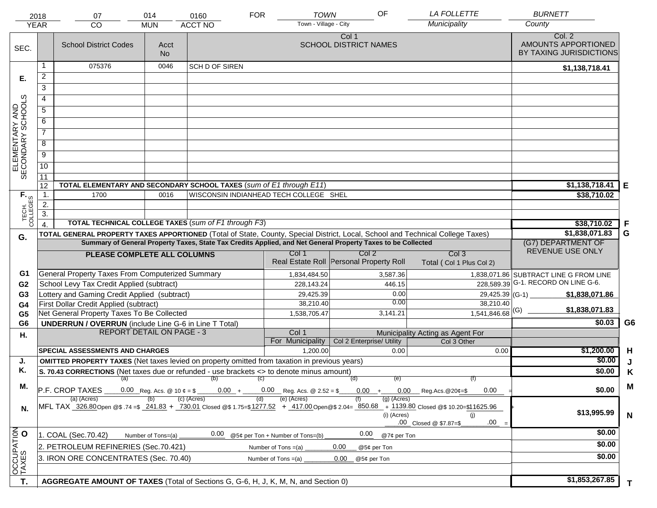| <b>YEAR</b>                         | 2018             | 07<br><b>CO</b>                                                                                                                | 014<br><b>MUN</b>  | 0160<br><b>ACCT NO</b> | <b>TOWN</b><br><b>FOR</b><br>Town - Village - City        | OF                                                                                                           | <b>LA FOLLETTE</b><br>Municipality                                                                                                                                                    | <b>BURNETT</b><br>County                                 |                |
|-------------------------------------|------------------|--------------------------------------------------------------------------------------------------------------------------------|--------------------|------------------------|-----------------------------------------------------------|--------------------------------------------------------------------------------------------------------------|---------------------------------------------------------------------------------------------------------------------------------------------------------------------------------------|----------------------------------------------------------|----------------|
| SEC.                                |                  | <b>School District Codes</b>                                                                                                   | Acct<br><b>No</b>  |                        |                                                           | Col 1<br><b>SCHOOL DISTRICT NAMES</b>                                                                        |                                                                                                                                                                                       | Col. 2<br>AMOUNTS APPORTIONED<br>BY TAXING JURISDICTIONS |                |
|                                     | 1                | 075376                                                                                                                         | 0046               | <b>SCH D OF SIREN</b>  |                                                           |                                                                                                              |                                                                                                                                                                                       | \$1,138,718.41                                           |                |
| Е.                                  | $\overline{a}$   |                                                                                                                                |                    |                        |                                                           |                                                                                                              |                                                                                                                                                                                       |                                                          |                |
|                                     | 3                |                                                                                                                                |                    |                        |                                                           |                                                                                                              |                                                                                                                                                                                       |                                                          |                |
|                                     | 4                |                                                                                                                                |                    |                        |                                                           |                                                                                                              |                                                                                                                                                                                       |                                                          |                |
|                                     | 5                |                                                                                                                                |                    |                        |                                                           |                                                                                                              |                                                                                                                                                                                       |                                                          |                |
|                                     | 6                |                                                                                                                                |                    |                        |                                                           |                                                                                                              |                                                                                                                                                                                       |                                                          |                |
| ELEMENTARY AND<br>SECONDARY SCHOOLS | $\overline{7}$   |                                                                                                                                |                    |                        |                                                           |                                                                                                              |                                                                                                                                                                                       |                                                          |                |
|                                     | 8                |                                                                                                                                |                    |                        |                                                           |                                                                                                              |                                                                                                                                                                                       |                                                          |                |
|                                     | $\overline{9}$   |                                                                                                                                |                    |                        |                                                           |                                                                                                              |                                                                                                                                                                                       |                                                          |                |
|                                     | $\overline{10}$  |                                                                                                                                |                    |                        |                                                           |                                                                                                              |                                                                                                                                                                                       |                                                          |                |
|                                     |                  |                                                                                                                                |                    |                        |                                                           |                                                                                                              |                                                                                                                                                                                       |                                                          |                |
|                                     | 11<br>12         | TOTAL ELEMENTARY AND SECONDARY SCHOOL TAXES (sum of E1 through E11)                                                            |                    |                        |                                                           |                                                                                                              |                                                                                                                                                                                       | \$1,138,718.41                                           | Е              |
|                                     | $\mathbf{1}$ .   | 1700                                                                                                                           | 0016               |                        | WISCONSIN INDIANHEAD TECH COLLEGE SHEL                    |                                                                                                              |                                                                                                                                                                                       | \$38,710.02                                              |                |
|                                     | 2.               |                                                                                                                                |                    |                        |                                                           |                                                                                                              |                                                                                                                                                                                       |                                                          |                |
| TECH. T                             | $\overline{3}$ . |                                                                                                                                |                    |                        |                                                           |                                                                                                              |                                                                                                                                                                                       |                                                          |                |
|                                     | $\overline{4}$   | <b>TOTAL TECHNICAL COLLEGE TAXES (sum of F1 through F3)</b>                                                                    |                    |                        |                                                           |                                                                                                              |                                                                                                                                                                                       | \$38,710.02                                              | F              |
| G.                                  |                  | TOTAL GENERAL PROPERTY TAXES APPORTIONED (Total of State, County, Special District, Local, School and Technical College Taxes) |                    | \$1,838,071.83         | G                                                         |                                                                                                              |                                                                                                                                                                                       |                                                          |                |
|                                     |                  |                                                                                                                                |                    |                        |                                                           | Summary of General Property Taxes, State Tax Credits Applied, and Net General Property Taxes to be Collected |                                                                                                                                                                                       | (G7) DEPARTMENT OF<br>REVENUE USE ONLY                   |                |
|                                     |                  | PLEASE COMPLETE ALL COLUMNS                                                                                                    |                    |                        | Col 1                                                     | Col 2<br>Real Estate Roll Personal Property Roll                                                             | Col <sub>3</sub><br>Total (Col 1 Plus Col 2)                                                                                                                                          |                                                          |                |
| G1                                  |                  | General Property Taxes From Computerized Summary                                                                               |                    |                        | 1,834,484.50                                              | 3,587.36                                                                                                     |                                                                                                                                                                                       | 1,838,071.86 SUBTRACT LINE G FROM LINE                   |                |
| G <sub>2</sub>                      |                  | School Levy Tax Credit Applied (subtract)                                                                                      |                    |                        | 228,143.24                                                | 446.15                                                                                                       |                                                                                                                                                                                       | 228,589.39 G-1. RECORD ON LINE G-6.                      |                |
| G <sub>3</sub>                      |                  | Lottery and Gaming Credit Applied (subtract)                                                                                   |                    |                        | 29,425.39                                                 | 0.00                                                                                                         | $29,425.39$ (G-1)                                                                                                                                                                     | \$1,838,071.86                                           |                |
| G4                                  |                  | First Dollar Credit Applied (subtract)                                                                                         |                    |                        | 38,210.40                                                 | 0.00                                                                                                         | 38,210.40                                                                                                                                                                             | \$1,838,071.83                                           |                |
| G <sub>5</sub>                      |                  | Net General Property Taxes To Be Collected                                                                                     |                    |                        | 1,538,705.47                                              | 3,141.21                                                                                                     | $1,541,846.68$ <sup>(G)</sup>                                                                                                                                                         |                                                          |                |
| G <sub>6</sub>                      |                  | <b>UNDERRUN / OVERRUN</b> (include Line G-6 in Line T Total)                                                                   |                    |                        |                                                           |                                                                                                              |                                                                                                                                                                                       | \$0.03                                                   | G <sub>6</sub> |
| Η.                                  |                  | <b>REPORT DETAIL ON PAGE - 3</b>                                                                                               |                    |                        | Col 1<br>For Municipality                                 | Col 2 Enterprise/ Utility                                                                                    | Municipality Acting as Agent For<br>Col 3 Other                                                                                                                                       |                                                          |                |
|                                     |                  | <b>SPECIAL ASSESSMENTS AND CHARGES</b>                                                                                         |                    |                        | 1.200.00                                                  | 0.00                                                                                                         | 0.00                                                                                                                                                                                  | \$1,200.00                                               | H              |
| J.                                  |                  | <b>OMITTED PROPERTY TAXES</b> (Net taxes levied on property omitted from taxation in previous years)                           |                    |                        |                                                           |                                                                                                              |                                                                                                                                                                                       | \$0.00                                                   | J              |
| Κ.                                  |                  | S. 70.43 CORRECTIONS (Net taxes due or refunded - use brackets <> to denote minus amount)                                      |                    |                        |                                                           |                                                                                                              |                                                                                                                                                                                       | \$0.00                                                   | Κ              |
|                                     |                  | $(a)$ (b)                                                                                                                      |                    |                        | (C)                                                       | (d)<br>(e)                                                                                                   | (f)                                                                                                                                                                                   |                                                          |                |
| М.                                  |                  | P.F. CROP TAXES<br>(a) (Acres)                                                                                                 |                    | (c) (Acres)            | $0.00 + 0.00$ Reg. Acs. @ 2.52 = \$<br>(e) (Acres)<br>(d) | $0.00 +$<br>0.00<br>$(g)$ (Acres)                                                                            | 0.00<br>$\mu$ Reg. Acs. @ 20¢=\$                                                                                                                                                      | \$0.00                                                   | M              |
| N.                                  |                  |                                                                                                                                |                    |                        |                                                           | (i) (Acres)                                                                                                  | MFL TAX 326.80 Open @\$ 74 =\$ 241.83 + 730.01 Closed @\$ 1.75=\$1277.52 + 417.00 Open @\$ 2.04= 850.68 + 1139.80 Closed @\$ 10.20=\$11625.96<br>(i)<br>.00<br>.00 Closed @ \$7.87=\$ | \$13,995.99                                              | $\mathbf N$    |
|                                     |                  | 1. COAL (Sec.70.42)                                                                                                            | Number of Tons=(a) | 0.00                   | @5¢ per Ton + Number of Tons=(b)                          | 0.00<br>@7¢ per Ton                                                                                          |                                                                                                                                                                                       | \$0.00                                                   |                |
|                                     |                  | 2. PETROLEUM REFINERIES (Sec.70.421)                                                                                           |                    |                        | Number of Tons =(a)                                       | 0.00<br>@5¢ per Ton                                                                                          |                                                                                                                                                                                       | \$0.00                                                   |                |
| OCCUPATION                          |                  | 3. IRON ORE CONCENTRATES (Sec. 70.40)                                                                                          |                    |                        | Number of Tons $=(a)$                                     | 0.00<br>@5¢ per Ton                                                                                          |                                                                                                                                                                                       | \$0.00                                                   |                |
|                                     |                  |                                                                                                                                |                    |                        |                                                           |                                                                                                              |                                                                                                                                                                                       |                                                          |                |
| T.                                  |                  | AGGREGATE AMOUNT OF TAXES (Total of Sections G, G-6, H, J, K, M, N, and Section 0)                                             |                    |                        |                                                           |                                                                                                              |                                                                                                                                                                                       | \$1,853,267.85                                           | T.             |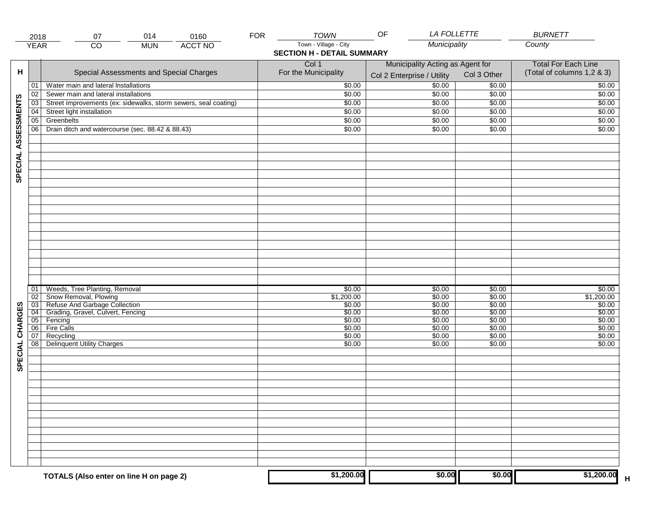|                     | 2018            | 014<br>07                                                       | 0160           | <b>FOR</b> | <b>TOWN</b>                       | <b>LA FOLLETTE</b><br>OF         |             | <b>BURNETT</b>             |
|---------------------|-----------------|-----------------------------------------------------------------|----------------|------------|-----------------------------------|----------------------------------|-------------|----------------------------|
|                     | <b>YEAR</b>     | $\overline{CO}$<br><b>MUN</b>                                   | <b>ACCT NO</b> |            | Town - Village - City             | Municipality                     |             | County                     |
|                     |                 |                                                                 |                |            | <b>SECTION H - DETAIL SUMMARY</b> |                                  |             |                            |
|                     |                 |                                                                 |                |            | Col 1                             | Municipality Acting as Agent for |             | <b>Total For Each Line</b> |
| н                   |                 | Special Assessments and Special Charges                         |                |            | For the Municipality              |                                  |             | (Total of columns 1,2 & 3) |
|                     |                 |                                                                 |                |            |                                   | Col 2 Enterprise / Utility       | Col 3 Other |                            |
|                     | 01              | Water main and lateral Installations                            |                |            | \$0.00                            | \$0.00                           | \$0.00      | \$0.00                     |
|                     | 02              | Sewer main and lateral installations                            |                |            | \$0.00                            | \$0.00                           | \$0.00      | \$0.00                     |
| SPECIAL ASSESSMENTS | 03              | Street improvements (ex: sidewalks, storm sewers, seal coating) |                |            | \$0.00                            | \$0.00                           | \$0.00      | \$0.00                     |
|                     | 04              | Street light installation                                       |                |            | \$0.00                            | \$0.00                           | \$0.00      | \$0.00                     |
|                     | $\overline{05}$ | Greenbelts                                                      |                |            | \$0.00                            | \$0.00                           | \$0.00      | \$0.00                     |
|                     | 06              | Drain ditch and watercourse (sec. 88.42 & 88.43)                |                |            | \$0.00                            | \$0.00                           | \$0.00      | \$0.00                     |
|                     |                 |                                                                 |                |            |                                   |                                  |             |                            |
|                     |                 |                                                                 |                |            |                                   |                                  |             |                            |
|                     |                 |                                                                 |                |            |                                   |                                  |             |                            |
|                     |                 |                                                                 |                |            |                                   |                                  |             |                            |
|                     |                 |                                                                 |                |            |                                   |                                  |             |                            |
|                     |                 |                                                                 |                |            |                                   |                                  |             |                            |
|                     |                 |                                                                 |                |            |                                   |                                  |             |                            |
|                     |                 |                                                                 |                |            |                                   |                                  |             |                            |
|                     |                 |                                                                 |                |            |                                   |                                  |             |                            |
|                     |                 |                                                                 |                |            |                                   |                                  |             |                            |
|                     |                 |                                                                 |                |            |                                   |                                  |             |                            |
|                     |                 |                                                                 |                |            |                                   |                                  |             |                            |
|                     |                 |                                                                 |                |            |                                   |                                  |             |                            |
|                     |                 |                                                                 |                |            |                                   |                                  |             |                            |
|                     |                 |                                                                 |                |            |                                   |                                  |             |                            |
|                     |                 |                                                                 |                |            |                                   |                                  |             |                            |
|                     |                 |                                                                 |                |            |                                   |                                  |             |                            |
|                     |                 |                                                                 |                |            |                                   |                                  |             |                            |
|                     | 01              | Weeds, Tree Planting, Removal                                   |                |            | \$0.00                            | \$0.00                           | \$0.00      | \$0.00                     |
|                     | $\overline{02}$ | Snow Removal, Plowing                                           |                |            | \$1,200.00                        | \$0.00                           | \$0.00      | \$1,200.00                 |
|                     | $\overline{03}$ | Refuse And Garbage Collection                                   |                |            | \$0.00                            | \$0.00                           | \$0.00      | \$0.00                     |
|                     | $\overline{04}$ | Grading, Gravel, Culvert, Fencing                               |                |            | \$0.00                            | \$0.00                           | \$0.00      | \$0.00                     |
|                     | 05              | Fencing                                                         |                |            | \$0.00                            | \$0.00                           | \$0.00      | \$0.00                     |
|                     | 06              | <b>Fire Calls</b>                                               |                |            | \$0.00                            | \$0.00                           | \$0.00      | \$0.00                     |
|                     | 07              | Recycling                                                       |                |            | \$0.00                            | \$0.00                           | \$0.00      | \$0.00                     |
|                     | 08              | <b>Delinquent Utility Charges</b>                               |                |            | \$0.00                            | \$0.00                           | \$0.00      | \$0.00                     |
| SPECIAL CHARGES     |                 |                                                                 |                |            |                                   |                                  |             |                            |
|                     |                 |                                                                 |                |            |                                   |                                  |             |                            |
|                     |                 |                                                                 |                |            |                                   |                                  |             |                            |
|                     |                 |                                                                 |                |            |                                   |                                  |             |                            |
|                     |                 |                                                                 |                |            |                                   |                                  |             |                            |
|                     |                 |                                                                 |                |            |                                   |                                  |             |                            |
|                     |                 |                                                                 |                |            |                                   |                                  |             |                            |
|                     |                 |                                                                 |                |            |                                   |                                  |             |                            |
|                     |                 |                                                                 |                |            |                                   |                                  |             |                            |
|                     |                 |                                                                 |                |            |                                   |                                  |             |                            |
|                     |                 |                                                                 |                |            |                                   |                                  |             |                            |
|                     |                 |                                                                 |                |            |                                   |                                  |             |                            |
|                     |                 |                                                                 |                |            |                                   |                                  |             |                            |
|                     |                 |                                                                 |                |            |                                   |                                  |             |                            |
|                     |                 |                                                                 |                |            | \$1,200.00                        | \$0.00                           | \$0.00      | \$1,200.00                 |
|                     |                 | TOTALS (Also enter on line H on page 2)                         |                |            |                                   |                                  |             | н                          |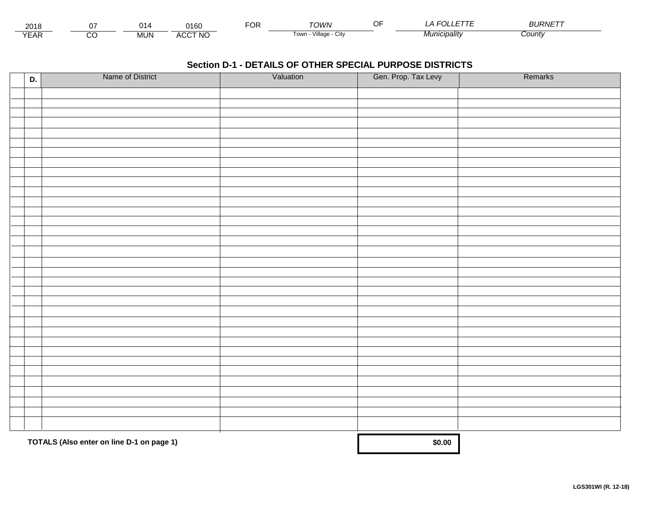| 2018                              |        | - 14       | 3400<br>пьи                          | $-0.5$<br>, и | <b>OWN</b>                    | Œ | _____        | $ - - -$<br><i><b>BURNE</b></i> |  |
|-----------------------------------|--------|------------|--------------------------------------|---------------|-------------------------------|---|--------------|---------------------------------|--|
| $\sqrt{2}$<br>$\mathsf{L}$<br>LNI | ~<br>U | <b>MUN</b> | <b>CCT NO</b><br>$\mathbf{u}$<br>ישר |               | l own<br>utv<br><b>illade</b> |   | Municipalitv | ∠ount∨                          |  |

| D. | Name of District                          | Valuation | Gen. Prop. Tax Levy | Remarks |
|----|-------------------------------------------|-----------|---------------------|---------|
|    |                                           |           |                     |         |
|    |                                           |           |                     |         |
|    |                                           |           |                     |         |
|    |                                           |           |                     |         |
|    |                                           |           |                     |         |
|    |                                           |           |                     |         |
|    |                                           |           |                     |         |
|    |                                           |           |                     |         |
|    |                                           |           |                     |         |
|    |                                           |           |                     |         |
|    |                                           |           |                     |         |
|    |                                           |           |                     |         |
|    |                                           |           |                     |         |
|    |                                           |           |                     |         |
|    |                                           |           |                     |         |
|    |                                           |           |                     |         |
|    |                                           |           |                     |         |
|    |                                           |           |                     |         |
|    |                                           |           |                     |         |
|    |                                           |           |                     |         |
|    |                                           |           |                     |         |
|    |                                           |           |                     |         |
|    |                                           |           |                     |         |
|    |                                           |           |                     |         |
|    |                                           |           |                     |         |
|    |                                           |           |                     |         |
|    |                                           |           |                     |         |
|    |                                           |           |                     |         |
|    |                                           |           |                     |         |
|    |                                           |           |                     |         |
|    |                                           |           |                     |         |
|    |                                           |           |                     |         |
|    |                                           |           |                     |         |
|    | TOTALS (Also enter on line D-1 on page 1) |           | \$0.00              |         |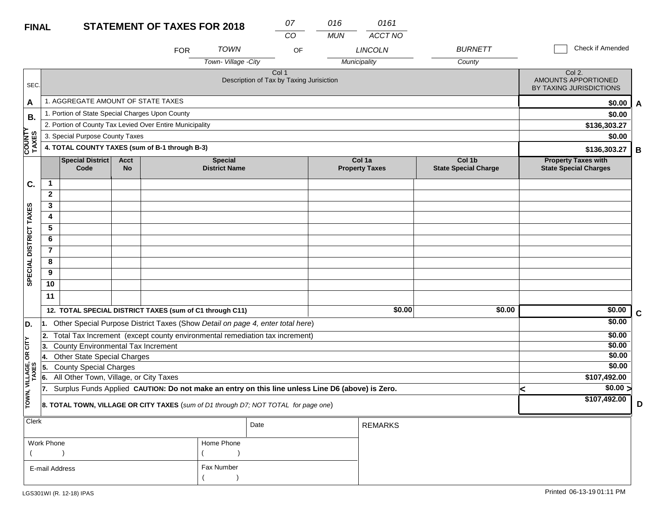| <b>FINAL</b>           |                   |                                                 |                          | <b>STATEMENT OF TAXES FOR 2018</b>                                                               |                                        |                                                   | 07<br>CO | 016        | 0161<br>ACCT NO                 |                                       |   |                                                            |             |
|------------------------|-------------------|-------------------------------------------------|--------------------------|--------------------------------------------------------------------------------------------------|----------------------------------------|---------------------------------------------------|----------|------------|---------------------------------|---------------------------------------|---|------------------------------------------------------------|-------------|
|                        |                   |                                                 |                          | <b>FOR</b>                                                                                       | <b>TOWN</b>                            |                                                   | OF       | <b>MUN</b> | <b>LINCOLN</b>                  | <b>BURNETT</b>                        |   | Check if Amended                                           |             |
|                        |                   |                                                 |                          |                                                                                                  | Town-Village -City                     |                                                   |          |            | Municipality                    | County                                |   |                                                            |             |
| SEC.                   |                   |                                                 |                          |                                                                                                  |                                        | Col 1<br>Description of Tax by Taxing Jurisiction |          |            |                                 |                                       |   | Col 2.<br>AMOUNTS APPORTIONED<br>BY TAXING JURISDICTIONS   |             |
| A                      |                   | 1. AGGREGATE AMOUNT OF STATE TAXES              |                          |                                                                                                  |                                        |                                                   |          |            |                                 |                                       |   | \$0.00                                                     | A           |
| В.                     |                   | 1. Portion of State Special Charges Upon County |                          |                                                                                                  |                                        |                                                   |          |            |                                 |                                       |   | \$0.00                                                     |             |
|                        |                   |                                                 |                          | 2. Portion of County Tax Levied Over Entire Municipality                                         |                                        |                                                   |          |            |                                 |                                       |   | \$136,303.27                                               |             |
|                        |                   | 3. Special Purpose County Taxes                 |                          |                                                                                                  |                                        |                                                   |          |            |                                 |                                       |   | \$0.00                                                     |             |
| <b>COUNTY</b><br>TAXES |                   |                                                 |                          | 4. TOTAL COUNTY TAXES (sum of B-1 through B-3)                                                   |                                        |                                                   |          |            |                                 |                                       |   | \$136,303.27                                               | B           |
|                        |                   | <b>Special District</b><br>Code                 | <b>Acct</b><br><b>No</b> |                                                                                                  | <b>Special</b><br><b>District Name</b> |                                                   |          |            | Col 1a<br><b>Property Taxes</b> | Col 1b<br><b>State Special Charge</b> |   | <b>Property Taxes with</b><br><b>State Special Charges</b> |             |
| C.                     | 1                 |                                                 |                          |                                                                                                  |                                        |                                                   |          |            |                                 |                                       |   |                                                            |             |
|                        | $\mathbf{2}$      |                                                 |                          |                                                                                                  |                                        |                                                   |          |            |                                 |                                       |   |                                                            |             |
|                        | 3                 |                                                 |                          |                                                                                                  |                                        |                                                   |          |            |                                 |                                       |   |                                                            |             |
|                        | 4                 |                                                 |                          |                                                                                                  |                                        |                                                   |          |            |                                 |                                       |   |                                                            |             |
|                        | 5                 |                                                 |                          |                                                                                                  |                                        |                                                   |          |            |                                 |                                       |   |                                                            |             |
|                        | 6                 |                                                 |                          |                                                                                                  |                                        |                                                   |          |            |                                 |                                       |   |                                                            |             |
|                        | $\overline{7}$    |                                                 |                          |                                                                                                  |                                        |                                                   |          |            |                                 |                                       |   |                                                            |             |
| SPECIAL DISTRICT TAXES | 8                 |                                                 |                          |                                                                                                  |                                        |                                                   |          |            |                                 |                                       |   |                                                            |             |
|                        | 9                 |                                                 |                          |                                                                                                  |                                        |                                                   |          |            |                                 |                                       |   |                                                            |             |
|                        | 10                |                                                 |                          |                                                                                                  |                                        |                                                   |          |            |                                 |                                       |   |                                                            |             |
|                        | 11                |                                                 |                          |                                                                                                  |                                        |                                                   |          |            |                                 |                                       |   |                                                            |             |
|                        |                   |                                                 |                          | 12. TOTAL SPECIAL DISTRICT TAXES (sum of C1 through C11)                                         |                                        |                                                   |          |            | \$0.00                          | \$0.00                                |   | \$0.00                                                     | $\mathbf c$ |
| D.                     | ∣1.               |                                                 |                          | Other Special Purpose District Taxes (Show Detail on page 4, enter total here)                   |                                        |                                                   |          |            |                                 |                                       |   | \$0.00                                                     |             |
|                        | 2.                |                                                 |                          | Total Tax Increment (except county environmental remediation tax increment)                      |                                        |                                                   |          |            |                                 |                                       |   | \$0.00                                                     |             |
| CITY                   | 13.               | County Environmental Tax Increment              |                          |                                                                                                  |                                        |                                                   |          |            |                                 |                                       |   | \$0.00                                                     |             |
| g                      | 14.               | <b>Other State Special Charges</b>              |                          |                                                                                                  |                                        |                                                   |          |            |                                 |                                       |   | \$0.00                                                     |             |
| VILLAGE,<br>TAXES      | 15.               | <b>County Special Charges</b>                   |                          |                                                                                                  |                                        |                                                   |          |            |                                 |                                       |   | \$0.00                                                     |             |
|                        | 6.                | All Other Town, Village, or City Taxes          |                          |                                                                                                  |                                        |                                                   |          |            |                                 |                                       |   | \$107,492.00                                               |             |
|                        | 17.               |                                                 |                          | Surplus Funds Applied CAUTION: Do not make an entry on this line unless Line D6 (above) is Zero. |                                        |                                                   |          |            |                                 |                                       | k | \$0.00 >                                                   |             |
| TOWN,                  |                   |                                                 |                          | 8. TOTAL TOWN, VILLAGE OR CITY TAXES (sum of D1 through D7; NOT TOTAL for page one)              |                                        |                                                   |          |            |                                 |                                       |   | \$107,492.00                                               | D           |
| Clerk                  |                   |                                                 |                          |                                                                                                  |                                        | Date                                              |          |            | <b>REMARKS</b>                  |                                       |   |                                                            |             |
|                        | <b>Work Phone</b> |                                                 |                          |                                                                                                  | Home Phone                             |                                                   |          |            |                                 |                                       |   |                                                            |             |

| Work Phone     | Home Phone |
|----------------|------------|
|                |            |
| E-mail Address | Fax Number |
|                |            |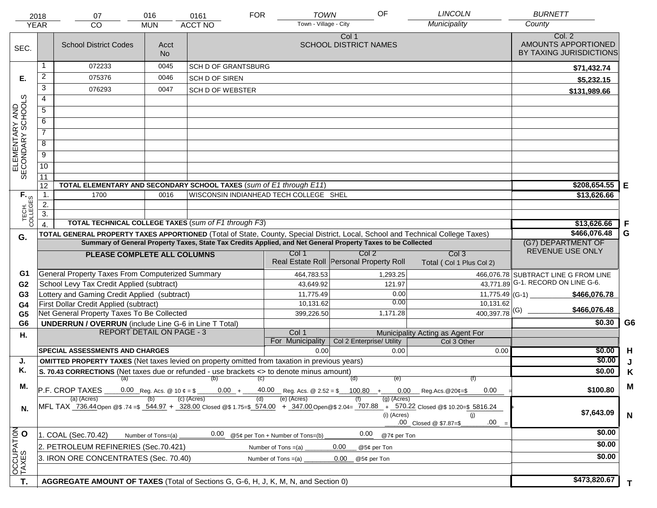| <b>YEAR</b>                         | 2018             | 07<br><b>CO</b>                                                                                      | 016<br><b>MUN</b>  | 0161<br><b>ACCT NO</b>     | <b>FOR</b>                             | OF<br><b>TOWN</b><br>Town - Village - City                                                                   | <b>LINCOLN</b><br>Municipality                                                                                                                                                       | <b>BURNETT</b><br>County                                 |                |
|-------------------------------------|------------------|------------------------------------------------------------------------------------------------------|--------------------|----------------------------|----------------------------------------|--------------------------------------------------------------------------------------------------------------|--------------------------------------------------------------------------------------------------------------------------------------------------------------------------------------|----------------------------------------------------------|----------------|
| SEC.                                |                  | <b>School District Codes</b>                                                                         | Acct<br><b>No</b>  |                            |                                        | Col 1<br><b>SCHOOL DISTRICT NAMES</b>                                                                        |                                                                                                                                                                                      | Col. 2<br>AMOUNTS APPORTIONED<br>BY TAXING JURISDICTIONS |                |
|                                     |                  | 072233                                                                                               | 0045               | <b>SCH D OF GRANTSBURG</b> |                                        |                                                                                                              |                                                                                                                                                                                      | \$71,432.74                                              |                |
| Е.                                  | $\overline{a}$   | 075376                                                                                               | 0046               | <b>SCH D OF SIREN</b>      |                                        |                                                                                                              |                                                                                                                                                                                      | \$5,232.15                                               |                |
|                                     | 3                | 076293                                                                                               | 0047               | <b>SCH D OF WEBSTER</b>    |                                        |                                                                                                              |                                                                                                                                                                                      | \$131,989.66                                             |                |
|                                     | $\overline{4}$   |                                                                                                      |                    |                            |                                        |                                                                                                              |                                                                                                                                                                                      |                                                          |                |
|                                     | 5                |                                                                                                      |                    |                            |                                        |                                                                                                              |                                                                                                                                                                                      |                                                          |                |
| ELEMENTARY AND<br>SECONDARY SCHOOLS | 6                |                                                                                                      |                    |                            |                                        |                                                                                                              |                                                                                                                                                                                      |                                                          |                |
|                                     | $\overline{7}$   |                                                                                                      |                    |                            |                                        |                                                                                                              |                                                                                                                                                                                      |                                                          |                |
|                                     | 8                |                                                                                                      |                    |                            |                                        |                                                                                                              |                                                                                                                                                                                      |                                                          |                |
|                                     | $\overline{9}$   |                                                                                                      |                    |                            |                                        |                                                                                                              |                                                                                                                                                                                      |                                                          |                |
|                                     | $\overline{10}$  |                                                                                                      |                    |                            |                                        |                                                                                                              |                                                                                                                                                                                      |                                                          |                |
|                                     | 11               |                                                                                                      |                    |                            |                                        |                                                                                                              |                                                                                                                                                                                      |                                                          |                |
|                                     | 12               | TOTAL ELEMENTARY AND SECONDARY SCHOOL TAXES (sum of E1 through E11)                                  |                    |                            |                                        |                                                                                                              |                                                                                                                                                                                      | \$208,654.55                                             | Е              |
|                                     | $\mathbf{1}$ .   | 1700                                                                                                 | 0016               |                            | WISCONSIN INDIANHEAD TECH COLLEGE SHEL |                                                                                                              |                                                                                                                                                                                      | \$13,626.66                                              |                |
|                                     | $\overline{2}$ . |                                                                                                      |                    |                            |                                        |                                                                                                              |                                                                                                                                                                                      |                                                          |                |
| TECH. T                             | $\overline{3}$ . |                                                                                                      |                    |                            |                                        |                                                                                                              |                                                                                                                                                                                      |                                                          |                |
|                                     |                  | <b>TOTAL TECHNICAL COLLEGE TAXES (sum of F1 through F3)</b>                                          |                    |                            |                                        |                                                                                                              |                                                                                                                                                                                      | \$13,626.66                                              | F              |
| G.                                  |                  |                                                                                                      |                    |                            |                                        | Summary of General Property Taxes, State Tax Credits Applied, and Net General Property Taxes to be Collected | TOTAL GENERAL PROPERTY TAXES APPORTIONED (Total of State, County, Special District, Local, School and Technical College Taxes)                                                       | \$466,076.48                                             | G              |
|                                     |                  |                                                                                                      |                    |                            |                                        | Col 2                                                                                                        |                                                                                                                                                                                      | (G7) DEPARTMENT OF<br>REVENUE USE ONLY                   |                |
|                                     |                  | PLEASE COMPLETE ALL COLUMNS                                                                          |                    |                            | Col 1                                  | Real Estate Roll Personal Property Roll                                                                      | Col <sub>3</sub><br>Total (Col 1 Plus Col 2)                                                                                                                                         |                                                          |                |
| G1                                  |                  | General Property Taxes From Computerized Summary                                                     |                    |                            | 464,783.53                             | 1,293.25                                                                                                     |                                                                                                                                                                                      | 466,076.78 SUBTRACT LINE G FROM LINE                     |                |
| G <sub>2</sub>                      |                  | School Levy Tax Credit Applied (subtract)                                                            |                    |                            | 43,649.92                              | 121.97                                                                                                       |                                                                                                                                                                                      | 43,771.89 G-1. RECORD ON LINE G-6.                       |                |
| G <sub>3</sub>                      |                  | Lottery and Gaming Credit Applied (subtract)                                                         |                    |                            | 11,775.49                              |                                                                                                              | 0.00                                                                                                                                                                                 | $11,775.49$ (G-1)<br>\$466,076.78                        |                |
| G4                                  |                  | First Dollar Credit Applied (subtract)                                                               |                    |                            | 10,131.62                              |                                                                                                              | 0.00<br>10,131.62                                                                                                                                                                    | \$466,076.48                                             |                |
| G <sub>5</sub>                      |                  | Net General Property Taxes To Be Collected                                                           |                    |                            | 399,226.50                             | 1,171.28                                                                                                     | $400,397.78$ <sup>(G)</sup>                                                                                                                                                          |                                                          |                |
| G <sub>6</sub>                      |                  | <b>UNDERRUN / OVERRUN</b> (include Line G-6 in Line T Total)<br><b>REPORT DETAIL ON PAGE - 3</b>     |                    |                            | Col 1                                  |                                                                                                              |                                                                                                                                                                                      | \$0.30                                                   | G <sub>6</sub> |
| Η.                                  |                  |                                                                                                      |                    |                            | For Municipality                       | Col 2 Enterprise/ Utility                                                                                    | Municipality Acting as Agent For<br>Col 3 Other                                                                                                                                      |                                                          |                |
|                                     |                  | <b>SPECIAL ASSESSMENTS AND CHARGES</b>                                                               |                    |                            | 0.00                                   |                                                                                                              | 0.00<br>0.00                                                                                                                                                                         | \$0.00                                                   | H              |
| J.                                  |                  | <b>OMITTED PROPERTY TAXES</b> (Net taxes levied on property omitted from taxation in previous years) |                    |                            |                                        |                                                                                                              |                                                                                                                                                                                      | \$0.00                                                   |                |
| Κ.                                  |                  | S. 70.43 CORRECTIONS (Net taxes due or refunded - use brackets <> to denote minus amount)            |                    |                            |                                        |                                                                                                              |                                                                                                                                                                                      | \$0.00                                                   | Κ              |
|                                     |                  | (a) (b) (c)                                                                                          |                    |                            |                                        | (d)<br>(e)                                                                                                   | (f)                                                                                                                                                                                  |                                                          |                |
| М.                                  |                  | P.F. CROP TAXES<br>(a) (Acres)                                                                       |                    | $0.00 +$ —<br>(c) (Acres)  | (e) (Acres)                            | $(g)$ (Acres)                                                                                                | $0.00$ Reg.Acs. @20¢=\$<br>0.00                                                                                                                                                      | \$100.80                                                 | M              |
| N.                                  |                  |                                                                                                      |                    |                            |                                        | (i) (Acres)                                                                                                  | MFL TAX 736.44Open @\$ 74 =\$ 5844.97 + 328.00 Closed @\$ 1.75=\$ 574.00 + 347.00 Open @\$ 2.04= 707.88 + 570.22 Closed @\$ 10.20=\$ 5816.24<br>(i)<br>.00<br>.00 Closed @ \$7.87=\$ | \$7,643.09                                               | N              |
|                                     |                  | 1. COAL (Sec.70.42)                                                                                  | Number of Tons=(a) | 0.00                       | @5¢ per Ton + Number of Tons=(b)       | 0.00<br>@7¢ per Ton                                                                                          |                                                                                                                                                                                      | \$0.00                                                   |                |
|                                     |                  | 2. PETROLEUM REFINERIES (Sec.70.421)                                                                 |                    |                            | Number of Tons $=(a)$                  | 0.00<br>@5¢ per Ton                                                                                          |                                                                                                                                                                                      | \$0.00                                                   |                |
| OCCUPATION                          |                  | 3. IRON ORE CONCENTRATES (Sec. 70.40)                                                                |                    | \$0.00                     |                                        |                                                                                                              |                                                                                                                                                                                      |                                                          |                |
|                                     |                  |                                                                                                      |                    |                            |                                        |                                                                                                              |                                                                                                                                                                                      |                                                          |                |
| T.                                  |                  | AGGREGATE AMOUNT OF TAXES (Total of Sections G, G-6, H, J, K, M, N, and Section 0)                   |                    |                            |                                        |                                                                                                              |                                                                                                                                                                                      | \$473,820.67                                             | T.             |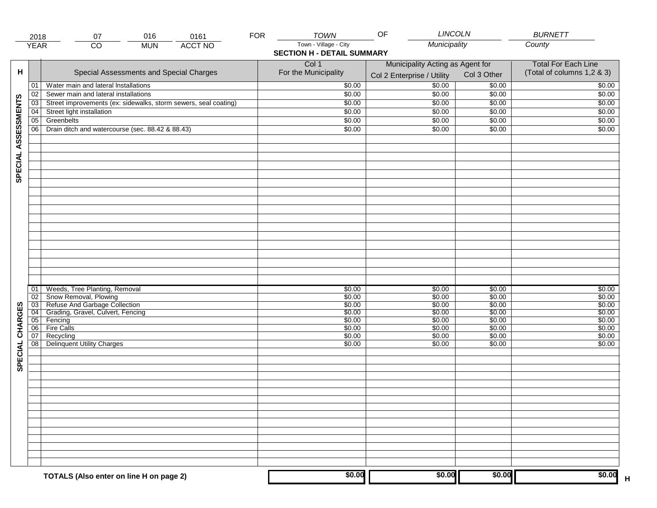|                     | 2018                               | 016<br>0161<br>07                                               | <b>FOR</b> | TOWN                              | <b>LINCOLN</b><br>OF             |                  | <b>BURNETT</b>                    |
|---------------------|------------------------------------|-----------------------------------------------------------------|------------|-----------------------------------|----------------------------------|------------------|-----------------------------------|
|                     | <b>YEAR</b>                        | <b>ACCT NO</b><br>CO<br><b>MUN</b>                              |            | Town - Village - City             | Municipality                     |                  | County                            |
|                     |                                    |                                                                 |            | <b>SECTION H - DETAIL SUMMARY</b> |                                  |                  |                                   |
|                     |                                    |                                                                 |            | Col 1                             | Municipality Acting as Agent for |                  | <b>Total For Each Line</b>        |
| н                   |                                    | Special Assessments and Special Charges                         |            | For the Municipality              | Col 2 Enterprise / Utility       | Col 3 Other      | (Total of columns 1,2 & 3)        |
|                     | 01                                 | Water main and lateral Installations                            |            | \$0.00                            | 50.00                            | \$0.00           | \$0.00                            |
|                     | 02                                 | Sewer main and lateral installations                            |            | \$0.00                            | \$0.00                           | \$0.00           | \$0.00                            |
|                     | $\overline{03}$                    | Street improvements (ex: sidewalks, storm sewers, seal coating) |            | \$0.00                            | \$0.00                           | \$0.00           | \$0.00                            |
|                     | 04                                 | Street light installation                                       |            | \$0.00                            | \$0.00                           | \$0.00           | \$0.00                            |
|                     | $\overline{05}$                    | Greenbelts                                                      |            | \$0.00                            | \$0.00                           | \$0.00           | \$0.00                            |
|                     | 06                                 | Drain ditch and watercourse (sec. 88.42 & 88.43)                |            | \$0.00                            | \$0.00                           | \$0.00           | \$0.00                            |
|                     |                                    |                                                                 |            |                                   |                                  |                  |                                   |
|                     |                                    |                                                                 |            |                                   |                                  |                  |                                   |
|                     |                                    |                                                                 |            |                                   |                                  |                  |                                   |
| SPECIAL ASSESSMENTS |                                    |                                                                 |            |                                   |                                  |                  |                                   |
|                     |                                    |                                                                 |            |                                   |                                  |                  |                                   |
|                     |                                    |                                                                 |            |                                   |                                  |                  |                                   |
|                     |                                    |                                                                 |            |                                   |                                  |                  |                                   |
|                     |                                    |                                                                 |            |                                   |                                  |                  |                                   |
|                     |                                    |                                                                 |            |                                   |                                  |                  |                                   |
|                     |                                    |                                                                 |            |                                   |                                  |                  |                                   |
|                     |                                    |                                                                 |            |                                   |                                  |                  |                                   |
|                     |                                    |                                                                 |            |                                   |                                  |                  |                                   |
|                     |                                    |                                                                 |            |                                   |                                  |                  |                                   |
|                     |                                    |                                                                 |            |                                   |                                  |                  |                                   |
|                     |                                    |                                                                 |            |                                   |                                  |                  |                                   |
|                     |                                    |                                                                 |            |                                   |                                  |                  |                                   |
|                     |                                    |                                                                 |            |                                   |                                  |                  |                                   |
|                     | 01                                 | Weeds, Tree Planting, Removal                                   |            | \$0.00                            | \$0.00                           | \$0.00           | \$0.00                            |
|                     | 02                                 | Snow Removal, Plowing                                           |            | \$0.00                            | \$0.00                           | \$0.00           | \$0.00                            |
| SPECIAL CHARGES     | 03                                 | Refuse And Garbage Collection                                   |            | \$0.00                            | \$0.00                           | \$0.00           | \$0.00                            |
|                     | $\overline{04}$<br>$\overline{05}$ | Grading, Gravel, Culvert, Fencing<br>Fencing                    |            | \$0.00<br>\$0.00                  | \$0.00<br>\$0.00                 | \$0.00<br>\$0.00 | \$0.00<br>\$0.00                  |
|                     | 06                                 | <b>Fire Calls</b>                                               |            | \$0.00                            | \$0.00                           | \$0.00           | \$0.00                            |
|                     | 07                                 | Recycling                                                       |            | \$0.00                            | \$0.00                           | \$0.00           | \$0.00                            |
|                     | 08                                 | Delinquent Utility Charges                                      |            | \$0.00                            | \$0.00                           | \$0.00           | \$0.00                            |
|                     |                                    |                                                                 |            |                                   |                                  |                  |                                   |
|                     |                                    |                                                                 |            |                                   |                                  |                  |                                   |
|                     |                                    |                                                                 |            |                                   |                                  |                  |                                   |
|                     |                                    |                                                                 |            |                                   |                                  |                  |                                   |
|                     |                                    |                                                                 |            |                                   |                                  |                  |                                   |
|                     |                                    |                                                                 |            |                                   |                                  |                  |                                   |
|                     |                                    |                                                                 |            |                                   |                                  |                  |                                   |
|                     |                                    |                                                                 |            |                                   |                                  |                  |                                   |
|                     |                                    |                                                                 |            |                                   |                                  |                  |                                   |
|                     |                                    |                                                                 |            |                                   |                                  |                  |                                   |
|                     |                                    |                                                                 |            |                                   |                                  |                  |                                   |
|                     |                                    |                                                                 |            |                                   |                                  |                  |                                   |
|                     |                                    |                                                                 |            |                                   |                                  |                  |                                   |
|                     |                                    |                                                                 |            |                                   |                                  |                  |                                   |
|                     |                                    | TOTALS (Also enter on line H on page 2)                         |            | \$0.00                            | \$0.00                           | \$0.00           | \$0.00<br>$\overline{\mathsf{H}}$ |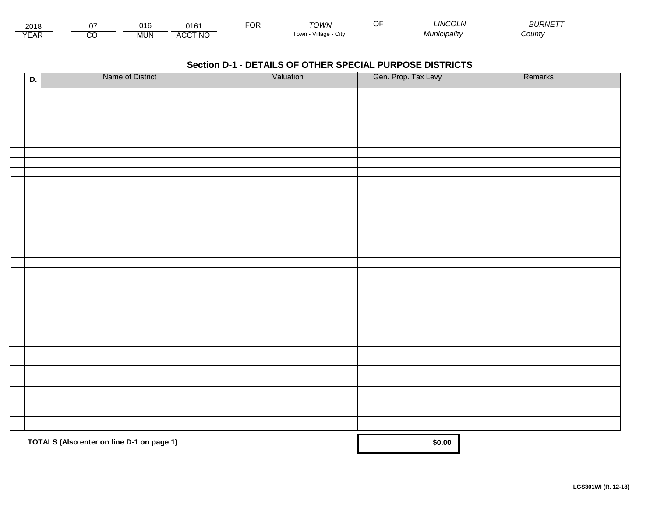| 201۱          |         | ነ16<br>ำ   | AA <sub>2</sub> | ◡ | ⊤∩WN                     | <b>INCOLN</b>   | $\mathcal{L}$<br><b>OURIVE</b> |  |
|---------------|---------|------------|-----------------|---|--------------------------|-----------------|--------------------------------|--|
| $V = r$<br>⊢ี | ~<br>ىد | <b>MUN</b> | <b>ACCT NO</b>  |   | Village<br>l own<br>◡៲៶៶ | <i>cipality</i> | ;ountγ                         |  |

| D. | Name of District                          | Valuation | Gen. Prop. Tax Levy | Remarks |
|----|-------------------------------------------|-----------|---------------------|---------|
|    |                                           |           |                     |         |
|    |                                           |           |                     |         |
|    |                                           |           |                     |         |
|    |                                           |           |                     |         |
|    |                                           |           |                     |         |
|    |                                           |           |                     |         |
|    |                                           |           |                     |         |
|    |                                           |           |                     |         |
|    |                                           |           |                     |         |
|    |                                           |           |                     |         |
|    |                                           |           |                     |         |
|    |                                           |           |                     |         |
|    |                                           |           |                     |         |
|    |                                           |           |                     |         |
|    |                                           |           |                     |         |
|    |                                           |           |                     |         |
|    |                                           |           |                     |         |
|    |                                           |           |                     |         |
|    |                                           |           |                     |         |
|    |                                           |           |                     |         |
|    |                                           |           |                     |         |
|    |                                           |           |                     |         |
|    |                                           |           |                     |         |
|    |                                           |           |                     |         |
|    |                                           |           |                     |         |
|    |                                           |           |                     |         |
|    |                                           |           |                     |         |
|    |                                           |           |                     |         |
|    |                                           |           |                     |         |
|    |                                           |           |                     |         |
|    |                                           |           |                     |         |
|    | TOTALS (Also enter on line D-1 on page 1) |           | \$0.00              |         |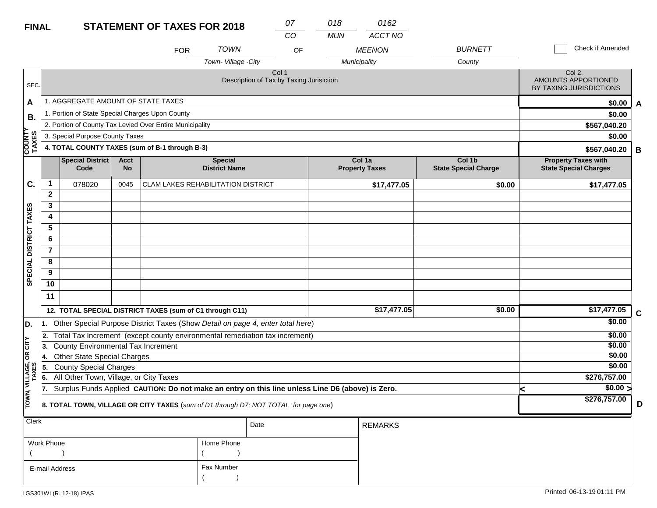| <b>TOWN</b><br><b>BURNETT</b><br><b>MEENON</b><br>OF<br><b>FOR</b><br>Town-Village -City<br>County<br>Municipality<br>Col 1<br>Description of Tax by Taxing Jurisiction<br>SEC.<br>1. AGGREGATE AMOUNT OF STATE TAXES<br>A<br>1. Portion of State Special Charges Upon County<br>В.<br>2. Portion of County Tax Levied Over Entire Municipality<br>≻<br><b>COUNT</b><br>TAXES<br>3. Special Purpose County Taxes<br>4. TOTAL COUNTY TAXES (sum of B-1 through B-3)<br><b>Special District</b><br>Col 1b<br><b>Acct</b><br><b>Special</b><br>Col 1a<br>Code<br><b>No</b><br><b>District Name</b><br><b>Property Taxes</b><br><b>State Special Charge</b><br>$\mathbf 1$<br>C.<br>078020<br><b>CLAM LAKES REHABILITATION DISTRICT</b><br>0045<br>\$17,477.05<br>\$0.00<br>$\mathbf{2}$<br>3<br>SPECIAL DISTRICT TAXES<br>4<br>5<br>6<br>$\overline{7}$<br>8<br>9<br>10<br>11<br>\$17,477.05<br>\$0.00<br>12. TOTAL SPECIAL DISTRICT TAXES (sum of C1 through C11)<br>1. Other Special Purpose District Taxes (Show Detail on page 4, enter total here)<br>D.<br>2. Total Tax Increment (except county environmental remediation tax increment)<br>CITY<br><b>County Environmental Tax Increment</b><br>3.<br>g<br><b>Other State Special Charges</b><br>14.<br>TOWN, VILLAGE,<br>TAXES<br><b>County Special Charges</b><br>5.<br>All Other Town, Village, or City Taxes<br>6.<br>Surplus Funds Applied CAUTION: Do not make an entry on this line unless Line D6 (above) is Zero.<br>17.<br>k |                                                            |  | 0162<br>ACCT NO | 018<br><b>MUN</b> | 07<br>CO |  |  |  |  | <b>STATEMENT OF TAXES FOR 2018</b> |  | <b>FINAL</b> |
|---------------------------------------------------------------------------------------------------------------------------------------------------------------------------------------------------------------------------------------------------------------------------------------------------------------------------------------------------------------------------------------------------------------------------------------------------------------------------------------------------------------------------------------------------------------------------------------------------------------------------------------------------------------------------------------------------------------------------------------------------------------------------------------------------------------------------------------------------------------------------------------------------------------------------------------------------------------------------------------------------------------------------------------------------------------------------------------------------------------------------------------------------------------------------------------------------------------------------------------------------------------------------------------------------------------------------------------------------------------------------------------------------------------------------------------------------------------------------------------------|------------------------------------------------------------|--|-----------------|-------------------|----------|--|--|--|--|------------------------------------|--|--------------|
|                                                                                                                                                                                                                                                                                                                                                                                                                                                                                                                                                                                                                                                                                                                                                                                                                                                                                                                                                                                                                                                                                                                                                                                                                                                                                                                                                                                                                                                                                             | Check if Amended                                           |  |                 |                   |          |  |  |  |  |                                    |  |              |
|                                                                                                                                                                                                                                                                                                                                                                                                                                                                                                                                                                                                                                                                                                                                                                                                                                                                                                                                                                                                                                                                                                                                                                                                                                                                                                                                                                                                                                                                                             |                                                            |  |                 |                   |          |  |  |  |  |                                    |  |              |
|                                                                                                                                                                                                                                                                                                                                                                                                                                                                                                                                                                                                                                                                                                                                                                                                                                                                                                                                                                                                                                                                                                                                                                                                                                                                                                                                                                                                                                                                                             | Col 2.<br>AMOUNTS APPORTIONED<br>BY TAXING JURISDICTIONS   |  |                 |                   |          |  |  |  |  |                                    |  |              |
|                                                                                                                                                                                                                                                                                                                                                                                                                                                                                                                                                                                                                                                                                                                                                                                                                                                                                                                                                                                                                                                                                                                                                                                                                                                                                                                                                                                                                                                                                             | \$0.00<br>A                                                |  |                 |                   |          |  |  |  |  |                                    |  |              |
|                                                                                                                                                                                                                                                                                                                                                                                                                                                                                                                                                                                                                                                                                                                                                                                                                                                                                                                                                                                                                                                                                                                                                                                                                                                                                                                                                                                                                                                                                             | \$0.00                                                     |  |                 |                   |          |  |  |  |  |                                    |  |              |
|                                                                                                                                                                                                                                                                                                                                                                                                                                                                                                                                                                                                                                                                                                                                                                                                                                                                                                                                                                                                                                                                                                                                                                                                                                                                                                                                                                                                                                                                                             | \$567,040.20                                               |  |                 |                   |          |  |  |  |  |                                    |  |              |
|                                                                                                                                                                                                                                                                                                                                                                                                                                                                                                                                                                                                                                                                                                                                                                                                                                                                                                                                                                                                                                                                                                                                                                                                                                                                                                                                                                                                                                                                                             | \$0.00                                                     |  |                 |                   |          |  |  |  |  |                                    |  |              |
|                                                                                                                                                                                                                                                                                                                                                                                                                                                                                                                                                                                                                                                                                                                                                                                                                                                                                                                                                                                                                                                                                                                                                                                                                                                                                                                                                                                                                                                                                             | \$567,040.20<br>B                                          |  |                 |                   |          |  |  |  |  |                                    |  |              |
|                                                                                                                                                                                                                                                                                                                                                                                                                                                                                                                                                                                                                                                                                                                                                                                                                                                                                                                                                                                                                                                                                                                                                                                                                                                                                                                                                                                                                                                                                             | <b>Property Taxes with</b><br><b>State Special Charges</b> |  |                 |                   |          |  |  |  |  |                                    |  |              |
|                                                                                                                                                                                                                                                                                                                                                                                                                                                                                                                                                                                                                                                                                                                                                                                                                                                                                                                                                                                                                                                                                                                                                                                                                                                                                                                                                                                                                                                                                             | \$17,477.05                                                |  |                 |                   |          |  |  |  |  |                                    |  |              |
|                                                                                                                                                                                                                                                                                                                                                                                                                                                                                                                                                                                                                                                                                                                                                                                                                                                                                                                                                                                                                                                                                                                                                                                                                                                                                                                                                                                                                                                                                             |                                                            |  |                 |                   |          |  |  |  |  |                                    |  |              |
|                                                                                                                                                                                                                                                                                                                                                                                                                                                                                                                                                                                                                                                                                                                                                                                                                                                                                                                                                                                                                                                                                                                                                                                                                                                                                                                                                                                                                                                                                             |                                                            |  |                 |                   |          |  |  |  |  |                                    |  |              |
|                                                                                                                                                                                                                                                                                                                                                                                                                                                                                                                                                                                                                                                                                                                                                                                                                                                                                                                                                                                                                                                                                                                                                                                                                                                                                                                                                                                                                                                                                             |                                                            |  |                 |                   |          |  |  |  |  |                                    |  |              |
|                                                                                                                                                                                                                                                                                                                                                                                                                                                                                                                                                                                                                                                                                                                                                                                                                                                                                                                                                                                                                                                                                                                                                                                                                                                                                                                                                                                                                                                                                             |                                                            |  |                 |                   |          |  |  |  |  |                                    |  |              |
|                                                                                                                                                                                                                                                                                                                                                                                                                                                                                                                                                                                                                                                                                                                                                                                                                                                                                                                                                                                                                                                                                                                                                                                                                                                                                                                                                                                                                                                                                             |                                                            |  |                 |                   |          |  |  |  |  |                                    |  |              |
|                                                                                                                                                                                                                                                                                                                                                                                                                                                                                                                                                                                                                                                                                                                                                                                                                                                                                                                                                                                                                                                                                                                                                                                                                                                                                                                                                                                                                                                                                             |                                                            |  |                 |                   |          |  |  |  |  |                                    |  |              |
|                                                                                                                                                                                                                                                                                                                                                                                                                                                                                                                                                                                                                                                                                                                                                                                                                                                                                                                                                                                                                                                                                                                                                                                                                                                                                                                                                                                                                                                                                             |                                                            |  |                 |                   |          |  |  |  |  |                                    |  |              |
|                                                                                                                                                                                                                                                                                                                                                                                                                                                                                                                                                                                                                                                                                                                                                                                                                                                                                                                                                                                                                                                                                                                                                                                                                                                                                                                                                                                                                                                                                             |                                                            |  |                 |                   |          |  |  |  |  |                                    |  |              |
|                                                                                                                                                                                                                                                                                                                                                                                                                                                                                                                                                                                                                                                                                                                                                                                                                                                                                                                                                                                                                                                                                                                                                                                                                                                                                                                                                                                                                                                                                             |                                                            |  |                 |                   |          |  |  |  |  |                                    |  |              |
|                                                                                                                                                                                                                                                                                                                                                                                                                                                                                                                                                                                                                                                                                                                                                                                                                                                                                                                                                                                                                                                                                                                                                                                                                                                                                                                                                                                                                                                                                             |                                                            |  |                 |                   |          |  |  |  |  |                                    |  |              |
|                                                                                                                                                                                                                                                                                                                                                                                                                                                                                                                                                                                                                                                                                                                                                                                                                                                                                                                                                                                                                                                                                                                                                                                                                                                                                                                                                                                                                                                                                             | \$17,477.05<br>$\mathbf c$                                 |  |                 |                   |          |  |  |  |  |                                    |  |              |
|                                                                                                                                                                                                                                                                                                                                                                                                                                                                                                                                                                                                                                                                                                                                                                                                                                                                                                                                                                                                                                                                                                                                                                                                                                                                                                                                                                                                                                                                                             | \$0.00                                                     |  |                 |                   |          |  |  |  |  |                                    |  |              |
|                                                                                                                                                                                                                                                                                                                                                                                                                                                                                                                                                                                                                                                                                                                                                                                                                                                                                                                                                                                                                                                                                                                                                                                                                                                                                                                                                                                                                                                                                             | \$0.00                                                     |  |                 |                   |          |  |  |  |  |                                    |  |              |
|                                                                                                                                                                                                                                                                                                                                                                                                                                                                                                                                                                                                                                                                                                                                                                                                                                                                                                                                                                                                                                                                                                                                                                                                                                                                                                                                                                                                                                                                                             | \$0.00<br>\$0.00                                           |  |                 |                   |          |  |  |  |  |                                    |  |              |
|                                                                                                                                                                                                                                                                                                                                                                                                                                                                                                                                                                                                                                                                                                                                                                                                                                                                                                                                                                                                                                                                                                                                                                                                                                                                                                                                                                                                                                                                                             | \$0.00                                                     |  |                 |                   |          |  |  |  |  |                                    |  |              |
|                                                                                                                                                                                                                                                                                                                                                                                                                                                                                                                                                                                                                                                                                                                                                                                                                                                                                                                                                                                                                                                                                                                                                                                                                                                                                                                                                                                                                                                                                             | \$276,757.00                                               |  |                 |                   |          |  |  |  |  |                                    |  |              |
|                                                                                                                                                                                                                                                                                                                                                                                                                                                                                                                                                                                                                                                                                                                                                                                                                                                                                                                                                                                                                                                                                                                                                                                                                                                                                                                                                                                                                                                                                             | \$0.00 >                                                   |  |                 |                   |          |  |  |  |  |                                    |  |              |
| 8. TOTAL TOWN, VILLAGE OR CITY TAXES (sum of D1 through D7; NOT TOTAL for page one)                                                                                                                                                                                                                                                                                                                                                                                                                                                                                                                                                                                                                                                                                                                                                                                                                                                                                                                                                                                                                                                                                                                                                                                                                                                                                                                                                                                                         | \$276,757.00<br>D                                          |  |                 |                   |          |  |  |  |  |                                    |  |              |
| <b>Clerk</b><br>Date<br><b>REMARKS</b>                                                                                                                                                                                                                                                                                                                                                                                                                                                                                                                                                                                                                                                                                                                                                                                                                                                                                                                                                                                                                                                                                                                                                                                                                                                                                                                                                                                                                                                      |                                                            |  |                 |                   |          |  |  |  |  |                                    |  |              |

| Work Phone     | Home Phone |
|----------------|------------|
|                |            |
| E-mail Address | Fax Number |
|                |            |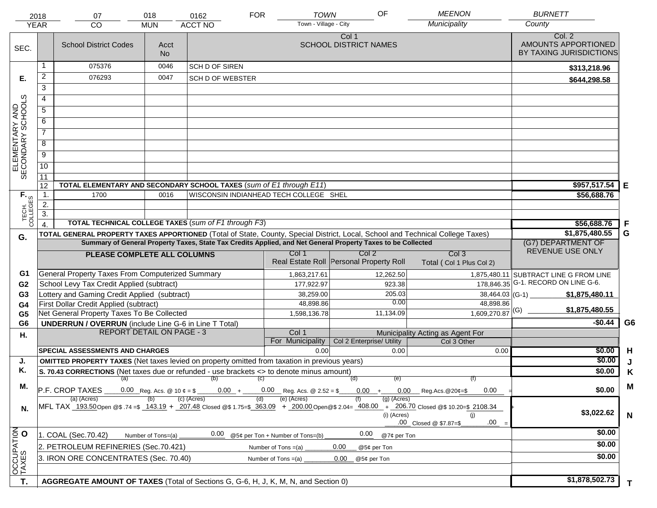|                                     | 2018<br><b>YEAR</b>                                                                                                                                                    | 07<br><b>CO</b>                                                                                                                                              | 018<br><b>MUN</b> | 0162<br>ACCT NO         | <b>TOWN</b><br><b>FOR</b><br>Town - Village - City      | OF                                               | <b>MEENON</b><br>Municipality                   | <b>BURNETT</b><br>County                       |                |
|-------------------------------------|------------------------------------------------------------------------------------------------------------------------------------------------------------------------|--------------------------------------------------------------------------------------------------------------------------------------------------------------|-------------------|-------------------------|---------------------------------------------------------|--------------------------------------------------|-------------------------------------------------|------------------------------------------------|----------------|
|                                     |                                                                                                                                                                        |                                                                                                                                                              |                   |                         |                                                         | Col 1                                            |                                                 | Col. 2                                         |                |
| SEC.                                |                                                                                                                                                                        | <b>School District Codes</b>                                                                                                                                 | Acct              |                         |                                                         | <b>SCHOOL DISTRICT NAMES</b>                     |                                                 | AMOUNTS APPORTIONED<br>BY TAXING JURISDICTIONS |                |
|                                     |                                                                                                                                                                        |                                                                                                                                                              | <b>No</b>         |                         |                                                         |                                                  |                                                 |                                                |                |
|                                     | 1                                                                                                                                                                      | 075376                                                                                                                                                       | 0046              | SCH D OF SIREN          |                                                         |                                                  |                                                 | \$313,218.96                                   |                |
| Е.                                  | 2                                                                                                                                                                      | 076293                                                                                                                                                       | 0047              | <b>SCH D OF WEBSTER</b> |                                                         |                                                  |                                                 | \$644,298.58                                   |                |
|                                     | $\overline{3}$                                                                                                                                                         |                                                                                                                                                              |                   |                         |                                                         |                                                  |                                                 |                                                |                |
|                                     | 4                                                                                                                                                                      |                                                                                                                                                              |                   |                         |                                                         |                                                  |                                                 |                                                |                |
|                                     | 5                                                                                                                                                                      |                                                                                                                                                              |                   |                         |                                                         |                                                  |                                                 |                                                |                |
|                                     | 6                                                                                                                                                                      |                                                                                                                                                              |                   |                         |                                                         |                                                  |                                                 |                                                |                |
| ELEMENTARY AND<br>SECONDARY SCHOOLS | $\overline{7}$                                                                                                                                                         |                                                                                                                                                              |                   |                         |                                                         |                                                  |                                                 |                                                |                |
|                                     | 8                                                                                                                                                                      |                                                                                                                                                              |                   |                         |                                                         |                                                  |                                                 |                                                |                |
|                                     | $\overline{9}$                                                                                                                                                         |                                                                                                                                                              |                   |                         |                                                         |                                                  |                                                 |                                                |                |
|                                     | 10                                                                                                                                                                     |                                                                                                                                                              |                   |                         |                                                         |                                                  |                                                 |                                                |                |
|                                     | 11                                                                                                                                                                     |                                                                                                                                                              |                   |                         |                                                         |                                                  |                                                 |                                                |                |
|                                     | 12                                                                                                                                                                     | TOTAL ELEMENTARY AND SECONDARY SCHOOL TAXES (sum of E1 through E11)                                                                                          |                   |                         |                                                         |                                                  |                                                 | \$957,517.54                                   | Е              |
|                                     | 1.                                                                                                                                                                     | 1700                                                                                                                                                         | 0016              |                         | WISCONSIN INDIANHEAD TECH COLLEGE SHEL                  |                                                  |                                                 | \$56,688.76                                    |                |
|                                     | 2.                                                                                                                                                                     |                                                                                                                                                              |                   |                         |                                                         |                                                  |                                                 |                                                |                |
| TECH. T                             | $\overline{3}$ .                                                                                                                                                       |                                                                                                                                                              |                   |                         |                                                         |                                                  |                                                 |                                                |                |
|                                     | $\overline{4}$ .                                                                                                                                                       | <b>TOTAL TECHNICAL COLLEGE TAXES (sum of F1 through F3)</b>                                                                                                  |                   |                         |                                                         |                                                  |                                                 | \$56,688.76                                    | -F             |
| G.                                  |                                                                                                                                                                        | TOTAL GENERAL PROPERTY TAXES APPORTIONED (Total of State, County, Special District, Local, School and Technical College Taxes)                               |                   |                         |                                                         |                                                  |                                                 | \$1,875,480.55                                 | G              |
|                                     | Summary of General Property Taxes, State Tax Credits Applied, and Net General Property Taxes to be Collected                                                           |                                                                                                                                                              |                   |                         |                                                         |                                                  |                                                 | (G7) DEPARTMENT OF<br>REVENUE USE ONLY         |                |
|                                     |                                                                                                                                                                        | PLEASE COMPLETE ALL COLUMNS                                                                                                                                  |                   |                         | Col 1                                                   | Col 2<br>Real Estate Roll Personal Property Roll | Col <sub>3</sub><br>Total (Col 1 Plus Col 2)    |                                                |                |
| G1                                  |                                                                                                                                                                        | General Property Taxes From Computerized Summary                                                                                                             |                   |                         | 1,863,217.61                                            | 12,262.50                                        |                                                 | 1,875,480.11 SUBTRACT LINE G FROM LINE         |                |
| G <sub>2</sub>                      |                                                                                                                                                                        | School Levy Tax Credit Applied (subtract)                                                                                                                    |                   |                         | 177,922.97                                              | 923.38                                           |                                                 | 178,846.35 G-1. RECORD ON LINE G-6.            |                |
| G <sub>3</sub>                      |                                                                                                                                                                        | Lottery and Gaming Credit Applied (subtract)                                                                                                                 |                   |                         | 38,259.00                                               | 205.03                                           | $38,464.03$ (G-1)                               | \$1,875,480.11                                 |                |
| G4                                  |                                                                                                                                                                        | First Dollar Credit Applied (subtract)                                                                                                                       |                   |                         | 48,898.86                                               | 0.00                                             | 48,898.86                                       | \$1,875,480.55                                 |                |
| G <sub>5</sub>                      |                                                                                                                                                                        | Net General Property Taxes To Be Collected                                                                                                                   |                   |                         | 1,598,136.78                                            | 11,134.09                                        | $1,609,270.87$ <sup>(G)</sup>                   |                                                |                |
| G <sub>6</sub>                      |                                                                                                                                                                        | <b>UNDERRUN / OVERRUN</b> (include Line G-6 in Line T Total)                                                                                                 |                   |                         |                                                         |                                                  |                                                 | $-$0.44$                                       | G <sub>6</sub> |
| Н.                                  |                                                                                                                                                                        | <b>REPORT DETAIL ON PAGE - 3</b>                                                                                                                             |                   |                         | Col 1<br>For Municipality                               | Col 2 Enterprise/ Utility                        | Municipality Acting as Agent For<br>Col 3 Other |                                                |                |
|                                     |                                                                                                                                                                        | <b>SPECIAL ASSESSMENTS AND CHARGES</b>                                                                                                                       |                   |                         | 0.00                                                    | 0.00                                             | 0.00                                            | \$0.00                                         | H              |
| J.                                  |                                                                                                                                                                        | <b>OMITTED PROPERTY TAXES</b> (Net taxes levied on property omitted from taxation in previous years)                                                         |                   |                         |                                                         |                                                  |                                                 | \$0.00                                         |                |
| Κ.                                  |                                                                                                                                                                        | S. 70.43 CORRECTIONS (Net taxes due or refunded - use brackets <> to denote minus amount)                                                                    |                   |                         |                                                         |                                                  |                                                 | \$0.00                                         | Κ              |
|                                     |                                                                                                                                                                        | (a)                                                                                                                                                          |                   | (b)                     | (C)                                                     | (d)<br>(e)                                       | (f)                                             |                                                |                |
|                                     | М.<br>P.F. CROP TAXES<br>$0.00$ Reg. Acs. @ 2.52 = \$<br>$0.00 +$<br>$0.00 +$<br>$0.00$ Reg.Acs. @20¢=\$<br>0.00<br>(c) (Acres)<br>(e) (Acres)<br>$(g)$ (Acres)<br>(d) |                                                                                                                                                              |                   |                         |                                                         |                                                  |                                                 |                                                | M              |
| N.                                  |                                                                                                                                                                        | (a) (Acres)<br>MFL TAX 193.50 Open @\$ .74 =\$ 143.19 + 207.48 Closed @\$ 1.75=\$ 363.09 + 200.00 Open @\$ 2.04= 408.00 + 206.70 Closed @\$ 10.20=\$ 2108.34 | \$3,022.62        | N                       |                                                         |                                                  |                                                 |                                                |                |
|                                     |                                                                                                                                                                        | 1. COAL (Sec.70.42)<br>Number of Tons=(a)                                                                                                                    | \$0.00            |                         |                                                         |                                                  |                                                 |                                                |                |
|                                     |                                                                                                                                                                        | 2. PETROLEUM REFINERIES (Sec.70.421)                                                                                                                         |                   | 0.00                    | @5¢ per Ton + Number of Tons=(b)<br>Number of Tons =(a) | 0.00<br>@7¢ per Ton<br>0.00<br>@5¢ per Ton       |                                                 | \$0.00                                         |                |
| OCCUPATION                          |                                                                                                                                                                        | 3. IRON ORE CONCENTRATES (Sec. 70.40)                                                                                                                        |                   |                         | Number of Tons $=(a)$                                   | 0.00<br>@5¢ per Ton                              |                                                 | \$0.00                                         |                |
|                                     |                                                                                                                                                                        |                                                                                                                                                              |                   |                         |                                                         |                                                  |                                                 |                                                |                |
| T.                                  |                                                                                                                                                                        | AGGREGATE AMOUNT OF TAXES (Total of Sections G, G-6, H, J, K, M, N, and Section 0)                                                                           |                   |                         |                                                         |                                                  |                                                 | \$1,878,502.73                                 |                |
|                                     |                                                                                                                                                                        |                                                                                                                                                              |                   | T.                      |                                                         |                                                  |                                                 |                                                |                |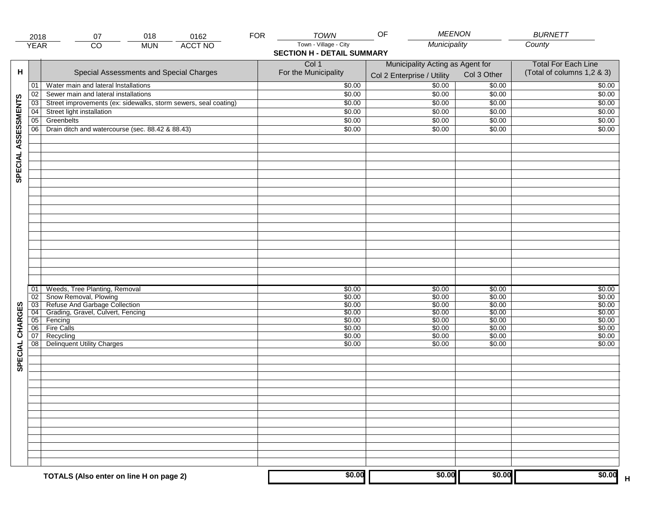|                     | 2018                  | 018<br>0162<br>07                                               | <b>FOR</b> | <b>TOWN</b>                       | <b>MEENON</b><br>OF              |                  | <b>BURNETT</b>             |
|---------------------|-----------------------|-----------------------------------------------------------------|------------|-----------------------------------|----------------------------------|------------------|----------------------------|
|                     | <b>YEAR</b>           | <b>ACCT NO</b><br>CO<br><b>MUN</b>                              |            | Town - Village - City             | Municipality                     |                  | County                     |
|                     |                       |                                                                 |            | <b>SECTION H - DETAIL SUMMARY</b> |                                  |                  |                            |
|                     |                       |                                                                 |            | Col 1                             | Municipality Acting as Agent for |                  | <b>Total For Each Line</b> |
| н                   |                       | Special Assessments and Special Charges                         |            | For the Municipality              | Col 2 Enterprise / Utility       | Col 3 Other      | (Total of columns 1,2 & 3) |
|                     | 01                    | Water main and lateral Installations                            |            | \$0.00                            | 50.00                            | \$0.00           | \$0.00                     |
|                     | 02                    | Sewer main and lateral installations                            |            | \$0.00                            | \$0.00                           | \$0.00           | \$0.00                     |
|                     | $\overline{03}$       | Street improvements (ex: sidewalks, storm sewers, seal coating) |            | \$0.00                            | \$0.00                           | \$0.00           | \$0.00                     |
|                     | 04                    | Street light installation                                       |            | \$0.00                            | \$0.00                           | \$0.00           | \$0.00                     |
|                     | $\overline{05}$       | Greenbelts                                                      |            | \$0.00                            | \$0.00                           | \$0.00           | \$0.00                     |
|                     | 06                    | Drain ditch and watercourse (sec. 88.42 & 88.43)                |            | \$0.00                            | \$0.00                           | \$0.00           | \$0.00                     |
| SPECIAL ASSESSMENTS |                       |                                                                 |            |                                   |                                  |                  |                            |
|                     |                       |                                                                 |            |                                   |                                  |                  |                            |
|                     |                       |                                                                 |            |                                   |                                  |                  |                            |
|                     |                       |                                                                 |            |                                   |                                  |                  |                            |
|                     |                       |                                                                 |            |                                   |                                  |                  |                            |
|                     |                       |                                                                 |            |                                   |                                  |                  |                            |
|                     |                       |                                                                 |            |                                   |                                  |                  |                            |
|                     |                       |                                                                 |            |                                   |                                  |                  |                            |
|                     |                       |                                                                 |            |                                   |                                  |                  |                            |
|                     |                       |                                                                 |            |                                   |                                  |                  |                            |
|                     |                       |                                                                 |            |                                   |                                  |                  |                            |
|                     |                       |                                                                 |            |                                   |                                  |                  |                            |
|                     |                       |                                                                 |            |                                   |                                  |                  |                            |
|                     |                       |                                                                 |            |                                   |                                  |                  |                            |
|                     |                       |                                                                 |            |                                   |                                  |                  |                            |
|                     |                       |                                                                 |            |                                   |                                  |                  |                            |
|                     |                       |                                                                 |            |                                   |                                  |                  |                            |
|                     | 01                    | Weeds, Tree Planting, Removal                                   |            | \$0.00                            | \$0.00                           | \$0.00           | \$0.00                     |
|                     | 02                    | Snow Removal, Plowing                                           |            | \$0.00                            | \$0.00                           | \$0.00           | \$0.00                     |
| SPECIAL CHARGES     | 03                    | Refuse And Garbage Collection                                   |            | \$0.00                            | \$0.00                           | \$0.00           | \$0.00                     |
|                     | $\overline{04}$       | Grading, Gravel, Culvert, Fencing                               |            | \$0.00                            | \$0.00                           | \$0.00           | \$0.00                     |
|                     | $\overline{05}$<br>06 | Fencing<br><b>Fire Calls</b>                                    |            | \$0.00<br>\$0.00                  | \$0.00<br>\$0.00                 | \$0.00<br>\$0.00 | \$0.00<br>\$0.00           |
|                     | 07                    | Recycling                                                       |            | \$0.00                            | \$0.00                           | \$0.00           | \$0.00                     |
|                     | 08                    | Delinquent Utility Charges                                      |            | \$0.00                            | \$0.00                           | \$0.00           | \$0.00                     |
|                     |                       |                                                                 |            |                                   |                                  |                  |                            |
|                     |                       |                                                                 |            |                                   |                                  |                  |                            |
|                     |                       |                                                                 |            |                                   |                                  |                  |                            |
|                     |                       |                                                                 |            |                                   |                                  |                  |                            |
|                     |                       |                                                                 |            |                                   |                                  |                  |                            |
|                     |                       |                                                                 |            |                                   |                                  |                  |                            |
|                     |                       |                                                                 |            |                                   |                                  |                  |                            |
|                     |                       |                                                                 |            |                                   |                                  |                  |                            |
|                     |                       |                                                                 |            |                                   |                                  |                  |                            |
|                     |                       |                                                                 |            |                                   |                                  |                  |                            |
|                     |                       |                                                                 |            |                                   |                                  |                  |                            |
|                     |                       |                                                                 |            |                                   |                                  |                  |                            |
|                     |                       |                                                                 |            |                                   |                                  |                  |                            |
|                     |                       |                                                                 |            |                                   |                                  |                  |                            |
|                     |                       | TOTALS (Also enter on line H on page 2)                         |            | \$0.00                            | \$0.00                           | \$0.00           | \$0.00<br>$\mathsf H$      |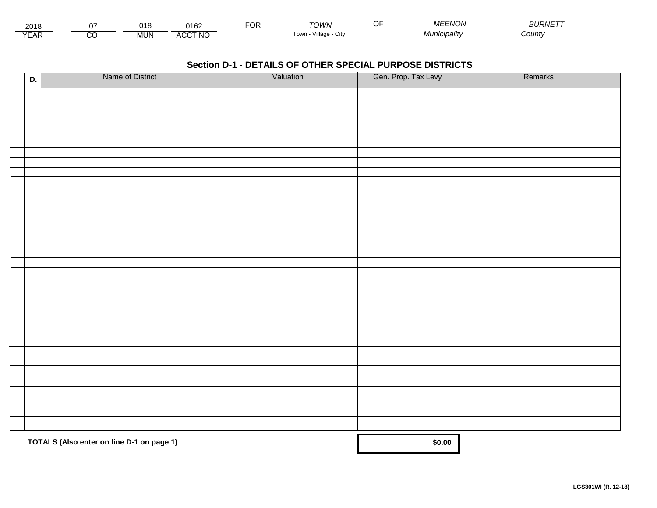| 201<br>2 U I I |               | - 100 | $\Delta$ Ann<br>שוי           | . . | יטוער־                           | $\sim$ $\sim$<br>. | וחוד<br>VIL<br>v v | חו וכ<br>$\cdots$<br>RNIF |  |
|----------------|---------------|-------|-------------------------------|-----|----------------------------------|--------------------|--------------------|---------------------------|--|
| $V = r$<br>LAI | $\sim$<br>ے ب | MUN.  | CCT NC،<br>$\cdots$<br>$\sim$ |     | <br><b>LOW.</b><br>лшапғ<br>ノILV |                    |                    | sount                     |  |

| D. | Name of District                          | Valuation | Gen. Prop. Tax Levy | Remarks |
|----|-------------------------------------------|-----------|---------------------|---------|
|    |                                           |           |                     |         |
|    |                                           |           |                     |         |
|    |                                           |           |                     |         |
|    |                                           |           |                     |         |
|    |                                           |           |                     |         |
|    |                                           |           |                     |         |
|    |                                           |           |                     |         |
|    |                                           |           |                     |         |
|    |                                           |           |                     |         |
|    |                                           |           |                     |         |
|    |                                           |           |                     |         |
|    |                                           |           |                     |         |
|    |                                           |           |                     |         |
|    |                                           |           |                     |         |
|    |                                           |           |                     |         |
|    |                                           |           |                     |         |
|    |                                           |           |                     |         |
|    |                                           |           |                     |         |
|    |                                           |           |                     |         |
|    |                                           |           |                     |         |
|    |                                           |           |                     |         |
|    |                                           |           |                     |         |
|    |                                           |           |                     |         |
|    |                                           |           |                     |         |
|    |                                           |           |                     |         |
|    |                                           |           |                     |         |
|    |                                           |           |                     |         |
|    |                                           |           |                     |         |
|    |                                           |           |                     |         |
|    |                                           |           |                     |         |
|    |                                           |           |                     |         |
|    |                                           |           |                     |         |
|    |                                           |           |                     |         |
|    | TOTALS (Also enter on line D-1 on page 1) | \$0.00    |                     |         |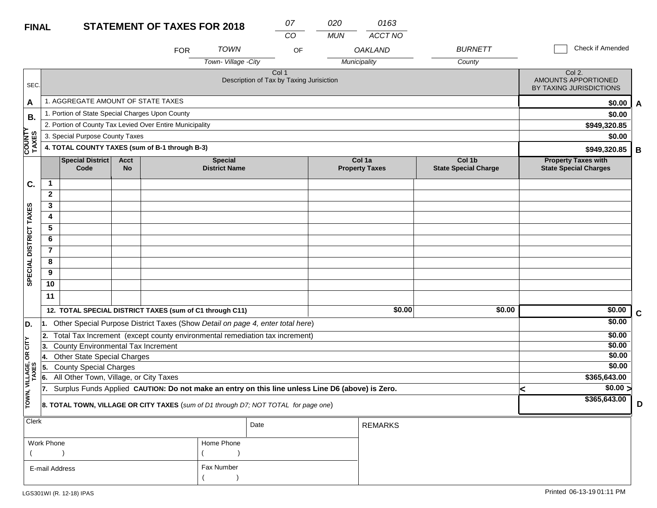# **FINAL**

| <b>FINAL</b>           |                                           |                                                                                                  |                          | <b>STATEMENT OF TAXES FOR 2018</b> |                                        |                                                   | 07<br>CO | 020<br><b>MUN</b> | 0163<br><b>ACCT NO</b>          |                                       |   |                                                            |             |
|------------------------|-------------------------------------------|--------------------------------------------------------------------------------------------------|--------------------------|------------------------------------|----------------------------------------|---------------------------------------------------|----------|-------------------|---------------------------------|---------------------------------------|---|------------------------------------------------------------|-------------|
|                        |                                           |                                                                                                  |                          | <b>FOR</b>                         | <b>TOWN</b>                            |                                                   | OF       |                   | <b>OAKLAND</b>                  | <b>BURNETT</b>                        |   | Check if Amended                                           |             |
|                        |                                           |                                                                                                  |                          |                                    | Town-Village -City                     |                                                   |          |                   | Municipality                    | County                                |   |                                                            |             |
| SEC.                   |                                           |                                                                                                  |                          |                                    |                                        | Col 1<br>Description of Tax by Taxing Jurisiction |          |                   |                                 |                                       |   | Col 2.<br>AMOUNTS APPORTIONED<br>BY TAXING JURISDICTIONS   |             |
| A                      |                                           | 1. AGGREGATE AMOUNT OF STATE TAXES                                                               |                          |                                    |                                        |                                                   |          |                   |                                 |                                       |   | \$0.00                                                     | A           |
| В.                     |                                           | 1. Portion of State Special Charges Upon County                                                  |                          |                                    |                                        |                                                   |          |                   |                                 |                                       |   | \$0.00                                                     |             |
|                        |                                           | 2. Portion of County Tax Levied Over Entire Municipality                                         |                          |                                    |                                        |                                                   |          |                   |                                 |                                       |   | \$949,320.85                                               |             |
|                        |                                           | 3. Special Purpose County Taxes                                                                  |                          |                                    |                                        |                                                   |          |                   |                                 |                                       |   | \$0.00                                                     |             |
| COUNTY<br>TAXES        |                                           | 4. TOTAL COUNTY TAXES (sum of B-1 through B-3)                                                   |                          |                                    |                                        |                                                   |          |                   |                                 |                                       |   | \$949,320.85                                               | B           |
|                        |                                           | <b>Special District</b><br>Code                                                                  | <b>Acct</b><br><b>No</b> |                                    | <b>Special</b><br><b>District Name</b> |                                                   |          |                   | Col 1a<br><b>Property Taxes</b> | Col 1b<br><b>State Special Charge</b> |   | <b>Property Taxes with</b><br><b>State Special Charges</b> |             |
| C.                     | 1                                         |                                                                                                  |                          |                                    |                                        |                                                   |          |                   |                                 |                                       |   |                                                            |             |
|                        | $\overline{2}$                            |                                                                                                  |                          |                                    |                                        |                                                   |          |                   |                                 |                                       |   |                                                            |             |
| SPECIAL DISTRICT TAXES | 3                                         |                                                                                                  |                          |                                    |                                        |                                                   |          |                   |                                 |                                       |   |                                                            |             |
|                        | 4                                         |                                                                                                  |                          |                                    |                                        |                                                   |          |                   |                                 |                                       |   |                                                            |             |
|                        | 5                                         |                                                                                                  |                          |                                    |                                        |                                                   |          |                   |                                 |                                       |   |                                                            |             |
|                        | 6                                         |                                                                                                  |                          |                                    |                                        |                                                   |          |                   |                                 |                                       |   |                                                            |             |
|                        | $\overline{7}$                            |                                                                                                  |                          |                                    |                                        |                                                   |          |                   |                                 |                                       |   |                                                            |             |
|                        | 8                                         |                                                                                                  |                          |                                    |                                        |                                                   |          |                   |                                 |                                       |   |                                                            |             |
|                        | 9                                         |                                                                                                  |                          |                                    |                                        |                                                   |          |                   |                                 |                                       |   |                                                            |             |
|                        | 10                                        |                                                                                                  |                          |                                    |                                        |                                                   |          |                   |                                 |                                       |   |                                                            |             |
|                        | 11                                        |                                                                                                  |                          |                                    |                                        |                                                   |          |                   |                                 |                                       |   |                                                            |             |
|                        |                                           | 12. TOTAL SPECIAL DISTRICT TAXES (sum of C1 through C11)                                         |                          |                                    |                                        |                                                   |          |                   | \$0.00                          | \$0.00                                |   | \$0.00                                                     | $\mathbf c$ |
| D.                     |                                           | 1. Other Special Purpose District Taxes (Show Detail on page 4, enter total here)                |                          |                                    |                                        |                                                   |          |                   |                                 |                                       |   | \$0.00                                                     |             |
|                        | l2.                                       | Total Tax Increment (except county environmental remediation tax increment)                      |                          |                                    |                                        |                                                   |          |                   |                                 |                                       |   | \$0.00                                                     |             |
| č                      | 3.                                        | County Environmental Tax Increment                                                               |                          |                                    |                                        |                                                   |          |                   |                                 |                                       |   | \$0.00                                                     |             |
| g                      | <b>Other State Special Charges</b><br>14. |                                                                                                  |                          |                                    |                                        |                                                   |          |                   |                                 |                                       |   | \$0.00                                                     |             |
|                        | 5.                                        | <b>County Special Charges</b>                                                                    |                          |                                    |                                        |                                                   |          |                   |                                 |                                       |   | \$0.00                                                     |             |
| VILLAGE,<br>TAXES      | 6.                                        | All Other Town, Village, or City Taxes                                                           |                          |                                    |                                        |                                                   |          |                   |                                 |                                       |   | \$365,643.00                                               |             |
|                        | 17.                                       | Surplus Funds Applied CAUTION: Do not make an entry on this line unless Line D6 (above) is Zero. |                          |                                    |                                        |                                                   |          |                   |                                 |                                       | k | $\sqrt{$0.00}$                                             |             |
| TOWN,                  |                                           | 8. TOTAL TOWN, VILLAGE OR CITY TAXES (sum of D1 through D7; NOT TOTAL for page one)              |                          |                                    |                                        |                                                   |          |                   |                                 |                                       |   | \$365,643.00                                               | D           |
| Clerk                  |                                           |                                                                                                  |                          |                                    |                                        | Date                                              |          |                   | <b>REMARKS</b>                  |                                       |   |                                                            |             |
|                        | Work Phone<br>Home Phone                  |                                                                                                  |                          |                                    |                                        |                                                   |          |                   |                                 |                                       |   |                                                            |             |

 $($  ) and  $($   $)$ 

Fax Number

 $($ 

E-mail Address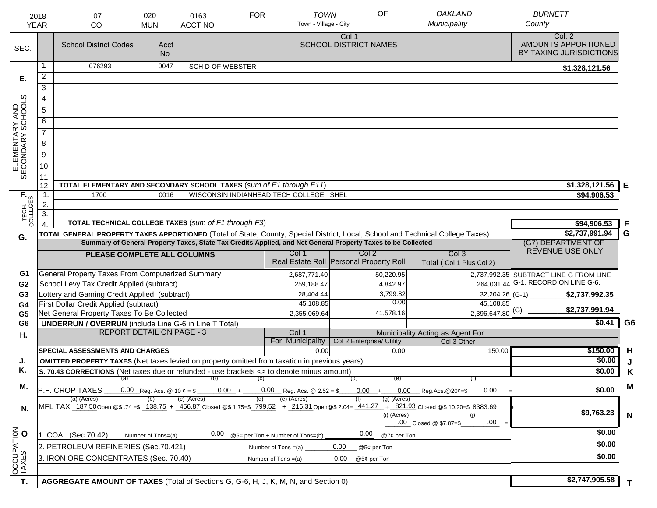|                                     | 2018             | 07                                                                                                                                                                                                                                             | 020                                                                                                                                                                                                  | 0163                                                 | <b>TOWN</b><br><b>FOR</b>                                 | OF                                    | <b>OAKLAND</b>                                  | <b>BURNETT</b>                                           |                |
|-------------------------------------|------------------|------------------------------------------------------------------------------------------------------------------------------------------------------------------------------------------------------------------------------------------------|------------------------------------------------------------------------------------------------------------------------------------------------------------------------------------------------------|------------------------------------------------------|-----------------------------------------------------------|---------------------------------------|-------------------------------------------------|----------------------------------------------------------|----------------|
|                                     | <b>YEAR</b>      | CO                                                                                                                                                                                                                                             | <b>MUN</b>                                                                                                                                                                                           | <b>ACCT NO</b>                                       | Town - Village - City                                     |                                       | Municipality                                    | County                                                   |                |
| SEC.                                |                  | <b>School District Codes</b>                                                                                                                                                                                                                   | Acct<br><b>No</b>                                                                                                                                                                                    |                                                      |                                                           | Col 1<br><b>SCHOOL DISTRICT NAMES</b> |                                                 | Col. 2<br>AMOUNTS APPORTIONED<br>BY TAXING JURISDICTIONS |                |
|                                     | 1                | 076293                                                                                                                                                                                                                                         | 0047                                                                                                                                                                                                 | <b>SCH D OF WEBSTER</b>                              |                                                           |                                       |                                                 | \$1,328,121.56                                           |                |
| Е.                                  | 2                |                                                                                                                                                                                                                                                |                                                                                                                                                                                                      |                                                      |                                                           |                                       |                                                 |                                                          |                |
|                                     | $\overline{3}$   |                                                                                                                                                                                                                                                |                                                                                                                                                                                                      |                                                      |                                                           |                                       |                                                 |                                                          |                |
|                                     | 4                |                                                                                                                                                                                                                                                |                                                                                                                                                                                                      |                                                      |                                                           |                                       |                                                 |                                                          |                |
|                                     | $\overline{5}$   |                                                                                                                                                                                                                                                |                                                                                                                                                                                                      |                                                      |                                                           |                                       |                                                 |                                                          |                |
|                                     | 6                |                                                                                                                                                                                                                                                |                                                                                                                                                                                                      |                                                      |                                                           |                                       |                                                 |                                                          |                |
|                                     | $\overline{7}$   |                                                                                                                                                                                                                                                |                                                                                                                                                                                                      |                                                      |                                                           |                                       |                                                 |                                                          |                |
| ELEMENTARY AND<br>SECONDARY SCHOOLS | 8                |                                                                                                                                                                                                                                                |                                                                                                                                                                                                      |                                                      |                                                           |                                       |                                                 |                                                          |                |
|                                     | $\overline{9}$   |                                                                                                                                                                                                                                                |                                                                                                                                                                                                      |                                                      |                                                           |                                       |                                                 |                                                          |                |
|                                     | 10               |                                                                                                                                                                                                                                                |                                                                                                                                                                                                      |                                                      |                                                           |                                       |                                                 |                                                          |                |
|                                     | $\overline{11}$  |                                                                                                                                                                                                                                                |                                                                                                                                                                                                      |                                                      |                                                           |                                       |                                                 |                                                          |                |
|                                     | 12               | TOTAL ELEMENTARY AND SECONDARY SCHOOL TAXES (sum of E1 through E11)                                                                                                                                                                            |                                                                                                                                                                                                      |                                                      |                                                           |                                       |                                                 | \$1,328,121.56                                           | Е              |
| TECH. T                             | $\mathbf 1$ .    | 1700                                                                                                                                                                                                                                           | 0016                                                                                                                                                                                                 |                                                      | WISCONSIN INDIANHEAD TECH COLLEGE SHEL                    |                                       |                                                 | \$94,906.53                                              |                |
|                                     | 2.               |                                                                                                                                                                                                                                                |                                                                                                                                                                                                      |                                                      |                                                           |                                       |                                                 |                                                          |                |
|                                     | $\overline{3}$ . |                                                                                                                                                                                                                                                |                                                                                                                                                                                                      | TOTAL TECHNICAL COLLEGE TAXES (sum of F1 through F3) |                                                           |                                       |                                                 |                                                          |                |
|                                     | $\overline{4}$ . |                                                                                                                                                                                                                                                |                                                                                                                                                                                                      | \$94,906.53<br>\$2,737,991.94                        | .F<br>G                                                   |                                       |                                                 |                                                          |                |
| G.                                  |                  | TOTAL GENERAL PROPERTY TAXES APPORTIONED (Total of State, County, Special District, Local, School and Technical College Taxes)<br>Summary of General Property Taxes, State Tax Credits Applied, and Net General Property Taxes to be Collected | (G7) DEPARTMENT OF                                                                                                                                                                                   |                                                      |                                                           |                                       |                                                 |                                                          |                |
|                                     |                  |                                                                                                                                                                                                                                                |                                                                                                                                                                                                      |                                                      | Col 1                                                     | Col <sub>2</sub>                      | Col <sub>3</sub>                                | REVENUE USE ONLY                                         |                |
|                                     |                  |                                                                                                                                                                                                                                                | PLEASE COMPLETE ALL COLUMNS<br>Real Estate Roll Personal Property Roll<br>Total (Col 1 Plus Col 2)                                                                                                   |                                                      |                                                           |                                       |                                                 |                                                          |                |
| G1                                  |                  | <b>General Property Taxes From Computerized Summary</b>                                                                                                                                                                                        |                                                                                                                                                                                                      |                                                      | 2,687,771.40                                              | 50,220.95                             |                                                 | 2,737,992.35 SUBTRACT LINE G FROM LINE                   |                |
| G <sub>2</sub>                      |                  | School Levy Tax Credit Applied (subtract)                                                                                                                                                                                                      |                                                                                                                                                                                                      |                                                      | 259,188.47                                                | 4,842.97                              |                                                 | 264,031.44 G-1. RECORD ON LINE G-6.                      |                |
| G <sub>3</sub>                      |                  | Lottery and Gaming Credit Applied (subtract)                                                                                                                                                                                                   |                                                                                                                                                                                                      |                                                      | 28,404.44                                                 | 3,799.82                              |                                                 | \$2,737,992.35                                           |                |
| G4                                  |                  | First Dollar Credit Applied (subtract)                                                                                                                                                                                                         |                                                                                                                                                                                                      |                                                      | 45,108.85                                                 | 0.00                                  | 45,108.85                                       | \$2,737,991.94                                           |                |
| G <sub>5</sub>                      |                  | Net General Property Taxes To Be Collected                                                                                                                                                                                                     |                                                                                                                                                                                                      |                                                      | 2,355,069.64                                              | 41,578.16                             | $2,396,647.80$ <sup>(G)</sup>                   |                                                          |                |
| G <sub>6</sub>                      |                  | <b>UNDERRUN / OVERRUN</b> (include Line G-6 in Line T Total)<br><b>REPORT DETAIL ON PAGE - 3</b>                                                                                                                                               |                                                                                                                                                                                                      |                                                      |                                                           |                                       |                                                 | \$0.41                                                   | G <sub>6</sub> |
| Н.                                  |                  |                                                                                                                                                                                                                                                |                                                                                                                                                                                                      |                                                      | Col 1<br>For Municipality                                 | Col 2 Enterprise/ Utility             | Municipality Acting as Agent For<br>Col 3 Other |                                                          |                |
|                                     |                  | <b>SPECIAL ASSESSMENTS AND CHARGES</b>                                                                                                                                                                                                         |                                                                                                                                                                                                      |                                                      | 0.00                                                      | 0.00                                  | 150.00                                          | \$150.00                                                 | H              |
| J.                                  |                  | <b>OMITTED PROPERTY TAXES</b> (Net taxes levied on property omitted from taxation in previous years)                                                                                                                                           |                                                                                                                                                                                                      |                                                      |                                                           |                                       |                                                 | \$0.00                                                   | J              |
| Κ.                                  |                  | S. 70.43 CORRECTIONS (Net taxes due or refunded - use brackets <> to denote minus amount)                                                                                                                                                      |                                                                                                                                                                                                      |                                                      |                                                           |                                       |                                                 | \$0.00                                                   | Κ              |
|                                     |                  |                                                                                                                                                                                                                                                |                                                                                                                                                                                                      | $(a)$ (b) (c)                                        |                                                           | (व)<br>(e)                            | (f)                                             |                                                          |                |
| М.                                  |                  | P.F. CROP TAXES                                                                                                                                                                                                                                |                                                                                                                                                                                                      | (c) (Acres)                                          | $0.00 + 0.00$ Reg. Acs. @ 2.52 = \$<br>(e) (Acres)<br>(d) | (a) (Acres)                           | $0.00 + 0.00$ Reg.Acs. @ 20¢=\$<br>0.00         | \$0.00                                                   | M              |
| N.                                  |                  | (a) (Acres)                                                                                                                                                                                                                                    | MFL TAX 187.50 Open @\$ .74 =\$ 138.75 + 456.87 Closed @\$ 1.75=\$ 799.52 + 216.31 Open @\$ 2.04= 441.27 + 821.93 Closed @\$ 10.20=\$ 8383.69<br>(i) (Acres)<br>(i)<br>.00<br>.00 Closed @ \$7.87=\$ | \$9,763.23                                           | $\mathsf{N}$                                              |                                       |                                                 |                                                          |                |
|                                     |                  | 1. COAL (Sec.70.42)                                                                                                                                                                                                                            | Number of Tons=(a)                                                                                                                                                                                   | 0.00                                                 | 0.00<br>@7¢ per Ton                                       |                                       | \$0.00                                          |                                                          |                |
| OCCUPATION                          |                  | 2. PETROLEUM REFINERIES (Sec.70.421)                                                                                                                                                                                                           |                                                                                                                                                                                                      |                                                      | @5¢ per Ton + Number of Tons=(b)<br>Number of Tons $=(a)$ | 0.00<br>@5¢ per Ton                   |                                                 | \$0.00                                                   |                |
|                                     |                  | 3. IRON ORE CONCENTRATES (Sec. 70.40)                                                                                                                                                                                                          | \$0.00                                                                                                                                                                                               |                                                      |                                                           |                                       |                                                 |                                                          |                |
|                                     |                  |                                                                                                                                                                                                                                                |                                                                                                                                                                                                      |                                                      | Number of Tons $=(a)$                                     | 0.00<br>@5¢ per Ton                   |                                                 |                                                          |                |
|                                     |                  |                                                                                                                                                                                                                                                |                                                                                                                                                                                                      |                                                      |                                                           |                                       |                                                 | \$2,747,905.58                                           |                |
| T.                                  |                  | AGGREGATE AMOUNT OF TAXES (Total of Sections G, G-6, H, J, K, M, N, and Section 0)                                                                                                                                                             |                                                                                                                                                                                                      |                                                      | T.                                                        |                                       |                                                 |                                                          |                |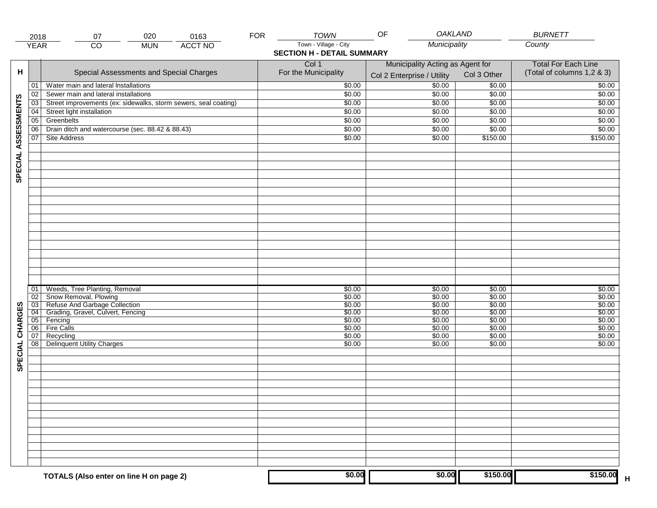|                     | 2018            | 07                                                              | 020        | 0163           | <b>FOR</b> | <b>TOWN</b>                       | <b>OAKLAND</b><br>OF             |             | <b>BURNETT</b>             |
|---------------------|-----------------|-----------------------------------------------------------------|------------|----------------|------------|-----------------------------------|----------------------------------|-------------|----------------------------|
|                     | <b>YEAR</b>     | $\overline{CO}$                                                 | <b>MUN</b> | <b>ACCT NO</b> |            | Town - Village - City             | Municipality                     |             | County                     |
|                     |                 |                                                                 |            |                |            | <b>SECTION H - DETAIL SUMMARY</b> |                                  |             |                            |
|                     |                 |                                                                 |            |                |            | Col 1                             | Municipality Acting as Agent for |             | <b>Total For Each Line</b> |
| н                   |                 | Special Assessments and Special Charges                         |            |                |            | For the Municipality              |                                  | Col 3 Other | (Total of columns 1,2 & 3) |
|                     |                 |                                                                 |            |                |            |                                   | Col 2 Enterprise / Utility       |             |                            |
|                     | 01              | Water main and lateral Installations                            |            |                |            | \$0.00                            | \$0.00                           | \$0.00      | \$0.00                     |
|                     | 02              | Sewer main and lateral installations                            |            |                |            | \$0.00                            | \$0.00                           | \$0.00      | \$0.00                     |
|                     | 03              | Street improvements (ex: sidewalks, storm sewers, seal coating) |            |                |            | \$0.00                            | \$0.00                           | \$0.00      | \$0.00                     |
|                     | 04              | Street light installation                                       |            |                |            | \$0.00                            | \$0.00                           | \$0.00      | \$0.00                     |
|                     | $\overline{05}$ | Greenbelts                                                      |            |                |            | \$0.00                            | \$0.00                           | \$0.00      | \$0.00                     |
|                     | 06              | Drain ditch and watercourse (sec. 88.42 & 88.43)                |            |                |            | \$0.00                            | \$0.00                           | \$0.00      | \$0.00                     |
|                     | 07              | Site Address                                                    |            |                |            | \$0.00                            | \$0.00                           | \$150.00    | \$150.00                   |
| SPECIAL ASSESSMENTS |                 |                                                                 |            |                |            |                                   |                                  |             |                            |
|                     |                 |                                                                 |            |                |            |                                   |                                  |             |                            |
|                     |                 |                                                                 |            |                |            |                                   |                                  |             |                            |
|                     |                 |                                                                 |            |                |            |                                   |                                  |             |                            |
|                     |                 |                                                                 |            |                |            |                                   |                                  |             |                            |
|                     |                 |                                                                 |            |                |            |                                   |                                  |             |                            |
|                     |                 |                                                                 |            |                |            |                                   |                                  |             |                            |
|                     |                 |                                                                 |            |                |            |                                   |                                  |             |                            |
|                     |                 |                                                                 |            |                |            |                                   |                                  |             |                            |
|                     |                 |                                                                 |            |                |            |                                   |                                  |             |                            |
|                     |                 |                                                                 |            |                |            |                                   |                                  |             |                            |
|                     |                 |                                                                 |            |                |            |                                   |                                  |             |                            |
|                     |                 |                                                                 |            |                |            |                                   |                                  |             |                            |
|                     |                 |                                                                 |            |                |            |                                   |                                  |             |                            |
|                     |                 |                                                                 |            |                |            |                                   |                                  |             |                            |
|                     |                 |                                                                 |            |                |            |                                   |                                  |             |                            |
|                     |                 |                                                                 |            |                |            |                                   |                                  |             |                            |
|                     | 01              | Weeds, Tree Planting, Removal                                   |            |                |            | \$0.00                            | \$0.00                           | \$0.00      | \$0.00                     |
|                     | $\overline{02}$ | Snow Removal, Plowing                                           |            |                |            | \$0.00                            | \$0.00                           | \$0.00      | \$0.00                     |
|                     | $\overline{03}$ | Refuse And Garbage Collection                                   |            |                |            | \$0.00                            | \$0.00                           | \$0.00      | \$0.00                     |
|                     | 04              | Grading, Gravel, Culvert, Fencing                               |            |                |            | \$0.00                            | \$0.00                           | \$0.00      | \$0.00                     |
|                     | 05              | Fencing                                                         |            |                |            | \$0.00                            | \$0.00                           | \$0.00      | \$0.00                     |
|                     | 06              | <b>Fire Calls</b>                                               |            |                |            | \$0.00                            | \$0.00                           | \$0.00      | \$0.00                     |
|                     | 07              | Recycling                                                       |            |                |            | \$0.00                            | \$0.00                           | \$0.00      | \$0.00                     |
|                     | 08              | <b>Delinquent Utility Charges</b>                               |            |                |            | \$0.00                            | \$0.00                           | \$0.00      | \$0.00                     |
|                     |                 |                                                                 |            |                |            |                                   |                                  |             |                            |
| SPECIAL CHARGES     |                 |                                                                 |            |                |            |                                   |                                  |             |                            |
|                     |                 |                                                                 |            |                |            |                                   |                                  |             |                            |
|                     |                 |                                                                 |            |                |            |                                   |                                  |             |                            |
|                     |                 |                                                                 |            |                |            |                                   |                                  |             |                            |
|                     |                 |                                                                 |            |                |            |                                   |                                  |             |                            |
|                     |                 |                                                                 |            |                |            |                                   |                                  |             |                            |
|                     |                 |                                                                 |            |                |            |                                   |                                  |             |                            |
|                     |                 |                                                                 |            |                |            |                                   |                                  |             |                            |
|                     |                 |                                                                 |            |                |            |                                   |                                  |             |                            |
|                     |                 |                                                                 |            |                |            |                                   |                                  |             |                            |
|                     |                 |                                                                 |            |                |            |                                   |                                  |             |                            |
|                     |                 |                                                                 |            |                |            |                                   |                                  |             |                            |
|                     |                 |                                                                 |            |                |            |                                   |                                  |             |                            |
|                     |                 |                                                                 |            |                |            |                                   |                                  |             |                            |
|                     |                 | TOTALS (Also enter on line H on page 2)                         |            |                |            | \$0.00                            | \$0.00                           | \$150.00    | \$150.00<br>Н              |
|                     |                 |                                                                 |            |                |            |                                   |                                  |             |                            |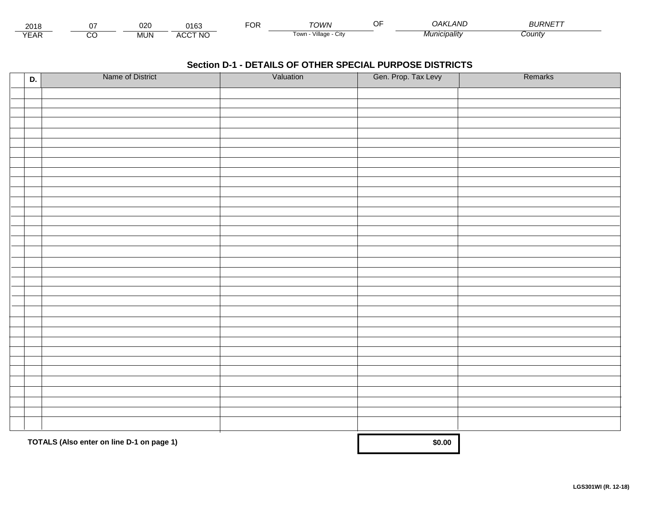| 201،          |               | ~~~<br>∪∠∪ | $\lambda$<br>100                    | . | י <i>יעורי</i>                   | $\sim$ $\sim$<br>. | $\overline{ }$<br>.)AKI<br>' AIVL | <i><b>BLIRNET</b></i> |  |
|---------------|---------------|------------|-------------------------------------|---|----------------------------------|--------------------|-----------------------------------|-----------------------|--|
| $V = r$<br>⊢ี | $\sim$<br>ے ب | MUN.       | <b>CCT NO</b><br>$\cdots$<br>$\sim$ |   | <br><b>OW</b><br>village<br>ノILV |                    | " <i>inicipality</i>              | Count                 |  |

| D. | Name of District                          | Valuation | Gen. Prop. Tax Levy | Remarks |
|----|-------------------------------------------|-----------|---------------------|---------|
|    |                                           |           |                     |         |
|    |                                           |           |                     |         |
|    |                                           |           |                     |         |
|    |                                           |           |                     |         |
|    |                                           |           |                     |         |
|    |                                           |           |                     |         |
|    |                                           |           |                     |         |
|    |                                           |           |                     |         |
|    |                                           |           |                     |         |
|    |                                           |           |                     |         |
|    |                                           |           |                     |         |
|    |                                           |           |                     |         |
|    |                                           |           |                     |         |
|    |                                           |           |                     |         |
|    |                                           |           |                     |         |
|    |                                           |           |                     |         |
|    |                                           |           |                     |         |
|    |                                           |           |                     |         |
|    |                                           |           |                     |         |
|    |                                           |           |                     |         |
|    |                                           |           |                     |         |
|    |                                           |           |                     |         |
|    |                                           |           |                     |         |
|    |                                           |           |                     |         |
|    |                                           |           |                     |         |
|    |                                           |           |                     |         |
|    |                                           |           |                     |         |
|    |                                           |           |                     |         |
|    |                                           |           |                     |         |
|    |                                           |           |                     |         |
|    |                                           |           |                     |         |
|    | TOTALS (Also enter on line D-1 on page 1) | \$0.00    |                     |         |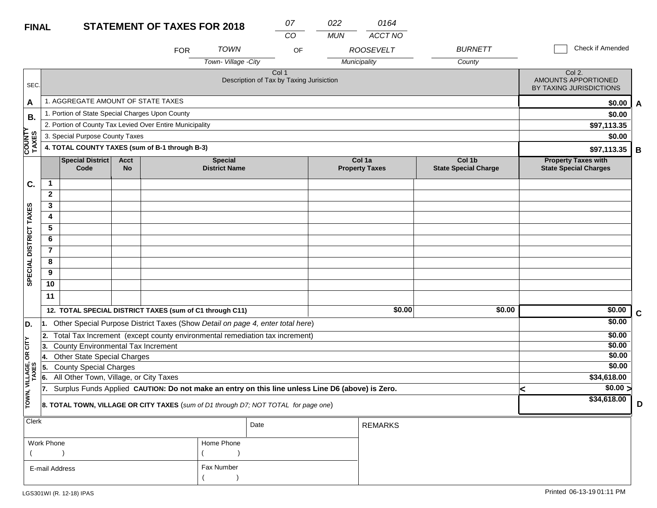#### **STATEMENT OF TAXES FOR 2018 FINAL**

| <b>FINAL</b>            |                                     |                                                                                                  |                                       | <b>STATEMENT OF TAXES FOR 2018</b>                                                  |                                   | 07<br>CO                                                     | 022<br><b>MUN</b> | 0164<br>ACCT NO                  |                          |                                                          |             |
|-------------------------|-------------------------------------|--------------------------------------------------------------------------------------------------|---------------------------------------|-------------------------------------------------------------------------------------|-----------------------------------|--------------------------------------------------------------|-------------------|----------------------------------|--------------------------|----------------------------------------------------------|-------------|
|                         |                                     |                                                                                                  |                                       | <b>FOR</b>                                                                          | <b>TOWN</b><br>Town-Village -City | OF                                                           |                   | <b>ROOSEVELT</b><br>Municipality | <b>BURNETT</b><br>County | Check if Amended                                         |             |
| SEC.                    |                                     |                                                                                                  |                                       |                                                                                     |                                   | Col <sub>1</sub><br>Description of Tax by Taxing Jurisiction |                   |                                  |                          | Col 2.<br>AMOUNTS APPORTIONED<br>BY TAXING JURISDICTIONS |             |
| A                       |                                     | 1. AGGREGATE AMOUNT OF STATE TAXES                                                               |                                       |                                                                                     |                                   |                                                              |                   |                                  |                          | \$0.00                                                   | A           |
| В.                      |                                     | 1. Portion of State Special Charges Upon County                                                  |                                       |                                                                                     |                                   |                                                              |                   |                                  |                          | \$0.00                                                   |             |
|                         |                                     |                                                                                                  |                                       | 2. Portion of County Tax Levied Over Entire Municipality                            |                                   |                                                              |                   |                                  |                          | \$97,113.35                                              |             |
|                         |                                     | 3. Special Purpose County Taxes                                                                  |                                       |                                                                                     |                                   |                                                              |                   |                                  |                          | \$0.00                                                   |             |
| COUNTY<br>TAXES         |                                     |                                                                                                  |                                       | 4. TOTAL COUNTY TAXES (sum of B-1 through B-3)                                      |                                   |                                                              |                   |                                  |                          | \$97,113.35                                              | B           |
|                         |                                     | <b>Special District</b><br>Code                                                                  | Col 1b<br><b>State Special Charge</b> | <b>Property Taxes with</b><br><b>State Special Charges</b>                          |                                   |                                                              |                   |                                  |                          |                                                          |             |
| C.                      | $\mathbf{1}$                        |                                                                                                  |                                       |                                                                                     |                                   |                                                              |                   |                                  |                          |                                                          |             |
|                         | $\mathbf{2}$                        |                                                                                                  |                                       |                                                                                     |                                   |                                                              |                   |                                  |                          |                                                          |             |
|                         | 3                                   |                                                                                                  |                                       |                                                                                     |                                   |                                                              |                   |                                  |                          |                                                          |             |
| SPECIAL DISTRICT TAXES  | 4                                   |                                                                                                  |                                       |                                                                                     |                                   |                                                              |                   |                                  |                          |                                                          |             |
|                         | 5                                   |                                                                                                  |                                       |                                                                                     |                                   |                                                              |                   |                                  |                          |                                                          |             |
|                         | 6                                   |                                                                                                  |                                       |                                                                                     |                                   |                                                              |                   |                                  |                          |                                                          |             |
|                         | $\overline{\mathbf{r}}$             |                                                                                                  |                                       |                                                                                     |                                   |                                                              |                   |                                  |                          |                                                          |             |
|                         | 8                                   |                                                                                                  |                                       |                                                                                     |                                   |                                                              |                   |                                  |                          |                                                          |             |
|                         | 9                                   |                                                                                                  |                                       |                                                                                     |                                   |                                                              |                   |                                  |                          |                                                          |             |
|                         | 10                                  |                                                                                                  |                                       |                                                                                     |                                   |                                                              |                   |                                  |                          |                                                          |             |
|                         | 11                                  |                                                                                                  |                                       |                                                                                     |                                   |                                                              |                   |                                  |                          |                                                          |             |
|                         |                                     |                                                                                                  |                                       | 12. TOTAL SPECIAL DISTRICT TAXES (sum of C1 through C11)                            |                                   |                                                              |                   | \$0.00                           | \$0.00                   | \$0.00                                                   | $\mathbf C$ |
| D.                      | 11.                                 | Other Special Purpose District Taxes (Show Detail on page 4, enter total here)                   |                                       | \$0.00                                                                              |                                   |                                                              |                   |                                  |                          |                                                          |             |
|                         | 2.                                  |                                                                                                  |                                       | Total Tax Increment (except county environmental remediation tax increment)         |                                   |                                                              |                   |                                  |                          | \$0.00                                                   |             |
| <b>CITY</b>             | 3.                                  | County Environmental Tax Increment                                                               |                                       |                                                                                     |                                   |                                                              |                   |                                  |                          | \$0.00                                                   |             |
| бR                      | 14.                                 | <b>Other State Special Charges</b>                                                               |                                       | \$0.00                                                                              |                                   |                                                              |                   |                                  |                          |                                                          |             |
|                         | <b>County Special Charges</b><br>5. |                                                                                                  |                                       |                                                                                     |                                   |                                                              |                   |                                  |                          | \$0.00                                                   |             |
|                         | 6.                                  | All Other Town, Village, or City Taxes                                                           |                                       |                                                                                     |                                   |                                                              |                   |                                  |                          | \$34,618.00                                              |             |
|                         | 17.                                 | Surplus Funds Applied CAUTION: Do not make an entry on this line unless Line D6 (above) is Zero. |                                       | $\sqrt{$0.00}$<br>k                                                                 |                                   |                                                              |                   |                                  |                          |                                                          |             |
| TOWN, VILLAGE,<br>TAXES |                                     |                                                                                                  |                                       | 8. TOTAL TOWN, VILLAGE OR CITY TAXES (sum of D1 through D7; NOT TOTAL for page one) |                                   |                                                              |                   |                                  |                          | \$34,618.00                                              | D           |
| <b>Clerk</b>            | <b>REMARKS</b><br>Date              |                                                                                                  |                                       |                                                                                     |                                   |                                                              |                   |                                  |                          |                                                          |             |

|                | Date       | REMARKS |
|----------------|------------|---------|
| Work Phone     | Home Phone |         |
|                |            |         |
| E-mail Address | Fax Number |         |
|                |            |         |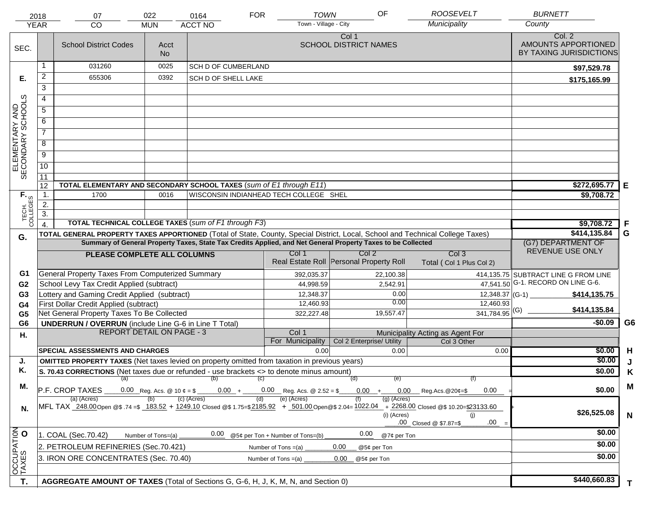|                                     | 2018<br><b>YEAR</b>                                                                                                                                                     | 07<br><b>CO</b>                                                                                                                                                                                                                                | 022<br><b>MUN</b>                      | 0164<br><b>ACCT NO</b>             | <b>FOR</b> | <b>TOWN</b><br>Town - Village - City        | OF                                                          |             | <b>ROOSEVELT</b><br>Municipality | <b>BURNETT</b><br>County                                 |                |
|-------------------------------------|-------------------------------------------------------------------------------------------------------------------------------------------------------------------------|------------------------------------------------------------------------------------------------------------------------------------------------------------------------------------------------------------------------------------------------|----------------------------------------|------------------------------------|------------|---------------------------------------------|-------------------------------------------------------------|-------------|----------------------------------|----------------------------------------------------------|----------------|
| SEC.                                |                                                                                                                                                                         | <b>School District Codes</b>                                                                                                                                                                                                                   | Acct<br><b>No</b>                      |                                    |            |                                             | Col 1<br><b>SCHOOL DISTRICT NAMES</b>                       |             |                                  | Col. 2<br>AMOUNTS APPORTIONED<br>BY TAXING JURISDICTIONS |                |
|                                     | 1                                                                                                                                                                       | 031260                                                                                                                                                                                                                                         | 0025                                   | <b>SCH D OF CUMBERLAND</b>         |            |                                             |                                                             |             |                                  | \$97.529.78                                              |                |
| Е.                                  | 2                                                                                                                                                                       | 655306                                                                                                                                                                                                                                         | 0392                                   | SCH D OF SHELL LAKE                |            |                                             |                                                             |             |                                  | \$175,165.99                                             |                |
|                                     | $\overline{3}$                                                                                                                                                          |                                                                                                                                                                                                                                                |                                        |                                    |            |                                             |                                                             |             |                                  |                                                          |                |
|                                     | 4                                                                                                                                                                       |                                                                                                                                                                                                                                                |                                        |                                    |            |                                             |                                                             |             |                                  |                                                          |                |
|                                     | 5                                                                                                                                                                       |                                                                                                                                                                                                                                                |                                        |                                    |            |                                             |                                                             |             |                                  |                                                          |                |
|                                     | 6                                                                                                                                                                       |                                                                                                                                                                                                                                                |                                        |                                    |            |                                             |                                                             |             |                                  |                                                          |                |
|                                     | $\overline{7}$                                                                                                                                                          |                                                                                                                                                                                                                                                |                                        |                                    |            |                                             |                                                             |             |                                  |                                                          |                |
| ELEMENTARY AND<br>SECONDARY SCHOOLS | 8                                                                                                                                                                       |                                                                                                                                                                                                                                                |                                        |                                    |            |                                             |                                                             |             |                                  |                                                          |                |
|                                     | $\overline{9}$                                                                                                                                                          |                                                                                                                                                                                                                                                |                                        |                                    |            |                                             |                                                             |             |                                  |                                                          |                |
|                                     | 10                                                                                                                                                                      |                                                                                                                                                                                                                                                |                                        |                                    |            |                                             |                                                             |             |                                  |                                                          |                |
|                                     | 11                                                                                                                                                                      |                                                                                                                                                                                                                                                |                                        |                                    |            |                                             |                                                             |             |                                  |                                                          |                |
|                                     | 12                                                                                                                                                                      | TOTAL ELEMENTARY AND SECONDARY SCHOOL TAXES (sum of E1 through E11)                                                                                                                                                                            |                                        |                                    |            |                                             |                                                             |             |                                  | \$272,695.77                                             | Е              |
|                                     | 1.                                                                                                                                                                      | 1700                                                                                                                                                                                                                                           | 0016                                   |                                    |            | WISCONSIN INDIANHEAD TECH COLLEGE SHEL      |                                                             |             |                                  | \$9,708.72                                               |                |
|                                     | 2.                                                                                                                                                                      |                                                                                                                                                                                                                                                |                                        |                                    |            |                                             |                                                             |             |                                  |                                                          |                |
| TECH. T                             | $\overline{3}$ .                                                                                                                                                        |                                                                                                                                                                                                                                                |                                        |                                    |            |                                             |                                                             |             |                                  |                                                          |                |
|                                     | $\overline{4}$ .                                                                                                                                                        | <b>TOTAL TECHNICAL COLLEGE TAXES (sum of F1 through F3)</b>                                                                                                                                                                                    |                                        | \$9,708.72                         | -F         |                                             |                                                             |             |                                  |                                                          |                |
| G.                                  |                                                                                                                                                                         | TOTAL GENERAL PROPERTY TAXES APPORTIONED (Total of State, County, Special District, Local, School and Technical College Taxes)<br>Summary of General Property Taxes, State Tax Credits Applied, and Net General Property Taxes to be Collected |                                        | \$414,135.84<br>(G7) DEPARTMENT OF | G          |                                             |                                                             |             |                                  |                                                          |                |
|                                     |                                                                                                                                                                         |                                                                                                                                                                                                                                                | Col <sub>3</sub>                       | REVENUE USE ONLY                   |            |                                             |                                                             |             |                                  |                                                          |                |
|                                     |                                                                                                                                                                         | PLEASE COMPLETE ALL COLUMNS                                                                                                                                                                                                                    |                                        |                                    |            | Col 1                                       | Col <sub>2</sub><br>Real Estate Roll Personal Property Roll |             | Total (Col 1 Plus Col 2)         |                                                          |                |
| G1                                  |                                                                                                                                                                         | <b>General Property Taxes From Computerized Summary</b>                                                                                                                                                                                        |                                        |                                    |            | 392,035.37                                  |                                                             | 22,100.38   |                                  | 414,135.75 SUBTRACT LINE G FROM LINE                     |                |
| G <sub>2</sub>                      |                                                                                                                                                                         | School Levy Tax Credit Applied (subtract)                                                                                                                                                                                                      |                                        |                                    |            | 44,998.59                                   |                                                             | 2,542.91    |                                  | 47,541.50 G-1. RECORD ON LINE G-6.                       |                |
| G <sub>3</sub>                      |                                                                                                                                                                         | Lottery and Gaming Credit Applied (subtract)                                                                                                                                                                                                   |                                        |                                    |            | 12,348.37                                   |                                                             | 0.00        | $12,348.37$ (G-1) __             | \$414,135.75                                             |                |
| G4                                  |                                                                                                                                                                         | First Dollar Credit Applied (subtract)                                                                                                                                                                                                         |                                        |                                    |            | 12,460.93                                   |                                                             | 0.00        | 12,460.93                        | \$414,135.84                                             |                |
| G <sub>5</sub>                      |                                                                                                                                                                         | Net General Property Taxes To Be Collected                                                                                                                                                                                                     |                                        |                                    |            | 322,227.48                                  | 19,557.47                                                   |             | $341,784.95$ <sup>(G)</sup>      | $-$0.09$                                                 | G <sub>6</sub> |
| G <sub>6</sub>                      |                                                                                                                                                                         | <b>UNDERRUN / OVERRUN</b> (include Line G-6 in Line T Total)<br><b>REPORT DETAIL ON PAGE - 3</b>                                                                                                                                               |                                        |                                    |            | Col 1                                       |                                                             |             | Municipality Acting as Agent For |                                                          |                |
| Н.                                  |                                                                                                                                                                         |                                                                                                                                                                                                                                                |                                        |                                    |            | For Municipality                            | Col 2 Enterprise/ Utility                                   |             | Col 3 Other                      |                                                          |                |
|                                     |                                                                                                                                                                         | <b>SPECIAL ASSESSMENTS AND CHARGES</b>                                                                                                                                                                                                         |                                        |                                    |            | 0.00                                        |                                                             | 0.00        | 0.00                             | \$0.00                                                   | H              |
| J.                                  |                                                                                                                                                                         | <b>OMITTED PROPERTY TAXES</b> (Net taxes levied on property omitted from taxation in previous years)                                                                                                                                           |                                        |                                    |            |                                             |                                                             |             |                                  | \$0.00                                                   |                |
| Κ.                                  | S. 70.43 CORRECTIONS (Net taxes due or refunded - use brackets <> to denote minus amount)                                                                               |                                                                                                                                                                                                                                                |                                        |                                    |            |                                             |                                                             |             |                                  | \$0.00                                                   | Κ              |
| М.                                  |                                                                                                                                                                         | (a)<br>P.F. CROP TAXES                                                                                                                                                                                                                         | (f)<br>$0.00$ Reg.Acs. @20¢=\$<br>0.00 | \$0.00                             | M          |                                             |                                                             |             |                                  |                                                          |                |
|                                     |                                                                                                                                                                         | (a) (Acres)                                                                                                                                                                                                                                    |                                        | $0.00 +$<br>(c) (Acres)            | (d)        | $0.00$ Reg. Acs. @ 2.52 = \$<br>(e) (Acres) | $0.00 +$                                                    | (g) (Acres) |                                  |                                                          |                |
| N.                                  | MFL TAX 248.00 Open @\$ .74 =\$ 183.52 + 1249.10 Closed @\$ 1.75=\$2185.92 + 501.00 Open @\$ 2.04 = 1022.04 + 2268.00 Closed @\$ 10.20=\$23133.60<br>(i) (Acres)<br>(i) |                                                                                                                                                                                                                                                |                                        |                                    |            |                                             |                                                             |             |                                  | \$26,525.08                                              | N              |
|                                     | .00 Closed @ \$7.87=\$                                                                                                                                                  |                                                                                                                                                                                                                                                |                                        |                                    |            |                                             |                                                             |             | .00                              | \$0.00                                                   |                |
|                                     | 0.00<br>1. COAL (Sec.70.42)<br>@5¢ per Ton + Number of Tons=(b)<br>Number of Tons=(a)                                                                                   |                                                                                                                                                                                                                                                |                                        |                                    |            |                                             | 0.00                                                        | @7¢ per Ton |                                  |                                                          |                |
|                                     | 2. PETROLEUM REFINERIES (Sec.70.421)<br>0.00<br>Number of Tons =(a)<br>@5¢ per Ton                                                                                      |                                                                                                                                                                                                                                                |                                        |                                    |            |                                             |                                                             |             |                                  | \$0.00                                                   |                |
| OCCUPATION                          |                                                                                                                                                                         | 3. IRON ORE CONCENTRATES (Sec. 70.40)                                                                                                                                                                                                          |                                        |                                    |            | Number of Tons $=(a)$                       | 0.00<br>@5¢ per Ton                                         |             |                                  | \$0.00                                                   |                |
|                                     | AGGREGATE AMOUNT OF TAXES (Total of Sections G, G-6, H, J, K, M, N, and Section 0)                                                                                      |                                                                                                                                                                                                                                                |                                        |                                    |            |                                             |                                                             |             |                                  | \$440,660.83                                             |                |
| T.                                  |                                                                                                                                                                         |                                                                                                                                                                                                                                                |                                        |                                    | T.         |                                             |                                                             |             |                                  |                                                          |                |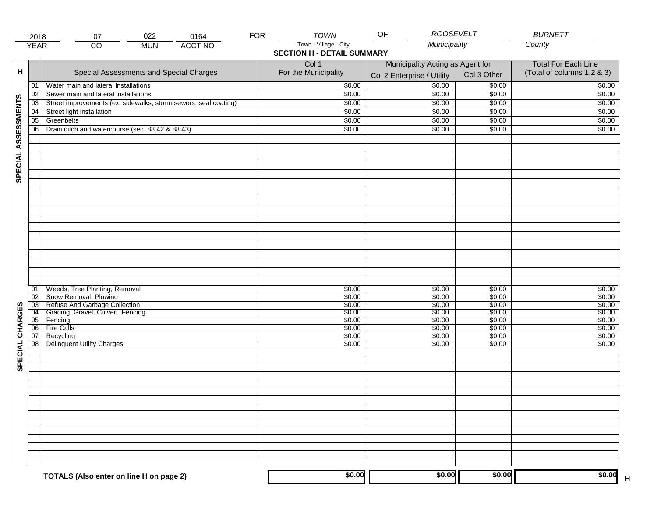|                     | 2018            | 022<br>0164<br>07                                               | <b>FOR</b> | <b>TOWN</b>                       | <b>ROOSEVELT</b><br>OF           |             | <b>BURNETT</b>             |
|---------------------|-----------------|-----------------------------------------------------------------|------------|-----------------------------------|----------------------------------|-------------|----------------------------|
|                     | <b>YEAR</b>     | <b>ACCT NO</b><br>CO<br><b>MUN</b>                              |            | Town - Village - City             | Municipality                     |             | County                     |
|                     |                 |                                                                 |            | <b>SECTION H - DETAIL SUMMARY</b> |                                  |             |                            |
|                     |                 |                                                                 |            | Col 1                             | Municipality Acting as Agent for |             | <b>Total For Each Line</b> |
| н                   |                 | Special Assessments and Special Charges                         |            | For the Municipality              | Col 2 Enterprise / Utility       | Col 3 Other | (Total of columns 1,2 & 3) |
|                     | 01              | Water main and lateral Installations                            |            | \$0.00                            | \$0.00                           | \$0.00      | \$0.00                     |
|                     | 02              | Sewer main and lateral installations                            |            | \$0.00                            | \$0.00                           | \$0.00      | \$0.00                     |
|                     | $\overline{03}$ | Street improvements (ex: sidewalks, storm sewers, seal coating) |            | \$0.00                            | \$0.00                           | \$0.00      | \$0.00                     |
| SPECIAL ASSESSMENTS |                 |                                                                 |            |                                   |                                  |             |                            |
|                     | 04              | Street light installation                                       |            | \$0.00                            | \$0.00                           | \$0.00      | \$0.00                     |
|                     | $\overline{05}$ | Greenbelts                                                      |            | \$0.00                            | \$0.00                           | \$0.00      | \$0.00                     |
|                     | 06              | Drain ditch and watercourse (sec. 88.42 & 88.43)                |            | \$0.00                            | \$0.00                           | \$0.00      | \$0.00                     |
|                     |                 |                                                                 |            |                                   |                                  |             |                            |
|                     |                 |                                                                 |            |                                   |                                  |             |                            |
|                     |                 |                                                                 |            |                                   |                                  |             |                            |
|                     |                 |                                                                 |            |                                   |                                  |             |                            |
|                     |                 |                                                                 |            |                                   |                                  |             |                            |
|                     |                 |                                                                 |            |                                   |                                  |             |                            |
|                     |                 |                                                                 |            |                                   |                                  |             |                            |
|                     |                 |                                                                 |            |                                   |                                  |             |                            |
|                     |                 |                                                                 |            |                                   |                                  |             |                            |
|                     |                 |                                                                 |            |                                   |                                  |             |                            |
|                     |                 |                                                                 |            |                                   |                                  |             |                            |
|                     |                 |                                                                 |            |                                   |                                  |             |                            |
|                     |                 |                                                                 |            |                                   |                                  |             |                            |
|                     |                 |                                                                 |            |                                   |                                  |             |                            |
|                     |                 |                                                                 |            |                                   |                                  |             |                            |
|                     |                 |                                                                 |            |                                   |                                  |             |                            |
|                     |                 |                                                                 |            |                                   |                                  |             |                            |
|                     | 01              | Weeds, Tree Planting, Removal                                   |            | \$0.00                            | \$0.00                           | \$0.00      | \$0.00                     |
|                     | $\overline{02}$ | Snow Removal, Plowing                                           |            | \$0.00                            | \$0.00                           | \$0.00      | \$0.00                     |
|                     | $\overline{03}$ | Refuse And Garbage Collection                                   |            | \$0.00                            | \$0.00                           | \$0.00      | \$0.00                     |
| SPECIAL CHARGES     | 04              | Grading, Gravel, Culvert, Fencing                               |            | \$0.00                            | \$0.00                           | \$0.00      | \$0.00                     |
|                     | 05              | Fencing                                                         |            | \$0.00                            | \$0.00                           | \$0.00      | \$0.00                     |
|                     | $\overline{06}$ | Fire Calls                                                      |            | \$0.00                            | \$0.00                           | \$0.00      | \$0.00                     |
|                     | 07              | Recycling                                                       |            | \$0.00                            | \$0.00                           | \$0.00      | \$0.00                     |
|                     | $\overline{08}$ | Delinquent Utility Charges                                      |            | \$0.00                            | \$0.00                           | \$0.00      | \$0.00                     |
|                     |                 |                                                                 |            |                                   |                                  |             |                            |
|                     |                 |                                                                 |            |                                   |                                  |             |                            |
|                     |                 |                                                                 |            |                                   |                                  |             |                            |
|                     |                 |                                                                 |            |                                   |                                  |             |                            |
|                     |                 |                                                                 |            |                                   |                                  |             |                            |
|                     |                 |                                                                 |            |                                   |                                  |             |                            |
|                     |                 |                                                                 |            |                                   |                                  |             |                            |
|                     |                 |                                                                 |            |                                   |                                  |             |                            |
|                     |                 |                                                                 |            |                                   |                                  |             |                            |
|                     |                 |                                                                 |            |                                   |                                  |             |                            |
|                     |                 |                                                                 |            |                                   |                                  |             |                            |
|                     |                 |                                                                 |            |                                   |                                  |             |                            |
|                     |                 |                                                                 |            |                                   |                                  |             |                            |
|                     |                 |                                                                 |            |                                   |                                  |             |                            |
|                     |                 | TOTALS (Also enter on line H on page 2)                         |            | \$0.00                            | \$0.00                           | \$0.00      | \$0.00                     |
|                     |                 |                                                                 |            |                                   |                                  |             | $\overline{\mathsf{H}}$    |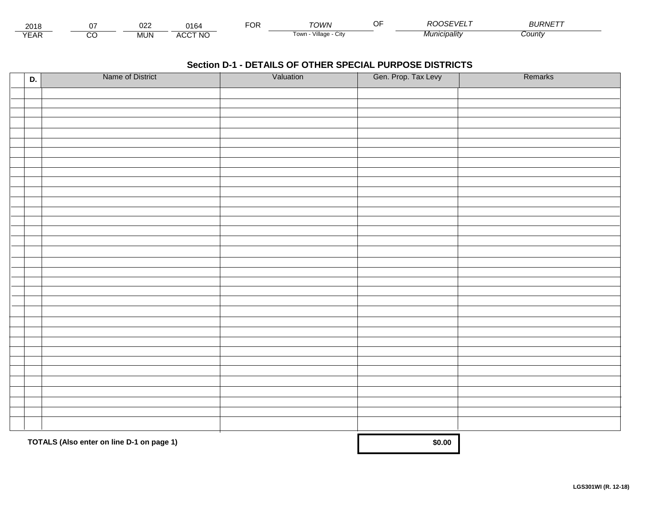| 201≀                                |          | ∩י∩<br><u>VZL</u> | $\Delta$<br>164            | ◡ | <b>TOIA/N</b>                             | $\sim$ $\sim$<br>. | <b>DOOSEVELT</b> | <i><b>BLIRNET</b></i> |  |
|-------------------------------------|----------|-------------------|----------------------------|---|-------------------------------------------|--------------------|------------------|-----------------------|--|
| $V = \Lambda$<br>$\mathbf{r}$<br>⊢ี | ~<br>ے ب | <b>MUN</b>        | CCT NO.<br>$\cdots$<br>7UC |   | <br>Tow <sub>i</sub><br>лнаае<br>۰, ۱۱ تا |                    | ™''nıcipalitv    | Count∖                |  |

| D. | Name of District                          | Valuation | Gen. Prop. Tax Levy | Remarks |
|----|-------------------------------------------|-----------|---------------------|---------|
|    |                                           |           |                     |         |
|    |                                           |           |                     |         |
|    |                                           |           |                     |         |
|    |                                           |           |                     |         |
|    |                                           |           |                     |         |
|    |                                           |           |                     |         |
|    |                                           |           |                     |         |
|    |                                           |           |                     |         |
|    |                                           |           |                     |         |
|    |                                           |           |                     |         |
|    |                                           |           |                     |         |
|    |                                           |           |                     |         |
|    |                                           |           |                     |         |
|    |                                           |           |                     |         |
|    |                                           |           |                     |         |
|    |                                           |           |                     |         |
|    |                                           |           |                     |         |
|    |                                           |           |                     |         |
|    |                                           |           |                     |         |
|    |                                           |           |                     |         |
|    |                                           |           |                     |         |
|    |                                           |           |                     |         |
|    |                                           |           |                     |         |
|    |                                           |           |                     |         |
|    |                                           |           |                     |         |
|    |                                           |           |                     |         |
|    |                                           |           |                     |         |
|    |                                           |           |                     |         |
|    |                                           |           |                     |         |
|    |                                           |           |                     |         |
|    |                                           |           |                     |         |
|    |                                           |           |                     |         |
|    |                                           |           |                     |         |
|    | TOTALS (Also enter on line D-1 on page 1) |           | \$0.00              |         |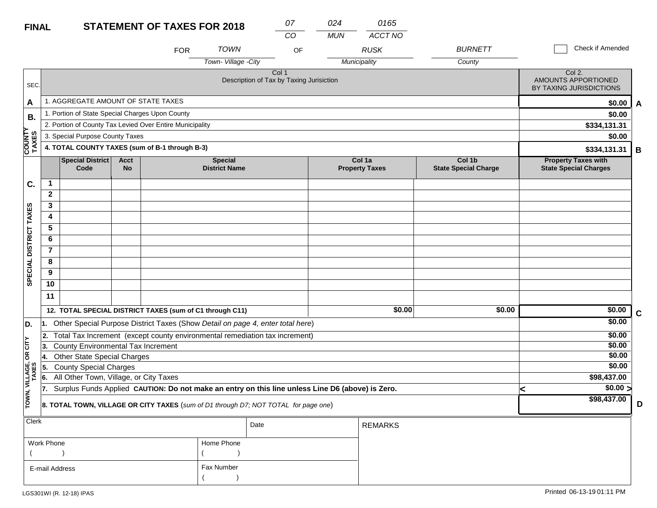| <b>FINAL</b>           |                                           |                                                 |                                                                                     | <b>STATEMENT OF TAXES FOR 2018</b>                                             |                                        | 07<br>CO                                                     | 024<br><b>MUN</b>                                                                                | 0165<br>ACCT NO                 |                                       |              |                                                            |             |  |
|------------------------|-------------------------------------------|-------------------------------------------------|-------------------------------------------------------------------------------------|--------------------------------------------------------------------------------|----------------------------------------|--------------------------------------------------------------|--------------------------------------------------------------------------------------------------|---------------------------------|---------------------------------------|--------------|------------------------------------------------------------|-------------|--|
|                        |                                           |                                                 |                                                                                     | <b>FOR</b>                                                                     | <b>TOWN</b>                            |                                                              | OF                                                                                               | <b>RUSK</b>                     | <b>BURNETT</b>                        |              | Check if Amended                                           |             |  |
|                        |                                           |                                                 |                                                                                     |                                                                                | Town-Village -City                     |                                                              |                                                                                                  | Municipality                    | County                                |              |                                                            |             |  |
| SEC.                   |                                           |                                                 |                                                                                     |                                                                                |                                        | Col <sub>1</sub><br>Description of Tax by Taxing Jurisiction |                                                                                                  |                                 |                                       |              | Col 2.<br>AMOUNTS APPORTIONED<br>BY TAXING JURISDICTIONS   |             |  |
| A                      |                                           | 1. AGGREGATE AMOUNT OF STATE TAXES              |                                                                                     |                                                                                |                                        |                                                              |                                                                                                  |                                 |                                       |              | \$0.00                                                     | A           |  |
| В.                     |                                           | 1. Portion of State Special Charges Upon County |                                                                                     |                                                                                |                                        |                                                              |                                                                                                  |                                 |                                       |              | \$0.00                                                     |             |  |
|                        |                                           |                                                 |                                                                                     | 2. Portion of County Tax Levied Over Entire Municipality                       |                                        |                                                              |                                                                                                  |                                 |                                       |              | \$334,131.31                                               |             |  |
|                        |                                           | 3. Special Purpose County Taxes                 |                                                                                     |                                                                                |                                        |                                                              |                                                                                                  |                                 |                                       |              | \$0.00                                                     |             |  |
| COUNTY<br>TAXES        |                                           |                                                 |                                                                                     | 4. TOTAL COUNTY TAXES (sum of B-1 through B-3)                                 |                                        |                                                              |                                                                                                  |                                 |                                       | \$334,131.31 |                                                            |             |  |
|                        |                                           | <b>Special District</b><br>Code                 | <b>Acct</b><br>No                                                                   |                                                                                | <b>Special</b><br><b>District Name</b> |                                                              |                                                                                                  | Col 1a<br><b>Property Taxes</b> | Col 1b<br><b>State Special Charge</b> |              | <b>Property Taxes with</b><br><b>State Special Charges</b> |             |  |
| C.                     | $\mathbf 1$                               |                                                 |                                                                                     |                                                                                |                                        |                                                              |                                                                                                  |                                 |                                       |              |                                                            |             |  |
|                        | $\overline{2}$                            |                                                 |                                                                                     |                                                                                |                                        |                                                              |                                                                                                  |                                 |                                       |              |                                                            |             |  |
|                        | 3                                         |                                                 |                                                                                     |                                                                                |                                        |                                                              |                                                                                                  |                                 |                                       |              |                                                            |             |  |
|                        | 4                                         |                                                 |                                                                                     |                                                                                |                                        |                                                              |                                                                                                  |                                 |                                       |              |                                                            |             |  |
|                        | 5                                         |                                                 |                                                                                     |                                                                                |                                        |                                                              |                                                                                                  |                                 |                                       |              |                                                            |             |  |
|                        | 6                                         |                                                 |                                                                                     |                                                                                |                                        |                                                              |                                                                                                  |                                 |                                       |              |                                                            |             |  |
|                        | $\overline{7}$                            |                                                 |                                                                                     |                                                                                |                                        |                                                              |                                                                                                  |                                 |                                       |              |                                                            |             |  |
| SPECIAL DISTRICT TAXES | 8                                         |                                                 |                                                                                     |                                                                                |                                        |                                                              |                                                                                                  |                                 |                                       |              |                                                            |             |  |
|                        | 9                                         |                                                 |                                                                                     |                                                                                |                                        |                                                              |                                                                                                  |                                 |                                       |              |                                                            |             |  |
|                        | 10                                        |                                                 |                                                                                     |                                                                                |                                        |                                                              |                                                                                                  |                                 |                                       |              |                                                            |             |  |
|                        | 11                                        |                                                 |                                                                                     |                                                                                |                                        |                                                              |                                                                                                  |                                 |                                       |              |                                                            |             |  |
|                        |                                           |                                                 |                                                                                     | 12. TOTAL SPECIAL DISTRICT TAXES (sum of C1 through C11)                       |                                        |                                                              |                                                                                                  | \$0.00                          | \$0.00                                |              | \$0.00                                                     | $\mathbf c$ |  |
| D.                     | 11.                                       |                                                 |                                                                                     | Other Special Purpose District Taxes (Show Detail on page 4, enter total here) |                                        |                                                              |                                                                                                  |                                 |                                       |              | \$0.00                                                     |             |  |
|                        | 2.                                        |                                                 |                                                                                     | Total Tax Increment (except county environmental remediation tax increment)    |                                        |                                                              |                                                                                                  |                                 |                                       |              | \$0.00                                                     |             |  |
| CITY                   | 13.                                       | <b>County Environmental Tax Increment</b>       |                                                                                     |                                                                                |                                        |                                                              |                                                                                                  |                                 |                                       |              | \$0.00                                                     |             |  |
| бR                     | <b>Other State Special Charges</b><br>14. |                                                 |                                                                                     |                                                                                |                                        |                                                              |                                                                                                  |                                 |                                       |              | \$0.00                                                     |             |  |
| VILLAGE,<br>TAXES      | 5.                                        | <b>County Special Charges</b>                   |                                                                                     |                                                                                |                                        |                                                              |                                                                                                  |                                 |                                       |              | \$0.00                                                     |             |  |
|                        | 66.                                       | All Other Town, Village, or City Taxes          |                                                                                     |                                                                                |                                        |                                                              |                                                                                                  |                                 |                                       |              | \$98,437.00                                                |             |  |
|                        | 17.                                       |                                                 |                                                                                     |                                                                                |                                        |                                                              | Surplus Funds Applied CAUTION: Do not make an entry on this line unless Line D6 (above) is Zero. |                                 |                                       | <            | $\sqrt{$0.00}$                                             |             |  |
| TOWN,                  |                                           |                                                 | 8. TOTAL TOWN, VILLAGE OR CITY TAXES (sum of D1 through D7; NOT TOTAL for page one) |                                                                                |                                        |                                                              |                                                                                                  |                                 |                                       |              | \$98,437.00                                                | D           |  |
| Clerk                  |                                           |                                                 |                                                                                     |                                                                                |                                        | Date                                                         |                                                                                                  | <b>REMARKS</b>                  |                                       |              |                                                            |             |  |
|                        |                                           |                                                 |                                                                                     |                                                                                |                                        |                                                              |                                                                                                  |                                 |                                       |              |                                                            |             |  |

| Work Phone     | Home Phone |
|----------------|------------|
|                |            |
| E-mail Address | Fax Number |
|                |            |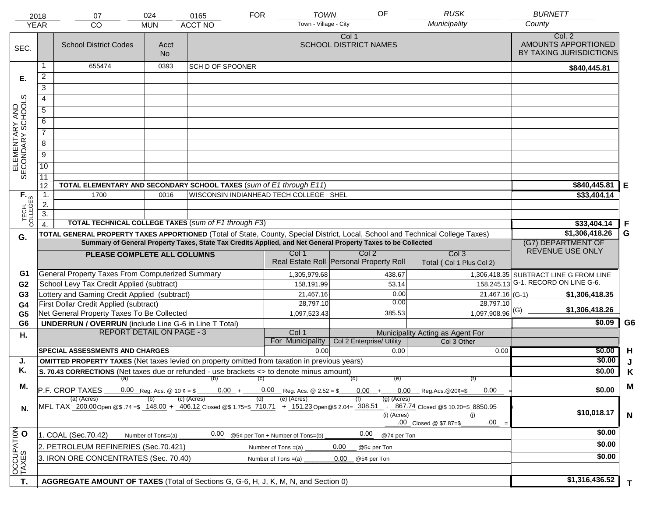|                                     | 2018                                 | 07                                                                                                   | 024                                                                                                                                                                                                                   | 0165                      | <b>FOR</b> | <b>TOWN</b><br>Town - Village - City        | OF                                                                                                           | <b>RUSK</b><br>Municipality                                                                                                    | <b>BURNETT</b><br>County                                 |                |
|-------------------------------------|--------------------------------------|------------------------------------------------------------------------------------------------------|-----------------------------------------------------------------------------------------------------------------------------------------------------------------------------------------------------------------------|---------------------------|------------|---------------------------------------------|--------------------------------------------------------------------------------------------------------------|--------------------------------------------------------------------------------------------------------------------------------|----------------------------------------------------------|----------------|
|                                     | <b>YEAR</b>                          | <b>CO</b>                                                                                            | <b>MUN</b>                                                                                                                                                                                                            | <b>ACCT NO</b>            |            |                                             |                                                                                                              |                                                                                                                                |                                                          |                |
| SEC.                                |                                      | <b>School District Codes</b>                                                                         | Acct<br><b>No</b>                                                                                                                                                                                                     |                           |            |                                             | Col 1<br><b>SCHOOL DISTRICT NAMES</b>                                                                        |                                                                                                                                | Col. 2<br>AMOUNTS APPORTIONED<br>BY TAXING JURISDICTIONS |                |
|                                     | 1                                    | 655474                                                                                               | 0393                                                                                                                                                                                                                  | <b>SCH D OF SPOONER</b>   |            |                                             |                                                                                                              |                                                                                                                                | \$840,445.81                                             |                |
| Е.                                  | $\overline{a}$                       |                                                                                                      |                                                                                                                                                                                                                       |                           |            |                                             |                                                                                                              |                                                                                                                                |                                                          |                |
|                                     | 3                                    |                                                                                                      |                                                                                                                                                                                                                       |                           |            |                                             |                                                                                                              |                                                                                                                                |                                                          |                |
|                                     | 4                                    |                                                                                                      |                                                                                                                                                                                                                       |                           |            |                                             |                                                                                                              |                                                                                                                                |                                                          |                |
|                                     | 5                                    |                                                                                                      |                                                                                                                                                                                                                       |                           |            |                                             |                                                                                                              |                                                                                                                                |                                                          |                |
|                                     | 6                                    |                                                                                                      |                                                                                                                                                                                                                       |                           |            |                                             |                                                                                                              |                                                                                                                                |                                                          |                |
| ELEMENTARY AND<br>SECONDARY SCHOOLS |                                      |                                                                                                      |                                                                                                                                                                                                                       |                           |            |                                             |                                                                                                              |                                                                                                                                |                                                          |                |
|                                     | $\overline{7}$                       |                                                                                                      |                                                                                                                                                                                                                       |                           |            |                                             |                                                                                                              |                                                                                                                                |                                                          |                |
|                                     | 8                                    |                                                                                                      |                                                                                                                                                                                                                       |                           |            |                                             |                                                                                                              |                                                                                                                                |                                                          |                |
|                                     | $\overline{9}$                       |                                                                                                      |                                                                                                                                                                                                                       |                           |            |                                             |                                                                                                              |                                                                                                                                |                                                          |                |
|                                     | $\overline{10}$                      |                                                                                                      |                                                                                                                                                                                                                       |                           |            |                                             |                                                                                                              |                                                                                                                                |                                                          |                |
|                                     | 11                                   |                                                                                                      |                                                                                                                                                                                                                       |                           |            |                                             |                                                                                                              |                                                                                                                                |                                                          |                |
|                                     | 12                                   | TOTAL ELEMENTARY AND SECONDARY SCHOOL TAXES (sum of E1 through E11)                                  | \$840,445.81                                                                                                                                                                                                          | Е                         |            |                                             |                                                                                                              |                                                                                                                                |                                                          |                |
|                                     | $\mathbf{1}$ .                       | 1700                                                                                                 | \$33,404.14                                                                                                                                                                                                           |                           |            |                                             |                                                                                                              |                                                                                                                                |                                                          |                |
|                                     | $\overline{2}$ .<br>$\overline{3}$ . |                                                                                                      |                                                                                                                                                                                                                       |                           |            |                                             |                                                                                                              |                                                                                                                                |                                                          |                |
| TECH. T                             |                                      | <b>TOTAL TECHNICAL COLLEGE TAXES (sum of F1 through F3)</b>                                          |                                                                                                                                                                                                                       | \$33,404.14               | F          |                                             |                                                                                                              |                                                                                                                                |                                                          |                |
|                                     |                                      |                                                                                                      |                                                                                                                                                                                                                       |                           |            |                                             |                                                                                                              | TOTAL GENERAL PROPERTY TAXES APPORTIONED (Total of State, County, Special District, Local, School and Technical College Taxes) | \$1,306,418.26                                           | G              |
| G.                                  |                                      |                                                                                                      |                                                                                                                                                                                                                       |                           |            |                                             | Summary of General Property Taxes, State Tax Credits Applied, and Net General Property Taxes to be Collected |                                                                                                                                | (G7) DEPARTMENT OF                                       |                |
|                                     |                                      | PLEASE COMPLETE ALL COLUMNS                                                                          |                                                                                                                                                                                                                       |                           |            | Col 1                                       | Col <sub>2</sub>                                                                                             | Col <sub>3</sub>                                                                                                               | REVENUE USE ONLY                                         |                |
|                                     |                                      |                                                                                                      |                                                                                                                                                                                                                       |                           |            |                                             | Real Estate Roll Personal Property Roll                                                                      | Total (Col 1 Plus Col 2)                                                                                                       |                                                          |                |
| G1                                  |                                      | General Property Taxes From Computerized Summary                                                     |                                                                                                                                                                                                                       |                           |            | 1,305,979.68                                | 438.67                                                                                                       |                                                                                                                                | 1,306,418.35 SUBTRACT LINE G FROM LINE                   |                |
| G <sub>2</sub>                      |                                      | School Levy Tax Credit Applied (subtract)                                                            |                                                                                                                                                                                                                       |                           |            | 158,191.99                                  | 53.14                                                                                                        |                                                                                                                                | 158,245.13 G-1. RECORD ON LINE G-6.                      |                |
| G <sub>3</sub>                      |                                      | Lottery and Gaming Credit Applied (subtract)                                                         |                                                                                                                                                                                                                       |                           |            | 21,467.16                                   |                                                                                                              | 0.00                                                                                                                           | $21,467.16$ (G-1)<br>\$1,306,418.35                      |                |
| G4                                  |                                      | First Dollar Credit Applied (subtract)                                                               |                                                                                                                                                                                                                       |                           |            | 28,797.10                                   | 0.00                                                                                                         | 28,797.10                                                                                                                      | \$1,306,418.26                                           |                |
| G <sub>5</sub>                      |                                      | Net General Property Taxes To Be Collected                                                           |                                                                                                                                                                                                                       |                           |            | 1,097,523.43                                | 385.53                                                                                                       | $1,097,908.96$ <sup>(G)</sup>                                                                                                  |                                                          |                |
| G <sub>6</sub>                      |                                      | <b>UNDERRUN / OVERRUN</b> (include Line G-6 in Line T Total)                                         |                                                                                                                                                                                                                       |                           |            |                                             |                                                                                                              |                                                                                                                                | \$0.09                                                   | G <sub>6</sub> |
| Η.                                  |                                      | <b>REPORT DETAIL ON PAGE - 3</b>                                                                     |                                                                                                                                                                                                                       |                           |            | Col 1                                       |                                                                                                              | Municipality Acting as Agent For                                                                                               |                                                          |                |
|                                     |                                      | <b>SPECIAL ASSESSMENTS AND CHARGES</b>                                                               |                                                                                                                                                                                                                       |                           |            | For Municipality<br>0.00                    | Col 2 Enterprise/ Utility<br>0.00                                                                            | Col 3 Other<br>0.00                                                                                                            | \$0.00                                                   | H              |
| J.                                  |                                      | <b>OMITTED PROPERTY TAXES</b> (Net taxes levied on property omitted from taxation in previous years) |                                                                                                                                                                                                                       |                           |            |                                             |                                                                                                              |                                                                                                                                | \$0.00                                                   |                |
| Κ.                                  |                                      | S. 70.43 CORRECTIONS (Net taxes due or refunded - use brackets <> to denote minus amount)            |                                                                                                                                                                                                                       |                           |            |                                             |                                                                                                              |                                                                                                                                | \$0.00                                                   | Κ              |
|                                     |                                      | (a) (b) (c)                                                                                          |                                                                                                                                                                                                                       |                           |            |                                             | (d)<br>(e)                                                                                                   | (f)                                                                                                                            |                                                          |                |
| М.                                  |                                      | P.F. CROP TAXES                                                                                      |                                                                                                                                                                                                                       | $0.00 +$<br>$(c)$ (Acres) |            | $0.00$ Reg. Acs. @ 2.52 = \$<br>(e) (Acres) | $0.00 +$                                                                                                     | $0.00\,$<br>0.00<br>$\mu$ Reg. Acs. @ 20¢=\$                                                                                   | \$0.00                                                   | M              |
| N.                                  |                                      | (a) (Acres)                                                                                          | $(g)$ (Acres)<br>MFL TAX 200.00 Open @\$ 74 =\$ 148.00 + 406.12 Closed @\$ 1.75=\$ 710.71 + 151.23 Open @\$ 2.04 = 308.51 + 867.74 Closed @\$ 10.20=\$ 8850.95<br>(i) (Acres)<br>(i)<br>.00<br>.00 Closed @ \$7.87=\$ | \$10,018.17               | N          |                                             |                                                                                                              |                                                                                                                                |                                                          |                |
|                                     |                                      | 1. COAL (Sec.70.42)                                                                                  | Number of Tons=(a)                                                                                                                                                                                                    | 0.00                      |            | @5¢ per Ton + Number of Tons=(b)            | 0.00<br>@7¢ per Ton                                                                                          |                                                                                                                                | \$0.00                                                   |                |
| OCCUPATION                          |                                      | 2. PETROLEUM REFINERIES (Sec.70.421)                                                                 |                                                                                                                                                                                                                       |                           |            | Number of Tons =(a)                         | 0.00<br>@5¢ per Ton                                                                                          |                                                                                                                                | \$0.00                                                   |                |
|                                     |                                      | 3. IRON ORE CONCENTRATES (Sec. 70.40)                                                                |                                                                                                                                                                                                                       |                           |            | Number of Tons $=(a)$                       | 0.00<br>@5¢ per Ton                                                                                          |                                                                                                                                | \$0.00                                                   |                |
|                                     |                                      |                                                                                                      |                                                                                                                                                                                                                       |                           |            |                                             |                                                                                                              |                                                                                                                                |                                                          |                |
| T.                                  |                                      | AGGREGATE AMOUNT OF TAXES (Total of Sections G, G-6, H, J, K, M, N, and Section 0)                   |                                                                                                                                                                                                                       |                           |            |                                             |                                                                                                              |                                                                                                                                | \$1,316,436.52                                           | T.             |
|                                     |                                      |                                                                                                      |                                                                                                                                                                                                                       |                           |            |                                             |                                                                                                              |                                                                                                                                |                                                          |                |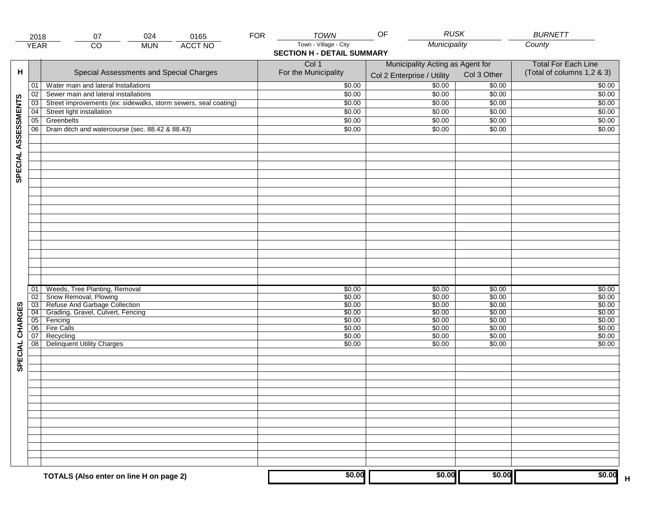| Town - Village - City<br>Municipality<br>County<br><b>ACCT NO</b><br><b>YEAR</b><br>$\overline{CO}$<br><b>MUN</b><br><b>SECTION H - DETAIL SUMMARY</b><br>Col 1<br>Municipality Acting as Agent for<br><b>Total For Each Line</b><br>(Total of columns 1,2 & 3)<br>Special Assessments and Special Charges<br>For the Municipality<br>Col 3 Other<br>Col 2 Enterprise / Utility<br>\$0.00<br>\$0.00<br>Water main and lateral Installations<br>\$0.00<br>\$0.00<br>01<br>\$0.00<br>\$0.00<br>\$0.00<br>Sewer main and lateral installations<br>\$0.00<br>02<br>SPECIAL ASSESSMENTS<br>Street improvements (ex: sidewalks, storm sewers, seal coating)<br>\$0.00<br>\$0.00<br>\$0.00<br>\$0.00<br>03<br>Street light installation<br>\$0.00<br>\$0.00<br>\$0.00<br>04<br>\$0.00<br>Greenbelts<br>$\overline{05}$<br>\$0.00<br>\$0.00<br>\$0.00<br>\$0.00<br>06<br>\$0.00<br>Drain ditch and watercourse (sec. 88.42 & 88.43)<br>\$0.00<br>\$0.00<br>\$0.00<br>Weeds, Tree Planting, Removal<br>\$0.00<br>\$0.00<br>\$0.00<br>\$0.00<br>01<br>Snow Removal, Plowing<br>\$0.00<br>\$0.00<br>\$0.00<br>\$0.00<br>$\overline{02}$<br>Refuse And Garbage Collection<br>SPECIAL CHARGES<br>$\overline{03}$<br>\$0.00<br>\$0.00<br>\$0.00<br>\$0.00<br>Grading, Gravel, Culvert, Fencing<br>$\overline{04}$<br>\$0.00<br>\$0.00<br>\$0.00<br>\$0.00<br>\$0.00<br>\$0.00<br>\$0.00<br>05<br>Fencing<br>\$0.00<br><b>Fire Calls</b><br>\$0.00<br>\$0.00<br>06<br>\$0.00<br>\$0.00<br>Recycling<br>07<br>\$0.00<br>\$0.00<br>\$0.00<br>\$0.00<br>08<br><b>Delinquent Utility Charges</b><br>\$0.00<br>\$0.00<br>\$0.00<br>\$0.00<br>\$0.00<br>\$0.00<br>\$0.00<br>\$0.00<br>TOTALS (Also enter on line H on page 2) |   | 2018 | 024<br>07 | 0165 | <b>FOR</b> | <b>TOWN</b> | <b>RUSK</b><br>OF | <b>BURNETT</b> |
|----------------------------------------------------------------------------------------------------------------------------------------------------------------------------------------------------------------------------------------------------------------------------------------------------------------------------------------------------------------------------------------------------------------------------------------------------------------------------------------------------------------------------------------------------------------------------------------------------------------------------------------------------------------------------------------------------------------------------------------------------------------------------------------------------------------------------------------------------------------------------------------------------------------------------------------------------------------------------------------------------------------------------------------------------------------------------------------------------------------------------------------------------------------------------------------------------------------------------------------------------------------------------------------------------------------------------------------------------------------------------------------------------------------------------------------------------------------------------------------------------------------------------------------------------------------------------------------------------------------------------------------------------------------------------------------------------------|---|------|-----------|------|------------|-------------|-------------------|----------------|
|                                                                                                                                                                                                                                                                                                                                                                                                                                                                                                                                                                                                                                                                                                                                                                                                                                                                                                                                                                                                                                                                                                                                                                                                                                                                                                                                                                                                                                                                                                                                                                                                                                                                                                          |   |      |           |      |            |             |                   |                |
|                                                                                                                                                                                                                                                                                                                                                                                                                                                                                                                                                                                                                                                                                                                                                                                                                                                                                                                                                                                                                                                                                                                                                                                                                                                                                                                                                                                                                                                                                                                                                                                                                                                                                                          |   |      |           |      |            |             |                   |                |
|                                                                                                                                                                                                                                                                                                                                                                                                                                                                                                                                                                                                                                                                                                                                                                                                                                                                                                                                                                                                                                                                                                                                                                                                                                                                                                                                                                                                                                                                                                                                                                                                                                                                                                          |   |      |           |      |            |             |                   |                |
|                                                                                                                                                                                                                                                                                                                                                                                                                                                                                                                                                                                                                                                                                                                                                                                                                                                                                                                                                                                                                                                                                                                                                                                                                                                                                                                                                                                                                                                                                                                                                                                                                                                                                                          | н |      |           |      |            |             |                   |                |
|                                                                                                                                                                                                                                                                                                                                                                                                                                                                                                                                                                                                                                                                                                                                                                                                                                                                                                                                                                                                                                                                                                                                                                                                                                                                                                                                                                                                                                                                                                                                                                                                                                                                                                          |   |      |           |      |            |             |                   |                |
|                                                                                                                                                                                                                                                                                                                                                                                                                                                                                                                                                                                                                                                                                                                                                                                                                                                                                                                                                                                                                                                                                                                                                                                                                                                                                                                                                                                                                                                                                                                                                                                                                                                                                                          |   |      |           |      |            |             |                   |                |
|                                                                                                                                                                                                                                                                                                                                                                                                                                                                                                                                                                                                                                                                                                                                                                                                                                                                                                                                                                                                                                                                                                                                                                                                                                                                                                                                                                                                                                                                                                                                                                                                                                                                                                          |   |      |           |      |            |             |                   |                |
|                                                                                                                                                                                                                                                                                                                                                                                                                                                                                                                                                                                                                                                                                                                                                                                                                                                                                                                                                                                                                                                                                                                                                                                                                                                                                                                                                                                                                                                                                                                                                                                                                                                                                                          |   |      |           |      |            |             |                   |                |
|                                                                                                                                                                                                                                                                                                                                                                                                                                                                                                                                                                                                                                                                                                                                                                                                                                                                                                                                                                                                                                                                                                                                                                                                                                                                                                                                                                                                                                                                                                                                                                                                                                                                                                          |   |      |           |      |            |             |                   |                |
|                                                                                                                                                                                                                                                                                                                                                                                                                                                                                                                                                                                                                                                                                                                                                                                                                                                                                                                                                                                                                                                                                                                                                                                                                                                                                                                                                                                                                                                                                                                                                                                                                                                                                                          |   |      |           |      |            |             |                   |                |
|                                                                                                                                                                                                                                                                                                                                                                                                                                                                                                                                                                                                                                                                                                                                                                                                                                                                                                                                                                                                                                                                                                                                                                                                                                                                                                                                                                                                                                                                                                                                                                                                                                                                                                          |   |      |           |      |            |             |                   |                |
|                                                                                                                                                                                                                                                                                                                                                                                                                                                                                                                                                                                                                                                                                                                                                                                                                                                                                                                                                                                                                                                                                                                                                                                                                                                                                                                                                                                                                                                                                                                                                                                                                                                                                                          |   |      |           |      |            |             |                   |                |
|                                                                                                                                                                                                                                                                                                                                                                                                                                                                                                                                                                                                                                                                                                                                                                                                                                                                                                                                                                                                                                                                                                                                                                                                                                                                                                                                                                                                                                                                                                                                                                                                                                                                                                          |   |      |           |      |            |             |                   |                |
|                                                                                                                                                                                                                                                                                                                                                                                                                                                                                                                                                                                                                                                                                                                                                                                                                                                                                                                                                                                                                                                                                                                                                                                                                                                                                                                                                                                                                                                                                                                                                                                                                                                                                                          |   |      |           |      |            |             |                   |                |
|                                                                                                                                                                                                                                                                                                                                                                                                                                                                                                                                                                                                                                                                                                                                                                                                                                                                                                                                                                                                                                                                                                                                                                                                                                                                                                                                                                                                                                                                                                                                                                                                                                                                                                          |   |      |           |      |            |             |                   |                |
|                                                                                                                                                                                                                                                                                                                                                                                                                                                                                                                                                                                                                                                                                                                                                                                                                                                                                                                                                                                                                                                                                                                                                                                                                                                                                                                                                                                                                                                                                                                                                                                                                                                                                                          |   |      |           |      |            |             |                   |                |
|                                                                                                                                                                                                                                                                                                                                                                                                                                                                                                                                                                                                                                                                                                                                                                                                                                                                                                                                                                                                                                                                                                                                                                                                                                                                                                                                                                                                                                                                                                                                                                                                                                                                                                          |   |      |           |      |            |             |                   |                |
|                                                                                                                                                                                                                                                                                                                                                                                                                                                                                                                                                                                                                                                                                                                                                                                                                                                                                                                                                                                                                                                                                                                                                                                                                                                                                                                                                                                                                                                                                                                                                                                                                                                                                                          |   |      |           |      |            |             |                   |                |
|                                                                                                                                                                                                                                                                                                                                                                                                                                                                                                                                                                                                                                                                                                                                                                                                                                                                                                                                                                                                                                                                                                                                                                                                                                                                                                                                                                                                                                                                                                                                                                                                                                                                                                          |   |      |           |      |            |             |                   |                |
|                                                                                                                                                                                                                                                                                                                                                                                                                                                                                                                                                                                                                                                                                                                                                                                                                                                                                                                                                                                                                                                                                                                                                                                                                                                                                                                                                                                                                                                                                                                                                                                                                                                                                                          |   |      |           |      |            |             |                   |                |
|                                                                                                                                                                                                                                                                                                                                                                                                                                                                                                                                                                                                                                                                                                                                                                                                                                                                                                                                                                                                                                                                                                                                                                                                                                                                                                                                                                                                                                                                                                                                                                                                                                                                                                          |   |      |           |      |            |             |                   |                |
|                                                                                                                                                                                                                                                                                                                                                                                                                                                                                                                                                                                                                                                                                                                                                                                                                                                                                                                                                                                                                                                                                                                                                                                                                                                                                                                                                                                                                                                                                                                                                                                                                                                                                                          |   |      |           |      |            |             |                   |                |
|                                                                                                                                                                                                                                                                                                                                                                                                                                                                                                                                                                                                                                                                                                                                                                                                                                                                                                                                                                                                                                                                                                                                                                                                                                                                                                                                                                                                                                                                                                                                                                                                                                                                                                          |   |      |           |      |            |             |                   |                |
|                                                                                                                                                                                                                                                                                                                                                                                                                                                                                                                                                                                                                                                                                                                                                                                                                                                                                                                                                                                                                                                                                                                                                                                                                                                                                                                                                                                                                                                                                                                                                                                                                                                                                                          |   |      |           |      |            |             |                   |                |
|                                                                                                                                                                                                                                                                                                                                                                                                                                                                                                                                                                                                                                                                                                                                                                                                                                                                                                                                                                                                                                                                                                                                                                                                                                                                                                                                                                                                                                                                                                                                                                                                                                                                                                          |   |      |           |      |            |             |                   |                |
|                                                                                                                                                                                                                                                                                                                                                                                                                                                                                                                                                                                                                                                                                                                                                                                                                                                                                                                                                                                                                                                                                                                                                                                                                                                                                                                                                                                                                                                                                                                                                                                                                                                                                                          |   |      |           |      |            |             |                   |                |
|                                                                                                                                                                                                                                                                                                                                                                                                                                                                                                                                                                                                                                                                                                                                                                                                                                                                                                                                                                                                                                                                                                                                                                                                                                                                                                                                                                                                                                                                                                                                                                                                                                                                                                          |   |      |           |      |            |             |                   |                |
|                                                                                                                                                                                                                                                                                                                                                                                                                                                                                                                                                                                                                                                                                                                                                                                                                                                                                                                                                                                                                                                                                                                                                                                                                                                                                                                                                                                                                                                                                                                                                                                                                                                                                                          |   |      |           |      |            |             |                   |                |
|                                                                                                                                                                                                                                                                                                                                                                                                                                                                                                                                                                                                                                                                                                                                                                                                                                                                                                                                                                                                                                                                                                                                                                                                                                                                                                                                                                                                                                                                                                                                                                                                                                                                                                          |   |      |           |      |            |             |                   |                |
|                                                                                                                                                                                                                                                                                                                                                                                                                                                                                                                                                                                                                                                                                                                                                                                                                                                                                                                                                                                                                                                                                                                                                                                                                                                                                                                                                                                                                                                                                                                                                                                                                                                                                                          |   |      |           |      |            |             |                   |                |
|                                                                                                                                                                                                                                                                                                                                                                                                                                                                                                                                                                                                                                                                                                                                                                                                                                                                                                                                                                                                                                                                                                                                                                                                                                                                                                                                                                                                                                                                                                                                                                                                                                                                                                          |   |      |           |      |            |             |                   |                |
|                                                                                                                                                                                                                                                                                                                                                                                                                                                                                                                                                                                                                                                                                                                                                                                                                                                                                                                                                                                                                                                                                                                                                                                                                                                                                                                                                                                                                                                                                                                                                                                                                                                                                                          |   |      |           |      |            |             |                   |                |
|                                                                                                                                                                                                                                                                                                                                                                                                                                                                                                                                                                                                                                                                                                                                                                                                                                                                                                                                                                                                                                                                                                                                                                                                                                                                                                                                                                                                                                                                                                                                                                                                                                                                                                          |   |      |           |      |            |             |                   |                |
|                                                                                                                                                                                                                                                                                                                                                                                                                                                                                                                                                                                                                                                                                                                                                                                                                                                                                                                                                                                                                                                                                                                                                                                                                                                                                                                                                                                                                                                                                                                                                                                                                                                                                                          |   |      |           |      |            |             |                   |                |
|                                                                                                                                                                                                                                                                                                                                                                                                                                                                                                                                                                                                                                                                                                                                                                                                                                                                                                                                                                                                                                                                                                                                                                                                                                                                                                                                                                                                                                                                                                                                                                                                                                                                                                          |   |      |           |      |            |             |                   |                |
|                                                                                                                                                                                                                                                                                                                                                                                                                                                                                                                                                                                                                                                                                                                                                                                                                                                                                                                                                                                                                                                                                                                                                                                                                                                                                                                                                                                                                                                                                                                                                                                                                                                                                                          |   |      |           |      |            |             |                   |                |
|                                                                                                                                                                                                                                                                                                                                                                                                                                                                                                                                                                                                                                                                                                                                                                                                                                                                                                                                                                                                                                                                                                                                                                                                                                                                                                                                                                                                                                                                                                                                                                                                                                                                                                          |   |      |           |      |            |             |                   |                |
|                                                                                                                                                                                                                                                                                                                                                                                                                                                                                                                                                                                                                                                                                                                                                                                                                                                                                                                                                                                                                                                                                                                                                                                                                                                                                                                                                                                                                                                                                                                                                                                                                                                                                                          |   |      |           |      |            |             |                   |                |
|                                                                                                                                                                                                                                                                                                                                                                                                                                                                                                                                                                                                                                                                                                                                                                                                                                                                                                                                                                                                                                                                                                                                                                                                                                                                                                                                                                                                                                                                                                                                                                                                                                                                                                          |   |      |           |      |            |             |                   |                |
|                                                                                                                                                                                                                                                                                                                                                                                                                                                                                                                                                                                                                                                                                                                                                                                                                                                                                                                                                                                                                                                                                                                                                                                                                                                                                                                                                                                                                                                                                                                                                                                                                                                                                                          |   |      |           |      |            |             |                   |                |
|                                                                                                                                                                                                                                                                                                                                                                                                                                                                                                                                                                                                                                                                                                                                                                                                                                                                                                                                                                                                                                                                                                                                                                                                                                                                                                                                                                                                                                                                                                                                                                                                                                                                                                          |   |      |           |      |            |             |                   |                |
|                                                                                                                                                                                                                                                                                                                                                                                                                                                                                                                                                                                                                                                                                                                                                                                                                                                                                                                                                                                                                                                                                                                                                                                                                                                                                                                                                                                                                                                                                                                                                                                                                                                                                                          |   |      |           |      |            |             |                   |                |
|                                                                                                                                                                                                                                                                                                                                                                                                                                                                                                                                                                                                                                                                                                                                                                                                                                                                                                                                                                                                                                                                                                                                                                                                                                                                                                                                                                                                                                                                                                                                                                                                                                                                                                          |   |      |           |      |            |             |                   |                |
|                                                                                                                                                                                                                                                                                                                                                                                                                                                                                                                                                                                                                                                                                                                                                                                                                                                                                                                                                                                                                                                                                                                                                                                                                                                                                                                                                                                                                                                                                                                                                                                                                                                                                                          |   |      |           |      |            |             |                   |                |
|                                                                                                                                                                                                                                                                                                                                                                                                                                                                                                                                                                                                                                                                                                                                                                                                                                                                                                                                                                                                                                                                                                                                                                                                                                                                                                                                                                                                                                                                                                                                                                                                                                                                                                          |   |      |           |      |            |             |                   |                |
|                                                                                                                                                                                                                                                                                                                                                                                                                                                                                                                                                                                                                                                                                                                                                                                                                                                                                                                                                                                                                                                                                                                                                                                                                                                                                                                                                                                                                                                                                                                                                                                                                                                                                                          |   |      |           |      |            |             |                   |                |
|                                                                                                                                                                                                                                                                                                                                                                                                                                                                                                                                                                                                                                                                                                                                                                                                                                                                                                                                                                                                                                                                                                                                                                                                                                                                                                                                                                                                                                                                                                                                                                                                                                                                                                          |   |      |           |      |            |             |                   |                |
|                                                                                                                                                                                                                                                                                                                                                                                                                                                                                                                                                                                                                                                                                                                                                                                                                                                                                                                                                                                                                                                                                                                                                                                                                                                                                                                                                                                                                                                                                                                                                                                                                                                                                                          |   |      |           |      |            |             |                   |                |
|                                                                                                                                                                                                                                                                                                                                                                                                                                                                                                                                                                                                                                                                                                                                                                                                                                                                                                                                                                                                                                                                                                                                                                                                                                                                                                                                                                                                                                                                                                                                                                                                                                                                                                          |   |      |           |      |            |             |                   |                |
|                                                                                                                                                                                                                                                                                                                                                                                                                                                                                                                                                                                                                                                                                                                                                                                                                                                                                                                                                                                                                                                                                                                                                                                                                                                                                                                                                                                                                                                                                                                                                                                                                                                                                                          |   |      |           |      |            |             |                   |                |
|                                                                                                                                                                                                                                                                                                                                                                                                                                                                                                                                                                                                                                                                                                                                                                                                                                                                                                                                                                                                                                                                                                                                                                                                                                                                                                                                                                                                                                                                                                                                                                                                                                                                                                          |   |      |           |      |            |             |                   |                |
|                                                                                                                                                                                                                                                                                                                                                                                                                                                                                                                                                                                                                                                                                                                                                                                                                                                                                                                                                                                                                                                                                                                                                                                                                                                                                                                                                                                                                                                                                                                                                                                                                                                                                                          |   |      |           |      |            |             |                   |                |
|                                                                                                                                                                                                                                                                                                                                                                                                                                                                                                                                                                                                                                                                                                                                                                                                                                                                                                                                                                                                                                                                                                                                                                                                                                                                                                                                                                                                                                                                                                                                                                                                                                                                                                          |   |      |           |      |            |             |                   | $\mathsf H$    |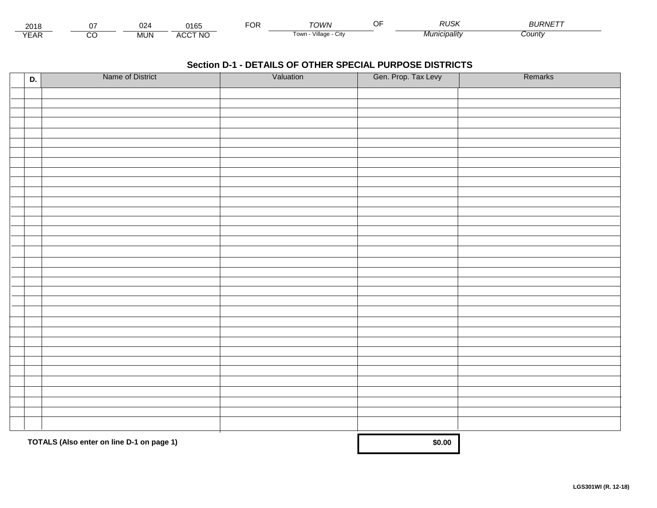| 201،          |        | 024        | 0.40<br>.<br>ı oə | ◡ | ⊤∩WN                               | P <sub>1</sub><br>RUS. | ---------<br><b>PURIVE</b> |
|---------------|--------|------------|-------------------|---|------------------------------------|------------------------|----------------------------|
| $V = r$<br>⊢ี | ~<br>U | <b>MUN</b> | <b>ACCT NO</b>    |   | $\cdots$<br>Village<br>l own<br>UN | cıpalıtv               | ∶ountγ                     |

| D. | Name of District                          | Valuation | Gen. Prop. Tax Levy | Remarks |
|----|-------------------------------------------|-----------|---------------------|---------|
|    |                                           |           |                     |         |
|    |                                           |           |                     |         |
|    |                                           |           |                     |         |
|    |                                           |           |                     |         |
|    |                                           |           |                     |         |
|    |                                           |           |                     |         |
|    |                                           |           |                     |         |
|    |                                           |           |                     |         |
|    |                                           |           |                     |         |
|    |                                           |           |                     |         |
|    |                                           |           |                     |         |
|    |                                           |           |                     |         |
|    |                                           |           |                     |         |
|    |                                           |           |                     |         |
|    |                                           |           |                     |         |
|    |                                           |           |                     |         |
|    |                                           |           |                     |         |
|    |                                           |           |                     |         |
|    |                                           |           |                     |         |
|    |                                           |           |                     |         |
|    |                                           |           |                     |         |
|    |                                           |           |                     |         |
|    |                                           |           |                     |         |
|    |                                           |           |                     |         |
|    |                                           |           |                     |         |
|    |                                           |           |                     |         |
|    |                                           |           |                     |         |
|    |                                           |           |                     |         |
|    |                                           |           |                     |         |
|    |                                           |           |                     |         |
|    |                                           |           |                     |         |
|    |                                           |           |                     |         |
|    |                                           |           |                     |         |
|    | TOTALS (Also enter on line D-1 on page 1) |           | \$0.00              |         |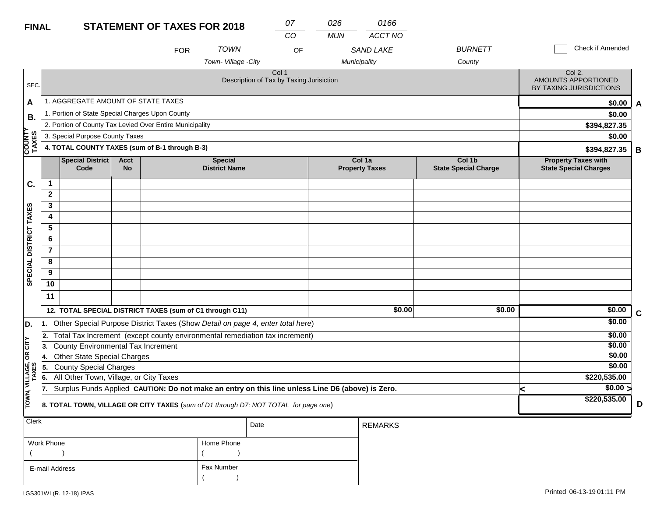# **FINAL**

| <b>FINAL</b>            |                | <b>STATEMENT OF TAXES FOR 2018</b>                       |                          |            |                                        |                                                                                                  |            |                                 |                                       |                                                            |                  |             |
|-------------------------|----------------|----------------------------------------------------------|--------------------------|------------|----------------------------------------|--------------------------------------------------------------------------------------------------|------------|---------------------------------|---------------------------------------|------------------------------------------------------------|------------------|-------------|
|                         |                |                                                          |                          | <b>FOR</b> | <b>TOWN</b>                            | CO<br>OF                                                                                         | <b>MUN</b> | ACCT NO<br><b>SAND LAKE</b>     | <b>BURNETT</b>                        |                                                            | Check if Amended |             |
|                         |                |                                                          |                          |            | Town-Village -City                     |                                                                                                  |            | Municipality                    | County                                |                                                            |                  |             |
| SEC.                    |                |                                                          |                          |            |                                        | Col 1<br>Description of Tax by Taxing Jurisiction                                                |            |                                 |                                       | Col 2.<br>AMOUNTS APPORTIONED<br>BY TAXING JURISDICTIONS   |                  |             |
| A                       |                | 1. AGGREGATE AMOUNT OF STATE TAXES                       |                          |            |                                        |                                                                                                  |            |                                 |                                       |                                                            | \$0.00           | A           |
| В.                      |                | 1. Portion of State Special Charges Upon County          |                          |            |                                        |                                                                                                  |            |                                 |                                       |                                                            | \$0.00           |             |
|                         |                | 2. Portion of County Tax Levied Over Entire Municipality |                          |            |                                        |                                                                                                  |            |                                 |                                       |                                                            | \$394,827.35     |             |
|                         |                | 3. Special Purpose County Taxes                          |                          |            |                                        |                                                                                                  |            |                                 |                                       |                                                            | \$0.00           |             |
| <b>COUNT</b><br>TAXES   |                | 4. TOTAL COUNTY TAXES (sum of B-1 through B-3)           |                          |            |                                        | \$394,827.35                                                                                     | B          |                                 |                                       |                                                            |                  |             |
|                         |                | <b>Special District</b><br>Code                          | <b>Acct</b><br><b>No</b> |            | <b>Special</b><br><b>District Name</b> |                                                                                                  |            | Col 1a<br><b>Property Taxes</b> | Col 1b<br><b>State Special Charge</b> | <b>Property Taxes with</b><br><b>State Special Charges</b> |                  |             |
| C.                      | $\mathbf{1}$   |                                                          |                          |            |                                        |                                                                                                  |            |                                 |                                       |                                                            |                  |             |
|                         | $\mathbf{2}$   |                                                          |                          |            |                                        |                                                                                                  |            |                                 |                                       |                                                            |                  |             |
|                         | 3              |                                                          |                          |            |                                        |                                                                                                  |            |                                 |                                       |                                                            |                  |             |
|                         | 4              |                                                          |                          |            |                                        |                                                                                                  |            |                                 |                                       |                                                            |                  |             |
|                         | 5              |                                                          |                          |            |                                        |                                                                                                  |            |                                 |                                       |                                                            |                  |             |
|                         | 6              |                                                          |                          |            |                                        |                                                                                                  |            |                                 |                                       |                                                            |                  |             |
|                         | $\overline{7}$ |                                                          |                          |            |                                        |                                                                                                  |            |                                 |                                       |                                                            |                  |             |
|                         | 8              |                                                          |                          |            |                                        |                                                                                                  |            |                                 |                                       |                                                            |                  |             |
| SPECIAL DISTRICT TAXES  | 9              |                                                          |                          |            |                                        |                                                                                                  |            |                                 |                                       |                                                            |                  |             |
|                         | 10             |                                                          |                          |            |                                        |                                                                                                  |            |                                 |                                       |                                                            |                  |             |
|                         | 11             |                                                          |                          |            |                                        |                                                                                                  |            |                                 |                                       |                                                            |                  |             |
|                         |                | 12. TOTAL SPECIAL DISTRICT TAXES (sum of C1 through C11) |                          |            |                                        |                                                                                                  |            | \$0.00                          | \$0.00                                |                                                            | \$0.00           | $\mathbf c$ |
| D.                      | l1.            |                                                          |                          |            |                                        | Other Special Purpose District Taxes (Show Detail on page 4, enter total here)                   |            |                                 |                                       |                                                            | \$0.00           |             |
|                         | 2.             |                                                          |                          |            |                                        | Total Tax Increment (except county environmental remediation tax increment)                      |            |                                 |                                       |                                                            | \$0.00           |             |
| CITY                    | 13.            | <b>County Environmental Tax Increment</b>                |                          |            |                                        |                                                                                                  |            |                                 |                                       |                                                            | \$0.00           |             |
| g                       | 14.            | <b>Other State Special Charges</b>                       |                          |            |                                        |                                                                                                  |            |                                 |                                       |                                                            | \$0.00           |             |
|                         | 5.             | <b>County Special Charges</b>                            |                          |            | \$0.00                                 |                                                                                                  |            |                                 |                                       |                                                            |                  |             |
|                         | 6.             | All Other Town, Village, or City Taxes                   |                          |            |                                        |                                                                                                  |            |                                 |                                       |                                                            | \$220,535.00     |             |
|                         | 17.            |                                                          |                          |            |                                        | Surplus Funds Applied CAUTION: Do not make an entry on this line unless Line D6 (above) is Zero. |            |                                 |                                       | k                                                          | $\sqrt{$0.00}$   |             |
| TOWN, VILLAGE,<br>TAXES |                |                                                          |                          |            |                                        | 8. TOTAL TOWN, VILLAGE OR CITY TAXES (sum of D1 through D7; NOT TOTAL for page one)              |            |                                 |                                       |                                                            | \$220,535.00     | D           |
| Clerk                   |                |                                                          |                          |            |                                        |                                                                                                  |            |                                 |                                       |                                                            |                  |             |

| Work Phone     | Home Phone |
|----------------|------------|
|                |            |
| E-mail Address | Fax Number |
|                |            |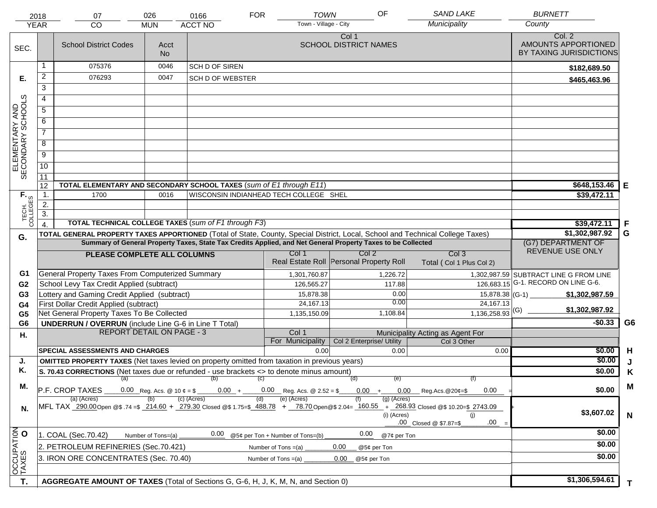| <b>SAND LAKE</b><br>OF<br><b>BURNETT</b><br><b>TOWN</b><br><b>FOR</b><br>026<br>0166<br>2018<br>07<br>Town - Village - City<br>Municipality<br>County<br><b>YEAR</b><br><b>ACCT NO</b><br><b>CO</b><br><b>MUN</b> |                  |                                                                                                                                |                                                                                                                                                                                                     |                         |                                     |                                                                                                              |                                  |                                                          |                |
|-------------------------------------------------------------------------------------------------------------------------------------------------------------------------------------------------------------------|------------------|--------------------------------------------------------------------------------------------------------------------------------|-----------------------------------------------------------------------------------------------------------------------------------------------------------------------------------------------------|-------------------------|-------------------------------------|--------------------------------------------------------------------------------------------------------------|----------------------------------|----------------------------------------------------------|----------------|
| SEC.                                                                                                                                                                                                              |                  | <b>School District Codes</b>                                                                                                   | Acct<br><b>No</b>                                                                                                                                                                                   |                         |                                     | Col 1<br><b>SCHOOL DISTRICT NAMES</b>                                                                        |                                  | Col. 2<br>AMOUNTS APPORTIONED<br>BY TAXING JURISDICTIONS |                |
|                                                                                                                                                                                                                   | 1                | 075376                                                                                                                         | 0046                                                                                                                                                                                                | SCH D OF SIREN          |                                     |                                                                                                              |                                  | \$182,689.50                                             |                |
| Е.                                                                                                                                                                                                                | 2                | 076293                                                                                                                         | 0047                                                                                                                                                                                                | <b>SCH D OF WEBSTER</b> |                                     |                                                                                                              |                                  | \$465,463.96                                             |                |
|                                                                                                                                                                                                                   | $\overline{3}$   |                                                                                                                                |                                                                                                                                                                                                     |                         |                                     |                                                                                                              |                                  |                                                          |                |
|                                                                                                                                                                                                                   | 4                |                                                                                                                                |                                                                                                                                                                                                     |                         |                                     |                                                                                                              |                                  |                                                          |                |
|                                                                                                                                                                                                                   | 5                |                                                                                                                                |                                                                                                                                                                                                     |                         |                                     |                                                                                                              |                                  |                                                          |                |
|                                                                                                                                                                                                                   | 6                |                                                                                                                                |                                                                                                                                                                                                     |                         |                                     |                                                                                                              |                                  |                                                          |                |
|                                                                                                                                                                                                                   | $\overline{7}$   |                                                                                                                                |                                                                                                                                                                                                     |                         |                                     |                                                                                                              |                                  |                                                          |                |
| ELEMENTARY AND<br>SECONDARY SCHOOLS                                                                                                                                                                               | 8                |                                                                                                                                |                                                                                                                                                                                                     |                         |                                     |                                                                                                              |                                  |                                                          |                |
|                                                                                                                                                                                                                   | $\overline{9}$   |                                                                                                                                |                                                                                                                                                                                                     |                         |                                     |                                                                                                              |                                  |                                                          |                |
|                                                                                                                                                                                                                   | 10               |                                                                                                                                |                                                                                                                                                                                                     |                         |                                     |                                                                                                              |                                  |                                                          |                |
|                                                                                                                                                                                                                   | 11               |                                                                                                                                |                                                                                                                                                                                                     |                         |                                     |                                                                                                              |                                  |                                                          |                |
|                                                                                                                                                                                                                   | 12               | TOTAL ELEMENTARY AND SECONDARY SCHOOL TAXES (sum of E1 through E11)                                                            | \$648,153.46                                                                                                                                                                                        | Е                       |                                     |                                                                                                              |                                  |                                                          |                |
|                                                                                                                                                                                                                   | 1.               | 1700                                                                                                                           |                                                                                                                                                                                                     | \$39,472.11             |                                     |                                                                                                              |                                  |                                                          |                |
|                                                                                                                                                                                                                   | 2.               |                                                                                                                                |                                                                                                                                                                                                     |                         |                                     |                                                                                                              |                                  |                                                          |                |
| TECH. T                                                                                                                                                                                                           | $\overline{3}$ . |                                                                                                                                |                                                                                                                                                                                                     |                         |                                     |                                                                                                              |                                  |                                                          |                |
|                                                                                                                                                                                                                   | $\overline{4}$ . | <b>TOTAL TECHNICAL COLLEGE TAXES (sum of F1 through F3)</b>                                                                    |                                                                                                                                                                                                     |                         |                                     |                                                                                                              |                                  | \$39,472.11                                              | -F             |
| G.                                                                                                                                                                                                                |                  | TOTAL GENERAL PROPERTY TAXES APPORTIONED (Total of State, County, Special District, Local, School and Technical College Taxes) |                                                                                                                                                                                                     |                         |                                     | Summary of General Property Taxes, State Tax Credits Applied, and Net General Property Taxes to be Collected |                                  | \$1,302,987.92<br>(G7) DEPARTMENT OF                     | G              |
|                                                                                                                                                                                                                   |                  |                                                                                                                                |                                                                                                                                                                                                     |                         | Col 1                               | Col 2                                                                                                        | Col <sub>3</sub>                 | REVENUE USE ONLY                                         |                |
|                                                                                                                                                                                                                   |                  | PLEASE COMPLETE ALL COLUMNS                                                                                                    |                                                                                                                                                                                                     |                         |                                     | Real Estate Roll Personal Property Roll                                                                      | Total (Col 1 Plus Col 2)         |                                                          |                |
| G1                                                                                                                                                                                                                |                  | <b>General Property Taxes From Computerized Summary</b>                                                                        |                                                                                                                                                                                                     |                         | 1,301,760.87                        | 1,226.72                                                                                                     |                                  | 1,302,987.59 SUBTRACT LINE G FROM LINE                   |                |
| G <sub>2</sub>                                                                                                                                                                                                    |                  | School Levy Tax Credit Applied (subtract)                                                                                      |                                                                                                                                                                                                     |                         | 126,565.27                          | 117.88                                                                                                       |                                  | 126,683.15 G-1. RECORD ON LINE G-6.                      |                |
| G <sub>3</sub>                                                                                                                                                                                                    |                  | Lottery and Gaming Credit Applied (subtract)                                                                                   |                                                                                                                                                                                                     |                         | 15,878.38                           | 0.00                                                                                                         | 15,878.38 (G-1)                  | \$1,302,987.59                                           |                |
| G4                                                                                                                                                                                                                |                  | First Dollar Credit Applied (subtract)                                                                                         |                                                                                                                                                                                                     |                         | 24, 167. 13                         | 0.00                                                                                                         | 24,167.13                        | \$1,302,987.92                                           |                |
| G <sub>5</sub>                                                                                                                                                                                                    |                  | Net General Property Taxes To Be Collected                                                                                     |                                                                                                                                                                                                     |                         | 1,135,150.09                        | 1,108.84                                                                                                     | $1,136,258.93$ <sup>(G)</sup>    |                                                          | G <sub>6</sub> |
| G <sub>6</sub>                                                                                                                                                                                                    |                  | <b>UNDERRUN / OVERRUN</b> (include Line G-6 in Line T Total)<br><b>REPORT DETAIL ON PAGE - 3</b>                               |                                                                                                                                                                                                     |                         | Col 1                               |                                                                                                              | Municipality Acting as Agent For | $-$0.33$                                                 |                |
| Н.                                                                                                                                                                                                                |                  |                                                                                                                                |                                                                                                                                                                                                     |                         | For Municipality                    | Col 2 Enterprise/ Utility                                                                                    | Col 3 Other                      |                                                          |                |
|                                                                                                                                                                                                                   |                  | <b>SPECIAL ASSESSMENTS AND CHARGES</b>                                                                                         |                                                                                                                                                                                                     |                         | 0.00                                | 0.00                                                                                                         | 0.00                             | \$0.00                                                   | H              |
| J.                                                                                                                                                                                                                |                  | <b>OMITTED PROPERTY TAXES</b> (Net taxes levied on property omitted from taxation in previous years)                           |                                                                                                                                                                                                     |                         |                                     |                                                                                                              |                                  | \$0.00                                                   |                |
| Κ.                                                                                                                                                                                                                |                  | S. 70.43 CORRECTIONS (Net taxes due or refunded - use brackets <> to denote minus amount)                                      |                                                                                                                                                                                                     |                         |                                     |                                                                                                              |                                  | \$0.00                                                   | Κ              |
| М.                                                                                                                                                                                                                |                  | (a)                                                                                                                            |                                                                                                                                                                                                     | (b)<br>$0.00 +$         | (C)<br>$0.00$ Reg. Acs. @ 2.52 = \$ | (d)<br>(e)<br>$0.00 +$                                                                                       | (f)                              | \$0.00                                                   | M              |
|                                                                                                                                                                                                                   |                  | P.F. CROP TAXES<br>(a) (Acres)                                                                                                 | $0.00$ Reg.Acs. @20¢=\$<br>0.00<br>$(g)$ (Acres)                                                                                                                                                    |                         |                                     |                                                                                                              |                                  |                                                          |                |
| N.                                                                                                                                                                                                                |                  |                                                                                                                                | MFL TAX 290.00 Open @\$ .74 =\$ 214.60 + 279.30 Closed @\$ 1.75=\$ 488.78 + 78.70 Open @\$ 2.04= 160.55 + 268.93 Closed @\$ 10.20=\$ 2743.09<br>(i) (Acres)<br>(i)<br>.00<br>.00 Closed @ \$7.87=\$ | \$3,607.02              | $\mathbf N$                         |                                                                                                              |                                  |                                                          |                |
|                                                                                                                                                                                                                   |                  | 1. COAL (Sec.70.42)                                                                                                            | Number of Tons=(a)                                                                                                                                                                                  | 0.00                    | @5¢ per Ton + Number of Tons=(b)    | 0.00<br>@7¢ per Ton                                                                                          |                                  | \$0.00                                                   |                |
|                                                                                                                                                                                                                   |                  | 2. PETROLEUM REFINERIES (Sec.70.421)                                                                                           |                                                                                                                                                                                                     |                         | Number of Tons =(a)                 | 0.00<br>@5¢ per Ton                                                                                          |                                  | \$0.00                                                   |                |
| OCCUPATION                                                                                                                                                                                                        |                  | 3. IRON ORE CONCENTRATES (Sec. 70.40)                                                                                          |                                                                                                                                                                                                     |                         | Number of Tons $=(a)$               | 0.00<br>@5¢ per Ton                                                                                          |                                  | \$0.00                                                   |                |
|                                                                                                                                                                                                                   |                  |                                                                                                                                |                                                                                                                                                                                                     |                         |                                     |                                                                                                              |                                  |                                                          |                |
| T.                                                                                                                                                                                                                |                  | AGGREGATE AMOUNT OF TAXES (Total of Sections G, G-6, H, J, K, M, N, and Section 0)                                             |                                                                                                                                                                                                     |                         |                                     |                                                                                                              |                                  | \$1,306,594.61                                           | T.             |
|                                                                                                                                                                                                                   |                  |                                                                                                                                |                                                                                                                                                                                                     |                         |                                     |                                                                                                              |                                  |                                                          |                |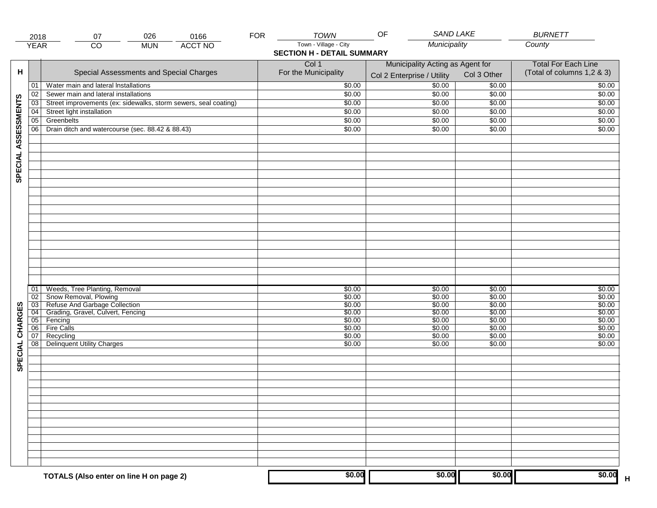|                     | 2018            | 026<br>0166<br>07                                               | <b>FOR</b> | TOWN                              | SAND LAKE<br>OF                           |                            | <b>BURNETT</b>             |
|---------------------|-----------------|-----------------------------------------------------------------|------------|-----------------------------------|-------------------------------------------|----------------------------|----------------------------|
|                     | <b>YEAR</b>     | <b>ACCT NO</b><br>CO<br><b>MUN</b>                              |            | Town - Village - City             | Municipality                              |                            | County                     |
|                     |                 |                                                                 |            | <b>SECTION H - DETAIL SUMMARY</b> |                                           |                            |                            |
|                     |                 |                                                                 |            | Col 1                             | Municipality Acting as Agent for          | <b>Total For Each Line</b> |                            |
| н                   |                 | Special Assessments and Special Charges                         |            | For the Municipality              | Col 3 Other<br>Col 2 Enterprise / Utility |                            | (Total of columns 1,2 & 3) |
|                     |                 |                                                                 |            |                                   |                                           |                            |                            |
|                     | 01              | Water main and lateral Installations                            |            | \$0.00                            | 50.00                                     | \$0.00                     | \$0.00                     |
|                     | 02              | Sewer main and lateral installations                            |            | \$0.00                            | \$0.00                                    | \$0.00                     | \$0.00                     |
|                     | $\overline{03}$ | Street improvements (ex: sidewalks, storm sewers, seal coating) |            | \$0.00                            | \$0.00                                    | \$0.00                     | \$0.00                     |
|                     | 04              | Street light installation                                       |            | \$0.00                            | \$0.00                                    | \$0.00                     | \$0.00                     |
|                     | $\overline{05}$ | Greenbelts                                                      |            | \$0.00                            | \$0.00                                    | \$0.00                     | \$0.00                     |
| SPECIAL ASSESSMENTS | 06              | Drain ditch and watercourse (sec. 88.42 & 88.43)                |            | \$0.00                            | \$0.00                                    | \$0.00                     | \$0.00                     |
|                     |                 |                                                                 |            |                                   |                                           |                            |                            |
|                     |                 |                                                                 |            |                                   |                                           |                            |                            |
|                     |                 |                                                                 |            |                                   |                                           |                            |                            |
|                     |                 |                                                                 |            |                                   |                                           |                            |                            |
|                     |                 |                                                                 |            |                                   |                                           |                            |                            |
|                     |                 |                                                                 |            |                                   |                                           |                            |                            |
|                     |                 |                                                                 |            |                                   |                                           |                            |                            |
|                     |                 |                                                                 |            |                                   |                                           |                            |                            |
|                     |                 |                                                                 |            |                                   |                                           |                            |                            |
|                     |                 |                                                                 |            |                                   |                                           |                            |                            |
|                     |                 |                                                                 |            |                                   |                                           |                            |                            |
|                     |                 |                                                                 |            |                                   |                                           |                            |                            |
|                     |                 |                                                                 |            |                                   |                                           |                            |                            |
|                     |                 |                                                                 |            |                                   |                                           |                            |                            |
|                     |                 |                                                                 |            |                                   |                                           |                            |                            |
|                     |                 |                                                                 |            |                                   |                                           |                            |                            |
|                     |                 |                                                                 |            |                                   |                                           |                            |                            |
|                     | 01              | Weeds, Tree Planting, Removal                                   |            | \$0.00                            | \$0.00                                    | \$0.00                     | \$0.00                     |
|                     | 02              | Snow Removal, Plowing                                           |            | \$0.00                            | \$0.00                                    | \$0.00                     | \$0.00                     |
|                     | 03              | Refuse And Garbage Collection                                   |            | \$0.00                            | \$0.00                                    | \$0.00                     | \$0.00                     |
|                     | $\overline{04}$ | Grading, Gravel, Culvert, Fencing                               |            | \$0.00<br>\$0.00                  | \$0.00<br>\$0.00                          | \$0.00<br>\$0.00           | \$0.00<br>\$0.00           |
|                     | 05<br>06        | Fencing<br><b>Fire Calls</b>                                    |            | \$0.00                            | \$0.00                                    | \$0.00                     | \$0.00                     |
|                     | 07              | Recycling                                                       |            | \$0.00                            | \$0.00                                    | \$0.00                     | \$0.00                     |
|                     | 08              | Delinquent Utility Charges                                      |            | \$0.00                            | \$0.00                                    | \$0.00                     | \$0.00                     |
|                     |                 |                                                                 |            |                                   |                                           |                            |                            |
| SPECIAL CHARGES     |                 |                                                                 |            |                                   |                                           |                            |                            |
|                     |                 |                                                                 |            |                                   |                                           |                            |                            |
|                     |                 |                                                                 |            |                                   |                                           |                            |                            |
|                     |                 |                                                                 |            |                                   |                                           |                            |                            |
|                     |                 |                                                                 |            |                                   |                                           |                            |                            |
|                     |                 |                                                                 |            |                                   |                                           |                            |                            |
|                     |                 |                                                                 |            |                                   |                                           |                            |                            |
|                     |                 |                                                                 |            |                                   |                                           |                            |                            |
|                     |                 |                                                                 |            |                                   |                                           |                            |                            |
|                     |                 |                                                                 |            |                                   |                                           |                            |                            |
|                     |                 |                                                                 |            |                                   |                                           |                            |                            |
|                     |                 |                                                                 |            |                                   |                                           |                            |                            |
|                     |                 |                                                                 |            |                                   |                                           |                            |                            |
|                     |                 | TOTALS (Also enter on line H on page 2)                         |            | \$0.00                            | \$0.00                                    | \$0.00                     | \$0.00                     |
|                     |                 |                                                                 |            |                                   |                                           |                            | $\overline{\mathsf{H}}$    |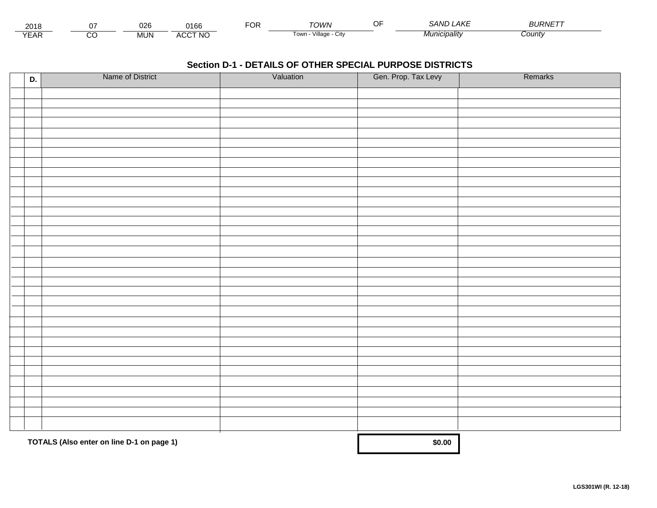| 201،             |               | ~~~<br>υ∠α | 0166                                | ີ | י <i>יעורי</i>               | $\sim$ $\sim$<br>. | $\Delta$ $\angle$ r<br>، 41<br>' ANI | <i><b>BLIRNET</b></i> |  |
|------------------|---------------|------------|-------------------------------------|---|------------------------------|--------------------|--------------------------------------|-----------------------|--|
| $V = \ell$<br>⊢ี | $\sim$<br>ے ب | <b>NUN</b> | <b>CCT NO</b><br>$\cdots$<br>$\sim$ |   | <br>l Ow.<br>village<br>ノILV |                    | "' <i>'nicipalit</i> y               | Count∖                |  |

| D. | Name of District                          | Valuation | Gen. Prop. Tax Levy | Remarks |
|----|-------------------------------------------|-----------|---------------------|---------|
|    |                                           |           |                     |         |
|    |                                           |           |                     |         |
|    |                                           |           |                     |         |
|    |                                           |           |                     |         |
|    |                                           |           |                     |         |
|    |                                           |           |                     |         |
|    |                                           |           |                     |         |
|    |                                           |           |                     |         |
|    |                                           |           |                     |         |
|    |                                           |           |                     |         |
|    |                                           |           |                     |         |
|    |                                           |           |                     |         |
|    |                                           |           |                     |         |
|    |                                           |           |                     |         |
|    |                                           |           |                     |         |
|    |                                           |           |                     |         |
|    |                                           |           |                     |         |
|    |                                           |           |                     |         |
|    |                                           |           |                     |         |
|    |                                           |           |                     |         |
|    |                                           |           |                     |         |
|    |                                           |           |                     |         |
|    |                                           |           |                     |         |
|    |                                           |           |                     |         |
|    |                                           |           |                     |         |
|    |                                           |           |                     |         |
|    |                                           |           |                     |         |
|    |                                           |           |                     |         |
|    |                                           |           |                     |         |
|    |                                           |           |                     |         |
|    |                                           |           |                     |         |
|    |                                           |           |                     |         |
|    |                                           |           |                     |         |
|    | TOTALS (Also enter on line D-1 on page 1) |           | \$0.00              |         |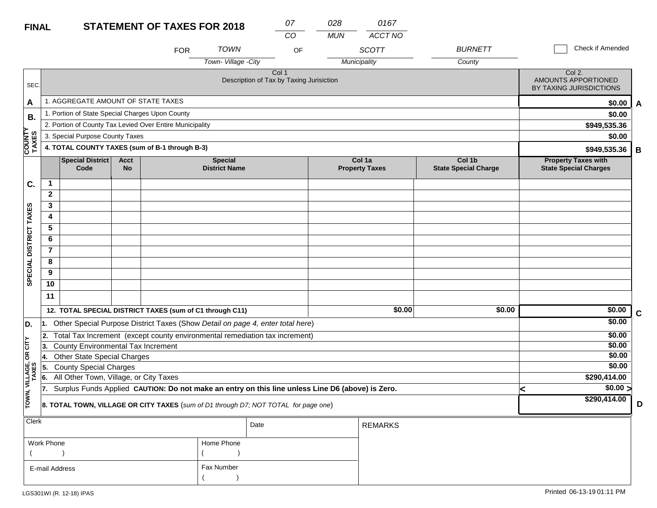| <b>FINAL</b>           |                   |                                                                                                                                                                                         |                          | <b>STATEMENT OF TAXES FOR 2018</b> |                                        |      | 07                                                | 028        | 0167                            |                                       |   |                                                            |
|------------------------|-------------------|-----------------------------------------------------------------------------------------------------------------------------------------------------------------------------------------|--------------------------|------------------------------------|----------------------------------------|------|---------------------------------------------------|------------|---------------------------------|---------------------------------------|---|------------------------------------------------------------|
|                        |                   |                                                                                                                                                                                         |                          |                                    |                                        |      | CO                                                | <b>MUN</b> | ACCT NO                         |                                       |   |                                                            |
|                        |                   |                                                                                                                                                                                         |                          | <b>FOR</b>                         | <b>TOWN</b>                            |      | OF                                                |            | <b>SCOTT</b>                    | <b>BURNETT</b>                        |   | Check if Amended                                           |
|                        |                   |                                                                                                                                                                                         |                          |                                    | Town-Village -City                     |      |                                                   |            | Municipality                    | County                                |   |                                                            |
| SEC.                   |                   |                                                                                                                                                                                         |                          |                                    |                                        |      | Col 1<br>Description of Tax by Taxing Jurisiction |            |                                 |                                       |   | Col 2.<br>AMOUNTS APPORTIONED<br>BY TAXING JURISDICTIONS   |
| A                      |                   | 1. AGGREGATE AMOUNT OF STATE TAXES                                                                                                                                                      |                          |                                    |                                        |      |                                                   |            |                                 |                                       |   | \$0.00<br>A                                                |
| В.                     |                   | 1. Portion of State Special Charges Upon County                                                                                                                                         |                          |                                    |                                        |      |                                                   |            |                                 |                                       |   | \$0.00                                                     |
|                        |                   | 2. Portion of County Tax Levied Over Entire Municipality                                                                                                                                |                          |                                    |                                        |      |                                                   |            |                                 |                                       |   | \$949,535.36                                               |
|                        |                   | 3. Special Purpose County Taxes                                                                                                                                                         |                          |                                    |                                        |      |                                                   |            |                                 |                                       |   | \$0.00                                                     |
| <b>COUNTY</b><br>TAXES |                   | 4. TOTAL COUNTY TAXES (sum of B-1 through B-3)                                                                                                                                          |                          |                                    |                                        |      |                                                   |            |                                 |                                       |   | \$949,535.36<br>B                                          |
|                        |                   | <b>Special District</b><br>Code                                                                                                                                                         | <b>Acct</b><br><b>No</b> |                                    | <b>Special</b><br><b>District Name</b> |      |                                                   |            | Col 1a<br><b>Property Taxes</b> | Col 1b<br><b>State Special Charge</b> |   | <b>Property Taxes with</b><br><b>State Special Charges</b> |
| C.                     | 1                 |                                                                                                                                                                                         |                          |                                    |                                        |      |                                                   |            |                                 |                                       |   |                                                            |
|                        | $\mathbf{2}$      |                                                                                                                                                                                         |                          |                                    |                                        |      |                                                   |            |                                 |                                       |   |                                                            |
|                        | 3                 |                                                                                                                                                                                         |                          |                                    |                                        |      |                                                   |            |                                 |                                       |   |                                                            |
|                        | 4                 |                                                                                                                                                                                         |                          |                                    |                                        |      |                                                   |            |                                 |                                       |   |                                                            |
|                        | $\overline{5}$    |                                                                                                                                                                                         |                          |                                    |                                        |      |                                                   |            |                                 |                                       |   |                                                            |
|                        | 6                 |                                                                                                                                                                                         |                          |                                    |                                        |      |                                                   |            |                                 |                                       |   |                                                            |
|                        | $\overline{7}$    |                                                                                                                                                                                         |                          |                                    |                                        |      |                                                   |            |                                 |                                       |   |                                                            |
| SPECIAL DISTRICT TAXES | 8                 |                                                                                                                                                                                         |                          |                                    |                                        |      |                                                   |            |                                 |                                       |   |                                                            |
|                        | 9                 |                                                                                                                                                                                         |                          |                                    |                                        |      |                                                   |            |                                 |                                       |   |                                                            |
|                        | 10                |                                                                                                                                                                                         |                          |                                    |                                        |      |                                                   |            |                                 |                                       |   |                                                            |
|                        | 11                |                                                                                                                                                                                         |                          |                                    |                                        |      |                                                   |            |                                 |                                       |   |                                                            |
|                        |                   | 12. TOTAL SPECIAL DISTRICT TAXES (sum of C1 through C11)                                                                                                                                |                          |                                    |                                        |      |                                                   |            | $\sqrt{$0.00}$                  | \$0.00                                |   | $\sqrt{$0.00}$<br>$\mathbf c$                              |
| D.                     | 11.               | Other Special Purpose District Taxes (Show Detail on page 4, enter total here)                                                                                                          |                          |                                    |                                        |      |                                                   |            |                                 |                                       |   | \$0.00                                                     |
|                        | 12.               | Total Tax Increment (except county environmental remediation tax increment)                                                                                                             |                          |                                    |                                        |      |                                                   |            |                                 |                                       |   | \$0.00                                                     |
| OR CITY                | 13.               | <b>County Environmental Tax Increment</b>                                                                                                                                               |                          |                                    |                                        |      |                                                   |            |                                 |                                       |   | \$0.00                                                     |
|                        | 14.               | <b>Other State Special Charges</b>                                                                                                                                                      |                          |                                    |                                        |      |                                                   |            |                                 |                                       |   | \$0.00                                                     |
| ILLAGE,<br>TAXES       | 5.                | <b>County Special Charges</b>                                                                                                                                                           |                          |                                    |                                        |      |                                                   |            |                                 |                                       |   | \$0.00                                                     |
| ⋝                      | 6.                | All Other Town, Village, or City Taxes                                                                                                                                                  |                          |                                    |                                        |      |                                                   |            |                                 |                                       |   | \$290,414.00<br>$\sqrt{$0.00}$                             |
| TOWN,                  | 17.               | Surplus Funds Applied CAUTION: Do not make an entry on this line unless Line D6 (above) is Zero.<br>8. TOTAL TOWN, VILLAGE OR CITY TAXES (sum of D1 through D7; NOT TOTAL for page one) |                          |                                    |                                        |      |                                                   |            |                                 |                                       | k | \$290,414.00<br>D                                          |
|                        |                   |                                                                                                                                                                                         |                          |                                    |                                        |      |                                                   |            |                                 |                                       |   |                                                            |
| Clerk                  |                   |                                                                                                                                                                                         |                          |                                    |                                        | Date |                                                   |            | <b>REMARKS</b>                  |                                       |   |                                                            |
|                        | <i>Mork Dhone</i> |                                                                                                                                                                                         |                          |                                    | Home Dhone                             |      |                                                   |            |                                 |                                       |   |                                                            |

| Work Phone     | Home Phone |
|----------------|------------|
|                |            |
| E-mail Address | Fax Number |
|                |            |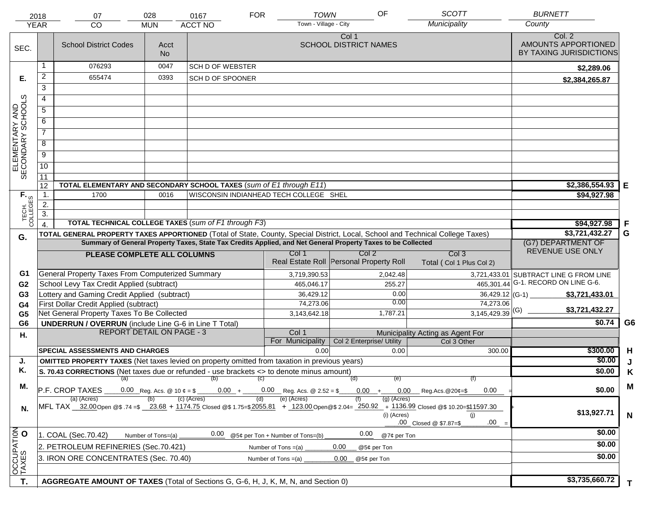|                                     | 2018             | 07                                                                                                   | 028                                                                                                                                                                  | 0167                                   | <b>FOR</b>            | <b>TOWN</b>                                 | OF                                                                                                           | <b>SCOTT</b>                                                                                                                   | <b>BURNETT</b>                                           |                |
|-------------------------------------|------------------|------------------------------------------------------------------------------------------------------|----------------------------------------------------------------------------------------------------------------------------------------------------------------------|----------------------------------------|-----------------------|---------------------------------------------|--------------------------------------------------------------------------------------------------------------|--------------------------------------------------------------------------------------------------------------------------------|----------------------------------------------------------|----------------|
| <b>YEAR</b>                         |                  | <b>CO</b>                                                                                            | <b>MUN</b>                                                                                                                                                           | <b>ACCT NO</b>                         |                       | Town - Village - City                       |                                                                                                              | Municipality                                                                                                                   | County                                                   |                |
| SEC.                                |                  | <b>School District Codes</b>                                                                         | Acct<br><b>No</b>                                                                                                                                                    |                                        |                       |                                             | Col 1<br><b>SCHOOL DISTRICT NAMES</b>                                                                        |                                                                                                                                | Col. 2<br>AMOUNTS APPORTIONED<br>BY TAXING JURISDICTIONS |                |
|                                     |                  | 076293                                                                                               | 0047                                                                                                                                                                 | <b>SCH D OF WEBSTER</b>                |                       |                                             |                                                                                                              |                                                                                                                                | \$2,289.06                                               |                |
| Е.                                  | $\overline{a}$   | 655474                                                                                               | 0393                                                                                                                                                                 | SCH D OF SPOONER                       |                       |                                             |                                                                                                              |                                                                                                                                | \$2,384,265.87                                           |                |
|                                     | 3                |                                                                                                      |                                                                                                                                                                      |                                        |                       |                                             |                                                                                                              |                                                                                                                                |                                                          |                |
|                                     | $\overline{4}$   |                                                                                                      |                                                                                                                                                                      |                                        |                       |                                             |                                                                                                              |                                                                                                                                |                                                          |                |
|                                     | 5                |                                                                                                      |                                                                                                                                                                      |                                        |                       |                                             |                                                                                                              |                                                                                                                                |                                                          |                |
|                                     | 6                |                                                                                                      |                                                                                                                                                                      |                                        |                       |                                             |                                                                                                              |                                                                                                                                |                                                          |                |
| ELEMENTARY AND<br>SECONDARY SCHOOLS | $\overline{7}$   |                                                                                                      |                                                                                                                                                                      |                                        |                       |                                             |                                                                                                              |                                                                                                                                |                                                          |                |
|                                     | 8                |                                                                                                      |                                                                                                                                                                      |                                        |                       |                                             |                                                                                                              |                                                                                                                                |                                                          |                |
|                                     | $\overline{9}$   |                                                                                                      |                                                                                                                                                                      |                                        |                       |                                             |                                                                                                              |                                                                                                                                |                                                          |                |
|                                     | $\overline{10}$  |                                                                                                      |                                                                                                                                                                      |                                        |                       |                                             |                                                                                                              |                                                                                                                                |                                                          |                |
|                                     | 11               |                                                                                                      |                                                                                                                                                                      |                                        |                       |                                             |                                                                                                              |                                                                                                                                |                                                          |                |
|                                     | 12               | TOTAL ELEMENTARY AND SECONDARY SCHOOL TAXES (sum of E1 through E11)                                  |                                                                                                                                                                      |                                        |                       |                                             |                                                                                                              |                                                                                                                                | \$2,386,554.93                                           | Е              |
|                                     | $\mathbf{1}$ .   | 1700                                                                                                 | 0016                                                                                                                                                                 | WISCONSIN INDIANHEAD TECH COLLEGE SHEL |                       |                                             |                                                                                                              |                                                                                                                                | \$94,927.98                                              |                |
|                                     | $\overline{2}$ . |                                                                                                      |                                                                                                                                                                      |                                        |                       |                                             |                                                                                                              |                                                                                                                                |                                                          |                |
| TECH. T                             | $\overline{3}$ . |                                                                                                      |                                                                                                                                                                      |                                        |                       |                                             |                                                                                                              |                                                                                                                                |                                                          |                |
|                                     |                  | <b>TOTAL TECHNICAL COLLEGE TAXES (sum of F1 through F3)</b>                                          |                                                                                                                                                                      |                                        |                       |                                             |                                                                                                              |                                                                                                                                | \$94,927.98                                              | F              |
| G.                                  |                  |                                                                                                      |                                                                                                                                                                      |                                        |                       |                                             | Summary of General Property Taxes, State Tax Credits Applied, and Net General Property Taxes to be Collected | TOTAL GENERAL PROPERTY TAXES APPORTIONED (Total of State, County, Special District, Local, School and Technical College Taxes) | \$3,721,432.27                                           | G              |
|                                     |                  |                                                                                                      |                                                                                                                                                                      |                                        |                       |                                             |                                                                                                              |                                                                                                                                | (G7) DEPARTMENT OF<br>REVENUE USE ONLY                   |                |
|                                     |                  | PLEASE COMPLETE ALL COLUMNS                                                                          |                                                                                                                                                                      |                                        |                       | Col 1                                       | Col 2<br>Real Estate Roll Personal Property Roll                                                             | Col <sub>3</sub><br>Total (Col 1 Plus Col 2)                                                                                   |                                                          |                |
| G1                                  |                  | General Property Taxes From Computerized Summary                                                     |                                                                                                                                                                      |                                        |                       | 3,719,390.53                                | 2,042.48                                                                                                     |                                                                                                                                | 3,721,433.01 SUBTRACT LINE G FROM LINE                   |                |
| G <sub>2</sub>                      |                  | School Levy Tax Credit Applied (subtract)                                                            |                                                                                                                                                                      |                                        |                       | G-1. RECORD ON LINE G-6.                    |                                                                                                              |                                                                                                                                |                                                          |                |
| G <sub>3</sub>                      |                  | Lottery and Gaming Credit Applied (subtract)                                                         |                                                                                                                                                                      |                                        |                       | 465,046.17<br>36,429.12                     | 255.27<br>0.00                                                                                               | 465,301.44<br>$36,429.12$ (G-1)                                                                                                | \$3,721,433.01                                           |                |
| G4                                  |                  | First Dollar Credit Applied (subtract)                                                               |                                                                                                                                                                      |                                        |                       | 74,273.06                                   | 0.00                                                                                                         | 74,273.06                                                                                                                      |                                                          |                |
| G <sub>5</sub>                      |                  | Net General Property Taxes To Be Collected                                                           |                                                                                                                                                                      |                                        |                       | 3,143,642.18                                | 1,787.21                                                                                                     | $3,145,429.39$ <sup>(G)</sup>                                                                                                  | \$3,721,432.27                                           |                |
| G <sub>6</sub>                      |                  | <b>UNDERRUN / OVERRUN</b> (include Line G-6 in Line T Total)                                         |                                                                                                                                                                      |                                        |                       |                                             |                                                                                                              |                                                                                                                                | \$0.74                                                   | G <sub>6</sub> |
| Η.                                  |                  | <b>REPORT DETAIL ON PAGE - 3</b>                                                                     |                                                                                                                                                                      |                                        |                       | Col 1                                       |                                                                                                              | Municipality Acting as Agent For                                                                                               |                                                          |                |
|                                     |                  | <b>SPECIAL ASSESSMENTS AND CHARGES</b>                                                               |                                                                                                                                                                      |                                        |                       | For Municipality<br>0.00                    | Col 2 Enterprise/ Utility<br>0.00                                                                            | Col 3 Other                                                                                                                    | \$300.00                                                 | H              |
| J.                                  |                  | <b>OMITTED PROPERTY TAXES</b> (Net taxes levied on property omitted from taxation in previous years) |                                                                                                                                                                      |                                        |                       |                                             |                                                                                                              | 300.00                                                                                                                         | \$0.00                                                   | J              |
| Κ.                                  |                  | S. 70.43 CORRECTIONS (Net taxes due or refunded - use brackets <> to denote minus amount)            |                                                                                                                                                                      |                                        |                       |                                             |                                                                                                              |                                                                                                                                | \$0.00                                                   | Κ              |
|                                     |                  | $(a)$ (b)                                                                                            |                                                                                                                                                                      |                                        | (C)                   |                                             | (d)<br>(e)                                                                                                   | (f)                                                                                                                            |                                                          |                |
| М.                                  |                  | P.F. CROP TAXES                                                                                      | $0.00\,$<br>0.00<br>$\mu$ Reg. Acs. @ 20¢=\$                                                                                                                         | \$0.00                                 | M                     |                                             |                                                                                                              |                                                                                                                                |                                                          |                |
|                                     |                  | (a) (Acres)                                                                                          |                                                                                                                                                                      | $(c)$ (Acres)                          | (d)                   | $0.00$ Reg. Acs. @ 2.52 = \$<br>(e) (Acres) | $(g)$ (Acres)                                                                                                |                                                                                                                                |                                                          |                |
| N.                                  |                  |                                                                                                      | MFL TAX 32.00 Open @\$ 74 =\$ 23.68 + 1174.75 Closed @\$ 1.75=\$2055.81 + 123.00 Open @\$ 2.04= 250.92 + 1136.99 Closed @\$ 10.20=\$11597.30<br>$(i)$ (Acres)<br>(i) | \$13,927.71                            | N                     |                                             |                                                                                                              |                                                                                                                                |                                                          |                |
|                                     |                  |                                                                                                      |                                                                                                                                                                      |                                        |                       |                                             |                                                                                                              | .00<br>.00 Closed @ \$7.87=\$                                                                                                  |                                                          |                |
|                                     |                  | 1. COAL (Sec.70.42)                                                                                  | Number of Tons=(a)                                                                                                                                                   | 0.00                                   |                       | @5¢ per Ton + Number of Tons=(b)            | 0.00<br>@7¢ per Ton                                                                                          |                                                                                                                                | \$0.00                                                   |                |
|                                     |                  | 2. PETROLEUM REFINERIES (Sec.70.421)                                                                 |                                                                                                                                                                      |                                        | Number of Tons =(a)   |                                             | 0.00<br>@5¢ per Ton                                                                                          |                                                                                                                                | \$0.00                                                   |                |
| OCCUPATION                          |                  | 3. IRON ORE CONCENTRATES (Sec. 70.40)                                                                |                                                                                                                                                                      |                                        | Number of Tons $=(a)$ |                                             | 0.00<br>@5¢ per Ton                                                                                          |                                                                                                                                | \$0.00                                                   |                |
|                                     |                  |                                                                                                      |                                                                                                                                                                      |                                        |                       |                                             |                                                                                                              |                                                                                                                                |                                                          |                |
| T.                                  |                  | AGGREGATE AMOUNT OF TAXES (Total of Sections G, G-6, H, J, K, M, N, and Section 0)                   |                                                                                                                                                                      |                                        |                       |                                             |                                                                                                              |                                                                                                                                | \$3,735,660.72                                           |                |
|                                     |                  |                                                                                                      |                                                                                                                                                                      |                                        |                       |                                             |                                                                                                              |                                                                                                                                |                                                          | T.             |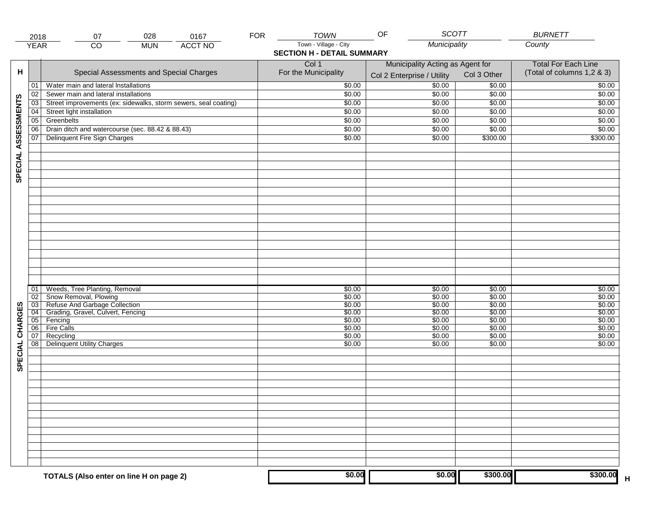|                     | 2018            | 028<br>07                                                       | 0167           | <b>FOR</b> | <b>TOWN</b>                       | OF<br><b>SCOTT</b>               |             | <b>BURNETT</b>             |  |  |
|---------------------|-----------------|-----------------------------------------------------------------|----------------|------------|-----------------------------------|----------------------------------|-------------|----------------------------|--|--|
|                     | <b>YEAR</b>     | $\overline{CO}$<br><b>MUN</b>                                   | <b>ACCT NO</b> |            | Town - Village - City             | Municipality                     |             | County                     |  |  |
|                     |                 |                                                                 |                |            | <b>SECTION H - DETAIL SUMMARY</b> |                                  |             |                            |  |  |
|                     |                 |                                                                 |                |            | Col 1                             | Municipality Acting as Agent for |             | <b>Total For Each Line</b> |  |  |
| н                   |                 | Special Assessments and Special Charges                         |                |            | For the Municipality              |                                  | Col 3 Other | (Total of columns 1,2 & 3) |  |  |
|                     |                 |                                                                 |                |            |                                   | Col 2 Enterprise / Utility       |             |                            |  |  |
|                     | 01              | Water main and lateral Installations                            |                |            | \$0.00                            | \$0.00                           | \$0.00      | \$0.00                     |  |  |
|                     | 02              | Sewer main and lateral installations                            |                |            | \$0.00                            | \$0.00                           | \$0.00      | \$0.00                     |  |  |
|                     | 03              | Street improvements (ex: sidewalks, storm sewers, seal coating) |                |            | \$0.00                            | \$0.00                           | \$0.00      | \$0.00                     |  |  |
|                     | 04              | Street light installation                                       |                |            | \$0.00                            | \$0.00                           | \$0.00      | \$0.00                     |  |  |
|                     | 05              | Greenbelts                                                      |                |            | \$0.00                            | \$0.00                           | \$0.00      | \$0.00                     |  |  |
|                     | 06              | Drain ditch and watercourse (sec. 88.42 & 88.43)                |                |            | \$0.00                            | \$0.00                           | \$0.00      | \$0.00                     |  |  |
|                     | 07              | Delinquent Fire Sign Charges                                    |                |            | \$0.00                            | \$0.00                           | \$300.00    | \$300.00                   |  |  |
|                     |                 |                                                                 |                |            |                                   |                                  |             |                            |  |  |
|                     |                 |                                                                 |                |            |                                   |                                  |             |                            |  |  |
|                     |                 |                                                                 |                |            |                                   |                                  |             |                            |  |  |
| SPECIAL ASSESSMENTS |                 |                                                                 |                |            |                                   |                                  |             |                            |  |  |
|                     |                 |                                                                 |                |            |                                   |                                  |             |                            |  |  |
|                     |                 |                                                                 |                |            |                                   |                                  |             |                            |  |  |
|                     |                 |                                                                 |                |            |                                   |                                  |             |                            |  |  |
|                     |                 |                                                                 |                |            |                                   |                                  |             |                            |  |  |
|                     |                 |                                                                 |                |            |                                   |                                  |             |                            |  |  |
|                     |                 |                                                                 |                |            |                                   |                                  |             |                            |  |  |
|                     |                 |                                                                 |                |            |                                   |                                  |             |                            |  |  |
|                     |                 |                                                                 |                |            |                                   |                                  |             |                            |  |  |
|                     |                 |                                                                 |                |            |                                   |                                  |             |                            |  |  |
|                     |                 |                                                                 |                |            |                                   |                                  |             |                            |  |  |
|                     |                 |                                                                 |                |            |                                   |                                  |             |                            |  |  |
|                     |                 |                                                                 |                |            |                                   |                                  |             |                            |  |  |
|                     | 01              | Weeds, Tree Planting, Removal                                   |                |            | \$0.00                            | \$0.00                           | \$0.00      | \$0.00                     |  |  |
|                     | 02              | Snow Removal, Plowing                                           |                |            | \$0.00                            | \$0.00                           | \$0.00      | \$0.00                     |  |  |
|                     | $\overline{03}$ | Refuse And Garbage Collection                                   |                |            | \$0.00                            | \$0.00                           | \$0.00      | \$0.00                     |  |  |
|                     | $\overline{04}$ | Grading, Gravel, Culvert, Fencing                               |                |            | \$0.00                            | \$0.00                           | \$0.00      | \$0.00                     |  |  |
| SPECIAL CHARGES     | 05              | Fencing                                                         |                |            | \$0.00                            | \$0.00                           | \$0.00      | \$0.00                     |  |  |
|                     | 06              | <b>Fire Calls</b>                                               |                |            | \$0.00                            | \$0.00                           | \$0.00      | \$0.00                     |  |  |
|                     | 07              | Recycling                                                       |                |            | \$0.00                            | \$0.00                           | \$0.00      | \$0.00                     |  |  |
|                     | $\overline{08}$ | <b>Delinquent Utility Charges</b>                               |                |            | \$0.00                            | \$0.00                           | \$0.00      | \$0.00                     |  |  |
|                     |                 |                                                                 |                |            |                                   |                                  |             |                            |  |  |
|                     |                 |                                                                 |                |            |                                   |                                  |             |                            |  |  |
|                     |                 |                                                                 |                |            |                                   |                                  |             |                            |  |  |
|                     |                 |                                                                 |                |            |                                   |                                  |             |                            |  |  |
|                     |                 |                                                                 |                |            |                                   |                                  |             |                            |  |  |
|                     |                 |                                                                 |                |            |                                   |                                  |             |                            |  |  |
|                     |                 |                                                                 |                |            |                                   |                                  |             |                            |  |  |
|                     |                 |                                                                 |                |            |                                   |                                  |             |                            |  |  |
|                     |                 |                                                                 |                |            |                                   |                                  |             |                            |  |  |
|                     |                 |                                                                 |                |            |                                   |                                  |             |                            |  |  |
|                     |                 |                                                                 |                |            |                                   |                                  |             |                            |  |  |
|                     |                 |                                                                 |                |            |                                   |                                  |             |                            |  |  |
|                     |                 |                                                                 |                |            |                                   |                                  |             |                            |  |  |
|                     |                 |                                                                 |                |            |                                   |                                  |             |                            |  |  |
|                     |                 | TOTALS (Also enter on line H on page 2)                         |                |            | \$0.00                            | \$0.00                           | \$300.00    | \$300.00<br>$\mathsf H$    |  |  |
|                     |                 |                                                                 |                |            |                                   |                                  |             |                            |  |  |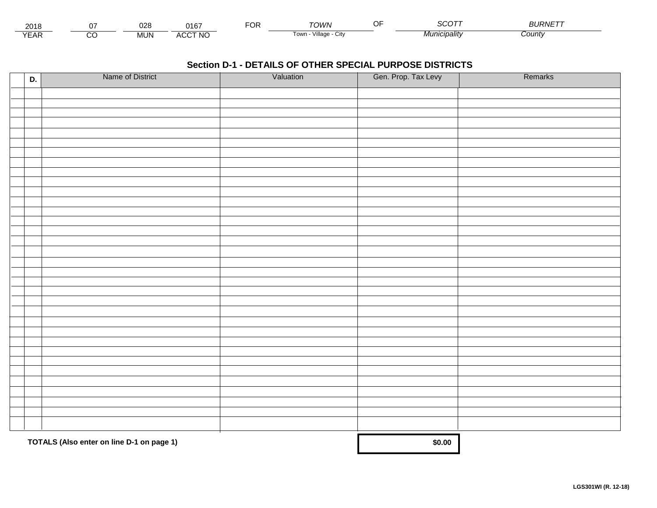| 201≀          |         | 028        | $0.40$ <sup>-</sup> | ◡ | ⊤∩WN                     |                 | <b>OURIVE</b> |
|---------------|---------|------------|---------------------|---|--------------------------|-----------------|---------------|
| $V = r$<br>⊢ี | ~<br>ىد | <b>MUN</b> | <b>ACCT NO</b>      |   | Village<br>l own<br>◡៲៶៶ | <i>cipality</i> | ;ountγ        |

| D. | Name of District                          | Valuation | Gen. Prop. Tax Levy | Remarks |
|----|-------------------------------------------|-----------|---------------------|---------|
|    |                                           |           |                     |         |
|    |                                           |           |                     |         |
|    |                                           |           |                     |         |
|    |                                           |           |                     |         |
|    |                                           |           |                     |         |
|    |                                           |           |                     |         |
|    |                                           |           |                     |         |
|    |                                           |           |                     |         |
|    |                                           |           |                     |         |
|    |                                           |           |                     |         |
|    |                                           |           |                     |         |
|    |                                           |           |                     |         |
|    |                                           |           |                     |         |
|    |                                           |           |                     |         |
|    |                                           |           |                     |         |
|    |                                           |           |                     |         |
|    |                                           |           |                     |         |
|    |                                           |           |                     |         |
|    |                                           |           |                     |         |
|    |                                           |           |                     |         |
|    |                                           |           |                     |         |
|    |                                           |           |                     |         |
|    |                                           |           |                     |         |
|    |                                           |           |                     |         |
|    |                                           |           |                     |         |
|    |                                           |           |                     |         |
|    |                                           |           |                     |         |
|    |                                           |           |                     |         |
|    |                                           |           |                     |         |
|    |                                           |           |                     |         |
|    |                                           |           |                     |         |
|    | TOTALS (Also enter on line D-1 on page 1) |           | \$0.00              |         |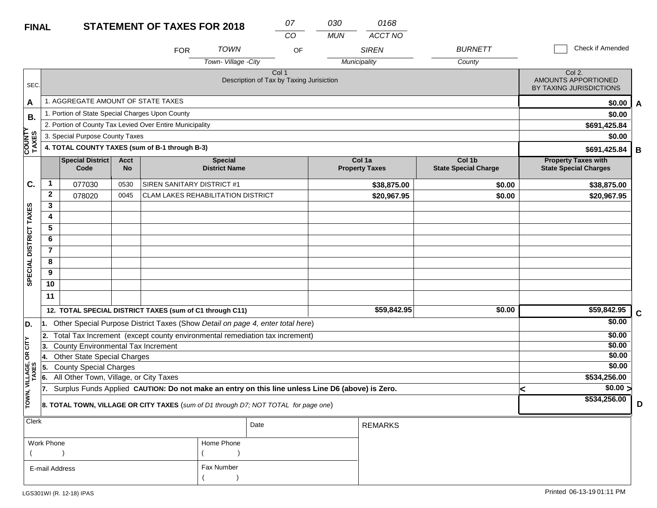| <b>FINAL</b>            |                                                                                                       |                                                                                     |      |                                                                                                  | 07<br><b>STATEMENT OF TAXES FOR 2018</b> |                                                   |    |            | 0168                            |                                       |                                                            |                  |              |  |
|-------------------------|-------------------------------------------------------------------------------------------------------|-------------------------------------------------------------------------------------|------|--------------------------------------------------------------------------------------------------|------------------------------------------|---------------------------------------------------|----|------------|---------------------------------|---------------------------------------|------------------------------------------------------------|------------------|--------------|--|
|                         |                                                                                                       |                                                                                     |      |                                                                                                  |                                          |                                                   | CO | <b>MUN</b> | <b>ACCT NO</b>                  |                                       |                                                            |                  |              |  |
|                         |                                                                                                       |                                                                                     |      | <b>FOR</b>                                                                                       | <b>TOWN</b>                              |                                                   | OF |            | <b>SIREN</b>                    | <b>BURNETT</b>                        | Check if Amended                                           |                  |              |  |
|                         |                                                                                                       |                                                                                     |      |                                                                                                  | Town-Village -City                       |                                                   |    |            | Municipality                    | County                                |                                                            |                  |              |  |
| SEC.                    |                                                                                                       |                                                                                     |      |                                                                                                  |                                          | Col 1<br>Description of Tax by Taxing Jurisiction |    |            |                                 |                                       | Col 2.<br>AMOUNTS APPORTIONED<br>BY TAXING JURISDICTIONS   |                  |              |  |
| A                       |                                                                                                       | 1. AGGREGATE AMOUNT OF STATE TAXES                                                  |      |                                                                                                  |                                          |                                                   |    |            |                                 |                                       |                                                            | \$0.00           | $\mathbf{A}$ |  |
| В.                      |                                                                                                       | 1. Portion of State Special Charges Upon County                                     |      |                                                                                                  |                                          |                                                   |    |            |                                 |                                       |                                                            | \$0.00           |              |  |
|                         |                                                                                                       |                                                                                     |      | 2. Portion of County Tax Levied Over Entire Municipality                                         |                                          |                                                   |    |            |                                 |                                       |                                                            | \$691,425.84     |              |  |
|                         |                                                                                                       | 3. Special Purpose County Taxes                                                     |      |                                                                                                  |                                          |                                                   |    |            |                                 |                                       | \$0.00                                                     |                  |              |  |
| <b>COUNTY</b><br>TAXES  |                                                                                                       |                                                                                     |      | 4. TOTAL COUNTY TAXES (sum of B-1 through B-3)                                                   |                                          |                                                   |    |            |                                 |                                       | \$691,425.84<br>B                                          |                  |              |  |
|                         | <b>Special District</b><br><b>Acct</b><br><b>Special</b><br>Code<br><b>No</b><br><b>District Name</b> |                                                                                     |      |                                                                                                  |                                          |                                                   |    |            | Col 1a<br><b>Property Taxes</b> | Col 1b<br><b>State Special Charge</b> | <b>Property Taxes with</b><br><b>State Special Charges</b> |                  |              |  |
| C.                      | $\mathbf 1$                                                                                           | 077030                                                                              | 0530 | SIREN SANITARY DISTRICT #1                                                                       |                                          |                                                   |    |            | \$38,875.00                     | \$0.00                                |                                                            | \$38,875.00      |              |  |
|                         | $\mathbf{2}$                                                                                          | 078020                                                                              | 0045 | <b>CLAM LAKES REHABILITATION DISTRICT</b>                                                        |                                          |                                                   |    |            | \$20,967.95                     | \$0.00                                |                                                            | \$20,967.95      |              |  |
|                         | 3                                                                                                     |                                                                                     |      |                                                                                                  |                                          |                                                   |    |            |                                 |                                       |                                                            |                  |              |  |
|                         | 4                                                                                                     |                                                                                     |      |                                                                                                  |                                          |                                                   |    |            |                                 |                                       |                                                            |                  |              |  |
|                         | 5                                                                                                     |                                                                                     |      |                                                                                                  |                                          |                                                   |    |            |                                 |                                       |                                                            |                  |              |  |
|                         | 6                                                                                                     |                                                                                     |      |                                                                                                  |                                          |                                                   |    |            |                                 |                                       |                                                            |                  |              |  |
|                         | $\mathbf{7}$                                                                                          |                                                                                     |      |                                                                                                  |                                          |                                                   |    |            |                                 |                                       |                                                            |                  |              |  |
|                         | 8                                                                                                     |                                                                                     |      |                                                                                                  |                                          |                                                   |    |            |                                 |                                       |                                                            |                  |              |  |
| SPECIAL DISTRICT TAXES  | 9<br>10                                                                                               |                                                                                     |      |                                                                                                  |                                          |                                                   |    |            |                                 |                                       |                                                            |                  |              |  |
|                         | 11                                                                                                    |                                                                                     |      |                                                                                                  |                                          |                                                   |    |            |                                 |                                       |                                                            |                  |              |  |
|                         |                                                                                                       |                                                                                     |      | 12. TOTAL SPECIAL DISTRICT TAXES (sum of C1 through C11)                                         |                                          |                                                   |    |            | \$59,842.95                     | \$0.00                                |                                                            | \$59,842.95      |              |  |
|                         |                                                                                                       |                                                                                     |      |                                                                                                  |                                          |                                                   |    |            |                                 |                                       |                                                            | \$0.00           | $\mathbf C$  |  |
| D.                      |                                                                                                       |                                                                                     |      | 1. Other Special Purpose District Taxes (Show Detail on page 4, enter total here)                |                                          |                                                   |    |            |                                 |                                       |                                                            |                  |              |  |
| CITY                    | 3.                                                                                                    | County Environmental Tax Increment                                                  |      | 2. Total Tax Increment (except county environmental remediation tax increment)                   |                                          |                                                   |    |            |                                 |                                       |                                                            | \$0.00<br>\$0.00 |              |  |
| бR                      | 14.                                                                                                   | <b>Other State Special Charges</b>                                                  |      |                                                                                                  |                                          |                                                   |    |            |                                 |                                       |                                                            | \$0.00           |              |  |
|                         | 15.                                                                                                   | <b>County Special Charges</b>                                                       |      |                                                                                                  |                                          |                                                   |    |            |                                 |                                       |                                                            | \$0.00           |              |  |
|                         | 6.                                                                                                    | All Other Town, Village, or City Taxes                                              |      |                                                                                                  |                                          |                                                   |    |            |                                 |                                       |                                                            | \$534,256.00     |              |  |
|                         | 17.                                                                                                   |                                                                                     |      | Surplus Funds Applied CAUTION: Do not make an entry on this line unless Line D6 (above) is Zero. |                                          |                                                   |    |            |                                 |                                       | k                                                          | $\sqrt{$0.00}$   |              |  |
| TOWN, VILLAGE,<br>TAXES |                                                                                                       | 8. TOTAL TOWN, VILLAGE OR CITY TAXES (sum of D1 through D7; NOT TOTAL for page one) |      |                                                                                                  | \$534,256.00                             | D                                                 |    |            |                                 |                                       |                                                            |                  |              |  |
| <b>Clerk</b>            | Date<br><b>REMARKS</b>                                                                                |                                                                                     |      |                                                                                                  |                                          |                                                   |    |            |                                 |                                       |                                                            |                  |              |  |

| Work Phone     | Home Phone |
|----------------|------------|
|                |            |
| E-mail Address | Fax Number |
|                |            |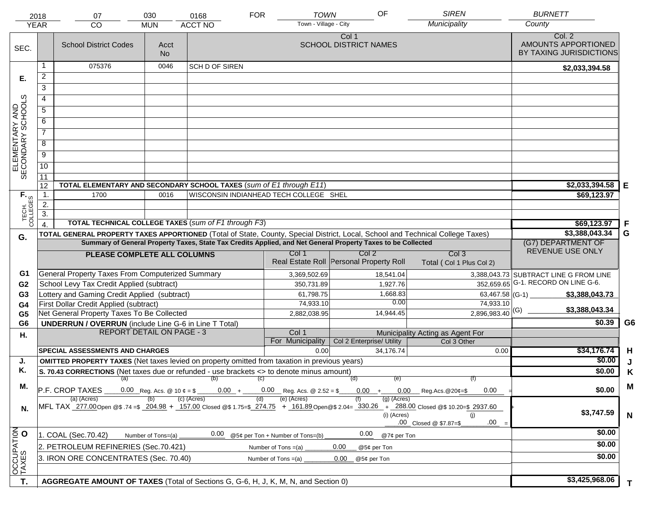|                                     | 2018<br><b>YEAR</b> | 07<br><b>CO</b>                                                                                                                | 030<br><b>MUN</b> | 0168<br>ACCT NO                                             | <b>TOWN</b><br><b>FOR</b><br>Town - Village - City      | OF                                                                                                           | <b>SIREN</b><br>Municipality                                                                                                                                                          | <b>BURNETT</b><br>County                                 |                |
|-------------------------------------|---------------------|--------------------------------------------------------------------------------------------------------------------------------|-------------------|-------------------------------------------------------------|---------------------------------------------------------|--------------------------------------------------------------------------------------------------------------|---------------------------------------------------------------------------------------------------------------------------------------------------------------------------------------|----------------------------------------------------------|----------------|
| SEC.                                |                     | <b>School District Codes</b>                                                                                                   | Acct<br><b>No</b> |                                                             |                                                         | Col 1<br><b>SCHOOL DISTRICT NAMES</b>                                                                        |                                                                                                                                                                                       | Col. 2<br>AMOUNTS APPORTIONED<br>BY TAXING JURISDICTIONS |                |
|                                     | 1                   | 075376                                                                                                                         | 0046              | SCH D OF SIREN                                              |                                                         |                                                                                                              |                                                                                                                                                                                       | \$2,033,394.58                                           |                |
| Е.                                  | $\overline{2}$      |                                                                                                                                |                   |                                                             |                                                         |                                                                                                              |                                                                                                                                                                                       |                                                          |                |
|                                     | $\overline{3}$      |                                                                                                                                |                   |                                                             |                                                         |                                                                                                              |                                                                                                                                                                                       |                                                          |                |
|                                     | 4                   |                                                                                                                                |                   |                                                             |                                                         |                                                                                                              |                                                                                                                                                                                       |                                                          |                |
|                                     | 5                   |                                                                                                                                |                   |                                                             |                                                         |                                                                                                              |                                                                                                                                                                                       |                                                          |                |
|                                     | 6                   |                                                                                                                                |                   |                                                             |                                                         |                                                                                                              |                                                                                                                                                                                       |                                                          |                |
| ELEMENTARY AND<br>SECONDARY SCHOOLS | $\overline{7}$      |                                                                                                                                |                   |                                                             |                                                         |                                                                                                              |                                                                                                                                                                                       |                                                          |                |
|                                     |                     |                                                                                                                                |                   |                                                             |                                                         |                                                                                                              |                                                                                                                                                                                       |                                                          |                |
|                                     | 8                   |                                                                                                                                |                   |                                                             |                                                         |                                                                                                              |                                                                                                                                                                                       |                                                          |                |
|                                     | $\overline{9}$      |                                                                                                                                |                   |                                                             |                                                         |                                                                                                              |                                                                                                                                                                                       |                                                          |                |
|                                     | 10                  |                                                                                                                                |                   |                                                             |                                                         |                                                                                                              |                                                                                                                                                                                       |                                                          |                |
|                                     | 11<br>12            | TOTAL ELEMENTARY AND SECONDARY SCHOOL TAXES (sum of E1 through E11)                                                            |                   |                                                             |                                                         |                                                                                                              | \$2,033,394.58                                                                                                                                                                        | Е                                                        |                |
|                                     | 1.                  | 1700                                                                                                                           | 0016              |                                                             | WISCONSIN INDIANHEAD TECH COLLEGE SHEL                  |                                                                                                              |                                                                                                                                                                                       | \$69,123.97                                              |                |
|                                     | 2.                  |                                                                                                                                |                   |                                                             |                                                         |                                                                                                              |                                                                                                                                                                                       |                                                          |                |
| TECH. T                             | $\overline{3}$ .    |                                                                                                                                |                   |                                                             |                                                         |                                                                                                              |                                                                                                                                                                                       |                                                          |                |
|                                     | $\overline{4}$ .    |                                                                                                                                |                   | <b>TOTAL TECHNICAL COLLEGE TAXES (sum of F1 through F3)</b> |                                                         |                                                                                                              |                                                                                                                                                                                       | \$69,123.97                                              | -F             |
| G.                                  |                     | TOTAL GENERAL PROPERTY TAXES APPORTIONED (Total of State, County, Special District, Local, School and Technical College Taxes) |                   |                                                             |                                                         |                                                                                                              |                                                                                                                                                                                       | \$3,388,043.34                                           | G              |
|                                     |                     |                                                                                                                                |                   |                                                             |                                                         | Summary of General Property Taxes, State Tax Credits Applied, and Net General Property Taxes to be Collected |                                                                                                                                                                                       | (G7) DEPARTMENT OF<br>REVENUE USE ONLY                   |                |
|                                     |                     | PLEASE COMPLETE ALL COLUMNS                                                                                                    |                   |                                                             | Col 1                                                   | Col 2<br>Real Estate Roll Personal Property Roll                                                             | Col <sub>3</sub><br>Total (Col 1 Plus Col 2)                                                                                                                                          |                                                          |                |
| G1                                  |                     | <b>General Property Taxes From Computerized Summary</b>                                                                        |                   |                                                             | 3,369,502.69                                            | 18,541.04                                                                                                    |                                                                                                                                                                                       | 3,388,043.73 SUBTRACT LINE G FROM LINE                   |                |
| G <sub>2</sub>                      |                     | School Levy Tax Credit Applied (subtract)                                                                                      |                   |                                                             | 350,731.89                                              | 1,927.76                                                                                                     |                                                                                                                                                                                       | 352,659.65 G-1. RECORD ON LINE G-6.                      |                |
| G <sub>3</sub>                      |                     | Lottery and Gaming Credit Applied (subtract)                                                                                   |                   |                                                             | 61,798.75                                               | 1,668.83                                                                                                     | 63,467.58 (G-1)                                                                                                                                                                       | \$3,388,043.73                                           |                |
| G4                                  |                     | First Dollar Credit Applied (subtract)                                                                                         |                   |                                                             | 74,933.10                                               | 0.00                                                                                                         | 74,933.10                                                                                                                                                                             | \$3,388,043.34                                           |                |
| G <sub>5</sub>                      |                     | Net General Property Taxes To Be Collected                                                                                     |                   |                                                             | 2,882,038.95                                            | 14,944.45                                                                                                    | $2,896,983.40$ <sup>(G)</sup>                                                                                                                                                         |                                                          |                |
| G <sub>6</sub>                      |                     | <b>UNDERRUN / OVERRUN</b> (include Line G-6 in Line T Total)<br><b>REPORT DETAIL ON PAGE - 3</b>                               |                   |                                                             | Col 1                                                   |                                                                                                              |                                                                                                                                                                                       | \$0.39                                                   | G <sub>6</sub> |
| Н.                                  |                     |                                                                                                                                |                   |                                                             | For Municipality                                        | Col 2 Enterprise/ Utility                                                                                    | Municipality Acting as Agent For<br>Col 3 Other                                                                                                                                       |                                                          |                |
|                                     |                     | <b>SPECIAL ASSESSMENTS AND CHARGES</b>                                                                                         |                   |                                                             | 0.00                                                    | 34,176.74                                                                                                    | 0.00                                                                                                                                                                                  | \$34,176.74                                              | H              |
| J.                                  |                     | <b>OMITTED PROPERTY TAXES</b> (Net taxes levied on property omitted from taxation in previous years)                           |                   |                                                             |                                                         |                                                                                                              |                                                                                                                                                                                       | \$0.00                                                   | J              |
| Κ.                                  |                     | S. 70.43 CORRECTIONS (Net taxes due or refunded - use brackets <> to denote minus amount)                                      |                   |                                                             |                                                         |                                                                                                              |                                                                                                                                                                                       | \$0.00                                                   | Κ              |
| М.                                  |                     | (a)                                                                                                                            |                   | (b)                                                         | (C)                                                     | (d)<br>(e)                                                                                                   | (f)                                                                                                                                                                                   |                                                          | M              |
|                                     |                     | P.F. CROP TAXES<br>(a) (Acres)                                                                                                 |                   | $0.00 +$<br>(c) (Acres)                                     | $0.00$ Reg. Acs. @ 2.52 = \$<br>(e) (Acres)<br>(d)      | $0.00 +$<br>$(g)$ (Acres)                                                                                    | $0.00$ Reg.Acs. @20¢=\$<br>0.00                                                                                                                                                       | \$0.00                                                   |                |
| N.                                  |                     |                                                                                                                                |                   |                                                             |                                                         | (i) (Acres)                                                                                                  | MFL TAX 277.00 Open @\$ .74 =\$ 204.98 + 157.00 Closed @\$ 1.75=\$ 274.75 + 161.89 Open @\$ 2.04= 330.26 + 288.00 Closed @\$ 10.20=\$ 2937.60<br>(i)<br>.00<br>.00 Closed @ \$7.87=\$ | \$3,747.59                                               | $\mathbf N$    |
|                                     |                     | 1. COAL (Sec.70.42)<br>Number of Tons=(a)                                                                                      | @7¢ per Ton       | \$0.00                                                      |                                                         |                                                                                                              |                                                                                                                                                                                       |                                                          |                |
|                                     |                     | 2. PETROLEUM REFINERIES (Sec.70.421)                                                                                           |                   |                                                             | @5¢ per Ton + Number of Tons=(b)<br>Number of Tons =(a) | 0.00<br>@5¢ per Ton                                                                                          |                                                                                                                                                                                       | \$0.00                                                   |                |
| OCCUPATION                          |                     | 3. IRON ORE CONCENTRATES (Sec. 70.40)                                                                                          |                   |                                                             | Number of Tons $=(a)$                                   | 0.00<br>@5¢ per Ton                                                                                          |                                                                                                                                                                                       | \$0.00                                                   |                |
|                                     |                     |                                                                                                                                |                   |                                                             |                                                         |                                                                                                              |                                                                                                                                                                                       |                                                          |                |
| T.                                  |                     | AGGREGATE AMOUNT OF TAXES (Total of Sections G, G-6, H, J, K, M, N, and Section 0)                                             |                   |                                                             |                                                         |                                                                                                              |                                                                                                                                                                                       | \$3,425,968.06                                           | T.             |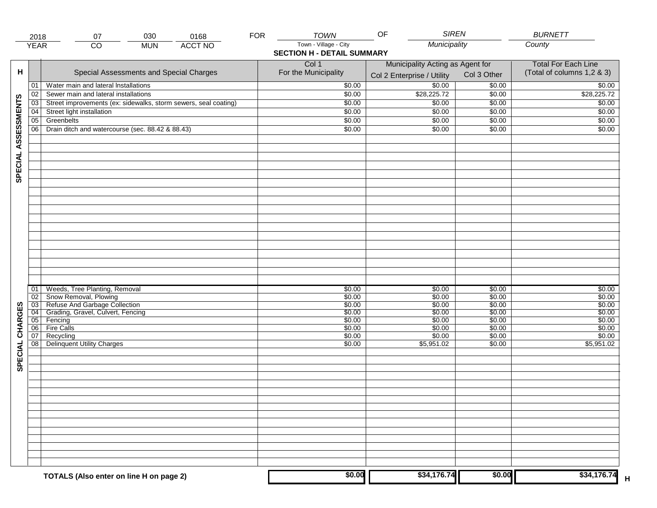| <b>FOR</b><br>030<br>0168<br>07<br>2018<br>Town - Village - City<br>Municipality<br>County<br><b>YEAR</b><br><b>ACCT NO</b><br>$\overline{CO}$<br><b>MUN</b><br><b>SECTION H - DETAIL SUMMARY</b><br>Col 1<br>Municipality Acting as Agent for<br>н<br>For the Municipality<br>Special Assessments and Special Charges<br>Col 3 Other<br>Col 2 Enterprise / Utility<br>\$0.00<br>Water main and lateral Installations<br>\$0.00<br>\$0.00<br>01<br>\$28,225.72<br>\$0.00<br>\$0.00<br>02<br>Sewer main and lateral installations<br>SPECIAL ASSESSMENTS<br>Street improvements (ex: sidewalks, storm sewers, seal coating)<br>\$0.00<br>\$0.00<br>\$0.00<br>03<br>04<br>Street light installation<br>\$0.00<br>\$0.00<br>\$0.00<br>Greenbelts<br>05<br>\$0.00<br>\$0.00<br>\$0.00<br>06<br>Drain ditch and watercourse (sec. 88.42 & 88.43)<br>\$0.00<br>\$0.00<br>\$0.00<br>Weeds, Tree Planting, Removal<br>\$0.00<br>\$0.00<br>01<br>\$0.00<br>Snow Removal, Plowing<br>\$0.00<br>02<br>\$0.00<br>\$0.00<br>Refuse And Garbage Collection<br>$\overline{03}$<br>\$0.00<br>\$0.00<br>SPECIAL CHARGES<br>\$0.00<br>Grading, Gravel, Culvert, Fencing<br>\$0.00<br>\$0.00<br>\$0.00<br>$\overline{04}$<br>05<br>Fencing<br>\$0.00<br>\$0.00<br>\$0.00<br><b>Fire Calls</b><br>\$0.00<br>\$0.00<br>\$0.00<br>06<br>07<br>Recycling<br>\$0.00<br>\$0.00<br>\$0.00<br>$\overline{08}$<br><b>Delinquent Utility Charges</b><br>\$0.00<br>\$5,951.02<br>\$0.00 | <b>BURNETT</b>             |  |
|-----------------------------------------------------------------------------------------------------------------------------------------------------------------------------------------------------------------------------------------------------------------------------------------------------------------------------------------------------------------------------------------------------------------------------------------------------------------------------------------------------------------------------------------------------------------------------------------------------------------------------------------------------------------------------------------------------------------------------------------------------------------------------------------------------------------------------------------------------------------------------------------------------------------------------------------------------------------------------------------------------------------------------------------------------------------------------------------------------------------------------------------------------------------------------------------------------------------------------------------------------------------------------------------------------------------------------------------------------------------------------------------------------------------------------------------------------------|----------------------------|--|
|                                                                                                                                                                                                                                                                                                                                                                                                                                                                                                                                                                                                                                                                                                                                                                                                                                                                                                                                                                                                                                                                                                                                                                                                                                                                                                                                                                                                                                                           |                            |  |
|                                                                                                                                                                                                                                                                                                                                                                                                                                                                                                                                                                                                                                                                                                                                                                                                                                                                                                                                                                                                                                                                                                                                                                                                                                                                                                                                                                                                                                                           |                            |  |
|                                                                                                                                                                                                                                                                                                                                                                                                                                                                                                                                                                                                                                                                                                                                                                                                                                                                                                                                                                                                                                                                                                                                                                                                                                                                                                                                                                                                                                                           | <b>Total For Each Line</b> |  |
|                                                                                                                                                                                                                                                                                                                                                                                                                                                                                                                                                                                                                                                                                                                                                                                                                                                                                                                                                                                                                                                                                                                                                                                                                                                                                                                                                                                                                                                           | (Total of columns 1,2 & 3) |  |
|                                                                                                                                                                                                                                                                                                                                                                                                                                                                                                                                                                                                                                                                                                                                                                                                                                                                                                                                                                                                                                                                                                                                                                                                                                                                                                                                                                                                                                                           |                            |  |
|                                                                                                                                                                                                                                                                                                                                                                                                                                                                                                                                                                                                                                                                                                                                                                                                                                                                                                                                                                                                                                                                                                                                                                                                                                                                                                                                                                                                                                                           | \$0.00                     |  |
|                                                                                                                                                                                                                                                                                                                                                                                                                                                                                                                                                                                                                                                                                                                                                                                                                                                                                                                                                                                                                                                                                                                                                                                                                                                                                                                                                                                                                                                           | \$28,225.72                |  |
|                                                                                                                                                                                                                                                                                                                                                                                                                                                                                                                                                                                                                                                                                                                                                                                                                                                                                                                                                                                                                                                                                                                                                                                                                                                                                                                                                                                                                                                           | \$0.00                     |  |
|                                                                                                                                                                                                                                                                                                                                                                                                                                                                                                                                                                                                                                                                                                                                                                                                                                                                                                                                                                                                                                                                                                                                                                                                                                                                                                                                                                                                                                                           | \$0.00                     |  |
|                                                                                                                                                                                                                                                                                                                                                                                                                                                                                                                                                                                                                                                                                                                                                                                                                                                                                                                                                                                                                                                                                                                                                                                                                                                                                                                                                                                                                                                           | \$0.00                     |  |
|                                                                                                                                                                                                                                                                                                                                                                                                                                                                                                                                                                                                                                                                                                                                                                                                                                                                                                                                                                                                                                                                                                                                                                                                                                                                                                                                                                                                                                                           | \$0.00                     |  |
|                                                                                                                                                                                                                                                                                                                                                                                                                                                                                                                                                                                                                                                                                                                                                                                                                                                                                                                                                                                                                                                                                                                                                                                                                                                                                                                                                                                                                                                           |                            |  |
|                                                                                                                                                                                                                                                                                                                                                                                                                                                                                                                                                                                                                                                                                                                                                                                                                                                                                                                                                                                                                                                                                                                                                                                                                                                                                                                                                                                                                                                           |                            |  |
|                                                                                                                                                                                                                                                                                                                                                                                                                                                                                                                                                                                                                                                                                                                                                                                                                                                                                                                                                                                                                                                                                                                                                                                                                                                                                                                                                                                                                                                           |                            |  |
|                                                                                                                                                                                                                                                                                                                                                                                                                                                                                                                                                                                                                                                                                                                                                                                                                                                                                                                                                                                                                                                                                                                                                                                                                                                                                                                                                                                                                                                           |                            |  |
|                                                                                                                                                                                                                                                                                                                                                                                                                                                                                                                                                                                                                                                                                                                                                                                                                                                                                                                                                                                                                                                                                                                                                                                                                                                                                                                                                                                                                                                           |                            |  |
|                                                                                                                                                                                                                                                                                                                                                                                                                                                                                                                                                                                                                                                                                                                                                                                                                                                                                                                                                                                                                                                                                                                                                                                                                                                                                                                                                                                                                                                           |                            |  |
|                                                                                                                                                                                                                                                                                                                                                                                                                                                                                                                                                                                                                                                                                                                                                                                                                                                                                                                                                                                                                                                                                                                                                                                                                                                                                                                                                                                                                                                           |                            |  |
|                                                                                                                                                                                                                                                                                                                                                                                                                                                                                                                                                                                                                                                                                                                                                                                                                                                                                                                                                                                                                                                                                                                                                                                                                                                                                                                                                                                                                                                           |                            |  |
|                                                                                                                                                                                                                                                                                                                                                                                                                                                                                                                                                                                                                                                                                                                                                                                                                                                                                                                                                                                                                                                                                                                                                                                                                                                                                                                                                                                                                                                           |                            |  |
|                                                                                                                                                                                                                                                                                                                                                                                                                                                                                                                                                                                                                                                                                                                                                                                                                                                                                                                                                                                                                                                                                                                                                                                                                                                                                                                                                                                                                                                           |                            |  |
|                                                                                                                                                                                                                                                                                                                                                                                                                                                                                                                                                                                                                                                                                                                                                                                                                                                                                                                                                                                                                                                                                                                                                                                                                                                                                                                                                                                                                                                           |                            |  |
|                                                                                                                                                                                                                                                                                                                                                                                                                                                                                                                                                                                                                                                                                                                                                                                                                                                                                                                                                                                                                                                                                                                                                                                                                                                                                                                                                                                                                                                           |                            |  |
|                                                                                                                                                                                                                                                                                                                                                                                                                                                                                                                                                                                                                                                                                                                                                                                                                                                                                                                                                                                                                                                                                                                                                                                                                                                                                                                                                                                                                                                           |                            |  |
|                                                                                                                                                                                                                                                                                                                                                                                                                                                                                                                                                                                                                                                                                                                                                                                                                                                                                                                                                                                                                                                                                                                                                                                                                                                                                                                                                                                                                                                           |                            |  |
|                                                                                                                                                                                                                                                                                                                                                                                                                                                                                                                                                                                                                                                                                                                                                                                                                                                                                                                                                                                                                                                                                                                                                                                                                                                                                                                                                                                                                                                           |                            |  |
|                                                                                                                                                                                                                                                                                                                                                                                                                                                                                                                                                                                                                                                                                                                                                                                                                                                                                                                                                                                                                                                                                                                                                                                                                                                                                                                                                                                                                                                           |                            |  |
|                                                                                                                                                                                                                                                                                                                                                                                                                                                                                                                                                                                                                                                                                                                                                                                                                                                                                                                                                                                                                                                                                                                                                                                                                                                                                                                                                                                                                                                           |                            |  |
|                                                                                                                                                                                                                                                                                                                                                                                                                                                                                                                                                                                                                                                                                                                                                                                                                                                                                                                                                                                                                                                                                                                                                                                                                                                                                                                                                                                                                                                           | \$0.00                     |  |
|                                                                                                                                                                                                                                                                                                                                                                                                                                                                                                                                                                                                                                                                                                                                                                                                                                                                                                                                                                                                                                                                                                                                                                                                                                                                                                                                                                                                                                                           | \$0.00                     |  |
|                                                                                                                                                                                                                                                                                                                                                                                                                                                                                                                                                                                                                                                                                                                                                                                                                                                                                                                                                                                                                                                                                                                                                                                                                                                                                                                                                                                                                                                           | \$0.00                     |  |
|                                                                                                                                                                                                                                                                                                                                                                                                                                                                                                                                                                                                                                                                                                                                                                                                                                                                                                                                                                                                                                                                                                                                                                                                                                                                                                                                                                                                                                                           | \$0.00                     |  |
|                                                                                                                                                                                                                                                                                                                                                                                                                                                                                                                                                                                                                                                                                                                                                                                                                                                                                                                                                                                                                                                                                                                                                                                                                                                                                                                                                                                                                                                           | \$0.00                     |  |
|                                                                                                                                                                                                                                                                                                                                                                                                                                                                                                                                                                                                                                                                                                                                                                                                                                                                                                                                                                                                                                                                                                                                                                                                                                                                                                                                                                                                                                                           | \$0.00                     |  |
|                                                                                                                                                                                                                                                                                                                                                                                                                                                                                                                                                                                                                                                                                                                                                                                                                                                                                                                                                                                                                                                                                                                                                                                                                                                                                                                                                                                                                                                           | \$0.00                     |  |
|                                                                                                                                                                                                                                                                                                                                                                                                                                                                                                                                                                                                                                                                                                                                                                                                                                                                                                                                                                                                                                                                                                                                                                                                                                                                                                                                                                                                                                                           | \$5,951.02                 |  |
|                                                                                                                                                                                                                                                                                                                                                                                                                                                                                                                                                                                                                                                                                                                                                                                                                                                                                                                                                                                                                                                                                                                                                                                                                                                                                                                                                                                                                                                           |                            |  |
|                                                                                                                                                                                                                                                                                                                                                                                                                                                                                                                                                                                                                                                                                                                                                                                                                                                                                                                                                                                                                                                                                                                                                                                                                                                                                                                                                                                                                                                           |                            |  |
|                                                                                                                                                                                                                                                                                                                                                                                                                                                                                                                                                                                                                                                                                                                                                                                                                                                                                                                                                                                                                                                                                                                                                                                                                                                                                                                                                                                                                                                           |                            |  |
|                                                                                                                                                                                                                                                                                                                                                                                                                                                                                                                                                                                                                                                                                                                                                                                                                                                                                                                                                                                                                                                                                                                                                                                                                                                                                                                                                                                                                                                           |                            |  |
|                                                                                                                                                                                                                                                                                                                                                                                                                                                                                                                                                                                                                                                                                                                                                                                                                                                                                                                                                                                                                                                                                                                                                                                                                                                                                                                                                                                                                                                           |                            |  |
|                                                                                                                                                                                                                                                                                                                                                                                                                                                                                                                                                                                                                                                                                                                                                                                                                                                                                                                                                                                                                                                                                                                                                                                                                                                                                                                                                                                                                                                           |                            |  |
|                                                                                                                                                                                                                                                                                                                                                                                                                                                                                                                                                                                                                                                                                                                                                                                                                                                                                                                                                                                                                                                                                                                                                                                                                                                                                                                                                                                                                                                           |                            |  |
|                                                                                                                                                                                                                                                                                                                                                                                                                                                                                                                                                                                                                                                                                                                                                                                                                                                                                                                                                                                                                                                                                                                                                                                                                                                                                                                                                                                                                                                           |                            |  |
|                                                                                                                                                                                                                                                                                                                                                                                                                                                                                                                                                                                                                                                                                                                                                                                                                                                                                                                                                                                                                                                                                                                                                                                                                                                                                                                                                                                                                                                           |                            |  |
|                                                                                                                                                                                                                                                                                                                                                                                                                                                                                                                                                                                                                                                                                                                                                                                                                                                                                                                                                                                                                                                                                                                                                                                                                                                                                                                                                                                                                                                           |                            |  |
|                                                                                                                                                                                                                                                                                                                                                                                                                                                                                                                                                                                                                                                                                                                                                                                                                                                                                                                                                                                                                                                                                                                                                                                                                                                                                                                                                                                                                                                           |                            |  |
|                                                                                                                                                                                                                                                                                                                                                                                                                                                                                                                                                                                                                                                                                                                                                                                                                                                                                                                                                                                                                                                                                                                                                                                                                                                                                                                                                                                                                                                           |                            |  |
|                                                                                                                                                                                                                                                                                                                                                                                                                                                                                                                                                                                                                                                                                                                                                                                                                                                                                                                                                                                                                                                                                                                                                                                                                                                                                                                                                                                                                                                           |                            |  |
|                                                                                                                                                                                                                                                                                                                                                                                                                                                                                                                                                                                                                                                                                                                                                                                                                                                                                                                                                                                                                                                                                                                                                                                                                                                                                                                                                                                                                                                           |                            |  |
| \$0.00<br>\$34,176.74<br>\$0.00<br>TOTALS (Also enter on line H on page 2)                                                                                                                                                                                                                                                                                                                                                                                                                                                                                                                                                                                                                                                                                                                                                                                                                                                                                                                                                                                                                                                                                                                                                                                                                                                                                                                                                                                | \$34,176.74                |  |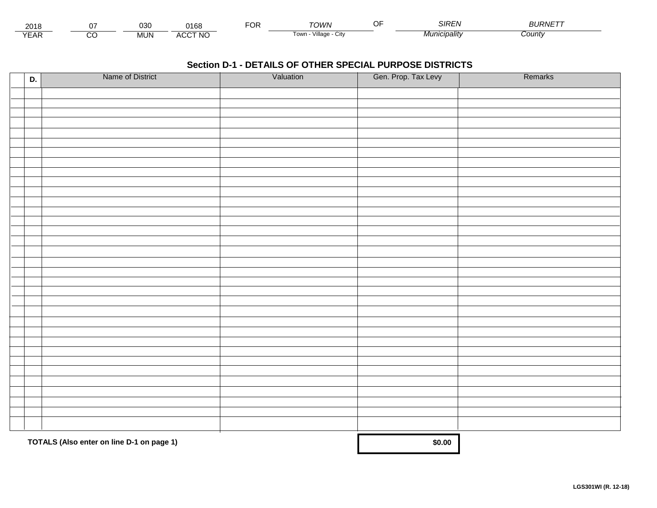| 201           |         | 030        | າ 4 ກ ເ<br>10C | ◡ | ⊤∩WN                                | $\sim$<br>ואוכ | ---------<br><b>PURIVE</b> |
|---------------|---------|------------|----------------|---|-------------------------------------|----------------|----------------------------|
| $V = r$<br>⊢ี | ~<br>ىد | <b>MUN</b> | <b>ACCT NO</b> |   | $\cdots$<br>Village.<br>l own<br>UN | cıpalıtv       | ∶ountγ                     |

| D. | Name of District                          | Valuation | Gen. Prop. Tax Levy | Remarks |
|----|-------------------------------------------|-----------|---------------------|---------|
|    |                                           |           |                     |         |
|    |                                           |           |                     |         |
|    |                                           |           |                     |         |
|    |                                           |           |                     |         |
|    |                                           |           |                     |         |
|    |                                           |           |                     |         |
|    |                                           |           |                     |         |
|    |                                           |           |                     |         |
|    |                                           |           |                     |         |
|    |                                           |           |                     |         |
|    |                                           |           |                     |         |
|    |                                           |           |                     |         |
|    |                                           |           |                     |         |
|    |                                           |           |                     |         |
|    |                                           |           |                     |         |
|    |                                           |           |                     |         |
|    |                                           |           |                     |         |
|    |                                           |           |                     |         |
|    |                                           |           |                     |         |
|    |                                           |           |                     |         |
|    |                                           |           |                     |         |
|    |                                           |           |                     |         |
|    |                                           |           |                     |         |
|    |                                           |           |                     |         |
|    |                                           |           |                     |         |
|    |                                           |           |                     |         |
|    |                                           |           |                     |         |
|    |                                           |           |                     |         |
|    |                                           |           |                     |         |
|    |                                           |           |                     |         |
|    |                                           |           |                     |         |
|    | TOTALS (Also enter on line D-1 on page 1) |           | \$0.00              |         |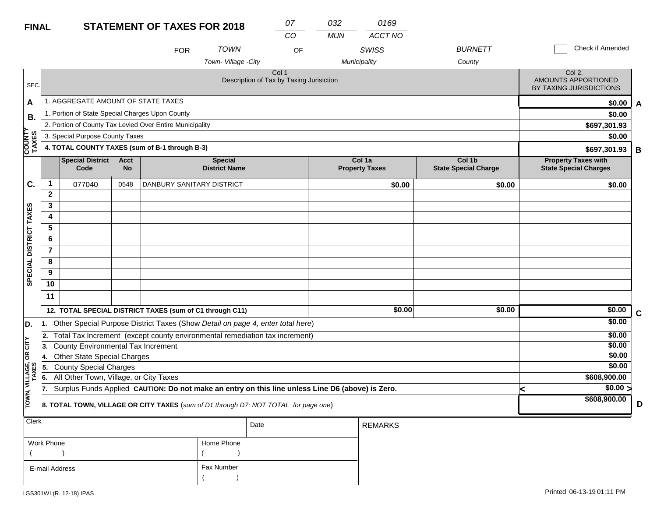| <b>FINAL</b>           |                |                                                                                     |                          |                                                                                                  | 07<br><b>STATEMENT OF TAXES FOR 2018</b> |                                                   |            | 0169                            |                                       |                                                            |                  |             |  |  |
|------------------------|----------------|-------------------------------------------------------------------------------------|--------------------------|--------------------------------------------------------------------------------------------------|------------------------------------------|---------------------------------------------------|------------|---------------------------------|---------------------------------------|------------------------------------------------------------|------------------|-------------|--|--|
|                        |                |                                                                                     |                          |                                                                                                  |                                          | CO                                                | <b>MUN</b> | ACCT NO                         |                                       |                                                            |                  |             |  |  |
|                        |                |                                                                                     |                          | <b>FOR</b>                                                                                       | <b>TOWN</b>                              | OF                                                |            | <b>SWISS</b>                    | <b>BURNETT</b>                        |                                                            | Check if Amended |             |  |  |
|                        |                |                                                                                     |                          |                                                                                                  | Town-Village -City                       |                                                   |            | Municipality                    | County                                |                                                            |                  |             |  |  |
| SEC.                   |                |                                                                                     |                          |                                                                                                  |                                          | Col 1<br>Description of Tax by Taxing Jurisiction |            |                                 |                                       | Col 2.<br>AMOUNTS APPORTIONED<br>BY TAXING JURISDICTIONS   |                  |             |  |  |
| A                      |                | 1. AGGREGATE AMOUNT OF STATE TAXES                                                  |                          |                                                                                                  |                                          |                                                   |            |                                 |                                       |                                                            | \$0.00           | A           |  |  |
| В.                     |                | 1. Portion of State Special Charges Upon County                                     |                          |                                                                                                  |                                          |                                                   |            |                                 |                                       |                                                            | \$0.00           |             |  |  |
|                        |                |                                                                                     |                          | 2. Portion of County Tax Levied Over Entire Municipality                                         |                                          |                                                   |            |                                 |                                       | \$697,301.93                                               |                  |             |  |  |
|                        |                | 3. Special Purpose County Taxes                                                     |                          |                                                                                                  |                                          |                                                   |            |                                 |                                       |                                                            | \$0.00           |             |  |  |
| COUNTY<br>TAXES        |                |                                                                                     |                          | 4. TOTAL COUNTY TAXES (sum of B-1 through B-3)                                                   |                                          |                                                   |            |                                 |                                       | \$697,301.93<br>B                                          |                  |             |  |  |
|                        |                | Special District<br>Code                                                            | <b>Acct</b><br><b>No</b> |                                                                                                  | <b>Special</b><br><b>District Name</b>   |                                                   |            | Col 1a<br><b>Property Taxes</b> | Col 1b<br><b>State Special Charge</b> | <b>Property Taxes with</b><br><b>State Special Charges</b> |                  |             |  |  |
| C.                     | 1              | 077040                                                                              | 0548                     | DANBURY SANITARY DISTRICT                                                                        |                                          |                                                   |            | \$0.00                          | \$0.00                                |                                                            | \$0.00           |             |  |  |
|                        | $\mathbf{2}$   |                                                                                     |                          |                                                                                                  |                                          |                                                   |            |                                 |                                       |                                                            |                  |             |  |  |
|                        | 3              |                                                                                     |                          |                                                                                                  |                                          |                                                   |            |                                 |                                       |                                                            |                  |             |  |  |
|                        | 4              |                                                                                     |                          |                                                                                                  |                                          |                                                   |            |                                 |                                       |                                                            |                  |             |  |  |
|                        | 5              |                                                                                     |                          |                                                                                                  |                                          |                                                   |            |                                 |                                       |                                                            |                  |             |  |  |
|                        | 6              |                                                                                     |                          |                                                                                                  |                                          |                                                   |            |                                 |                                       |                                                            |                  |             |  |  |
|                        | $\overline{7}$ |                                                                                     |                          |                                                                                                  |                                          |                                                   |            |                                 |                                       |                                                            |                  |             |  |  |
| SPECIAL DISTRICT TAXES | 8              |                                                                                     |                          |                                                                                                  |                                          |                                                   |            |                                 |                                       |                                                            |                  |             |  |  |
|                        | 9              |                                                                                     |                          |                                                                                                  |                                          |                                                   |            |                                 |                                       |                                                            |                  |             |  |  |
|                        | 10             |                                                                                     |                          |                                                                                                  |                                          |                                                   |            |                                 |                                       |                                                            |                  |             |  |  |
|                        | 11             |                                                                                     |                          |                                                                                                  |                                          |                                                   |            |                                 |                                       |                                                            |                  |             |  |  |
|                        |                |                                                                                     |                          | 12. TOTAL SPECIAL DISTRICT TAXES (sum of C1 through C11)                                         |                                          |                                                   |            | \$0.00                          | \$0.00                                |                                                            | \$0.00           | $\mathbf c$ |  |  |
| D.                     | 11.            |                                                                                     |                          | Other Special Purpose District Taxes (Show Detail on page 4, enter total here)                   |                                          |                                                   |            |                                 |                                       |                                                            | \$0.00           |             |  |  |
| CITY                   | 2.             |                                                                                     |                          | Total Tax Increment (except county environmental remediation tax increment)                      |                                          |                                                   |            |                                 |                                       |                                                            | \$0.00           |             |  |  |
|                        | 13.            | <b>County Environmental Tax Increment</b>                                           |                          |                                                                                                  |                                          |                                                   |            |                                 |                                       |                                                            | \$0.00<br>\$0.00 |             |  |  |
| бR                     | 14.            | <b>Other State Special Charges</b><br><b>County Special Charges</b>                 |                          |                                                                                                  |                                          |                                                   |            |                                 |                                       |                                                            | \$0.00           |             |  |  |
| VILLAGE,<br>TAXES      | 5.<br>6.       | All Other Town, Village, or City Taxes                                              |                          |                                                                                                  |                                          |                                                   |            |                                 |                                       |                                                            | \$608,900.00     |             |  |  |
|                        | 17.            |                                                                                     |                          | Surplus Funds Applied CAUTION: Do not make an entry on this line unless Line D6 (above) is Zero. |                                          |                                                   |            |                                 |                                       | ≺                                                          | \$0.00 >         |             |  |  |
| TOWN,                  |                |                                                                                     |                          |                                                                                                  |                                          |                                                   |            |                                 |                                       |                                                            | \$608,900.00     |             |  |  |
|                        |                | 8. TOTAL TOWN, VILLAGE OR CITY TAXES (sum of D1 through D7; NOT TOTAL for page one) |                          |                                                                                                  |                                          | D                                                 |            |                                 |                                       |                                                            |                  |             |  |  |
| Clerk                  |                |                                                                                     |                          |                                                                                                  |                                          | Date                                              |            | <b>REMARKS</b>                  |                                       |                                                            |                  |             |  |  |
|                        |                |                                                                                     |                          |                                                                                                  |                                          |                                                   |            |                                 |                                       |                                                            |                  |             |  |  |

| Work Phone     | Home Phone |
|----------------|------------|
|                |            |
| E-mail Address | Fax Number |
|                |            |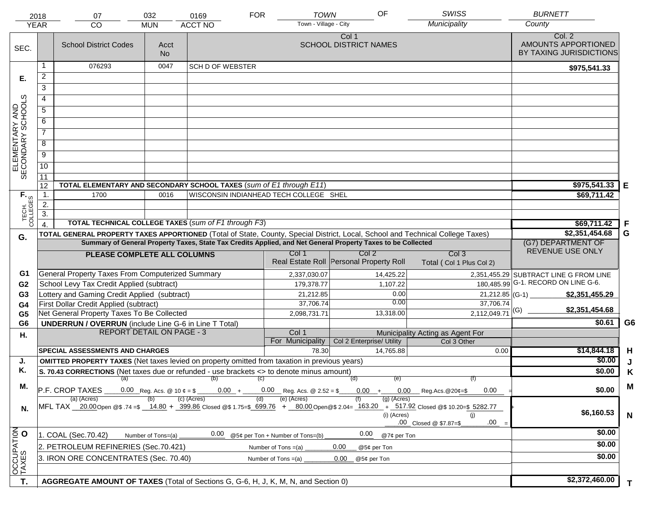| <b>YEAR</b>                         | 2018             | 07<br><b>CO</b>                                                                                                                                           | 032<br><b>MUN</b>  | 0169<br><b>ACCT NO</b>                 | <b>FOR</b>                          | <b>TOWN</b><br>Town - Village - City | OF                                                                                                           | <b>SWISS</b><br>Municipality         | <b>BURNETT</b><br>County                                 |                |
|-------------------------------------|------------------|-----------------------------------------------------------------------------------------------------------------------------------------------------------|--------------------|----------------------------------------|-------------------------------------|--------------------------------------|--------------------------------------------------------------------------------------------------------------|--------------------------------------|----------------------------------------------------------|----------------|
|                                     |                  |                                                                                                                                                           |                    |                                        |                                     |                                      |                                                                                                              |                                      |                                                          |                |
| SEC.                                |                  | <b>School District Codes</b>                                                                                                                              | Acct<br><b>No</b>  |                                        |                                     |                                      | Col 1<br><b>SCHOOL DISTRICT NAMES</b>                                                                        |                                      | Col. 2<br>AMOUNTS APPORTIONED<br>BY TAXING JURISDICTIONS |                |
|                                     |                  | 076293                                                                                                                                                    | 0047               | <b>SCH D OF WEBSTER</b>                |                                     |                                      |                                                                                                              |                                      | \$975,541.33                                             |                |
| Е.                                  | $\overline{a}$   |                                                                                                                                                           |                    |                                        |                                     |                                      |                                                                                                              |                                      |                                                          |                |
|                                     | 3                |                                                                                                                                                           |                    |                                        |                                     |                                      |                                                                                                              |                                      |                                                          |                |
|                                     | 4                |                                                                                                                                                           |                    |                                        |                                     |                                      |                                                                                                              |                                      |                                                          |                |
|                                     |                  |                                                                                                                                                           |                    |                                        |                                     |                                      |                                                                                                              |                                      |                                                          |                |
|                                     | 5                |                                                                                                                                                           |                    |                                        |                                     |                                      |                                                                                                              |                                      |                                                          |                |
| ELEMENTARY AND<br>SECONDARY SCHOOLS | 6                |                                                                                                                                                           |                    |                                        |                                     |                                      |                                                                                                              |                                      |                                                          |                |
|                                     | $\overline{7}$   |                                                                                                                                                           |                    |                                        |                                     |                                      |                                                                                                              |                                      |                                                          |                |
|                                     | 8                |                                                                                                                                                           |                    |                                        |                                     |                                      |                                                                                                              |                                      |                                                          |                |
|                                     | $\overline{9}$   |                                                                                                                                                           |                    |                                        |                                     |                                      |                                                                                                              |                                      |                                                          |                |
|                                     | $\overline{10}$  |                                                                                                                                                           |                    |                                        |                                     |                                      |                                                                                                              |                                      |                                                          |                |
|                                     | 11               |                                                                                                                                                           |                    |                                        |                                     |                                      |                                                                                                              |                                      |                                                          |                |
|                                     | 12               | TOTAL ELEMENTARY AND SECONDARY SCHOOL TAXES (sum of E1 through E11)                                                                                       |                    |                                        |                                     |                                      |                                                                                                              |                                      | \$975,541.33                                             | Е              |
|                                     | $\mathbf{1}$ .   | 1700                                                                                                                                                      | 0016               | WISCONSIN INDIANHEAD TECH COLLEGE SHEL |                                     |                                      |                                                                                                              |                                      | \$69,711.42                                              |                |
|                                     | 2.               |                                                                                                                                                           |                    |                                        |                                     |                                      |                                                                                                              |                                      |                                                          |                |
| TECH. T                             | $\overline{3}$ . | <b>TOTAL TECHNICAL COLLEGE TAXES (sum of F1 through F3)</b>                                                                                               |                    |                                        |                                     |                                      |                                                                                                              |                                      |                                                          |                |
|                                     |                  |                                                                                                                                                           |                    |                                        |                                     |                                      |                                                                                                              |                                      | \$69,711.42<br>\$2,351,454.68                            | -F<br>G        |
| G.                                  |                  | TOTAL GENERAL PROPERTY TAXES APPORTIONED (Total of State, County, Special District, Local, School and Technical College Taxes)                            |                    |                                        |                                     |                                      | Summary of General Property Taxes, State Tax Credits Applied, and Net General Property Taxes to be Collected |                                      | (G7) DEPARTMENT OF                                       |                |
|                                     |                  |                                                                                                                                                           |                    |                                        | Col 1                               |                                      | Col 2                                                                                                        | Col <sub>3</sub>                     | REVENUE USE ONLY                                         |                |
|                                     |                  | PLEASE COMPLETE ALL COLUMNS                                                                                                                               |                    |                                        |                                     |                                      | Real Estate Roll Personal Property Roll                                                                      | Total (Col 1 Plus Col 2)             |                                                          |                |
| G1                                  |                  | General Property Taxes From Computerized Summary                                                                                                          |                    |                                        |                                     | 2,337,030.07                         | 14,425.22                                                                                                    |                                      | 2,351,455.29 SUBTRACT LINE G FROM LINE                   |                |
| G <sub>2</sub>                      |                  | School Levy Tax Credit Applied (subtract)                                                                                                                 |                    |                                        |                                     | 179,378.77                           | 1,107.22                                                                                                     |                                      | 180,485.99 G-1. RECORD ON LINE G-6.                      |                |
| G <sub>3</sub>                      |                  | Lottery and Gaming Credit Applied (subtract)                                                                                                              |                    |                                        |                                     | 21,212.85                            | 0.00                                                                                                         | 21,212.85 (G-1)                      | \$2,351,455.29                                           |                |
| G4                                  |                  | First Dollar Credit Applied (subtract)                                                                                                                    |                    |                                        |                                     | 37,706.74                            | 0.00                                                                                                         | 37,706.74                            | \$2,351,454.68                                           |                |
| G <sub>5</sub>                      |                  | Net General Property Taxes To Be Collected                                                                                                                |                    |                                        |                                     | 2,098,731.71                         | 13,318.00                                                                                                    | $2,112,049.71$ <sup>(G)</sup>        |                                                          |                |
| G <sub>6</sub>                      |                  | <b>UNDERRUN / OVERRUN</b> (include Line G-6 in Line T Total)                                                                                              |                    |                                        |                                     |                                      |                                                                                                              |                                      | \$0.61                                                   | G <sub>6</sub> |
| Η.                                  |                  | <b>REPORT DETAIL ON PAGE - 3</b>                                                                                                                          |                    |                                        | Col 1                               |                                      |                                                                                                              | Municipality Acting as Agent For     |                                                          |                |
|                                     |                  | <b>SPECIAL ASSESSMENTS AND CHARGES</b>                                                                                                                    |                    |                                        | For Municipality                    | 78.30                                | Col 2 Enterprise/ Utility<br>14.765.88                                                                       | Col 3 Other<br>0.00                  | \$14,844.18                                              | H              |
| J.                                  |                  | <b>OMITTED PROPERTY TAXES</b> (Net taxes levied on property omitted from taxation in previous years)                                                      |                    |                                        |                                     |                                      |                                                                                                              |                                      | \$0.00                                                   | J              |
| Κ.                                  |                  | S. 70.43 CORRECTIONS (Net taxes due or refunded - use brackets <> to denote minus amount)                                                                 |                    |                                        |                                     |                                      |                                                                                                              |                                      | \$0.00                                                   | Κ              |
|                                     |                  | $(a)$ (b)                                                                                                                                                 |                    |                                        | (C)                                 |                                      | (d)<br>(e)                                                                                                   | (f)                                  |                                                          |                |
| М.                                  |                  | P.F. CROP TAXES                                                                                                                                           |                    |                                        | $0.00 + 0.00$ Reg. Acs. @ 2.52 = \$ |                                      | $0.00 +$                                                                                                     | $0.00$ Reg.Acs. @20¢=\$<br>0.00      | \$0.00                                                   | M              |
| N.                                  |                  | (a) (Acres)<br>MFL TAX 20.00 Open @\$ .74 =\$ 14.80 + 399.86 Closed @\$ 1.75=\$ 699.76 + 80.00 Open @\$ 2.04= 163.20 + 517.92 Closed @\$ 10.20=\$ 5282.77 |                    | $(c)$ (Acres)                          | (e) (Acres)<br>(d)                  |                                      | $(g)$ (Acres)<br>(i) (Acres)                                                                                 | (i)<br>.00<br>.00 Closed @ \$7.87=\$ | \$6,160.53                                               | $\mathbf N$    |
|                                     |                  | 1. COAL (Sec.70.42)                                                                                                                                       | Number of Tons=(a) | 0.00                                   | @5¢ per Ton + Number of Tons=(b)    |                                      | 0.00<br>@7¢ per Ton                                                                                          |                                      | \$0.00                                                   |                |
|                                     |                  | 2. PETROLEUM REFINERIES (Sec.70.421)                                                                                                                      |                    |                                        | Number of Tons $=(a)$               |                                      | 0.00<br>@5¢ per Ton                                                                                          |                                      | \$0.00                                                   |                |
| OCCUPATION                          |                  | 3. IRON ORE CONCENTRATES (Sec. 70.40)                                                                                                                     |                    |                                        | Number of Tons $=(a)$               |                                      | 0.00<br>@5¢ per Ton                                                                                          |                                      | \$0.00                                                   |                |
|                                     |                  |                                                                                                                                                           |                    |                                        |                                     |                                      |                                                                                                              |                                      |                                                          |                |
| T.                                  |                  | AGGREGATE AMOUNT OF TAXES (Total of Sections G, G-6, H, J, K, M, N, and Section 0)                                                                        |                    |                                        |                                     |                                      |                                                                                                              |                                      | \$2,372,460.00                                           | T.             |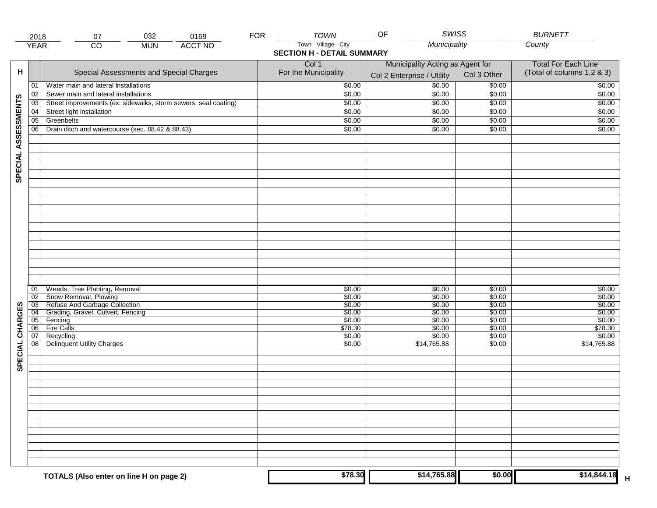|                     | 2018            | 032<br>07                                                       | 0169                              | <b>FOR</b> | <b>TOWN</b>           | <b>SWISS</b><br>OF               |             | <b>BURNETT</b>             |
|---------------------|-----------------|-----------------------------------------------------------------|-----------------------------------|------------|-----------------------|----------------------------------|-------------|----------------------------|
|                     | <b>YEAR</b>     | $\overline{CO}$<br><b>MUN</b>                                   | <b>ACCT NO</b>                    |            | Town - Village - City | Municipality                     |             | County                     |
|                     |                 |                                                                 | <b>SECTION H - DETAIL SUMMARY</b> |            |                       |                                  |             |                            |
|                     |                 |                                                                 |                                   |            | Col 1                 | Municipality Acting as Agent for |             | <b>Total For Each Line</b> |
| н                   |                 | Special Assessments and Special Charges                         |                                   |            | For the Municipality  |                                  | Col 3 Other | (Total of columns 1,2 & 3) |
|                     |                 |                                                                 |                                   |            |                       | Col 2 Enterprise / Utility       |             |                            |
|                     | 01              | Water main and lateral Installations                            |                                   |            | \$0.00                | \$0.00                           | \$0.00      | \$0.00                     |
|                     | 02              | Sewer main and lateral installations                            |                                   |            | \$0.00                | \$0.00                           | \$0.00      | \$0.00                     |
|                     | 03              | Street improvements (ex: sidewalks, storm sewers, seal coating) |                                   |            | \$0.00                | \$0.00                           | \$0.00      | \$0.00                     |
|                     | 04              | Street light installation                                       |                                   |            | \$0.00                | \$0.00                           | \$0.00      | \$0.00                     |
| SPECIAL ASSESSMENTS | 05              | Greenbelts                                                      |                                   |            | \$0.00                | \$0.00                           | \$0.00      | \$0.00                     |
|                     | 06              | Drain ditch and watercourse (sec. 88.42 & 88.43)                |                                   |            | \$0.00                | \$0.00                           | \$0.00      | \$0.00                     |
|                     |                 |                                                                 |                                   |            |                       |                                  |             |                            |
|                     |                 |                                                                 |                                   |            |                       |                                  |             |                            |
|                     |                 |                                                                 |                                   |            |                       |                                  |             |                            |
|                     |                 |                                                                 |                                   |            |                       |                                  |             |                            |
|                     |                 |                                                                 |                                   |            |                       |                                  |             |                            |
|                     |                 |                                                                 |                                   |            |                       |                                  |             |                            |
|                     |                 |                                                                 |                                   |            |                       |                                  |             |                            |
|                     |                 |                                                                 |                                   |            |                       |                                  |             |                            |
|                     |                 |                                                                 |                                   |            |                       |                                  |             |                            |
|                     |                 |                                                                 |                                   |            |                       |                                  |             |                            |
|                     |                 |                                                                 |                                   |            |                       |                                  |             |                            |
|                     |                 |                                                                 |                                   |            |                       |                                  |             |                            |
|                     |                 |                                                                 |                                   |            |                       |                                  |             |                            |
|                     |                 |                                                                 |                                   |            |                       |                                  |             |                            |
|                     |                 |                                                                 |                                   |            |                       |                                  |             |                            |
|                     |                 |                                                                 |                                   |            |                       |                                  |             |                            |
|                     |                 |                                                                 |                                   |            |                       |                                  |             |                            |
|                     |                 |                                                                 |                                   |            |                       |                                  |             |                            |
|                     | 01              | Weeds, Tree Planting, Removal                                   |                                   |            | \$0.00                | \$0.00                           | \$0.00      | \$0.00                     |
|                     | 02              | Snow Removal, Plowing                                           |                                   |            | \$0.00                | \$0.00                           | \$0.00      | \$0.00                     |
|                     | $\overline{03}$ | Refuse And Garbage Collection                                   |                                   |            | \$0.00                | \$0.00                           | \$0.00      | \$0.00                     |
|                     | $\overline{04}$ | Grading, Gravel, Culvert, Fencing                               |                                   |            | \$0.00                | \$0.00                           | \$0.00      | \$0.00                     |
| SPECIAL CHARGES     | 05              | Fencing                                                         |                                   |            | \$0.00                | \$0.00                           | \$0.00      | \$0.00                     |
|                     | 06              | <b>Fire Calls</b>                                               |                                   |            | \$78.30               | \$0.00                           | \$0.00      | \$78.30                    |
|                     | 07              | Recycling                                                       |                                   |            | \$0.00                | \$0.00                           | \$0.00      | \$0.00                     |
|                     | $\overline{08}$ | <b>Delinquent Utility Charges</b>                               |                                   |            | \$0.00                | \$14,765.88                      | \$0.00      | \$14,765.88                |
|                     |                 |                                                                 |                                   |            |                       |                                  |             |                            |
|                     |                 |                                                                 |                                   |            |                       |                                  |             |                            |
|                     |                 |                                                                 |                                   |            |                       |                                  |             |                            |
|                     |                 |                                                                 |                                   |            |                       |                                  |             |                            |
|                     |                 |                                                                 |                                   |            |                       |                                  |             |                            |
|                     |                 |                                                                 |                                   |            |                       |                                  |             |                            |
|                     |                 |                                                                 |                                   |            |                       |                                  |             |                            |
|                     |                 |                                                                 |                                   |            |                       |                                  |             |                            |
|                     |                 |                                                                 |                                   |            |                       |                                  |             |                            |
|                     |                 |                                                                 |                                   |            |                       |                                  |             |                            |
|                     |                 |                                                                 |                                   |            |                       |                                  |             |                            |
|                     |                 |                                                                 |                                   |            |                       |                                  |             |                            |
|                     |                 |                                                                 |                                   |            |                       |                                  |             |                            |
|                     |                 |                                                                 |                                   |            |                       |                                  |             |                            |
|                     |                 |                                                                 |                                   |            | \$78.30               | \$14,765.88                      | \$0.00      | \$14,844.18                |
|                     |                 | TOTALS (Also enter on line H on page 2)                         |                                   |            |                       |                                  |             | н                          |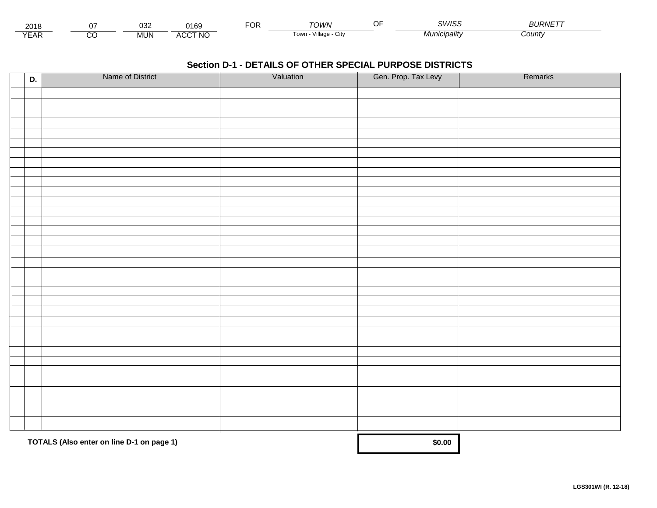| <u>_</u><br>ا u               | ∩י∩<br><b>UJ4</b> | ን169                 | Ur | ۸WC.                        | SM/IS:   | ———————————<br>∟י\\תייר |
|-------------------------------|-------------------|----------------------|----|-----------------------------|----------|-------------------------|
| $\sqrt{2}$<br>$ \blacksquare$ | mun               | <b>CCT NC</b><br>ΔI. |    | .<br>Villade<br>⊧∪w⊓<br>ખા∨ | cıpalıtv | County:                 |

| D. | Name of District                          | Valuation | Gen. Prop. Tax Levy | Remarks |
|----|-------------------------------------------|-----------|---------------------|---------|
|    |                                           |           |                     |         |
|    |                                           |           |                     |         |
|    |                                           |           |                     |         |
|    |                                           |           |                     |         |
|    |                                           |           |                     |         |
|    |                                           |           |                     |         |
|    |                                           |           |                     |         |
|    |                                           |           |                     |         |
|    |                                           |           |                     |         |
|    |                                           |           |                     |         |
|    |                                           |           |                     |         |
|    |                                           |           |                     |         |
|    |                                           |           |                     |         |
|    |                                           |           |                     |         |
|    |                                           |           |                     |         |
|    |                                           |           |                     |         |
|    |                                           |           |                     |         |
|    |                                           |           |                     |         |
|    |                                           |           |                     |         |
|    |                                           |           |                     |         |
|    |                                           |           |                     |         |
|    |                                           |           |                     |         |
|    |                                           |           |                     |         |
|    |                                           |           |                     |         |
|    |                                           |           |                     |         |
|    |                                           |           |                     |         |
|    |                                           |           |                     |         |
|    |                                           |           |                     |         |
|    |                                           |           |                     |         |
|    |                                           |           |                     |         |
|    |                                           |           |                     |         |
|    | TOTALS (Also enter on line D-1 on page 1) |           | \$0.00              |         |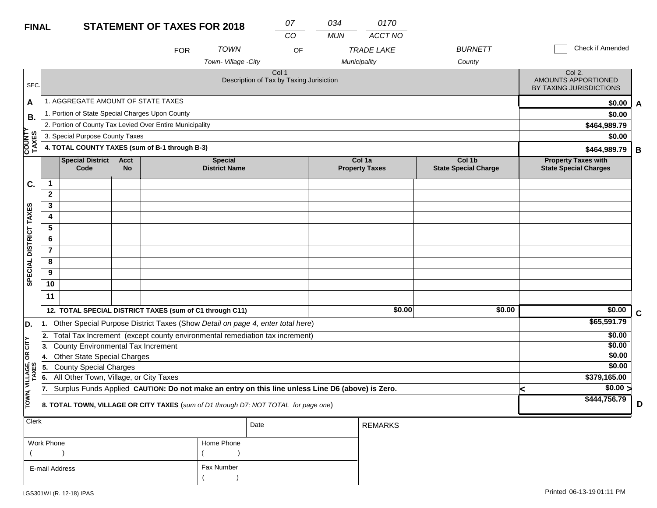#### **FINAL**

| <b>FINAL</b>            |                        |                                                                                                  |                          | <b>STATEMENT OF TAXES FOR 2018</b> |                                        | 07<br>CO                                          | 034<br><b>MUN</b> | 0170<br>ACCT NO                 |                                       |   |                                                            |             |
|-------------------------|------------------------|--------------------------------------------------------------------------------------------------|--------------------------|------------------------------------|----------------------------------------|---------------------------------------------------|-------------------|---------------------------------|---------------------------------------|---|------------------------------------------------------------|-------------|
|                         |                        |                                                                                                  |                          | <b>FOR</b>                         | <b>TOWN</b>                            | OF                                                |                   | <b>TRADE LAKE</b>               | <b>BURNETT</b>                        |   | Check if Amended                                           |             |
|                         |                        |                                                                                                  |                          |                                    | Town-Village -City                     |                                                   |                   | Municipality                    | County                                |   |                                                            |             |
| SEC.                    |                        |                                                                                                  |                          |                                    |                                        | Col 1<br>Description of Tax by Taxing Jurisiction |                   |                                 |                                       |   | Col 2.<br>AMOUNTS APPORTIONED<br>BY TAXING JURISDICTIONS   |             |
| A                       |                        | 1. AGGREGATE AMOUNT OF STATE TAXES                                                               |                          |                                    |                                        |                                                   |                   |                                 |                                       |   | \$0.00                                                     | A           |
| В.                      |                        | 1. Portion of State Special Charges Upon County                                                  |                          |                                    |                                        |                                                   |                   |                                 |                                       |   | \$0.00                                                     |             |
|                         |                        | 2. Portion of County Tax Levied Over Entire Municipality                                         |                          |                                    |                                        |                                                   |                   |                                 |                                       |   | \$464,989.79                                               |             |
|                         |                        | 3. Special Purpose County Taxes                                                                  |                          |                                    |                                        |                                                   |                   |                                 |                                       |   | \$0.00                                                     |             |
| <b>COUNT</b><br>TAXES   |                        | 4. TOTAL COUNTY TAXES (sum of B-1 through B-3)                                                   |                          |                                    |                                        |                                                   |                   |                                 |                                       |   | \$464,989.79                                               | B           |
|                         |                        | <b>Special District</b><br>Code                                                                  | <b>Acct</b><br><b>No</b> |                                    | <b>Special</b><br><b>District Name</b> |                                                   |                   | Col 1a<br><b>Property Taxes</b> | Col 1b<br><b>State Special Charge</b> |   | <b>Property Taxes with</b><br><b>State Special Charges</b> |             |
| C.                      | $\mathbf{1}$           |                                                                                                  |                          |                                    |                                        |                                                   |                   |                                 |                                       |   |                                                            |             |
|                         | $\mathbf{2}$           |                                                                                                  |                          |                                    |                                        |                                                   |                   |                                 |                                       |   |                                                            |             |
|                         | 3                      |                                                                                                  |                          |                                    |                                        |                                                   |                   |                                 |                                       |   |                                                            |             |
|                         | 4                      |                                                                                                  |                          |                                    |                                        |                                                   |                   |                                 |                                       |   |                                                            |             |
|                         | 5                      |                                                                                                  |                          |                                    |                                        |                                                   |                   |                                 |                                       |   |                                                            |             |
|                         | 6                      |                                                                                                  |                          |                                    |                                        |                                                   |                   |                                 |                                       |   |                                                            |             |
|                         | $\overline{7}$         |                                                                                                  |                          |                                    |                                        |                                                   |                   |                                 |                                       |   |                                                            |             |
| SPECIAL DISTRICT TAXES  | 8                      |                                                                                                  |                          |                                    |                                        |                                                   |                   |                                 |                                       |   |                                                            |             |
|                         | 9                      |                                                                                                  |                          |                                    |                                        |                                                   |                   |                                 |                                       |   |                                                            |             |
|                         | 10                     |                                                                                                  |                          |                                    |                                        |                                                   |                   |                                 |                                       |   |                                                            |             |
|                         | 11                     |                                                                                                  |                          |                                    |                                        |                                                   |                   |                                 |                                       |   |                                                            |             |
|                         |                        | 12. TOTAL SPECIAL DISTRICT TAXES (sum of C1 through C11)                                         |                          |                                    |                                        |                                                   |                   | \$0.00                          | \$0.00                                |   | \$0.00                                                     | $\mathbf c$ |
| D.                      | l1.                    | Other Special Purpose District Taxes (Show Detail on page 4, enter total here)                   |                          |                                    |                                        |                                                   |                   |                                 |                                       |   | \$65,591.79                                                |             |
|                         | 2.                     | Total Tax Increment (except county environmental remediation tax increment)                      |                          |                                    |                                        |                                                   |                   |                                 |                                       |   | \$0.00                                                     |             |
| CITY                    | 13.                    | <b>County Environmental Tax Increment</b>                                                        |                          |                                    |                                        |                                                   |                   |                                 |                                       |   | \$0.00                                                     |             |
| бR                      | 14.                    | <b>Other State Special Charges</b>                                                               |                          |                                    |                                        |                                                   |                   |                                 |                                       |   | \$0.00                                                     |             |
|                         | 5.                     | <b>County Special Charges</b>                                                                    |                          |                                    |                                        |                                                   |                   |                                 |                                       |   | \$0.00                                                     |             |
|                         | 6.                     | All Other Town, Village, or City Taxes                                                           |                          | \$379,165.00                       |                                        |                                                   |                   |                                 |                                       |   |                                                            |             |
|                         | 17.                    | Surplus Funds Applied CAUTION: Do not make an entry on this line unless Line D6 (above) is Zero. |                          |                                    |                                        |                                                   |                   |                                 |                                       | k | $\sqrt{$0.00}$                                             |             |
| TOWN, VILLAGE,<br>TAXES |                        | 8. TOTAL TOWN, VILLAGE OR CITY TAXES (sum of D1 through D7; NOT TOTAL for page one)              |                          |                                    |                                        |                                                   |                   |                                 |                                       |   | \$444,756.79                                               | D           |
| Clerk                   | Date<br><b>REMARKS</b> |                                                                                                  |                          |                                    |                                        |                                                   |                   |                                 |                                       |   |                                                            |             |

| Work Phone     | Home Phone |
|----------------|------------|
|                |            |
| E-mail Address | Fax Number |
|                |            |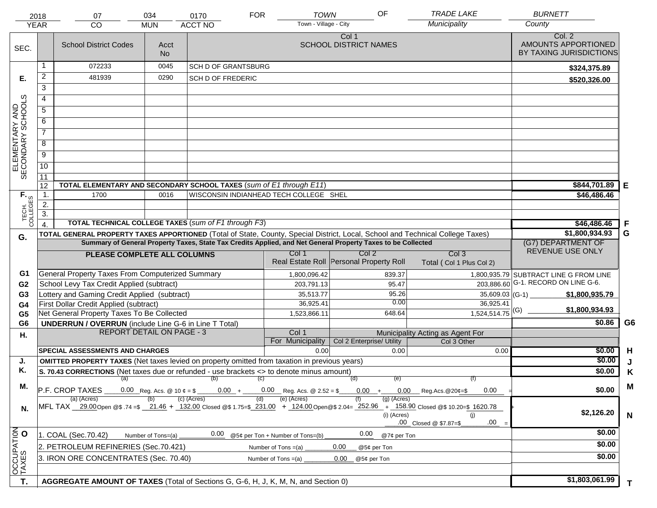|                                     | 2018<br><b>YEAR</b> | 07<br><b>CO</b>                                                                                                                                            | 034<br><b>MUN</b>  | 0170<br><b>ACCT NO</b>                                                                                       | <b>FOR</b> | <b>TOWN</b><br>Town - Village - City   | OF                                               |                                                        | <b>TRADE LAKE</b><br>Municipality               | <b>BURNETT</b><br>County                                 |                |
|-------------------------------------|---------------------|------------------------------------------------------------------------------------------------------------------------------------------------------------|--------------------|--------------------------------------------------------------------------------------------------------------|------------|----------------------------------------|--------------------------------------------------|--------------------------------------------------------|-------------------------------------------------|----------------------------------------------------------|----------------|
| SEC.                                |                     | <b>School District Codes</b>                                                                                                                               | Acct<br><b>No</b>  |                                                                                                              |            |                                        | Col 1<br><b>SCHOOL DISTRICT NAMES</b>            |                                                        |                                                 | Col. 2<br>AMOUNTS APPORTIONED<br>BY TAXING JURISDICTIONS |                |
|                                     | 1                   | 072233                                                                                                                                                     | 0045               | <b>SCH D OF GRANTSBURG</b>                                                                                   |            |                                        |                                                  |                                                        |                                                 | \$324,375.89                                             |                |
| Е.                                  | 2                   | 481939                                                                                                                                                     | 0290               | SCH D OF FREDERIC                                                                                            |            |                                        |                                                  |                                                        |                                                 | \$520,326.00                                             |                |
|                                     | $\overline{3}$      |                                                                                                                                                            |                    |                                                                                                              |            |                                        |                                                  |                                                        |                                                 |                                                          |                |
|                                     | 4                   |                                                                                                                                                            |                    |                                                                                                              |            |                                        |                                                  |                                                        |                                                 |                                                          |                |
|                                     | 5                   |                                                                                                                                                            |                    |                                                                                                              |            |                                        |                                                  |                                                        |                                                 |                                                          |                |
|                                     | 6                   |                                                                                                                                                            |                    |                                                                                                              |            |                                        |                                                  |                                                        |                                                 |                                                          |                |
|                                     | $\overline{7}$      |                                                                                                                                                            |                    |                                                                                                              |            |                                        |                                                  |                                                        |                                                 |                                                          |                |
| ELEMENTARY AND<br>SECONDARY SCHOOLS | 8                   |                                                                                                                                                            |                    |                                                                                                              |            |                                        |                                                  |                                                        |                                                 |                                                          |                |
|                                     | $\overline{9}$      |                                                                                                                                                            |                    |                                                                                                              |            |                                        |                                                  |                                                        |                                                 |                                                          |                |
|                                     | 10                  |                                                                                                                                                            |                    |                                                                                                              |            |                                        |                                                  |                                                        |                                                 |                                                          |                |
|                                     | 11                  |                                                                                                                                                            |                    |                                                                                                              |            |                                        |                                                  |                                                        |                                                 |                                                          |                |
|                                     | 12                  | TOTAL ELEMENTARY AND SECONDARY SCHOOL TAXES (sum of E1 through E11)                                                                                        |                    |                                                                                                              |            |                                        |                                                  |                                                        |                                                 | \$844,701.89                                             | Е              |
|                                     | 1.                  | 1700                                                                                                                                                       | 0016               |                                                                                                              |            | WISCONSIN INDIANHEAD TECH COLLEGE SHEL |                                                  |                                                        |                                                 | \$46,486.46                                              |                |
|                                     | 2.                  |                                                                                                                                                            |                    |                                                                                                              |            |                                        |                                                  |                                                        |                                                 |                                                          |                |
| TECH. T                             | $\overline{3}$ .    |                                                                                                                                                            |                    |                                                                                                              |            |                                        |                                                  |                                                        |                                                 |                                                          |                |
|                                     | $\overline{4}$ .    | <b>TOTAL TECHNICAL COLLEGE TAXES (sum of F1 through F3)</b>                                                                                                |                    |                                                                                                              |            |                                        |                                                  |                                                        |                                                 | \$46,486.46                                              | F              |
| G.                                  |                     | TOTAL GENERAL PROPERTY TAXES APPORTIONED (Total of State, County, Special District, Local, School and Technical College Taxes)                             |                    | Summary of General Property Taxes, State Tax Credits Applied, and Net General Property Taxes to be Collected |            |                                        |                                                  |                                                        |                                                 | \$1,800,934.93                                           | G              |
|                                     |                     |                                                                                                                                                            |                    |                                                                                                              |            |                                        |                                                  |                                                        |                                                 | (G7) DEPARTMENT OF<br>REVENUE USE ONLY                   |                |
|                                     |                     | PLEASE COMPLETE ALL COLUMNS                                                                                                                                |                    |                                                                                                              |            | Col 1                                  | Col 2<br>Real Estate Roll Personal Property Roll |                                                        | Col <sub>3</sub><br>Total (Col 1 Plus Col 2)    |                                                          |                |
| G1                                  |                     | <b>General Property Taxes From Computerized Summary</b>                                                                                                    |                    |                                                                                                              |            | 1,800,096.42                           |                                                  | 839.37                                                 |                                                 | 1,800,935.79 SUBTRACT LINE G FROM LINE                   |                |
| G <sub>2</sub>                      |                     | School Levy Tax Credit Applied (subtract)                                                                                                                  |                    |                                                                                                              |            | 203,791.13                             |                                                  | 95.47                                                  |                                                 | 203,886.60 G-1. RECORD ON LINE G-6.                      |                |
| G <sub>3</sub>                      |                     | Lottery and Gaming Credit Applied (subtract)                                                                                                               |                    |                                                                                                              |            | 35,513.77                              |                                                  | 95.26                                                  | $35,609.03$ (G-1)                               | \$1,800,935.79                                           |                |
| G4                                  |                     | First Dollar Credit Applied (subtract)                                                                                                                     |                    |                                                                                                              |            | 36,925.41                              |                                                  | 0.00                                                   | 36,925.41                                       | \$1,800,934.93                                           |                |
| G <sub>5</sub>                      |                     | Net General Property Taxes To Be Collected                                                                                                                 |                    |                                                                                                              |            | 1,523,866.11                           |                                                  | 648.64                                                 | $1,524,514.75$ <sup>(G)</sup>                   |                                                          |                |
| G <sub>6</sub>                      |                     | <b>UNDERRUN / OVERRUN</b> (include Line G-6 in Line T Total)<br><b>REPORT DETAIL ON PAGE - 3</b>                                                           |                    |                                                                                                              |            | Col 1                                  |                                                  |                                                        |                                                 | \$0.86                                                   | G <sub>6</sub> |
| Н.                                  |                     |                                                                                                                                                            |                    |                                                                                                              |            | For Municipality                       | Col 2 Enterprise/ Utility                        |                                                        | Municipality Acting as Agent For<br>Col 3 Other |                                                          |                |
|                                     |                     | <b>SPECIAL ASSESSMENTS AND CHARGES</b>                                                                                                                     |                    |                                                                                                              |            | 0.00                                   |                                                  | 0.00                                                   | 0.00                                            | \$0.00                                                   | H              |
| J.                                  |                     | <b>OMITTED PROPERTY TAXES</b> (Net taxes levied on property omitted from taxation in previous years)                                                       |                    |                                                                                                              |            |                                        |                                                  |                                                        |                                                 |                                                          | \$0.00         |
| Κ.                                  |                     | S. 70.43 CORRECTIONS (Net taxes due or refunded - use brackets <> to denote minus amount)                                                                  |                    |                                                                                                              |            |                                        |                                                  |                                                        |                                                 | \$0.00                                                   | Κ              |
| М.                                  |                     | (a)                                                                                                                                                        |                    | (b)                                                                                                          | (c)        |                                        | (d)                                              | (e)                                                    | (f)                                             |                                                          | M              |
|                                     |                     | P.F. CROP TAXES                                                                                                                                            |                    |                                                                                                              |            | $0.00 + 0.00$ Reg. Acs. @ 2.52 = \$    | $0.00 +$                                         | $0.00$ Reg.Acs. @20¢=\$                                | 0.00                                            | \$0.00                                                   |                |
| N.                                  |                     | (a) (Acres)<br>MFL TAX 29.00 Open @\$ .74 =\$ 21.46 + 132.00 Closed @\$ 1.75=\$ 231.00 + 124.00 Open @\$ 2.04= 252.96 + 158.90 Closed @\$ 10.20=\$ 1620.78 |                    | (c) (Acres)                                                                                                  | (d)        | (e) (Acres)                            |                                                  | $(g)$ (Acres)<br>(i) (Acres)<br>.00 Closed @ \$7.87=\$ | (i)<br>.00                                      | \$2,126.20                                               | $\mathbf N$    |
|                                     |                     | 1. COAL (Sec.70.42)                                                                                                                                        | Number of Tons=(a) | 0.00                                                                                                         |            | @5¢ per Ton + Number of Tons=(b)       | 0.00                                             | @7¢ per Ton                                            |                                                 |                                                          | \$0.00         |
| OCCUPATION                          |                     | 2. PETROLEUM REFINERIES (Sec.70.421)                                                                                                                       |                    |                                                                                                              |            | Number of Tons =(a)                    | 0.00                                             |                                                        |                                                 |                                                          | \$0.00         |
|                                     |                     | 3. IRON ORE CONCENTRATES (Sec. 70.40)                                                                                                                      |                    |                                                                                                              |            | Number of Tons $=(a)$                  | @5¢ per Ton<br>0.00<br>@5¢ per Ton               |                                                        |                                                 |                                                          | \$0.00         |
|                                     |                     |                                                                                                                                                            |                    |                                                                                                              |            |                                        |                                                  |                                                        |                                                 |                                                          |                |
|                                     |                     |                                                                                                                                                            |                    |                                                                                                              |            |                                        |                                                  |                                                        |                                                 | \$1,803,061.99                                           |                |
| T.                                  |                     | AGGREGATE AMOUNT OF TAXES (Total of Sections G, G-6, H, J, K, M, N, and Section 0)                                                                         |                    |                                                                                                              |            |                                        |                                                  |                                                        |                                                 |                                                          | T.             |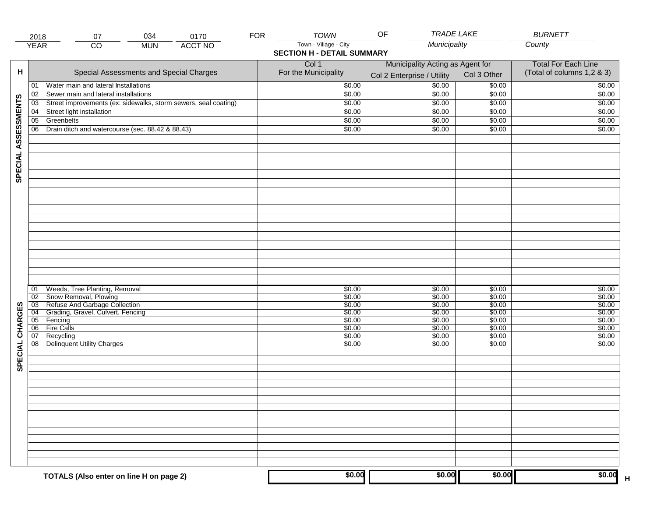|                     | 2018            | 034<br>07                                                       | <b>FOR</b><br>0170 | TOWN                              | <b>TRADE LAKE</b><br>OF          |                  | <b>BURNETT</b>             |
|---------------------|-----------------|-----------------------------------------------------------------|--------------------|-----------------------------------|----------------------------------|------------------|----------------------------|
|                     | <b>YEAR</b>     | CO<br><b>MUN</b>                                                | <b>ACCT NO</b>     | Town - Village - City             | Municipality                     |                  | County                     |
|                     |                 |                                                                 |                    | <b>SECTION H - DETAIL SUMMARY</b> |                                  |                  |                            |
|                     |                 |                                                                 |                    | Col 1                             | Municipality Acting as Agent for |                  | <b>Total For Each Line</b> |
| н                   |                 | Special Assessments and Special Charges                         |                    | For the Municipality              | Col 2 Enterprise / Utility       | Col 3 Other      | (Total of columns 1,2 & 3) |
|                     | 01              | Water main and lateral Installations                            |                    | \$0.00                            | 50.00                            | \$0.00           | \$0.00                     |
|                     | 02              | Sewer main and lateral installations                            |                    | \$0.00                            | \$0.00                           | \$0.00           | \$0.00                     |
|                     | $\overline{03}$ | Street improvements (ex: sidewalks, storm sewers, seal coating) |                    | \$0.00                            | \$0.00                           | \$0.00           | \$0.00                     |
|                     | 04              | Street light installation                                       |                    | \$0.00                            | \$0.00                           | \$0.00           | \$0.00                     |
|                     | $\overline{05}$ | Greenbelts                                                      |                    | \$0.00                            | \$0.00                           | \$0.00           | \$0.00                     |
|                     | 06              | Drain ditch and watercourse (sec. 88.42 & 88.43)                |                    | \$0.00                            | \$0.00                           | \$0.00           | \$0.00                     |
| SPECIAL ASSESSMENTS |                 |                                                                 |                    |                                   |                                  |                  |                            |
|                     |                 |                                                                 |                    |                                   |                                  |                  |                            |
|                     |                 |                                                                 |                    |                                   |                                  |                  |                            |
|                     |                 |                                                                 |                    |                                   |                                  |                  |                            |
|                     |                 |                                                                 |                    |                                   |                                  |                  |                            |
|                     |                 |                                                                 |                    |                                   |                                  |                  |                            |
|                     |                 |                                                                 |                    |                                   |                                  |                  |                            |
|                     |                 |                                                                 |                    |                                   |                                  |                  |                            |
|                     |                 |                                                                 |                    |                                   |                                  |                  |                            |
|                     |                 |                                                                 |                    |                                   |                                  |                  |                            |
|                     |                 |                                                                 |                    |                                   |                                  |                  |                            |
|                     |                 |                                                                 |                    |                                   |                                  |                  |                            |
|                     |                 |                                                                 |                    |                                   |                                  |                  |                            |
|                     |                 |                                                                 |                    |                                   |                                  |                  |                            |
|                     |                 |                                                                 |                    |                                   |                                  |                  |                            |
|                     |                 |                                                                 |                    |                                   |                                  |                  |                            |
|                     |                 |                                                                 |                    |                                   |                                  |                  |                            |
|                     | 01              | Weeds, Tree Planting, Removal                                   |                    | \$0.00                            | \$0.00                           | \$0.00           | \$0.00                     |
|                     | 02              | Snow Removal, Plowing                                           |                    | \$0.00                            | \$0.00                           | \$0.00           | \$0.00                     |
| SPECIAL CHARGES     | 03              | Refuse And Garbage Collection                                   |                    | \$0.00                            | \$0.00                           | \$0.00           | \$0.00                     |
|                     | $\overline{04}$ | Grading, Gravel, Culvert, Fencing                               |                    | \$0.00                            | \$0.00                           | \$0.00           | \$0.00                     |
|                     | 05<br>06        | Fencing<br><b>Fire Calls</b>                                    |                    | \$0.00<br>\$0.00                  | \$0.00<br>\$0.00                 | \$0.00<br>\$0.00 | \$0.00<br>\$0.00           |
|                     | 07              | Recycling                                                       |                    | \$0.00                            | \$0.00                           | \$0.00           | \$0.00                     |
|                     | 08              | Delinquent Utility Charges                                      |                    | \$0.00                            | \$0.00                           | \$0.00           | \$0.00                     |
|                     |                 |                                                                 |                    |                                   |                                  |                  |                            |
|                     |                 |                                                                 |                    |                                   |                                  |                  |                            |
|                     |                 |                                                                 |                    |                                   |                                  |                  |                            |
|                     |                 |                                                                 |                    |                                   |                                  |                  |                            |
|                     |                 |                                                                 |                    |                                   |                                  |                  |                            |
|                     |                 |                                                                 |                    |                                   |                                  |                  |                            |
|                     |                 |                                                                 |                    |                                   |                                  |                  |                            |
|                     |                 |                                                                 |                    |                                   |                                  |                  |                            |
|                     |                 |                                                                 |                    |                                   |                                  |                  |                            |
|                     |                 |                                                                 |                    |                                   |                                  |                  |                            |
|                     |                 |                                                                 |                    |                                   |                                  |                  |                            |
|                     |                 |                                                                 |                    |                                   |                                  |                  |                            |
|                     |                 |                                                                 |                    |                                   |                                  |                  |                            |
|                     |                 |                                                                 |                    |                                   |                                  |                  |                            |
|                     |                 |                                                                 |                    | \$0.00                            | \$0.00                           | \$0.00           | \$0.00                     |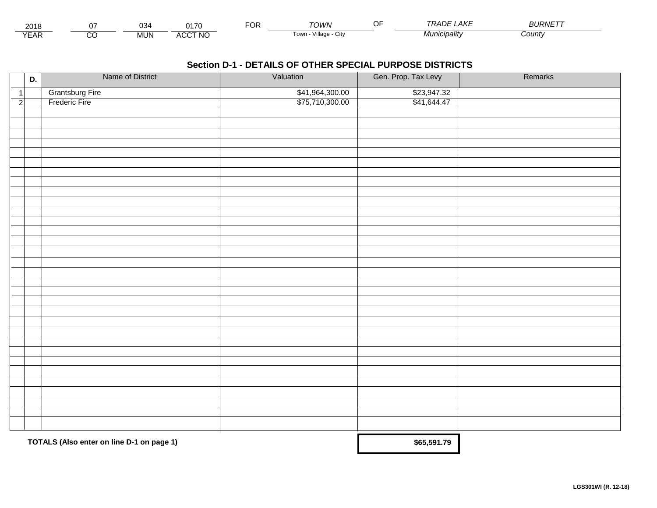| 2040<br>ZUT-                               |          | ^^<br>יטט  | <b>A170</b>             | $-0n$<br>vη | <b>JWN</b>              | $-$<br>O ⊩ | .AKE<br>$\cdots$ $\cdots$<br>$\overline{\nu}$ | $BURNET^-$ |  |
|--------------------------------------------|----------|------------|-------------------------|-------------|-------------------------|------------|-----------------------------------------------|------------|--|
| $\mathcal{M}$ $\blacksquare$<br><b>CAR</b> | ~~<br>◡◡ | <b>MUN</b> | CCT NO<br>ΔI.<br>$\sim$ |             | I own<br>∪lt∨<br>шале · |            | Vlunicipalitv                                 | County     |  |

|                | D. | Name of District                          | Valuation       | Gen. Prop. Tax Levy | Remarks |
|----------------|----|-------------------------------------------|-----------------|---------------------|---------|
| $\vert$ 1      |    | <b>Grantsburg Fire</b>                    | \$41,964,300.00 | \$23,947.32         |         |
| $\overline{2}$ |    | Frederic Fire                             | \$75,710,300.00 | \$41,644.47         |         |
|                |    |                                           |                 |                     |         |
|                |    |                                           |                 |                     |         |
|                |    |                                           |                 |                     |         |
|                |    |                                           |                 |                     |         |
|                |    |                                           |                 |                     |         |
|                |    |                                           |                 |                     |         |
|                |    |                                           |                 |                     |         |
|                |    |                                           |                 |                     |         |
|                |    |                                           |                 |                     |         |
|                |    |                                           |                 |                     |         |
|                |    |                                           |                 |                     |         |
|                |    |                                           |                 |                     |         |
|                |    |                                           |                 |                     |         |
|                |    |                                           |                 |                     |         |
|                |    |                                           |                 |                     |         |
|                |    |                                           |                 |                     |         |
|                |    |                                           |                 |                     |         |
|                |    |                                           |                 |                     |         |
|                |    |                                           |                 |                     |         |
|                |    |                                           |                 |                     |         |
|                |    |                                           |                 |                     |         |
|                |    |                                           |                 |                     |         |
|                |    |                                           |                 |                     |         |
|                |    |                                           |                 |                     |         |
|                |    |                                           |                 |                     |         |
|                |    |                                           |                 |                     |         |
|                |    |                                           |                 |                     |         |
|                |    |                                           |                 |                     |         |
|                |    |                                           |                 |                     |         |
|                |    |                                           |                 |                     |         |
|                |    |                                           |                 |                     |         |
|                |    |                                           |                 |                     |         |
|                |    | TOTALS (Also enter on line D-1 on page 1) |                 | \$65,591.79         |         |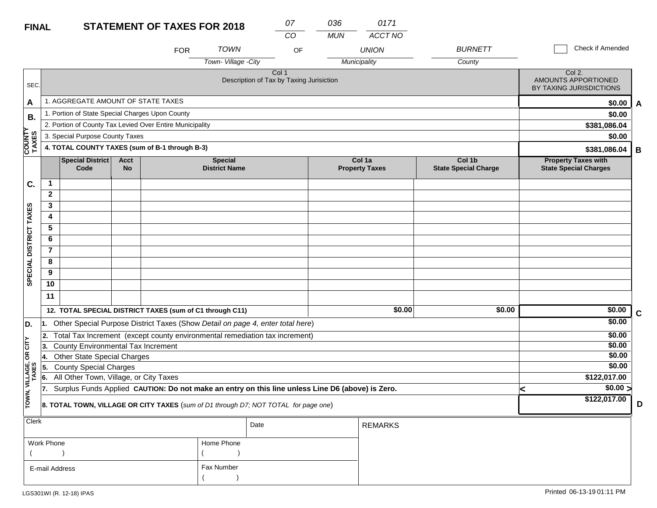| <b>FINAL</b>            |                |                                                                                                  |                   | <b>STATEMENT OF TAXES FOR 2018</b> |                                        | 07                                                           | 036              | 0171                            |                                       |   |                                                                        |
|-------------------------|----------------|--------------------------------------------------------------------------------------------------|-------------------|------------------------------------|----------------------------------------|--------------------------------------------------------------|------------------|---------------------------------|---------------------------------------|---|------------------------------------------------------------------------|
|                         |                |                                                                                                  |                   | <b>FOR</b>                         | <b>TOWN</b><br>Town-Village -City      | CO                                                           | <b>MUN</b><br>OF | ACCT NO<br><b>UNION</b>         | <b>BURNETT</b>                        |   | Check if Amended                                                       |
| SEC.                    |                |                                                                                                  |                   |                                    |                                        | Col <sub>1</sub><br>Description of Tax by Taxing Jurisiction |                  | Municipality                    | County                                |   | $\overline{C}$ ol 2.<br>AMOUNTS APPORTIONED<br>BY TAXING JURISDICTIONS |
| A                       |                | 1. AGGREGATE AMOUNT OF STATE TAXES                                                               |                   |                                    |                                        |                                                              |                  |                                 |                                       |   | \$0.00<br>A                                                            |
| В.                      |                | 1. Portion of State Special Charges Upon County                                                  |                   |                                    |                                        |                                                              |                  |                                 |                                       |   | \$0.00                                                                 |
|                         |                | 2. Portion of County Tax Levied Over Entire Municipality                                         |                   |                                    |                                        |                                                              |                  |                                 |                                       |   | \$381,086.04                                                           |
|                         |                | 3. Special Purpose County Taxes                                                                  |                   |                                    |                                        |                                                              |                  |                                 |                                       |   | \$0.00                                                                 |
| COUNTY<br>TAXES         |                | 4. TOTAL COUNTY TAXES (sum of B-1 through B-3)                                                   |                   |                                    |                                        |                                                              |                  |                                 |                                       |   | \$381,086.04<br>В                                                      |
|                         |                | <b>Special District</b><br>Code                                                                  | <b>Acct</b><br>No |                                    | <b>Special</b><br><b>District Name</b> |                                                              |                  | Col 1a<br><b>Property Taxes</b> | Col 1b<br><b>State Special Charge</b> |   | <b>Property Taxes with</b><br><b>State Special Charges</b>             |
| C.                      | 1              |                                                                                                  |                   |                                    |                                        |                                                              |                  |                                 |                                       |   |                                                                        |
|                         | $\mathbf{2}$   |                                                                                                  |                   |                                    |                                        |                                                              |                  |                                 |                                       |   |                                                                        |
|                         | 3              |                                                                                                  |                   |                                    |                                        |                                                              |                  |                                 |                                       |   |                                                                        |
|                         | 4              |                                                                                                  |                   |                                    |                                        |                                                              |                  |                                 |                                       |   |                                                                        |
|                         | 5              |                                                                                                  |                   |                                    |                                        |                                                              |                  |                                 |                                       |   |                                                                        |
|                         | 6              |                                                                                                  |                   |                                    |                                        |                                                              |                  |                                 |                                       |   |                                                                        |
|                         | $\overline{7}$ |                                                                                                  |                   |                                    |                                        |                                                              |                  |                                 |                                       |   |                                                                        |
| SPECIAL DISTRICT TAXES  | 8              |                                                                                                  |                   |                                    |                                        |                                                              |                  |                                 |                                       |   |                                                                        |
|                         | 9              |                                                                                                  |                   |                                    |                                        |                                                              |                  |                                 |                                       |   |                                                                        |
|                         | 10             |                                                                                                  |                   |                                    |                                        |                                                              |                  |                                 |                                       |   |                                                                        |
|                         | 11             |                                                                                                  |                   |                                    |                                        |                                                              |                  |                                 |                                       |   |                                                                        |
|                         |                | 12. TOTAL SPECIAL DISTRICT TAXES (sum of C1 through C11)                                         |                   |                                    |                                        |                                                              |                  | \$0.00                          | \$0.00                                |   | \$0.00<br>$\mathbf C$                                                  |
| D.                      | 11.            | Other Special Purpose District Taxes (Show Detail on page 4, enter total here)                   |                   |                                    |                                        |                                                              |                  |                                 |                                       |   | \$0.00                                                                 |
|                         | 12.            | Total Tax Increment (except county environmental remediation tax increment)                      |                   |                                    |                                        |                                                              |                  |                                 |                                       |   | \$0.00                                                                 |
| OR CITY                 | 3.             | <b>County Environmental Tax Increment</b>                                                        |                   |                                    |                                        |                                                              |                  |                                 |                                       |   | \$0.00                                                                 |
|                         | 4.             | <b>Other State Special Charges</b>                                                               |                   |                                    |                                        |                                                              |                  |                                 |                                       |   | \$0.00                                                                 |
|                         | 5              | <b>County Special Charges</b>                                                                    |                   |                                    |                                        |                                                              |                  |                                 |                                       |   | \$0.00                                                                 |
|                         | 6.             | All Other Town, Village, or City Taxes                                                           |                   |                                    |                                        |                                                              |                  |                                 |                                       |   | \$122,017.00                                                           |
| TOWN, VILLAGE,<br>TAXES | 17.            | Surplus Funds Applied CAUTION: Do not make an entry on this line unless Line D6 (above) is Zero. |                   |                                    |                                        |                                                              |                  |                                 |                                       | < | $\sqrt{$0.00}$ >                                                       |
|                         |                | 8. TOTAL TOWN, VILLAGE OR CITY TAXES (sum of D1 through D7; NOT TOTAL for page one)              |                   |                                    |                                        |                                                              |                  |                                 |                                       |   | \$122,017.00<br>D                                                      |
| <b>Clerk</b>            |                |                                                                                                  |                   |                                    |                                        | Date                                                         |                  | <b>REMARKS</b>                  |                                       |   |                                                                        |
|                         |                |                                                                                                  |                   |                                    |                                        |                                                              |                  |                                 |                                       |   |                                                                        |

| Work Phone     | Home Phone |
|----------------|------------|
| E-mail Address | Fax Number |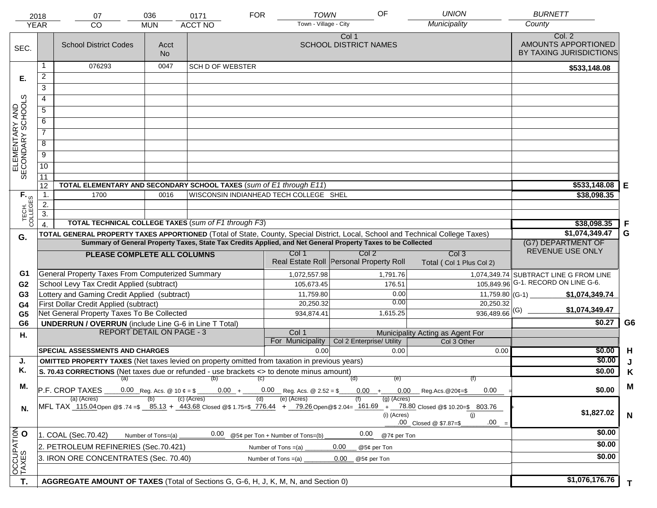|                                     | 2018                                                                                                                                                                                                                                                         | 07                                                                                               | 036               | 0171                                   | <b>FOR</b> | <b>TOWN</b>                         | OF                                    | <b>UNION</b>                                                                                                                   | <b>BURNETT</b>                                           |                |
|-------------------------------------|--------------------------------------------------------------------------------------------------------------------------------------------------------------------------------------------------------------------------------------------------------------|--------------------------------------------------------------------------------------------------|-------------------|----------------------------------------|------------|-------------------------------------|---------------------------------------|--------------------------------------------------------------------------------------------------------------------------------|----------------------------------------------------------|----------------|
|                                     | <b>YEAR</b>                                                                                                                                                                                                                                                  | CO                                                                                               | <b>MUN</b>        | <b>ACCT NO</b>                         |            | Town - Village - City               |                                       | Municipality                                                                                                                   | County                                                   |                |
| SEC.                                |                                                                                                                                                                                                                                                              | <b>School District Codes</b>                                                                     | Acct<br><b>No</b> |                                        |            |                                     | Col 1<br><b>SCHOOL DISTRICT NAMES</b> |                                                                                                                                | Col. 2<br>AMOUNTS APPORTIONED<br>BY TAXING JURISDICTIONS |                |
|                                     | 1                                                                                                                                                                                                                                                            | 076293                                                                                           | 0047              | <b>SCH D OF WEBSTER</b>                |            |                                     |                                       |                                                                                                                                | \$533,148.08                                             |                |
| Е.                                  | $\overline{2}$                                                                                                                                                                                                                                               |                                                                                                  |                   |                                        |            |                                     |                                       |                                                                                                                                |                                                          |                |
|                                     | $\overline{3}$                                                                                                                                                                                                                                               |                                                                                                  |                   |                                        |            |                                     |                                       |                                                                                                                                |                                                          |                |
|                                     | 4                                                                                                                                                                                                                                                            |                                                                                                  |                   |                                        |            |                                     |                                       |                                                                                                                                |                                                          |                |
|                                     | $\overline{5}$                                                                                                                                                                                                                                               |                                                                                                  |                   |                                        |            |                                     |                                       |                                                                                                                                |                                                          |                |
|                                     | 6                                                                                                                                                                                                                                                            |                                                                                                  |                   |                                        |            |                                     |                                       |                                                                                                                                |                                                          |                |
|                                     | $\overline{7}$                                                                                                                                                                                                                                               |                                                                                                  |                   |                                        |            |                                     |                                       |                                                                                                                                |                                                          |                |
| ELEMENTARY AND<br>SECONDARY SCHOOLS | 8                                                                                                                                                                                                                                                            |                                                                                                  |                   |                                        |            |                                     |                                       |                                                                                                                                |                                                          |                |
|                                     | $\overline{9}$                                                                                                                                                                                                                                               |                                                                                                  |                   |                                        |            |                                     |                                       |                                                                                                                                |                                                          |                |
|                                     | $\overline{10}$                                                                                                                                                                                                                                              |                                                                                                  |                   |                                        |            |                                     |                                       |                                                                                                                                |                                                          |                |
|                                     | $\overline{11}$                                                                                                                                                                                                                                              |                                                                                                  |                   |                                        |            |                                     |                                       |                                                                                                                                |                                                          |                |
|                                     | 12                                                                                                                                                                                                                                                           | TOTAL ELEMENTARY AND SECONDARY SCHOOL TAXES (sum of E1 through E11)                              |                   |                                        |            |                                     |                                       |                                                                                                                                | \$533,148.08                                             | E              |
| TECH. T                             | $\mathbf 1$ .                                                                                                                                                                                                                                                | 1700                                                                                             | 0016              | WISCONSIN INDIANHEAD TECH COLLEGE SHEL |            |                                     |                                       |                                                                                                                                | \$38,098.35                                              |                |
|                                     | 2.                                                                                                                                                                                                                                                           |                                                                                                  |                   |                                        |            |                                     |                                       |                                                                                                                                |                                                          |                |
|                                     | $\overline{3}$ .                                                                                                                                                                                                                                             | TOTAL TECHNICAL COLLEGE TAXES (sum of F1 through F3)                                             |                   |                                        |            |                                     |                                       |                                                                                                                                |                                                          | F              |
|                                     |                                                                                                                                                                                                                                                              |                                                                                                  |                   |                                        |            |                                     |                                       | TOTAL GENERAL PROPERTY TAXES APPORTIONED (Total of State, County, Special District, Local, School and Technical College Taxes) | \$38,098.35<br>\$1,074,349.47                            | G              |
| G.                                  |                                                                                                                                                                                                                                                              |                                                                                                  |                   |                                        |            |                                     |                                       |                                                                                                                                | (G7) DEPARTMENT OF                                       |                |
|                                     | Summary of General Property Taxes, State Tax Credits Applied, and Net General Property Taxes to be Collected<br>Col <sub>2</sub><br>Col <sub>3</sub><br>Col 1<br>PLEASE COMPLETE ALL COLUMNS                                                                 |                                                                                                  |                   |                                        |            |                                     |                                       |                                                                                                                                | REVENUE USE ONLY                                         |                |
|                                     | Real Estate Roll Personal Property Roll<br>Total (Col 1 Plus Col 2)                                                                                                                                                                                          |                                                                                                  |                   |                                        |            |                                     |                                       |                                                                                                                                |                                                          |                |
| G1                                  |                                                                                                                                                                                                                                                              | General Property Taxes From Computerized Summary                                                 |                   |                                        |            | 1,072,557.98                        | 1,791.76                              |                                                                                                                                | 1,074,349.74 SUBTRACT LINE G FROM LINE                   |                |
| G <sub>2</sub>                      |                                                                                                                                                                                                                                                              | School Levy Tax Credit Applied (subtract)                                                        |                   |                                        |            | 105,673.45                          | 176.51                                |                                                                                                                                | 105,849.96 G-1. RECORD ON LINE G-6.                      |                |
| G <sub>3</sub>                      |                                                                                                                                                                                                                                                              | Lottery and Gaming Credit Applied (subtract)                                                     |                   |                                        |            | 11,759.80                           | 0.00                                  |                                                                                                                                | \$1,074,349.74                                           |                |
| G <sub>4</sub>                      |                                                                                                                                                                                                                                                              | First Dollar Credit Applied (subtract)                                                           |                   |                                        |            | 20,250.32                           | 0.00                                  | 20,250.32                                                                                                                      | \$1,074,349.47                                           |                |
| G <sub>5</sub>                      |                                                                                                                                                                                                                                                              | Net General Property Taxes To Be Collected                                                       |                   |                                        |            | 934,874.41                          | 1,615.25                              | $936,489.66$ <sup>(G)</sup>                                                                                                    |                                                          |                |
| G <sub>6</sub>                      |                                                                                                                                                                                                                                                              | <b>UNDERRUN / OVERRUN</b> (include Line G-6 in Line T Total)<br><b>REPORT DETAIL ON PAGE - 3</b> |                   |                                        |            | Col 1                               |                                       | Municipality Acting as Agent For                                                                                               | \$0.27                                                   | G <sub>6</sub> |
| Η.                                  |                                                                                                                                                                                                                                                              |                                                                                                  |                   |                                        |            | For Municipality                    | Col 2 Enterprise/ Utility             | Col 3 Other                                                                                                                    |                                                          |                |
|                                     |                                                                                                                                                                                                                                                              | <b>SPECIAL ASSESSMENTS AND CHARGES</b>                                                           |                   |                                        |            | 0.00                                | 0.00                                  | 0.00                                                                                                                           | \$0.00                                                   | H              |
| J.                                  | <b>OMITTED PROPERTY TAXES</b> (Net taxes levied on property omitted from taxation in previous years)                                                                                                                                                         |                                                                                                  |                   |                                        |            |                                     |                                       | \$0.00                                                                                                                         | J                                                        |                |
| Κ.                                  | S. 70.43 CORRECTIONS (Net taxes due or refunded - use brackets <> to denote minus amount)                                                                                                                                                                    |                                                                                                  |                   |                                        |            |                                     |                                       |                                                                                                                                | \$0.00                                                   | Κ              |
| М.                                  |                                                                                                                                                                                                                                                              |                                                                                                  |                   | $(a)$ (b) (c)                          |            |                                     | (d)<br>(e)                            | (f)                                                                                                                            |                                                          | M              |
|                                     |                                                                                                                                                                                                                                                              | P.F. CROP TAXES                                                                                  |                   |                                        |            | $0.00 + 0.00$ Reg. Acs. @ 2.52 = \$ |                                       | $0.00 + 0.00$ Reg.Acs. @ 20¢=\$<br>0.00                                                                                        | \$0.00                                                   |                |
| N.                                  | (c) (Acres)<br>(e) (Acres)<br>(a) (Acres)<br>$(g)$ (Acres)<br>MFL TAX 115.04 Open @\$ 74=\$ 85.13 + 443.68 Closed @\$ 1.75=\$ 776.44 + 79.26 Open @\$ 2.04= 161.69 + 78.80 Closed @\$ 10.20=\$ 803.76<br>(i) (Acres)<br>(i)<br>.00<br>.00 Closed @ \$7.87=\$ |                                                                                                  |                   |                                        |            |                                     | \$1,827.02                            | $\mathsf{N}$                                                                                                                   |                                                          |                |
|                                     |                                                                                                                                                                                                                                                              | 1. COAL (Sec.70.42)<br>Number of Tons=(a)                                                        | \$0.00            |                                        |            |                                     |                                       |                                                                                                                                |                                                          |                |
| OCCUPATION                          |                                                                                                                                                                                                                                                              | 2. PETROLEUM REFINERIES (Sec.70.421)                                                             | @7¢ per Ton       | \$0.00                                 |            |                                     |                                       |                                                                                                                                |                                                          |                |
|                                     | 0.00<br>Number of Tons $=(a)$<br>@5¢ per Ton<br>3. IRON ORE CONCENTRATES (Sec. 70.40)<br>0.00<br>Number of Tons $=(a)$<br>@5¢ per Ton                                                                                                                        |                                                                                                  |                   |                                        |            |                                     |                                       | \$0.00                                                                                                                         |                                                          |                |
|                                     |                                                                                                                                                                                                                                                              |                                                                                                  |                   |                                        |            |                                     |                                       |                                                                                                                                |                                                          |                |
|                                     |                                                                                                                                                                                                                                                              |                                                                                                  |                   |                                        |            |                                     | \$1,076,176.76                        |                                                                                                                                |                                                          |                |
| T.                                  | AGGREGATE AMOUNT OF TAXES (Total of Sections G, G-6, H, J, K, M, N, and Section 0)                                                                                                                                                                           |                                                                                                  |                   |                                        |            |                                     |                                       |                                                                                                                                |                                                          | T.             |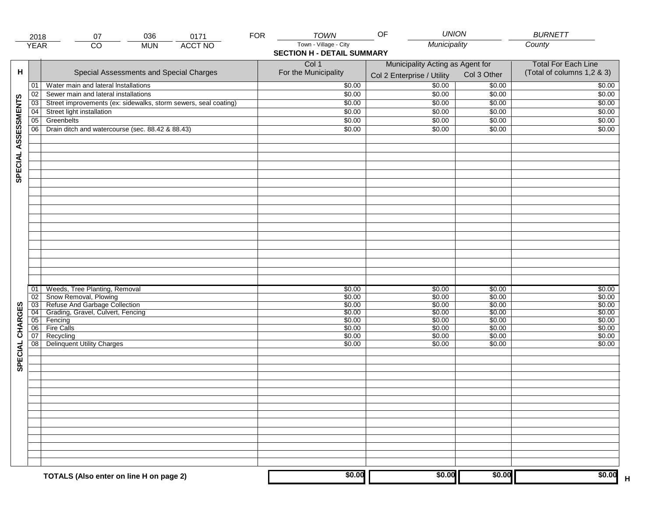| Town - Village - City<br>Municipality<br>County<br><b>ACCT NO</b><br><b>YEAR</b><br>CO<br><b>MUN</b><br><b>SECTION H - DETAIL SUMMARY</b><br>Col 1<br>Municipality Acting as Agent for<br>н<br>Special Assessments and Special Charges<br>For the Municipality<br>Col 3 Other<br>Col 2 Enterprise / Utility<br>50.00<br>\$0.00<br>Water main and lateral Installations<br>\$0.00<br>01<br>\$0.00<br>\$0.00<br>Sewer main and lateral installations<br>\$0.00<br>02<br>SPECIAL ASSESSMENTS<br>Street improvements (ex: sidewalks, storm sewers, seal coating)<br>\$0.00<br>\$0.00<br>$\overline{03}$<br>\$0.00<br>\$0.00<br>Street light installation<br>\$0.00<br>\$0.00<br>04<br>$\overline{05}$<br>Greenbelts<br>\$0.00<br>\$0.00<br>\$0.00<br>06<br>Drain ditch and watercourse (sec. 88.42 & 88.43)<br>\$0.00<br>\$0.00<br>\$0.00<br>Weeds, Tree Planting, Removal<br>\$0.00<br>\$0.00<br>\$0.00<br>01<br>Snow Removal, Plowing<br>\$0.00<br>\$0.00<br>\$0.00<br>02<br>Refuse And Garbage Collection<br>\$0.00<br>03<br>\$0.00<br>\$0.00<br>SPECIAL CHARGES<br>Grading, Gravel, Culvert, Fencing<br>\$0.00<br>\$0.00<br>$\overline{04}$<br>\$0.00<br>\$0.00<br>\$0.00<br>\$0.00<br>Fencing<br>05<br><b>Fire Calls</b><br>\$0.00<br>\$0.00<br>06<br>\$0.00<br>\$0.00<br>\$0.00<br>\$0.00<br>07<br>Recycling<br>Delinquent Utility Charges<br>08<br>\$0.00<br>\$0.00<br>\$0.00 | 2018 | 036<br>0171<br>07                       | <b>FOR</b> | <b>TOWN</b> | <b>UNION</b><br>OF |        | <b>BURNETT</b>             |
|----------------------------------------------------------------------------------------------------------------------------------------------------------------------------------------------------------------------------------------------------------------------------------------------------------------------------------------------------------------------------------------------------------------------------------------------------------------------------------------------------------------------------------------------------------------------------------------------------------------------------------------------------------------------------------------------------------------------------------------------------------------------------------------------------------------------------------------------------------------------------------------------------------------------------------------------------------------------------------------------------------------------------------------------------------------------------------------------------------------------------------------------------------------------------------------------------------------------------------------------------------------------------------------------------------------------------------------------------------------------------------|------|-----------------------------------------|------------|-------------|--------------------|--------|----------------------------|
|                                                                                                                                                                                                                                                                                                                                                                                                                                                                                                                                                                                                                                                                                                                                                                                                                                                                                                                                                                                                                                                                                                                                                                                                                                                                                                                                                                                  |      |                                         |            |             |                    |        |                            |
|                                                                                                                                                                                                                                                                                                                                                                                                                                                                                                                                                                                                                                                                                                                                                                                                                                                                                                                                                                                                                                                                                                                                                                                                                                                                                                                                                                                  |      |                                         |            |             |                    |        |                            |
|                                                                                                                                                                                                                                                                                                                                                                                                                                                                                                                                                                                                                                                                                                                                                                                                                                                                                                                                                                                                                                                                                                                                                                                                                                                                                                                                                                                  |      |                                         |            |             |                    |        | <b>Total For Each Line</b> |
|                                                                                                                                                                                                                                                                                                                                                                                                                                                                                                                                                                                                                                                                                                                                                                                                                                                                                                                                                                                                                                                                                                                                                                                                                                                                                                                                                                                  |      |                                         |            |             |                    |        | (Total of columns 1,2 & 3) |
|                                                                                                                                                                                                                                                                                                                                                                                                                                                                                                                                                                                                                                                                                                                                                                                                                                                                                                                                                                                                                                                                                                                                                                                                                                                                                                                                                                                  |      |                                         |            |             |                    |        | \$0.00                     |
|                                                                                                                                                                                                                                                                                                                                                                                                                                                                                                                                                                                                                                                                                                                                                                                                                                                                                                                                                                                                                                                                                                                                                                                                                                                                                                                                                                                  |      |                                         |            |             |                    |        | \$0.00                     |
|                                                                                                                                                                                                                                                                                                                                                                                                                                                                                                                                                                                                                                                                                                                                                                                                                                                                                                                                                                                                                                                                                                                                                                                                                                                                                                                                                                                  |      |                                         |            |             |                    |        | \$0.00                     |
|                                                                                                                                                                                                                                                                                                                                                                                                                                                                                                                                                                                                                                                                                                                                                                                                                                                                                                                                                                                                                                                                                                                                                                                                                                                                                                                                                                                  |      |                                         |            |             |                    |        | \$0.00                     |
|                                                                                                                                                                                                                                                                                                                                                                                                                                                                                                                                                                                                                                                                                                                                                                                                                                                                                                                                                                                                                                                                                                                                                                                                                                                                                                                                                                                  |      |                                         |            |             |                    |        | \$0.00                     |
|                                                                                                                                                                                                                                                                                                                                                                                                                                                                                                                                                                                                                                                                                                                                                                                                                                                                                                                                                                                                                                                                                                                                                                                                                                                                                                                                                                                  |      |                                         |            |             |                    |        | \$0.00                     |
|                                                                                                                                                                                                                                                                                                                                                                                                                                                                                                                                                                                                                                                                                                                                                                                                                                                                                                                                                                                                                                                                                                                                                                                                                                                                                                                                                                                  |      |                                         |            |             |                    |        |                            |
|                                                                                                                                                                                                                                                                                                                                                                                                                                                                                                                                                                                                                                                                                                                                                                                                                                                                                                                                                                                                                                                                                                                                                                                                                                                                                                                                                                                  |      |                                         |            |             |                    |        |                            |
|                                                                                                                                                                                                                                                                                                                                                                                                                                                                                                                                                                                                                                                                                                                                                                                                                                                                                                                                                                                                                                                                                                                                                                                                                                                                                                                                                                                  |      |                                         |            |             |                    |        |                            |
|                                                                                                                                                                                                                                                                                                                                                                                                                                                                                                                                                                                                                                                                                                                                                                                                                                                                                                                                                                                                                                                                                                                                                                                                                                                                                                                                                                                  |      |                                         |            |             |                    |        |                            |
|                                                                                                                                                                                                                                                                                                                                                                                                                                                                                                                                                                                                                                                                                                                                                                                                                                                                                                                                                                                                                                                                                                                                                                                                                                                                                                                                                                                  |      |                                         |            |             |                    |        |                            |
|                                                                                                                                                                                                                                                                                                                                                                                                                                                                                                                                                                                                                                                                                                                                                                                                                                                                                                                                                                                                                                                                                                                                                                                                                                                                                                                                                                                  |      |                                         |            |             |                    |        |                            |
|                                                                                                                                                                                                                                                                                                                                                                                                                                                                                                                                                                                                                                                                                                                                                                                                                                                                                                                                                                                                                                                                                                                                                                                                                                                                                                                                                                                  |      |                                         |            |             |                    |        |                            |
|                                                                                                                                                                                                                                                                                                                                                                                                                                                                                                                                                                                                                                                                                                                                                                                                                                                                                                                                                                                                                                                                                                                                                                                                                                                                                                                                                                                  |      |                                         |            |             |                    |        |                            |
|                                                                                                                                                                                                                                                                                                                                                                                                                                                                                                                                                                                                                                                                                                                                                                                                                                                                                                                                                                                                                                                                                                                                                                                                                                                                                                                                                                                  |      |                                         |            |             |                    |        |                            |
|                                                                                                                                                                                                                                                                                                                                                                                                                                                                                                                                                                                                                                                                                                                                                                                                                                                                                                                                                                                                                                                                                                                                                                                                                                                                                                                                                                                  |      |                                         |            |             |                    |        |                            |
|                                                                                                                                                                                                                                                                                                                                                                                                                                                                                                                                                                                                                                                                                                                                                                                                                                                                                                                                                                                                                                                                                                                                                                                                                                                                                                                                                                                  |      |                                         |            |             |                    |        |                            |
|                                                                                                                                                                                                                                                                                                                                                                                                                                                                                                                                                                                                                                                                                                                                                                                                                                                                                                                                                                                                                                                                                                                                                                                                                                                                                                                                                                                  |      |                                         |            |             |                    |        | \$0.00                     |
|                                                                                                                                                                                                                                                                                                                                                                                                                                                                                                                                                                                                                                                                                                                                                                                                                                                                                                                                                                                                                                                                                                                                                                                                                                                                                                                                                                                  |      |                                         |            |             |                    |        | \$0.00                     |
|                                                                                                                                                                                                                                                                                                                                                                                                                                                                                                                                                                                                                                                                                                                                                                                                                                                                                                                                                                                                                                                                                                                                                                                                                                                                                                                                                                                  |      |                                         |            |             |                    |        | \$0.00                     |
|                                                                                                                                                                                                                                                                                                                                                                                                                                                                                                                                                                                                                                                                                                                                                                                                                                                                                                                                                                                                                                                                                                                                                                                                                                                                                                                                                                                  |      |                                         |            |             |                    |        | \$0.00                     |
|                                                                                                                                                                                                                                                                                                                                                                                                                                                                                                                                                                                                                                                                                                                                                                                                                                                                                                                                                                                                                                                                                                                                                                                                                                                                                                                                                                                  |      |                                         |            |             |                    |        | \$0.00                     |
|                                                                                                                                                                                                                                                                                                                                                                                                                                                                                                                                                                                                                                                                                                                                                                                                                                                                                                                                                                                                                                                                                                                                                                                                                                                                                                                                                                                  |      |                                         |            |             |                    |        | \$0.00                     |
|                                                                                                                                                                                                                                                                                                                                                                                                                                                                                                                                                                                                                                                                                                                                                                                                                                                                                                                                                                                                                                                                                                                                                                                                                                                                                                                                                                                  |      |                                         |            |             |                    |        | \$0.00                     |
|                                                                                                                                                                                                                                                                                                                                                                                                                                                                                                                                                                                                                                                                                                                                                                                                                                                                                                                                                                                                                                                                                                                                                                                                                                                                                                                                                                                  |      |                                         |            |             |                    |        | \$0.00                     |
|                                                                                                                                                                                                                                                                                                                                                                                                                                                                                                                                                                                                                                                                                                                                                                                                                                                                                                                                                                                                                                                                                                                                                                                                                                                                                                                                                                                  |      |                                         |            |             |                    |        |                            |
|                                                                                                                                                                                                                                                                                                                                                                                                                                                                                                                                                                                                                                                                                                                                                                                                                                                                                                                                                                                                                                                                                                                                                                                                                                                                                                                                                                                  |      |                                         |            |             |                    |        |                            |
|                                                                                                                                                                                                                                                                                                                                                                                                                                                                                                                                                                                                                                                                                                                                                                                                                                                                                                                                                                                                                                                                                                                                                                                                                                                                                                                                                                                  |      |                                         |            |             |                    |        |                            |
|                                                                                                                                                                                                                                                                                                                                                                                                                                                                                                                                                                                                                                                                                                                                                                                                                                                                                                                                                                                                                                                                                                                                                                                                                                                                                                                                                                                  |      |                                         |            |             |                    |        |                            |
|                                                                                                                                                                                                                                                                                                                                                                                                                                                                                                                                                                                                                                                                                                                                                                                                                                                                                                                                                                                                                                                                                                                                                                                                                                                                                                                                                                                  |      |                                         |            |             |                    |        |                            |
|                                                                                                                                                                                                                                                                                                                                                                                                                                                                                                                                                                                                                                                                                                                                                                                                                                                                                                                                                                                                                                                                                                                                                                                                                                                                                                                                                                                  |      |                                         |            |             |                    |        |                            |
|                                                                                                                                                                                                                                                                                                                                                                                                                                                                                                                                                                                                                                                                                                                                                                                                                                                                                                                                                                                                                                                                                                                                                                                                                                                                                                                                                                                  |      |                                         |            |             |                    |        |                            |
|                                                                                                                                                                                                                                                                                                                                                                                                                                                                                                                                                                                                                                                                                                                                                                                                                                                                                                                                                                                                                                                                                                                                                                                                                                                                                                                                                                                  |      |                                         |            |             |                    |        |                            |
|                                                                                                                                                                                                                                                                                                                                                                                                                                                                                                                                                                                                                                                                                                                                                                                                                                                                                                                                                                                                                                                                                                                                                                                                                                                                                                                                                                                  |      | TOTALS (Also enter on line H on page 2) |            | \$0.00      | \$0.00             | \$0.00 | \$0.00<br>$\overline{H}$   |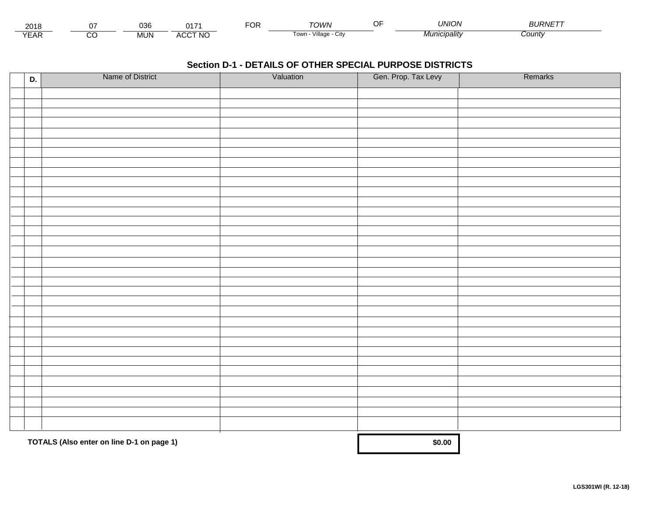| 2018              |         | 036        |               | roj<br>ັບເ | <b>TOWN</b>                          | 'JNION   | . <i>.</i> .<br><b>OURIVE</b> |  |
|-------------------|---------|------------|---------------|------------|--------------------------------------|----------|-------------------------------|--|
| $\sqrt{2}$<br>LAI | ~~<br>U | <b>MUN</b> | CCT NO<br>AG. |            | $\cdots$<br>Villade<br>l own<br>◡៲៶៶ | cıpalıtv | :ountv                        |  |

| D. | Name of District                          | Valuation | Gen. Prop. Tax Levy | Remarks |
|----|-------------------------------------------|-----------|---------------------|---------|
|    |                                           |           |                     |         |
|    |                                           |           |                     |         |
|    |                                           |           |                     |         |
|    |                                           |           |                     |         |
|    |                                           |           |                     |         |
|    |                                           |           |                     |         |
|    |                                           |           |                     |         |
|    |                                           |           |                     |         |
|    |                                           |           |                     |         |
|    |                                           |           |                     |         |
|    |                                           |           |                     |         |
|    |                                           |           |                     |         |
|    |                                           |           |                     |         |
|    |                                           |           |                     |         |
|    |                                           |           |                     |         |
|    |                                           |           |                     |         |
|    |                                           |           |                     |         |
|    |                                           |           |                     |         |
|    |                                           |           |                     |         |
|    |                                           |           |                     |         |
|    |                                           |           |                     |         |
|    |                                           |           |                     |         |
|    |                                           |           |                     |         |
|    |                                           |           |                     |         |
|    |                                           |           |                     |         |
|    |                                           |           |                     |         |
|    |                                           |           |                     |         |
|    |                                           |           |                     |         |
|    |                                           |           |                     |         |
|    |                                           |           |                     |         |
|    |                                           |           |                     |         |
|    | TOTALS (Also enter on line D-1 on page 1) | \$0.00    |                     |         |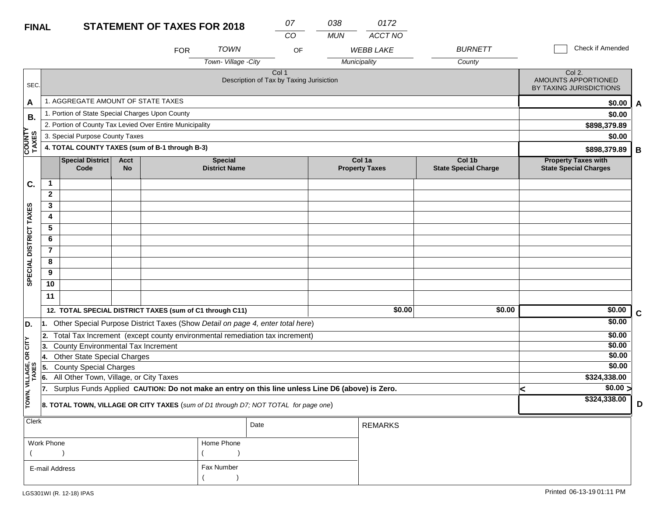## **FINAL**

| <b>FINAL</b>                         |                |                                                 |                          | <b>STATEMENT OF TAXES FOR 2018</b>                       |                                        | 07<br>CO                                                                                         | 038<br><b>MUN</b> | 0172<br>ACCT NO                 |                                       |   |                                                            |             |
|--------------------------------------|----------------|-------------------------------------------------|--------------------------|----------------------------------------------------------|----------------------------------------|--------------------------------------------------------------------------------------------------|-------------------|---------------------------------|---------------------------------------|---|------------------------------------------------------------|-------------|
|                                      |                |                                                 |                          | <b>FOR</b>                                               | <b>TOWN</b>                            | OF                                                                                               |                   | <b>WEBB LAKE</b>                | <b>BURNETT</b>                        |   | Check if Amended                                           |             |
|                                      |                |                                                 |                          |                                                          | Town-Village -City                     |                                                                                                  |                   | Municipality                    | County                                |   |                                                            |             |
| SEC.                                 |                |                                                 |                          |                                                          |                                        | Col 1<br>Description of Tax by Taxing Jurisiction                                                |                   |                                 |                                       |   | Col 2.<br>AMOUNTS APPORTIONED<br>BY TAXING JURISDICTIONS   |             |
| A                                    |                | 1. AGGREGATE AMOUNT OF STATE TAXES              |                          |                                                          |                                        |                                                                                                  |                   |                                 |                                       |   | \$0.00                                                     | A           |
| В.                                   |                | 1. Portion of State Special Charges Upon County |                          |                                                          |                                        |                                                                                                  |                   |                                 |                                       |   | \$0.00                                                     |             |
|                                      |                |                                                 |                          | 2. Portion of County Tax Levied Over Entire Municipality |                                        |                                                                                                  |                   |                                 |                                       |   | \$898,379.89                                               |             |
|                                      |                | 3. Special Purpose County Taxes                 |                          |                                                          |                                        |                                                                                                  |                   |                                 |                                       |   | \$0.00                                                     |             |
| <b>COUNTY</b><br>TAXES               |                |                                                 |                          | 4. TOTAL COUNTY TAXES (sum of B-1 through B-3)           |                                        |                                                                                                  |                   |                                 |                                       |   | \$898,379.89                                               | B           |
|                                      |                | <b>Special District</b><br>Code                 | <b>Acct</b><br><b>No</b> |                                                          | <b>Special</b><br><b>District Name</b> |                                                                                                  |                   | Col 1a<br><b>Property Taxes</b> | Col 1b<br><b>State Special Charge</b> |   | <b>Property Taxes with</b><br><b>State Special Charges</b> |             |
| C.                                   | $\mathbf{1}$   |                                                 |                          |                                                          |                                        |                                                                                                  |                   |                                 |                                       |   |                                                            |             |
|                                      | $\mathbf{2}$   |                                                 |                          |                                                          |                                        |                                                                                                  |                   |                                 |                                       |   |                                                            |             |
|                                      | 3              |                                                 |                          |                                                          |                                        |                                                                                                  |                   |                                 |                                       |   |                                                            |             |
|                                      | 4              |                                                 |                          |                                                          |                                        |                                                                                                  |                   |                                 |                                       |   |                                                            |             |
|                                      | 5              |                                                 |                          |                                                          |                                        |                                                                                                  |                   |                                 |                                       |   |                                                            |             |
|                                      | 6              |                                                 |                          |                                                          |                                        |                                                                                                  |                   |                                 |                                       |   |                                                            |             |
|                                      | $\overline{7}$ |                                                 |                          |                                                          |                                        |                                                                                                  |                   |                                 |                                       |   |                                                            |             |
|                                      | 8              |                                                 |                          |                                                          |                                        |                                                                                                  |                   |                                 |                                       |   |                                                            |             |
| SPECIAL DISTRICT TAXES               | 9              |                                                 |                          |                                                          |                                        |                                                                                                  |                   |                                 |                                       |   |                                                            |             |
|                                      | 10             |                                                 |                          |                                                          |                                        |                                                                                                  |                   |                                 |                                       |   |                                                            |             |
|                                      | 11             |                                                 |                          |                                                          |                                        |                                                                                                  |                   |                                 |                                       |   |                                                            |             |
|                                      |                |                                                 |                          | 12. TOTAL SPECIAL DISTRICT TAXES (sum of C1 through C11) |                                        |                                                                                                  |                   | \$0.00                          | \$0.00                                |   | \$0.00                                                     | $\mathbf C$ |
| D.                                   | I1.            |                                                 |                          |                                                          |                                        | Other Special Purpose District Taxes (Show Detail on page 4, enter total here)                   |                   |                                 |                                       |   | \$0.00                                                     |             |
|                                      | 12.            |                                                 |                          |                                                          |                                        | Total Tax Increment (except county environmental remediation tax increment)                      |                   |                                 |                                       |   | \$0.00                                                     |             |
| CITY                                 | 13.            | <b>County Environmental Tax Increment</b>       |                          |                                                          |                                        |                                                                                                  |                   |                                 |                                       |   | \$0.00                                                     |             |
| бR                                   | 4.             | <b>Other State Special Charges</b>              |                          |                                                          |                                        |                                                                                                  |                   |                                 |                                       |   | \$0.00                                                     |             |
| <b>County Special Charges</b><br>15. |                |                                                 |                          |                                                          |                                        |                                                                                                  |                   |                                 |                                       |   | \$0.00                                                     |             |
| VILLAGE,<br>TAXES                    | 6.             | All Other Town, Village, or City Taxes          |                          |                                                          |                                        |                                                                                                  |                   |                                 |                                       |   | \$324,338.00                                               |             |
|                                      | 17.            |                                                 |                          |                                                          |                                        | Surplus Funds Applied CAUTION: Do not make an entry on this line unless Line D6 (above) is Zero. |                   |                                 |                                       | k | $\sqrt{$0.00}$                                             |             |
| TOWN,                                |                |                                                 |                          |                                                          |                                        | 8. TOTAL TOWN, VILLAGE OR CITY TAXES (sum of D1 through D7; NOT TOTAL for page one)              |                   |                                 |                                       |   | \$324,338.00                                               | D           |
| Clerk                                |                |                                                 |                          |                                                          |                                        | Date                                                                                             |                   | <b>REMARKS</b>                  |                                       |   |                                                            |             |

| Work Phone     | Home Phone |
|----------------|------------|
|                |            |
| E-mail Address | Fax Number |
|                |            |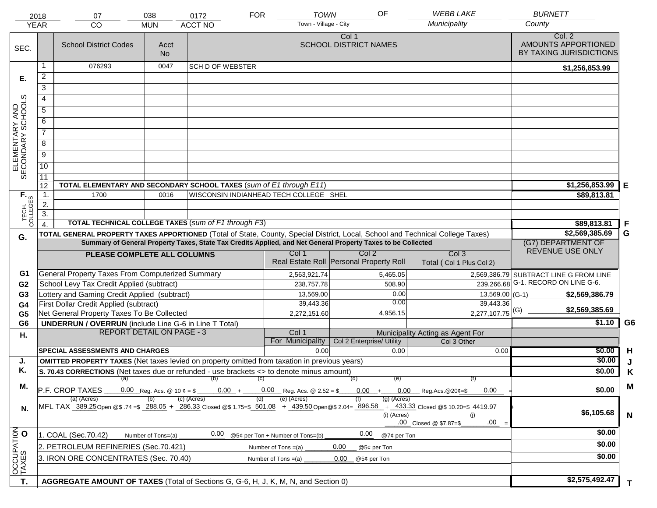|                                     | 2018<br><b>YEAR</b>  | 07<br><b>CO</b>                                                                                      | 038<br><b>MUN</b>                        | 0172<br><b>ACCT NO</b>  | <b>FOR</b> | <b>TOWN</b><br>Town - Village - City                                                                         | OF                                      | <b>WEBB LAKE</b><br>Municipality                                                                                                                                                                                     | <b>BURNETT</b><br>County                                 |                |
|-------------------------------------|----------------------|------------------------------------------------------------------------------------------------------|------------------------------------------|-------------------------|------------|--------------------------------------------------------------------------------------------------------------|-----------------------------------------|----------------------------------------------------------------------------------------------------------------------------------------------------------------------------------------------------------------------|----------------------------------------------------------|----------------|
| SEC.                                |                      | <b>School District Codes</b>                                                                         | Acct<br><b>No</b>                        |                         |            |                                                                                                              | Col 1<br><b>SCHOOL DISTRICT NAMES</b>   |                                                                                                                                                                                                                      | Col. 2<br>AMOUNTS APPORTIONED<br>BY TAXING JURISDICTIONS |                |
|                                     |                      | 076293                                                                                               | 0047                                     | <b>SCH D OF WEBSTER</b> |            |                                                                                                              |                                         |                                                                                                                                                                                                                      | \$1,256,853.99                                           |                |
| Е.                                  | $\overline{a}$       |                                                                                                      |                                          |                         |            |                                                                                                              |                                         |                                                                                                                                                                                                                      |                                                          |                |
|                                     | 3                    |                                                                                                      |                                          |                         |            |                                                                                                              |                                         |                                                                                                                                                                                                                      |                                                          |                |
|                                     | 4                    |                                                                                                      |                                          |                         |            |                                                                                                              |                                         |                                                                                                                                                                                                                      |                                                          |                |
|                                     | 5                    |                                                                                                      |                                          |                         |            |                                                                                                              |                                         |                                                                                                                                                                                                                      |                                                          |                |
|                                     | 6                    |                                                                                                      |                                          |                         |            |                                                                                                              |                                         |                                                                                                                                                                                                                      |                                                          |                |
| ELEMENTARY AND<br>SECONDARY SCHOOLS | $\overline{7}$       |                                                                                                      |                                          |                         |            |                                                                                                              |                                         |                                                                                                                                                                                                                      |                                                          |                |
|                                     |                      |                                                                                                      |                                          |                         |            |                                                                                                              |                                         |                                                                                                                                                                                                                      |                                                          |                |
|                                     | 8                    |                                                                                                      |                                          |                         |            |                                                                                                              |                                         |                                                                                                                                                                                                                      |                                                          |                |
|                                     | $\overline{9}$       |                                                                                                      |                                          |                         |            |                                                                                                              |                                         |                                                                                                                                                                                                                      |                                                          |                |
|                                     | $\overline{10}$      |                                                                                                      |                                          |                         |            |                                                                                                              |                                         |                                                                                                                                                                                                                      |                                                          |                |
|                                     | 11                   |                                                                                                      |                                          |                         |            |                                                                                                              |                                         |                                                                                                                                                                                                                      |                                                          |                |
|                                     | 12<br>$\mathbf{1}$ . | TOTAL ELEMENTARY AND SECONDARY SCHOOL TAXES (sum of E1 through E11)<br>1700                          | 0016                                     |                         |            | WISCONSIN INDIANHEAD TECH COLLEGE SHEL                                                                       |                                         |                                                                                                                                                                                                                      | \$1,256,853.99<br>\$89,813.81                            | Е              |
|                                     | 2.                   |                                                                                                      |                                          |                         |            |                                                                                                              |                                         |                                                                                                                                                                                                                      |                                                          |                |
|                                     | $\overline{3}$ .     |                                                                                                      |                                          |                         |            |                                                                                                              |                                         |                                                                                                                                                                                                                      |                                                          |                |
| TECH. T                             |                      | <b>TOTAL TECHNICAL COLLEGE TAXES (sum of F1 through F3)</b>                                          |                                          |                         |            |                                                                                                              |                                         |                                                                                                                                                                                                                      | \$89,813.81                                              | -F             |
| G.                                  |                      |                                                                                                      |                                          |                         |            |                                                                                                              |                                         | TOTAL GENERAL PROPERTY TAXES APPORTIONED (Total of State, County, Special District, Local, School and Technical College Taxes)                                                                                       | \$2,569,385.69                                           | G              |
|                                     |                      |                                                                                                      |                                          |                         |            | Summary of General Property Taxes, State Tax Credits Applied, and Net General Property Taxes to be Collected |                                         |                                                                                                                                                                                                                      | (G7) DEPARTMENT OF                                       |                |
|                                     |                      | PLEASE COMPLETE ALL COLUMNS                                                                          |                                          |                         |            | Col 1                                                                                                        | Col <sub>2</sub>                        | Col <sub>3</sub>                                                                                                                                                                                                     | REVENUE USE ONLY                                         |                |
|                                     |                      |                                                                                                      |                                          |                         |            |                                                                                                              | Real Estate Roll Personal Property Roll | Total (Col 1 Plus Col 2)                                                                                                                                                                                             |                                                          |                |
| G1                                  |                      | General Property Taxes From Computerized Summary                                                     |                                          |                         |            | 2,563,921.74                                                                                                 | 5,465.05                                |                                                                                                                                                                                                                      | 2,569,386.79 SUBTRACT LINE G FROM LINE                   |                |
| G <sub>2</sub>                      |                      | School Levy Tax Credit Applied (subtract)                                                            |                                          |                         |            | 238,757.78                                                                                                   | 508.90                                  |                                                                                                                                                                                                                      | 239,266.68 G-1. RECORD ON LINE G-6.                      |                |
| G <sub>3</sub>                      |                      | Lottery and Gaming Credit Applied (subtract)                                                         |                                          |                         |            | 13,569.00                                                                                                    |                                         | 0.00                                                                                                                                                                                                                 | $13,569.00$ (G-1)<br>\$2,569,386.79                      |                |
| G4                                  |                      | First Dollar Credit Applied (subtract)                                                               |                                          |                         |            | 39,443.36                                                                                                    |                                         | 0.00<br>39,443.36                                                                                                                                                                                                    | \$2,569,385.69                                           |                |
| G <sub>5</sub>                      |                      | Net General Property Taxes To Be Collected                                                           |                                          |                         |            | 2,272,151.60                                                                                                 | 4,956.15                                | $2,277,107.75$ <sup>(G)</sup>                                                                                                                                                                                        | \$1.10                                                   | G <sub>6</sub> |
| G <sub>6</sub>                      |                      | <b>UNDERRUN / OVERRUN</b> (include Line G-6 in Line T Total)<br><b>REPORT DETAIL ON PAGE - 3</b>     |                                          |                         |            | Col 1                                                                                                        |                                         | Municipality Acting as Agent For                                                                                                                                                                                     |                                                          |                |
| Η.                                  |                      |                                                                                                      |                                          |                         |            | For Municipality                                                                                             | Col 2 Enterprise/ Utility               | Col 3 Other                                                                                                                                                                                                          |                                                          |                |
|                                     |                      | <b>SPECIAL ASSESSMENTS AND CHARGES</b>                                                               |                                          |                         |            | 0.00                                                                                                         |                                         | 0.00                                                                                                                                                                                                                 | \$0.00<br>0.00                                           | H              |
| J.                                  |                      | <b>OMITTED PROPERTY TAXES</b> (Net taxes levied on property omitted from taxation in previous years) |                                          |                         |            |                                                                                                              |                                         |                                                                                                                                                                                                                      | \$0.00                                                   |                |
| Κ.                                  |                      | S. 70.43 CORRECTIONS (Net taxes due or refunded - use brackets <> to denote minus amount)            |                                          |                         |            |                                                                                                              |                                         |                                                                                                                                                                                                                      | \$0.00                                                   | Κ              |
| М.                                  |                      | $(a)$ (b)                                                                                            |                                          |                         | (C)        |                                                                                                              | (d)                                     | (e)<br>(f)                                                                                                                                                                                                           |                                                          | M              |
|                                     |                      | P.F. CROP TAXES                                                                                      | 0.00 Reg. Acs. @ 10 $\phi = \frac{1}{2}$ | $0.00 +$                |            | $0.00$ Reg. Acs. @ 2.52 = \$                                                                                 | $0.00 +$                                | $0.00$ Reg.Acs. @20¢=\$<br>0.00                                                                                                                                                                                      | \$0.00                                                   |                |
| N.                                  |                      | (a) (Acres)                                                                                          |                                          | $(c)$ (Acres)           | (d)        | (e) (Acres)                                                                                                  |                                         | $(g)$ (Acres)<br>MFL TAX 389.25 Open @\$ 74 =\$ 288.05 + 286.33 Closed @\$ 1.75=\$ 501.08 + 439.50 Open @\$ 2.04= 896.58 + 433.33 Closed @\$ 10.20=\$ 4419.97<br>(i) (Acres)<br>(i)<br>.00<br>.00 Closed @ \$7.87=\$ | \$6,105.68                                               | $\mathbf N$    |
|                                     |                      | 1. COAL (Sec.70.42)                                                                                  | Number of Tons=(a)                       | 0.00                    |            | @5¢ per Ton + Number of Tons=(b)                                                                             | 0.00                                    | @7¢ per Ton                                                                                                                                                                                                          | \$0.00                                                   |                |
| OCCUPATION                          |                      | 2. PETROLEUM REFINERIES (Sec.70.421)                                                                 |                                          |                         |            | Number of Tons =(a)                                                                                          | 0.00<br>@5¢ per Ton                     |                                                                                                                                                                                                                      | \$0.00                                                   |                |
|                                     |                      | 3. IRON ORE CONCENTRATES (Sec. 70.40)                                                                | \$0.00                                   |                         |            |                                                                                                              |                                         |                                                                                                                                                                                                                      |                                                          |                |
|                                     |                      |                                                                                                      |                                          |                         |            | Number of Tons $=(a)$                                                                                        | 0.00<br>@5¢ per Ton                     |                                                                                                                                                                                                                      |                                                          |                |
|                                     |                      |                                                                                                      |                                          |                         |            |                                                                                                              |                                         |                                                                                                                                                                                                                      |                                                          |                |
| T.                                  |                      | AGGREGATE AMOUNT OF TAXES (Total of Sections G, G-6, H, J, K, M, N, and Section 0)                   |                                          |                         |            |                                                                                                              |                                         |                                                                                                                                                                                                                      | \$2,575,492.47                                           | T.             |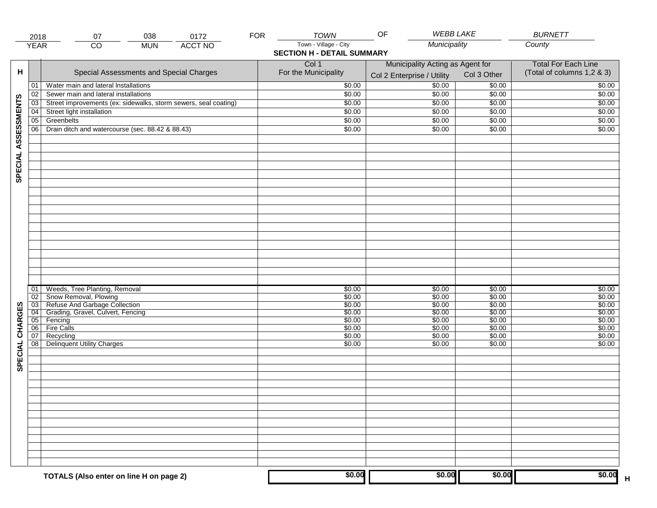|                     | 2018            | 038<br>0172<br>07                                               | <b>FOR</b> | <b>TOWN</b>                       | <b>WEBB LAKE</b><br>OF           |             | <b>BURNETT</b>             |  |
|---------------------|-----------------|-----------------------------------------------------------------|------------|-----------------------------------|----------------------------------|-------------|----------------------------|--|
|                     | <b>YEAR</b>     | <b>ACCT NO</b><br>CO<br><b>MUN</b>                              |            | Town - Village - City             | Municipality                     |             | County                     |  |
|                     |                 |                                                                 |            | <b>SECTION H - DETAIL SUMMARY</b> |                                  |             |                            |  |
|                     |                 |                                                                 |            | Col 1                             | Municipality Acting as Agent for |             | <b>Total For Each Line</b> |  |
| н                   |                 | Special Assessments and Special Charges                         |            | For the Municipality              | Col 2 Enterprise / Utility       | Col 3 Other | (Total of columns 1,2 & 3) |  |
|                     | 01              | Water main and lateral Installations                            |            | \$0.00                            | \$0.00                           | \$0.00      | \$0.00                     |  |
|                     | 02              | Sewer main and lateral installations                            |            | \$0.00                            | \$0.00                           | \$0.00      | \$0.00                     |  |
| SPECIAL ASSESSMENTS | $\overline{03}$ | Street improvements (ex: sidewalks, storm sewers, seal coating) |            | \$0.00                            | \$0.00                           | \$0.00      | \$0.00                     |  |
|                     |                 |                                                                 |            |                                   |                                  |             |                            |  |
|                     | 04              | Street light installation                                       |            | \$0.00                            | \$0.00                           | \$0.00      | \$0.00                     |  |
|                     | $\overline{05}$ | Greenbelts                                                      |            | \$0.00                            | \$0.00                           | \$0.00      | \$0.00                     |  |
|                     | 06              | Drain ditch and watercourse (sec. 88.42 & 88.43)                |            | \$0.00                            | \$0.00                           | \$0.00      | \$0.00                     |  |
|                     |                 |                                                                 |            |                                   |                                  |             |                            |  |
|                     |                 |                                                                 |            |                                   |                                  |             |                            |  |
|                     |                 |                                                                 |            |                                   |                                  |             |                            |  |
|                     |                 |                                                                 |            |                                   |                                  |             |                            |  |
|                     |                 |                                                                 |            |                                   |                                  |             |                            |  |
|                     |                 |                                                                 |            |                                   |                                  |             |                            |  |
|                     |                 |                                                                 |            |                                   |                                  |             |                            |  |
|                     |                 |                                                                 |            |                                   |                                  |             |                            |  |
|                     |                 |                                                                 |            |                                   |                                  |             |                            |  |
|                     |                 |                                                                 |            |                                   |                                  |             |                            |  |
|                     |                 |                                                                 |            |                                   |                                  |             |                            |  |
|                     |                 |                                                                 |            |                                   |                                  |             |                            |  |
|                     |                 |                                                                 |            |                                   |                                  |             |                            |  |
|                     |                 |                                                                 |            |                                   |                                  |             |                            |  |
|                     |                 |                                                                 |            |                                   |                                  |             |                            |  |
|                     |                 |                                                                 |            |                                   |                                  |             |                            |  |
|                     |                 |                                                                 |            |                                   |                                  |             |                            |  |
|                     | 01              | Weeds, Tree Planting, Removal                                   |            | \$0.00                            | \$0.00                           | \$0.00      | \$0.00                     |  |
|                     | $\overline{02}$ | Snow Removal, Plowing                                           |            | \$0.00                            | \$0.00                           | \$0.00      | \$0.00                     |  |
|                     | $\overline{03}$ | Refuse And Garbage Collection                                   |            | \$0.00                            | \$0.00                           | \$0.00      | \$0.00                     |  |
| SPECIAL CHARGES     | 04              | Grading, Gravel, Culvert, Fencing                               |            | \$0.00                            | \$0.00                           | \$0.00      | \$0.00                     |  |
|                     | 05              | Fencing                                                         |            | \$0.00                            | \$0.00                           | \$0.00      | \$0.00                     |  |
|                     | $\overline{06}$ | Fire Calls                                                      |            | \$0.00                            | \$0.00                           | \$0.00      | \$0.00                     |  |
|                     | 07              | Recycling                                                       |            | \$0.00                            | \$0.00                           | \$0.00      | \$0.00                     |  |
|                     | $\overline{08}$ | Delinquent Utility Charges                                      |            | \$0.00                            | \$0.00                           | \$0.00      | \$0.00                     |  |
|                     |                 |                                                                 |            |                                   |                                  |             |                            |  |
|                     |                 |                                                                 |            |                                   |                                  |             |                            |  |
|                     |                 |                                                                 |            |                                   |                                  |             |                            |  |
|                     |                 |                                                                 |            |                                   |                                  |             |                            |  |
|                     |                 |                                                                 |            |                                   |                                  |             |                            |  |
|                     |                 |                                                                 |            |                                   |                                  |             |                            |  |
|                     |                 |                                                                 |            |                                   |                                  |             |                            |  |
|                     |                 |                                                                 |            |                                   |                                  |             |                            |  |
|                     |                 |                                                                 |            |                                   |                                  |             |                            |  |
|                     |                 |                                                                 |            |                                   |                                  |             |                            |  |
|                     |                 |                                                                 |            |                                   |                                  |             |                            |  |
|                     |                 |                                                                 |            |                                   |                                  |             |                            |  |
|                     |                 |                                                                 |            |                                   |                                  |             |                            |  |
|                     |                 |                                                                 |            |                                   |                                  |             |                            |  |
|                     |                 | TOTALS (Also enter on line H on page 2)                         |            | \$0.00                            | \$0.00                           | \$0.00      | \$0.00                     |  |
|                     |                 |                                                                 |            |                                   |                                  |             | $\overline{\mathsf{H}}$    |  |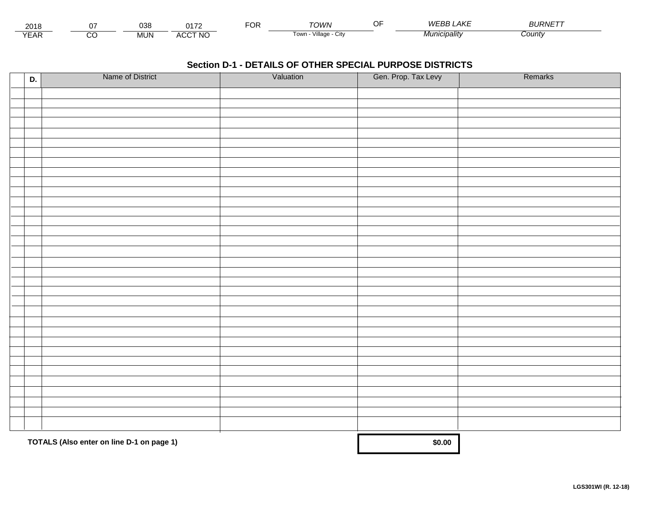| 201<br>∠∪ i   |               | ົ<br>っしし   | .                                   | . . | יטוער־                      | $\sim$ $\sim$<br>. | $\Delta K$ F<br>M/FF<br>-н. | $\cdots$<br>$^{\prime\prime}$ IRNIL. |
|---------------|---------------|------------|-------------------------------------|-----|-----------------------------|--------------------|-----------------------------|--------------------------------------|
| $V = r$<br>⊢ี | $\sim$<br>ے ب | <b>MUN</b> | <b>CCT NO</b><br>$\cdots$<br>$\sim$ |     | <br>∪ I OW<br>лнаае<br>ノILV |                    |                             | Count                                |

| D. | Name of District                          | Valuation | Gen. Prop. Tax Levy | Remarks |
|----|-------------------------------------------|-----------|---------------------|---------|
|    |                                           |           |                     |         |
|    |                                           |           |                     |         |
|    |                                           |           |                     |         |
|    |                                           |           |                     |         |
|    |                                           |           |                     |         |
|    |                                           |           |                     |         |
|    |                                           |           |                     |         |
|    |                                           |           |                     |         |
|    |                                           |           |                     |         |
|    |                                           |           |                     |         |
|    |                                           |           |                     |         |
|    |                                           |           |                     |         |
|    |                                           |           |                     |         |
|    |                                           |           |                     |         |
|    |                                           |           |                     |         |
|    |                                           |           |                     |         |
|    |                                           |           |                     |         |
|    |                                           |           |                     |         |
|    |                                           |           |                     |         |
|    |                                           |           |                     |         |
|    |                                           |           |                     |         |
|    |                                           |           |                     |         |
|    |                                           |           |                     |         |
|    |                                           |           |                     |         |
|    |                                           |           |                     |         |
|    |                                           |           |                     |         |
|    |                                           |           |                     |         |
|    |                                           |           |                     |         |
|    |                                           |           |                     |         |
|    |                                           |           |                     |         |
|    |                                           |           |                     |         |
|    |                                           |           |                     |         |
|    |                                           |           |                     |         |
|    | TOTALS (Also enter on line D-1 on page 1) | \$0.00    |                     |         |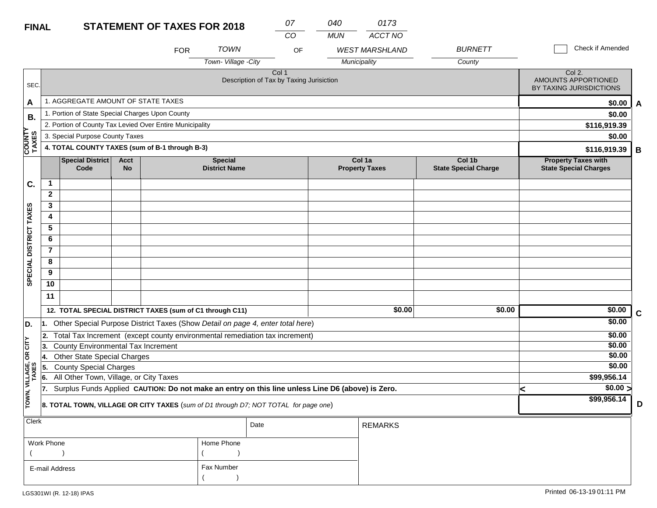| <b>FINAL</b>           |                |                                                 |                   | <b>STATEMENT OF TAXES FOR 2018</b>                                                               |                                        | 07                                                           | 040        | 0173                                             |                                       |   |                                                            |   |
|------------------------|----------------|-------------------------------------------------|-------------------|--------------------------------------------------------------------------------------------------|----------------------------------------|--------------------------------------------------------------|------------|--------------------------------------------------|---------------------------------------|---|------------------------------------------------------------|---|
|                        |                |                                                 |                   | <b>FOR</b>                                                                                       | <b>TOWN</b><br>Town-Village -City      | CO<br>OF                                                     | <b>MUN</b> | ACCT NO<br><b>WEST MARSHLAND</b><br>Municipality | <b>BURNETT</b><br>County              |   | Check if Amended                                           |   |
| SEC.                   |                |                                                 |                   |                                                                                                  |                                        | Col <sub>1</sub><br>Description of Tax by Taxing Jurisiction |            |                                                  |                                       |   | Col 2.<br>AMOUNTS APPORTIONED<br>BY TAXING JURISDICTIONS   |   |
| A                      |                | 1. AGGREGATE AMOUNT OF STATE TAXES              |                   |                                                                                                  |                                        |                                                              |            |                                                  |                                       |   | \$0.00                                                     | A |
| В.                     |                | 1. Portion of State Special Charges Upon County |                   |                                                                                                  |                                        |                                                              |            |                                                  |                                       |   | \$0.00                                                     |   |
|                        |                |                                                 |                   | 2. Portion of County Tax Levied Over Entire Municipality                                         |                                        |                                                              |            |                                                  |                                       |   | \$116,919.39                                               |   |
|                        |                | 3. Special Purpose County Taxes                 |                   |                                                                                                  |                                        |                                                              |            |                                                  |                                       |   | \$0.00                                                     |   |
| <b>COUNTY</b><br>TAXES |                |                                                 |                   | 4. TOTAL COUNTY TAXES (sum of B-1 through B-3)                                                   |                                        |                                                              |            |                                                  |                                       |   | \$116,919.39                                               | В |
|                        |                | Special District<br>Code                        | Acct<br><b>No</b> |                                                                                                  | <b>Special</b><br><b>District Name</b> |                                                              |            | Col 1a<br><b>Property Taxes</b>                  | Col 1b<br><b>State Special Charge</b> |   | <b>Property Taxes with</b><br><b>State Special Charges</b> |   |
| C.                     | $\mathbf 1$    |                                                 |                   |                                                                                                  |                                        |                                                              |            |                                                  |                                       |   |                                                            |   |
|                        | $\overline{2}$ |                                                 |                   |                                                                                                  |                                        |                                                              |            |                                                  |                                       |   |                                                            |   |
|                        | 3              |                                                 |                   |                                                                                                  |                                        |                                                              |            |                                                  |                                       |   |                                                            |   |
|                        | 4              |                                                 |                   |                                                                                                  |                                        |                                                              |            |                                                  |                                       |   |                                                            |   |
|                        | 5              |                                                 |                   |                                                                                                  |                                        |                                                              |            |                                                  |                                       |   |                                                            |   |
|                        | 6              |                                                 |                   |                                                                                                  |                                        |                                                              |            |                                                  |                                       |   |                                                            |   |
|                        | $\overline{7}$ |                                                 |                   |                                                                                                  |                                        |                                                              |            |                                                  |                                       |   |                                                            |   |
| SPECIAL DISTRICT TAXES | 8              |                                                 |                   |                                                                                                  |                                        |                                                              |            |                                                  |                                       |   |                                                            |   |
|                        | 9              |                                                 |                   |                                                                                                  |                                        |                                                              |            |                                                  |                                       |   |                                                            |   |
|                        | 10             |                                                 |                   |                                                                                                  |                                        |                                                              |            |                                                  |                                       |   |                                                            |   |
|                        | 11             |                                                 |                   |                                                                                                  |                                        |                                                              |            |                                                  |                                       |   |                                                            |   |
|                        |                |                                                 |                   | 12. TOTAL SPECIAL DISTRICT TAXES (sum of C1 through C11)                                         |                                        |                                                              |            | \$0.00                                           | \$0.00                                |   | \$0.00                                                     | C |
| D.                     |                |                                                 |                   | Other Special Purpose District Taxes (Show Detail on page 4, enter total here)                   |                                        |                                                              |            |                                                  |                                       |   | \$0.00                                                     |   |
|                        |                |                                                 |                   | 2. Total Tax Increment (except county environmental remediation tax increment)                   |                                        |                                                              |            |                                                  |                                       |   | \$0.00                                                     |   |
| OR CITY                | 3.             | County Environmental Tax Increment              |                   |                                                                                                  |                                        |                                                              |            |                                                  |                                       |   | \$0.00                                                     |   |
|                        | 14.            | <b>Other State Special Charges</b>              |                   |                                                                                                  |                                        |                                                              |            |                                                  |                                       |   | \$0.00                                                     |   |
| VILLAGE,<br>TAXES      | 5.             | <b>County Special Charges</b>                   |                   |                                                                                                  |                                        |                                                              |            |                                                  |                                       |   | \$0.00                                                     |   |
|                        | 6.             | All Other Town, Village, or City Taxes          |                   |                                                                                                  |                                        |                                                              |            |                                                  |                                       |   | \$99,956.14                                                |   |
|                        | 17.            |                                                 |                   | Surplus Funds Applied CAUTION: Do not make an entry on this line unless Line D6 (above) is Zero. |                                        |                                                              |            |                                                  |                                       | < | \$0.00 >                                                   |   |
| TOWN,                  |                |                                                 |                   | 8. TOTAL TOWN, VILLAGE OR CITY TAXES (sum of D1 through D7; NOT TOTAL for page one)              |                                        |                                                              |            |                                                  |                                       |   | \$99,956.14                                                | D |
| Clerk                  |                |                                                 |                   |                                                                                                  |                                        | Date                                                         |            | <b>REMARKS</b>                                   |                                       |   |                                                            |   |

| Work Phone     | Home Phone |
|----------------|------------|
|                |            |
| E-mail Address | Fax Number |
|                |            |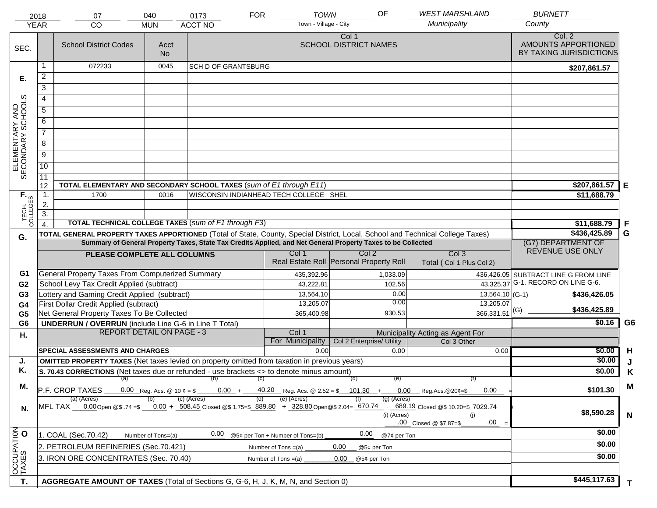|                                     | 2018                                                                                                 | 07                                                                                                                             | 040                                      | 0173                       | <b>FOR</b>        | <b>TOWN</b>                                                                                                  |                                       | OF          | <b>WEST MARSHLAND</b>                                                                                                                                                                | <b>BURNETT</b>                                           |                |
|-------------------------------------|------------------------------------------------------------------------------------------------------|--------------------------------------------------------------------------------------------------------------------------------|------------------------------------------|----------------------------|-------------------|--------------------------------------------------------------------------------------------------------------|---------------------------------------|-------------|--------------------------------------------------------------------------------------------------------------------------------------------------------------------------------------|----------------------------------------------------------|----------------|
|                                     | <b>YEAR</b>                                                                                          | CO                                                                                                                             | <b>MUN</b>                               | <b>ACCT NO</b>             |                   | Town - Village - City                                                                                        |                                       |             | Municipality                                                                                                                                                                         | County                                                   |                |
| SEC.                                |                                                                                                      | <b>School District Codes</b>                                                                                                   | Acct<br><b>No</b>                        |                            |                   |                                                                                                              | Col 1<br><b>SCHOOL DISTRICT NAMES</b> |             |                                                                                                                                                                                      | Col. 2<br>AMOUNTS APPORTIONED<br>BY TAXING JURISDICTIONS |                |
|                                     | 1                                                                                                    | 072233                                                                                                                         | 0045                                     | <b>SCH D OF GRANTSBURG</b> |                   |                                                                                                              |                                       |             |                                                                                                                                                                                      | \$207,861.57                                             |                |
| Е.                                  | $\overline{2}$                                                                                       |                                                                                                                                |                                          |                            |                   |                                                                                                              |                                       |             |                                                                                                                                                                                      |                                                          |                |
|                                     | 3                                                                                                    |                                                                                                                                |                                          |                            |                   |                                                                                                              |                                       |             |                                                                                                                                                                                      |                                                          |                |
|                                     | $\overline{4}$                                                                                       |                                                                                                                                |                                          |                            |                   |                                                                                                              |                                       |             |                                                                                                                                                                                      |                                                          |                |
|                                     | $\overline{5}$                                                                                       |                                                                                                                                |                                          |                            |                   |                                                                                                              |                                       |             |                                                                                                                                                                                      |                                                          |                |
| ELEMENTARY AND<br>SECONDARY SCHOOLS | 6                                                                                                    |                                                                                                                                |                                          |                            |                   |                                                                                                              |                                       |             |                                                                                                                                                                                      |                                                          |                |
|                                     | $\overline{7}$                                                                                       |                                                                                                                                |                                          |                            |                   |                                                                                                              |                                       |             |                                                                                                                                                                                      |                                                          |                |
|                                     | $\overline{8}$                                                                                       |                                                                                                                                |                                          |                            |                   |                                                                                                              |                                       |             |                                                                                                                                                                                      |                                                          |                |
|                                     | $\overline{9}$                                                                                       |                                                                                                                                |                                          |                            |                   |                                                                                                              |                                       |             |                                                                                                                                                                                      |                                                          |                |
|                                     | 10                                                                                                   |                                                                                                                                |                                          |                            |                   |                                                                                                              |                                       |             |                                                                                                                                                                                      |                                                          |                |
|                                     | $\overline{11}$                                                                                      |                                                                                                                                |                                          |                            |                   |                                                                                                              |                                       |             |                                                                                                                                                                                      |                                                          |                |
|                                     | 12                                                                                                   | TOTAL ELEMENTARY AND SECONDARY SCHOOL TAXES (sum of E1 through E11)                                                            |                                          |                            |                   |                                                                                                              |                                       |             |                                                                                                                                                                                      | \$207,861.57                                             | E              |
| TECH. T                             | $\overline{1}$ .                                                                                     | 1700                                                                                                                           | 0016                                     |                            |                   | WISCONSIN INDIANHEAD TECH COLLEGE SHEL                                                                       |                                       |             |                                                                                                                                                                                      | \$11,688.79                                              |                |
|                                     | 2.                                                                                                   |                                                                                                                                |                                          |                            |                   |                                                                                                              |                                       |             |                                                                                                                                                                                      |                                                          |                |
|                                     | $\overline{3}$ .                                                                                     |                                                                                                                                |                                          |                            |                   |                                                                                                              |                                       |             |                                                                                                                                                                                      |                                                          |                |
|                                     | $\overline{4}$                                                                                       | <b>TOTAL TECHNICAL COLLEGE TAXES (sum of F1 through F3)</b>                                                                    |                                          |                            |                   |                                                                                                              |                                       |             |                                                                                                                                                                                      | \$11,688.79                                              | -F             |
| G.                                  |                                                                                                      | TOTAL GENERAL PROPERTY TAXES APPORTIONED (Total of State, County, Special District, Local, School and Technical College Taxes) |                                          |                            |                   | Summary of General Property Taxes, State Tax Credits Applied, and Net General Property Taxes to be Collected |                                       |             |                                                                                                                                                                                      | \$436,425.89<br>(G7) DEPARTMENT OF                       | G              |
|                                     |                                                                                                      |                                                                                                                                |                                          |                            |                   | Col 1                                                                                                        | Col <sub>2</sub>                      |             | Col <sub>3</sub>                                                                                                                                                                     | REVENUE USE ONLY                                         |                |
|                                     |                                                                                                      | PLEASE COMPLETE ALL COLUMNS                                                                                                    |                                          |                            |                   | Real Estate Roll Personal Property Roll                                                                      |                                       |             | Total (Col 1 Plus Col 2)                                                                                                                                                             |                                                          |                |
| G1                                  |                                                                                                      | General Property Taxes From Computerized Summary                                                                               |                                          |                            |                   | 435,392.96                                                                                                   |                                       | 1,033.09    |                                                                                                                                                                                      | 436,426.05 SUBTRACT LINE G FROM LINE                     |                |
| G <sub>2</sub>                      |                                                                                                      | School Levy Tax Credit Applied (subtract)                                                                                      |                                          |                            |                   | 43,222.81                                                                                                    |                                       | 102.56      |                                                                                                                                                                                      | 43,325.37 G-1. RECORD ON LINE G-6.                       |                |
| G <sub>3</sub>                      |                                                                                                      | Lottery and Gaming Credit Applied (subtract)                                                                                   |                                          |                            |                   | 13,564.10                                                                                                    |                                       | 0.00        | $13,564.10$ (G-1)                                                                                                                                                                    | \$436,426.05                                             |                |
| G4                                  |                                                                                                      | First Dollar Credit Applied (subtract)                                                                                         |                                          |                            |                   | 13,205.07                                                                                                    |                                       | 0.00        | 13,205.07                                                                                                                                                                            |                                                          |                |
| G <sub>5</sub>                      |                                                                                                      | Net General Property Taxes To Be Collected                                                                                     |                                          |                            |                   | 365,400.98                                                                                                   |                                       | 930.53      | $366,331.51$ <sup>(G)</sup>                                                                                                                                                          | \$436,425.89                                             |                |
| G <sub>6</sub>                      |                                                                                                      | <b>UNDERRUN / OVERRUN</b> (include Line G-6 in Line T Total)                                                                   |                                          |                            |                   |                                                                                                              |                                       |             |                                                                                                                                                                                      | \$0.16                                                   | G <sub>6</sub> |
| Η.                                  |                                                                                                      | <b>REPORT DETAIL ON PAGE - 3</b>                                                                                               |                                          |                            |                   | Col 1                                                                                                        |                                       |             | Municipality Acting as Agent For                                                                                                                                                     |                                                          |                |
|                                     |                                                                                                      | <b>SPECIAL ASSESSMENTS AND CHARGES</b>                                                                                         |                                          |                            |                   | For Municipality<br>0.00                                                                                     | Col 2 Enterprise/ Utility             | 0.00        | Col 3 Other                                                                                                                                                                          | \$0.00                                                   | H              |
| J.                                  |                                                                                                      | <b>OMITTED PROPERTY TAXES</b> (Net taxes levied on property omitted from taxation in previous years)                           |                                          |                            |                   |                                                                                                              |                                       |             | 0.00                                                                                                                                                                                 | \$0.00                                                   |                |
| Κ.                                  |                                                                                                      | S. 70.43 CORRECTIONS (Net taxes due or refunded - use brackets <> to denote minus amount)                                      |                                          |                            |                   |                                                                                                              |                                       |             |                                                                                                                                                                                      | \$0.00                                                   | Κ              |
|                                     |                                                                                                      | (a)                                                                                                                            |                                          | (b)                        | $\left( c\right)$ |                                                                                                              | (d)                                   | (e)         | (f)                                                                                                                                                                                  |                                                          |                |
| М.                                  |                                                                                                      | P.F. CROP TAXES<br>(a) (Acres)                                                                                                 | 0.00 Reg. Acs. @ 10 $\ell = \frac{1}{2}$ | $0.00 +$<br>(c) (Acres)    |                   | $\frac{40.20}{ }$ Reg. Acs. @ 2.52 = \$ 101.30 +<br>(e) (Acres)                                              |                                       | (g) (Acres) | 0.00<br>$0.00$ Reg. Acs. @ 20¢=\$                                                                                                                                                    | \$101.30                                                 | M              |
| N.                                  |                                                                                                      |                                                                                                                                |                                          |                            |                   |                                                                                                              |                                       | (i) (Acres) | MFL TAX 0.00 Open @\$ 74 =\$ 0.00 + 508.45 Closed @\$ 1.75=\$ 889.80 + 328.80 Open @\$ 2.04= 670.74 + 689.19 Closed @\$ 10.20=\$ 7029.74<br>(i)<br>$.00 =$<br>.00 Closed @ \$7.87=\$ | \$8,590.28                                               | $\mathsf{N}$   |
| OCCUPATION<br>TAXES O               |                                                                                                      | 1. COAL (Sec.70.42)                                                                                                            | Number of Tons=(a)                       | 0.00                       |                   | @5¢ per Ton + Number of Tons=(b)                                                                             | 0.00                                  | @7¢ per Ton |                                                                                                                                                                                      | \$0.00                                                   |                |
|                                     |                                                                                                      | 2. PETROLEUM REFINERIES (Sec.70.421)                                                                                           |                                          |                            |                   | Number of Tons $=(a)$                                                                                        | 0.00                                  |             |                                                                                                                                                                                      | \$0.00                                                   |                |
|                                     | @5¢ per Ton<br>3. IRON ORE CONCENTRATES (Sec. 70.40)<br>0.00<br>Number of Tons $=(a)$<br>@5¢ per Ton |                                                                                                                                |                                          |                            |                   |                                                                                                              |                                       |             | \$0.00                                                                                                                                                                               |                                                          |                |
|                                     |                                                                                                      |                                                                                                                                |                                          |                            |                   |                                                                                                              |                                       |             |                                                                                                                                                                                      |                                                          |                |
|                                     |                                                                                                      |                                                                                                                                |                                          |                            |                   |                                                                                                              |                                       |             |                                                                                                                                                                                      | \$445,117.63                                             |                |
| T.                                  |                                                                                                      | AGGREGATE AMOUNT OF TAXES (Total of Sections G, G-6, H, J, K, M, N, and Section 0)                                             |                                          |                            |                   |                                                                                                              |                                       |             |                                                                                                                                                                                      |                                                          | Τ              |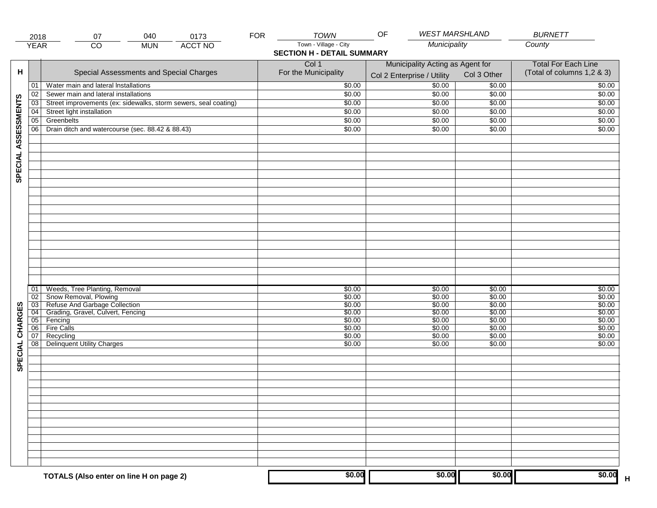|                     | 2018            | 07                                                              | 040        | 0173           | <b>FOR</b> | <b>TOWN</b>                       | <b>WEST MARSHLAND</b><br>OF      |             | <b>BURNETT</b>             |  |
|---------------------|-----------------|-----------------------------------------------------------------|------------|----------------|------------|-----------------------------------|----------------------------------|-------------|----------------------------|--|
|                     | <b>YEAR</b>     | $\overline{CO}$                                                 | <b>MUN</b> | <b>ACCT NO</b> |            | Town - Village - City             | Municipality                     |             | County                     |  |
|                     |                 |                                                                 |            |                |            | <b>SECTION H - DETAIL SUMMARY</b> |                                  |             |                            |  |
|                     |                 |                                                                 |            |                |            | Col 1                             | Municipality Acting as Agent for |             | <b>Total For Each Line</b> |  |
| н                   |                 | Special Assessments and Special Charges                         |            |                |            | For the Municipality              |                                  | Col 3 Other | (Total of columns 1,2 & 3) |  |
|                     |                 |                                                                 |            |                |            |                                   | Col 2 Enterprise / Utility       |             |                            |  |
|                     | 01              | Water main and lateral Installations                            |            |                |            | \$0.00                            | \$0.00                           | \$0.00      | \$0.00                     |  |
|                     | 02              | Sewer main and lateral installations                            |            |                |            | \$0.00                            | \$0.00                           | \$0.00      | \$0.00                     |  |
| SPECIAL ASSESSMENTS | 03              | Street improvements (ex: sidewalks, storm sewers, seal coating) |            |                |            | \$0.00                            | \$0.00                           | \$0.00      | \$0.00                     |  |
|                     | 04              | Street light installation                                       |            |                |            | \$0.00                            | \$0.00                           | \$0.00      | \$0.00                     |  |
|                     | $\overline{05}$ | Greenbelts                                                      |            |                |            | \$0.00                            | \$0.00                           | \$0.00      | \$0.00                     |  |
|                     | 06              | Drain ditch and watercourse (sec. 88.42 & 88.43)                |            |                |            | \$0.00                            | \$0.00                           | \$0.00      | \$0.00                     |  |
|                     |                 |                                                                 |            |                |            |                                   |                                  |             |                            |  |
|                     |                 |                                                                 |            |                |            |                                   |                                  |             |                            |  |
|                     |                 |                                                                 |            |                |            |                                   |                                  |             |                            |  |
|                     |                 |                                                                 |            |                |            |                                   |                                  |             |                            |  |
|                     |                 |                                                                 |            |                |            |                                   |                                  |             |                            |  |
|                     |                 |                                                                 |            |                |            |                                   |                                  |             |                            |  |
|                     |                 |                                                                 |            |                |            |                                   |                                  |             |                            |  |
|                     |                 |                                                                 |            |                |            |                                   |                                  |             |                            |  |
|                     |                 |                                                                 |            |                |            |                                   |                                  |             |                            |  |
|                     |                 |                                                                 |            |                |            |                                   |                                  |             |                            |  |
|                     |                 |                                                                 |            |                |            |                                   |                                  |             |                            |  |
|                     |                 |                                                                 |            |                |            |                                   |                                  |             |                            |  |
|                     |                 |                                                                 |            |                |            |                                   |                                  |             |                            |  |
|                     |                 |                                                                 |            |                |            |                                   |                                  |             |                            |  |
|                     |                 |                                                                 |            |                |            |                                   |                                  |             |                            |  |
|                     |                 |                                                                 |            |                |            |                                   |                                  |             |                            |  |
|                     |                 |                                                                 |            |                |            |                                   |                                  |             |                            |  |
|                     |                 |                                                                 |            |                |            |                                   |                                  |             |                            |  |
|                     | 01              | Weeds, Tree Planting, Removal                                   |            |                |            | \$0.00                            | \$0.00                           | \$0.00      | \$0.00                     |  |
|                     | $\overline{02}$ | Snow Removal, Plowing                                           |            |                |            | \$0.00                            | \$0.00                           | \$0.00      | \$0.00                     |  |
|                     | $\overline{03}$ | Refuse And Garbage Collection                                   |            |                |            | \$0.00                            | \$0.00                           | \$0.00      | \$0.00                     |  |
| SPECIAL CHARGES     | $\overline{04}$ | Grading, Gravel, Culvert, Fencing                               |            |                |            | \$0.00                            | \$0.00                           | \$0.00      | \$0.00                     |  |
|                     | 05              | Fencing                                                         |            |                |            | \$0.00                            | \$0.00                           | \$0.00      | \$0.00                     |  |
|                     | 06              | <b>Fire Calls</b>                                               |            |                |            | \$0.00                            | \$0.00                           | \$0.00      | \$0.00                     |  |
|                     | 07              | Recycling                                                       |            |                |            | \$0.00                            | \$0.00                           | \$0.00      | \$0.00                     |  |
|                     | 08              | <b>Delinquent Utility Charges</b>                               |            |                |            | \$0.00                            | \$0.00                           | \$0.00      | \$0.00                     |  |
|                     |                 |                                                                 |            |                |            |                                   |                                  |             |                            |  |
|                     |                 |                                                                 |            |                |            |                                   |                                  |             |                            |  |
|                     |                 |                                                                 |            |                |            |                                   |                                  |             |                            |  |
|                     |                 |                                                                 |            |                |            |                                   |                                  |             |                            |  |
|                     |                 |                                                                 |            |                |            |                                   |                                  |             |                            |  |
|                     |                 |                                                                 |            |                |            |                                   |                                  |             |                            |  |
|                     |                 |                                                                 |            |                |            |                                   |                                  |             |                            |  |
|                     |                 |                                                                 |            |                |            |                                   |                                  |             |                            |  |
|                     |                 |                                                                 |            |                |            |                                   |                                  |             |                            |  |
|                     |                 |                                                                 |            |                |            |                                   |                                  |             |                            |  |
|                     |                 |                                                                 |            |                |            |                                   |                                  |             |                            |  |
|                     |                 |                                                                 |            |                |            |                                   |                                  |             |                            |  |
|                     |                 |                                                                 |            |                |            |                                   |                                  |             |                            |  |
|                     |                 |                                                                 |            |                |            |                                   |                                  |             |                            |  |
|                     |                 |                                                                 |            |                |            |                                   |                                  |             |                            |  |
|                     |                 | TOTALS (Also enter on line H on page 2)                         |            |                |            | \$0.00                            | \$0.00                           | \$0.00      | \$0.00                     |  |
|                     |                 |                                                                 |            |                |            |                                   |                                  |             | $\mathsf H$                |  |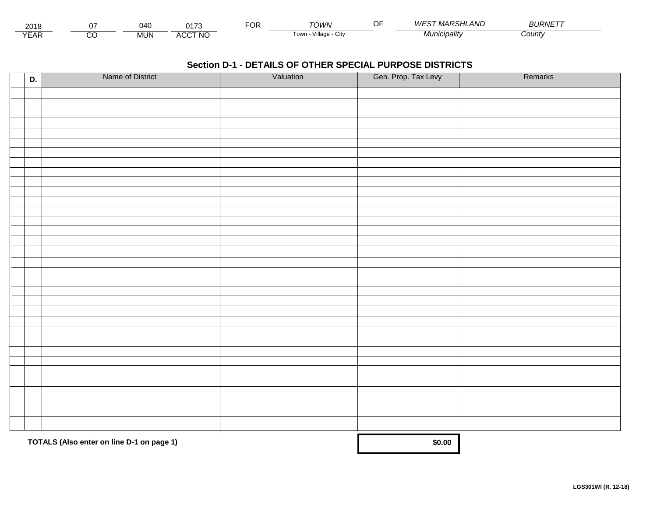| 2018 |               | )40        | າ <i>4 →</i> ^               | ◡ | ⊤∩WN                   | $\sim$ $-$ | $\cdots$<br><b>ILAND</b><br><b>NVF</b><br>, <i>WARSHI</i> | 3URNETT       |  |
|------|---------------|------------|------------------------------|---|------------------------|------------|-----------------------------------------------------------|---------------|--|
| ⊢    | <u>^</u><br>٠ | <b>MUN</b> | CCT NO.<br>$\cdots$<br>7 U U |   | Villaɑ⊾<br>l own<br>∪w |            | cıpalıtv                                                  | <i>County</i> |  |

| D. | Name of District                          | Valuation | Gen. Prop. Tax Levy | Remarks |
|----|-------------------------------------------|-----------|---------------------|---------|
|    |                                           |           |                     |         |
|    |                                           |           |                     |         |
|    |                                           |           |                     |         |
|    |                                           |           |                     |         |
|    |                                           |           |                     |         |
|    |                                           |           |                     |         |
|    |                                           |           |                     |         |
|    |                                           |           |                     |         |
|    |                                           |           |                     |         |
|    |                                           |           |                     |         |
|    |                                           |           |                     |         |
|    |                                           |           |                     |         |
|    |                                           |           |                     |         |
|    |                                           |           |                     |         |
|    |                                           |           |                     |         |
|    |                                           |           |                     |         |
|    |                                           |           |                     |         |
|    |                                           |           |                     |         |
|    |                                           |           |                     |         |
|    |                                           |           |                     |         |
|    |                                           |           |                     |         |
|    |                                           |           |                     |         |
|    |                                           |           |                     |         |
|    |                                           |           |                     |         |
|    |                                           |           |                     |         |
|    |                                           |           |                     |         |
|    |                                           |           |                     |         |
|    |                                           |           |                     |         |
|    |                                           |           |                     |         |
|    |                                           |           |                     |         |
|    |                                           |           |                     |         |
|    |                                           |           |                     |         |
|    |                                           |           |                     |         |
|    | TOTALS (Also enter on line D-1 on page 1) | \$0.00    |                     |         |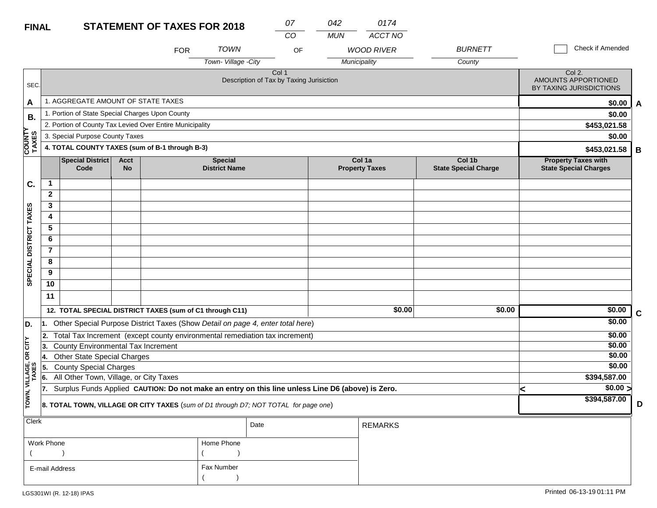## **FINAL**

| <b>FINAL</b>                                                                                                   |                                                   |                                                 |                          | <b>STATEMENT OF TAXES FOR 2018</b>                                                               |                                        | 07<br>CO | 042<br><b>MUN</b> | 0174<br>ACCT NO                   |                                       |                                                                 |             |
|----------------------------------------------------------------------------------------------------------------|---------------------------------------------------|-------------------------------------------------|--------------------------|--------------------------------------------------------------------------------------------------|----------------------------------------|----------|-------------------|-----------------------------------|---------------------------------------|-----------------------------------------------------------------|-------------|
|                                                                                                                |                                                   |                                                 |                          | <b>FOR</b>                                                                                       | <b>TOWN</b><br>Town-Village -City      | OF       |                   | <b>WOOD RIVER</b><br>Municipality | <b>BURNETT</b><br>County              | Check if Amended                                                |             |
| SEC.                                                                                                           | Col 1<br>Description of Tax by Taxing Jurisiction |                                                 |                          |                                                                                                  |                                        |          |                   |                                   |                                       | Col 2.<br><b>AMOUNTS APPORTIONED</b><br>BY TAXING JURISDICTIONS |             |
| A                                                                                                              |                                                   | 1. AGGREGATE AMOUNT OF STATE TAXES              |                          |                                                                                                  |                                        |          |                   |                                   |                                       | \$0.00                                                          | A           |
| В.                                                                                                             |                                                   | 1. Portion of State Special Charges Upon County |                          |                                                                                                  |                                        |          |                   |                                   |                                       | \$0.00                                                          |             |
|                                                                                                                |                                                   |                                                 |                          | 2. Portion of County Tax Levied Over Entire Municipality                                         |                                        |          |                   |                                   |                                       | \$453,021.58                                                    |             |
|                                                                                                                |                                                   | 3. Special Purpose County Taxes                 |                          | \$0.00                                                                                           |                                        |          |                   |                                   |                                       |                                                                 |             |
| <b>COUNTY</b><br>TAXES                                                                                         |                                                   | 4. TOTAL COUNTY TAXES (sum of B-1 through B-3)  |                          | \$453,021.58                                                                                     | B                                      |          |                   |                                   |                                       |                                                                 |             |
|                                                                                                                |                                                   | <b>Special District</b><br>Code                 | <b>Acct</b><br><b>No</b> |                                                                                                  | <b>Special</b><br><b>District Name</b> |          |                   | Col 1a<br><b>Property Taxes</b>   | Col 1b<br><b>State Special Charge</b> | <b>Property Taxes with</b><br><b>State Special Charges</b>      |             |
| C.                                                                                                             | $\mathbf{1}$                                      |                                                 |                          |                                                                                                  |                                        |          |                   |                                   |                                       |                                                                 |             |
|                                                                                                                | $\overline{2}$                                    |                                                 |                          |                                                                                                  |                                        |          |                   |                                   |                                       |                                                                 |             |
|                                                                                                                | 3                                                 |                                                 |                          |                                                                                                  |                                        |          |                   |                                   |                                       |                                                                 |             |
| SPECIAL DISTRICT TAXES                                                                                         | 4                                                 |                                                 |                          |                                                                                                  |                                        |          |                   |                                   |                                       |                                                                 |             |
|                                                                                                                | 5                                                 |                                                 |                          |                                                                                                  |                                        |          |                   |                                   |                                       |                                                                 |             |
|                                                                                                                | 6                                                 |                                                 |                          |                                                                                                  |                                        |          |                   |                                   |                                       |                                                                 |             |
|                                                                                                                | $\overline{7}$                                    |                                                 |                          |                                                                                                  |                                        |          |                   |                                   |                                       |                                                                 |             |
|                                                                                                                | 8                                                 |                                                 |                          |                                                                                                  |                                        |          |                   |                                   |                                       |                                                                 |             |
|                                                                                                                | 9                                                 |                                                 |                          |                                                                                                  |                                        |          |                   |                                   |                                       |                                                                 |             |
|                                                                                                                | 10                                                |                                                 |                          |                                                                                                  |                                        |          |                   |                                   |                                       |                                                                 |             |
|                                                                                                                | 11                                                |                                                 |                          |                                                                                                  |                                        |          |                   |                                   |                                       |                                                                 |             |
|                                                                                                                |                                                   |                                                 |                          | 12. TOTAL SPECIAL DISTRICT TAXES (sum of C1 through C11)                                         |                                        |          |                   | \$0.00                            | \$0.00                                | \$0.00                                                          | $\mathbf c$ |
| D.                                                                                                             |                                                   |                                                 |                          | Other Special Purpose District Taxes (Show Detail on page 4, enter total here)                   |                                        |          |                   |                                   |                                       | \$0.00                                                          |             |
|                                                                                                                | 2.                                                |                                                 |                          | Total Tax Increment (except county environmental remediation tax increment)                      |                                        |          |                   |                                   |                                       | \$0.00                                                          |             |
| CITY                                                                                                           | 13.                                               | County Environmental Tax Increment              |                          |                                                                                                  |                                        |          |                   |                                   |                                       | \$0.00                                                          |             |
| g                                                                                                              | 14.                                               | <b>Other State Special Charges</b>              |                          |                                                                                                  |                                        |          |                   |                                   |                                       | \$0.00                                                          |             |
|                                                                                                                | 5.                                                | <b>County Special Charges</b>                   |                          |                                                                                                  |                                        |          |                   |                                   |                                       | \$0.00                                                          |             |
|                                                                                                                | 6.                                                | All Other Town, Village, or City Taxes          |                          |                                                                                                  |                                        |          |                   |                                   |                                       | \$394,587.00                                                    |             |
|                                                                                                                | 17.                                               |                                                 |                          | Surplus Funds Applied CAUTION: Do not make an entry on this line unless Line D6 (above) is Zero. |                                        |          |                   |                                   |                                       | \$0.00 ><br>≺                                                   |             |
| TOWN, VILLAGE,<br>TAXES<br>8. TOTAL TOWN, VILLAGE OR CITY TAXES (sum of D1 through D7; NOT TOTAL for page one) |                                                   |                                                 |                          |                                                                                                  |                                        |          |                   |                                   |                                       | \$394,587.00                                                    | D           |
| Clerk                                                                                                          |                                                   |                                                 |                          |                                                                                                  |                                        | Date     |                   | <b>REMARKS</b>                    |                                       |                                                                 |             |

| <b>CIBIK</b>   |            | Date | <b>REMARKS</b> |
|----------------|------------|------|----------------|
| Work Phone     | Home Phone |      |                |
|                |            |      |                |
| E-mail Address | Fax Number |      |                |
|                |            |      |                |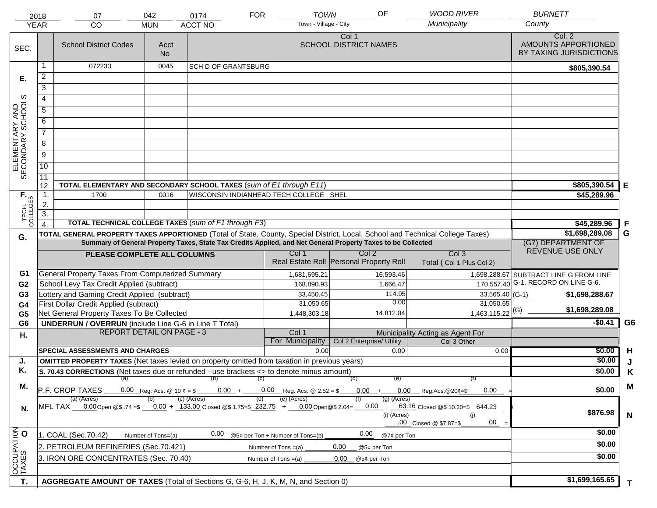|                                     | 2018             | 07                                                                                                                                           | 042                                                                                   | 0174                                                 | <b>TOWN</b><br><b>FOR</b><br>Town - Village - City | OF                                                                                                           | <b>WOOD RIVER</b><br>Municipality                                                                                                          | <b>BURNETT</b><br>County                                 |                |
|-------------------------------------|------------------|----------------------------------------------------------------------------------------------------------------------------------------------|---------------------------------------------------------------------------------------|------------------------------------------------------|----------------------------------------------------|--------------------------------------------------------------------------------------------------------------|--------------------------------------------------------------------------------------------------------------------------------------------|----------------------------------------------------------|----------------|
|                                     | <b>YEAR</b>      | CO                                                                                                                                           | <b>MUN</b>                                                                            | <b>ACCT NO</b>                                       |                                                    |                                                                                                              |                                                                                                                                            |                                                          |                |
| SEC.                                |                  | <b>School District Codes</b>                                                                                                                 | Acct<br><b>No</b>                                                                     |                                                      |                                                    | Col 1<br><b>SCHOOL DISTRICT NAMES</b>                                                                        |                                                                                                                                            | Col. 2<br>AMOUNTS APPORTIONED<br>BY TAXING JURISDICTIONS |                |
|                                     | 1                | 072233                                                                                                                                       | 0045                                                                                  | <b>SCH D OF GRANTSBURG</b>                           |                                                    |                                                                                                              |                                                                                                                                            | \$805,390.54                                             |                |
| Е.                                  | 2                |                                                                                                                                              |                                                                                       |                                                      |                                                    |                                                                                                              |                                                                                                                                            |                                                          |                |
|                                     | $\overline{3}$   |                                                                                                                                              |                                                                                       |                                                      |                                                    |                                                                                                              |                                                                                                                                            |                                                          |                |
|                                     | 4                |                                                                                                                                              |                                                                                       |                                                      |                                                    |                                                                                                              |                                                                                                                                            |                                                          |                |
|                                     | $\overline{5}$   |                                                                                                                                              |                                                                                       |                                                      |                                                    |                                                                                                              |                                                                                                                                            |                                                          |                |
|                                     | 6                |                                                                                                                                              |                                                                                       |                                                      |                                                    |                                                                                                              |                                                                                                                                            |                                                          |                |
|                                     | $\overline{7}$   |                                                                                                                                              |                                                                                       |                                                      |                                                    |                                                                                                              |                                                                                                                                            |                                                          |                |
| ELEMENTARY AND<br>SECONDARY SCHOOLS | 8                |                                                                                                                                              |                                                                                       |                                                      |                                                    |                                                                                                              |                                                                                                                                            |                                                          |                |
|                                     | $\overline{9}$   |                                                                                                                                              |                                                                                       |                                                      |                                                    |                                                                                                              |                                                                                                                                            |                                                          |                |
|                                     | 10               |                                                                                                                                              |                                                                                       |                                                      |                                                    |                                                                                                              |                                                                                                                                            |                                                          |                |
|                                     | $\overline{11}$  |                                                                                                                                              |                                                                                       |                                                      |                                                    |                                                                                                              |                                                                                                                                            |                                                          |                |
|                                     | 12               | TOTAL ELEMENTARY AND SECONDARY SCHOOL TAXES (sum of E1 through E11)                                                                          |                                                                                       |                                                      |                                                    |                                                                                                              |                                                                                                                                            | \$805,390.54                                             | Е              |
|                                     | $\mathbf 1$ .    | 1700                                                                                                                                         | 0016                                                                                  |                                                      | WISCONSIN INDIANHEAD TECH COLLEGE SHEL             |                                                                                                              |                                                                                                                                            | \$45,289.96                                              |                |
| TECH. T                             | 2.               |                                                                                                                                              |                                                                                       |                                                      |                                                    |                                                                                                              |                                                                                                                                            |                                                          |                |
|                                     | $\overline{3}$ . |                                                                                                                                              |                                                                                       |                                                      |                                                    |                                                                                                              |                                                                                                                                            |                                                          |                |
|                                     | $\overline{4}$ . |                                                                                                                                              |                                                                                       | TOTAL TECHNICAL COLLEGE TAXES (sum of F1 through F3) |                                                    |                                                                                                              |                                                                                                                                            | \$45,289.96                                              | F              |
| G.                                  |                  | TOTAL GENERAL PROPERTY TAXES APPORTIONED (Total of State, County, Special District, Local, School and Technical College Taxes)               |                                                                                       |                                                      |                                                    | Summary of General Property Taxes, State Tax Credits Applied, and Net General Property Taxes to be Collected |                                                                                                                                            | \$1,698,289.08<br>(G7) DEPARTMENT OF                     | G              |
|                                     |                  |                                                                                                                                              |                                                                                       |                                                      | Col 1                                              | Col <sub>2</sub>                                                                                             | Col <sub>3</sub>                                                                                                                           | REVENUE USE ONLY                                         |                |
|                                     |                  | PLEASE COMPLETE ALL COLUMNS                                                                                                                  |                                                                                       |                                                      |                                                    | Real Estate Roll Personal Property Roll                                                                      | Total (Col 1 Plus Col 2)                                                                                                                   |                                                          |                |
| G1                                  |                  | <b>General Property Taxes From Computerized Summary</b>                                                                                      |                                                                                       |                                                      | 1,681,695.21                                       | 16,593.46                                                                                                    |                                                                                                                                            | 1,698,288.67 SUBTRACT LINE G FROM LINE                   |                |
| G <sub>2</sub>                      |                  | School Levy Tax Credit Applied (subtract)                                                                                                    |                                                                                       |                                                      | 168,890.93                                         | 1,666.47                                                                                                     |                                                                                                                                            | 170,557.40 G-1. RECORD ON LINE G-6.                      |                |
| G <sub>3</sub>                      |                  | Lottery and Gaming Credit Applied (subtract)                                                                                                 |                                                                                       |                                                      | 33,450.45                                          | 114.95                                                                                                       |                                                                                                                                            | \$1,698,288.67                                           |                |
| G4                                  |                  | First Dollar Credit Applied (subtract)                                                                                                       |                                                                                       |                                                      | 31,050.65                                          | 0.00                                                                                                         | 31,050.65                                                                                                                                  |                                                          |                |
| G <sub>5</sub>                      |                  | Net General Property Taxes To Be Collected                                                                                                   |                                                                                       |                                                      | 1,448,303.18                                       | 14,812.04                                                                                                    | $1,463,115.22$ <sup>(G)</sup>                                                                                                              | \$1,698,289.08                                           |                |
| G <sub>6</sub>                      |                  | <b>UNDERRUN / OVERRUN</b> (include Line G-6 in Line T Total)                                                                                 |                                                                                       |                                                      |                                                    |                                                                                                              |                                                                                                                                            | $-$0.41$                                                 | G <sub>6</sub> |
| Н.                                  |                  | <b>REPORT DETAIL ON PAGE - 3</b>                                                                                                             |                                                                                       |                                                      | Col 1                                              |                                                                                                              | Municipality Acting as Agent For                                                                                                           |                                                          |                |
|                                     |                  | <b>SPECIAL ASSESSMENTS AND CHARGES</b>                                                                                                       |                                                                                       |                                                      | For Municipality<br>0.00                           | Col 2 Enterprise/ Utility<br>0.00                                                                            | Col 3 Other                                                                                                                                | \$0.00                                                   | H              |
| J.                                  |                  | <b>OMITTED PROPERTY TAXES</b> (Net taxes levied on property omitted from taxation in previous years)                                         |                                                                                       |                                                      |                                                    |                                                                                                              | 0.00                                                                                                                                       | \$0.00                                                   | J              |
| Κ.                                  |                  | S. 70.43 CORRECTIONS (Net taxes due or refunded - use brackets <> to denote minus amount)                                                    |                                                                                       |                                                      |                                                    |                                                                                                              |                                                                                                                                            | \$0.00                                                   | Κ              |
|                                     |                  |                                                                                                                                              |                                                                                       | $(a)$ (b) (c)                                        |                                                    | (व)<br>(e)                                                                                                   | (f)                                                                                                                                        |                                                          |                |
| М.                                  |                  | 0.00 Reg. Acs. @ 10 $\ell = $$ ______0.00 + _____0.00 Reg. Acs. @ 2.52 = \$ ____0.00 + ____0.00 Reg. Acs. @ 20 $\ell = $$<br>P.F. CROP TAXES | \$0.00                                                                                | M                                                    |                                                    |                                                                                                              |                                                                                                                                            |                                                          |                |
|                                     |                  | (a) (Acres)                                                                                                                                  |                                                                                       | (c) (Acres)                                          | (e) (Acres)<br>(d)                                 | (g) (Acres)                                                                                                  |                                                                                                                                            |                                                          |                |
| N.                                  |                  |                                                                                                                                              |                                                                                       |                                                      |                                                    | (i) (Acres)                                                                                                  | MFL TAX 0.00 Open @\$ .74 =\$ 0.00 + 133.00 Closed @\$ 1.75=\$ 232.75 + 0.00 Open @\$ 2.04= 0.00 + 63.16 Closed @\$ 10.20=\$ 644.23<br>(i) | \$876.98                                                 | $\mathsf{N}$   |
|                                     |                  |                                                                                                                                              |                                                                                       |                                                      |                                                    |                                                                                                              | .00<br>.00 Closed @ \$7.87=\$                                                                                                              |                                                          |                |
|                                     |                  | 1. COAL (Sec.70.42)                                                                                                                          | 0.00<br>0.00<br>@5¢ per Ton + Number of Tons=(b)<br>@7¢ per Ton<br>Number of Tons=(a) |                                                      |                                                    |                                                                                                              |                                                                                                                                            |                                                          |                |
|                                     |                  | 2. PETROLEUM REFINERIES (Sec.70.421)                                                                                                         |                                                                                       |                                                      | Number of Tons $=(a)$                              | 0.00<br>@5¢ per Ton                                                                                          |                                                                                                                                            | \$0.00                                                   |                |
|                                     |                  | 3. IRON ORE CONCENTRATES (Sec. 70.40)                                                                                                        | \$0.00                                                                                |                                                      |                                                    |                                                                                                              |                                                                                                                                            |                                                          |                |
| OCCUPATION                          |                  |                                                                                                                                              |                                                                                       |                                                      |                                                    |                                                                                                              |                                                                                                                                            |                                                          |                |
|                                     |                  |                                                                                                                                              |                                                                                       |                                                      |                                                    |                                                                                                              |                                                                                                                                            | \$1,699,165.65                                           |                |
| Т.                                  |                  | AGGREGATE AMOUNT OF TAXES (Total of Sections G, G-6, H, J, K, M, N, and Section 0)                                                           |                                                                                       |                                                      |                                                    |                                                                                                              |                                                                                                                                            |                                                          | T.             |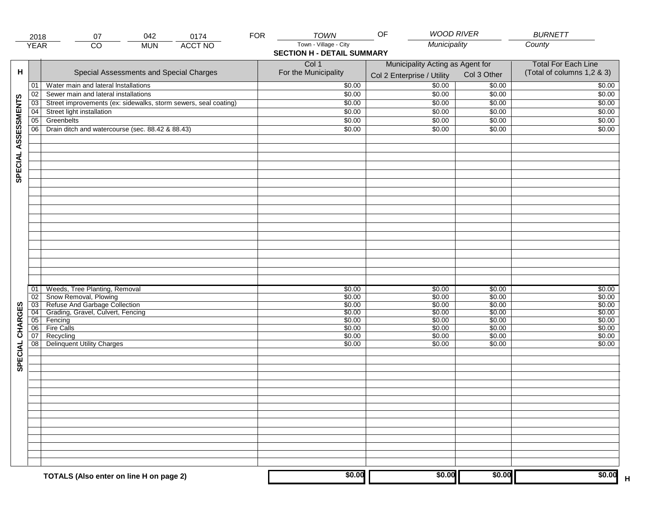|                     | 2018            | 07                                                              | 042        | 0174           | <b>FOR</b> | <b>TOWN</b>                       | <b>WOOD RIVER</b><br>OF          |             | <b>BURNETT</b>             |
|---------------------|-----------------|-----------------------------------------------------------------|------------|----------------|------------|-----------------------------------|----------------------------------|-------------|----------------------------|
|                     | <b>YEAR</b>     | $\overline{co}$                                                 | <b>MUN</b> | <b>ACCT NO</b> |            | Town - Village - City             | Municipality                     |             | County                     |
|                     |                 |                                                                 |            |                |            | <b>SECTION H - DETAIL SUMMARY</b> |                                  |             |                            |
|                     |                 |                                                                 |            |                |            | Col 1                             | Municipality Acting as Agent for |             | <b>Total For Each Line</b> |
| н                   |                 | Special Assessments and Special Charges                         |            |                |            | For the Municipality              |                                  | Col 3 Other | (Total of columns 1,2 & 3) |
|                     |                 |                                                                 |            |                |            |                                   | Col 2 Enterprise / Utility       |             |                            |
|                     | 01              | Water main and lateral Installations                            |            |                |            | \$0.00                            | \$0.00                           | \$0.00      | \$0.00                     |
|                     | 02              | Sewer main and lateral installations                            |            |                |            | \$0.00                            | \$0.00                           | \$0.00      | \$0.00                     |
| SPECIAL ASSESSMENTS | $\overline{03}$ | Street improvements (ex: sidewalks, storm sewers, seal coating) |            |                |            | \$0.00                            | \$0.00                           | \$0.00      | \$0.00                     |
|                     | 04              | Street light installation                                       |            |                |            | \$0.00                            | \$0.00                           | \$0.00      | \$0.00                     |
|                     | $\overline{05}$ | Greenbelts                                                      |            |                |            | \$0.00                            | \$0.00                           | \$0.00      | \$0.00                     |
|                     | 06              | Drain ditch and watercourse (sec. 88.42 & 88.43)                |            |                |            | \$0.00                            | \$0.00                           | \$0.00      | \$0.00                     |
|                     |                 |                                                                 |            |                |            |                                   |                                  |             |                            |
|                     |                 |                                                                 |            |                |            |                                   |                                  |             |                            |
|                     |                 |                                                                 |            |                |            |                                   |                                  |             |                            |
|                     |                 |                                                                 |            |                |            |                                   |                                  |             |                            |
|                     |                 |                                                                 |            |                |            |                                   |                                  |             |                            |
|                     |                 |                                                                 |            |                |            |                                   |                                  |             |                            |
|                     |                 |                                                                 |            |                |            |                                   |                                  |             |                            |
|                     |                 |                                                                 |            |                |            |                                   |                                  |             |                            |
|                     |                 |                                                                 |            |                |            |                                   |                                  |             |                            |
|                     |                 |                                                                 |            |                |            |                                   |                                  |             |                            |
|                     |                 |                                                                 |            |                |            |                                   |                                  |             |                            |
|                     |                 |                                                                 |            |                |            |                                   |                                  |             |                            |
|                     |                 |                                                                 |            |                |            |                                   |                                  |             |                            |
|                     |                 |                                                                 |            |                |            |                                   |                                  |             |                            |
|                     |                 |                                                                 |            |                |            |                                   |                                  |             |                            |
|                     |                 |                                                                 |            |                |            |                                   |                                  |             |                            |
|                     |                 |                                                                 |            |                |            |                                   |                                  |             |                            |
|                     |                 |                                                                 |            |                |            |                                   |                                  |             |                            |
|                     | 01              | Weeds, Tree Planting, Removal                                   |            |                |            | \$0.00                            | \$0.00                           | \$0.00      | \$0.00                     |
|                     | 02              | Snow Removal, Plowing                                           |            |                |            | \$0.00                            | \$0.00                           | \$0.00      | \$0.00                     |
|                     | $\overline{03}$ | Refuse And Garbage Collection                                   |            |                |            | \$0.00                            | \$0.00                           | \$0.00      | \$0.00                     |
|                     | $\overline{04}$ | Grading, Gravel, Culvert, Fencing                               |            |                |            | \$0.00                            | \$0.00                           | \$0.00      | \$0.00                     |
| SPECIAL CHARGES     | $\overline{05}$ | Fencing                                                         |            |                |            | \$0.00                            | \$0.00                           | \$0.00      | \$0.00                     |
|                     | 06              | Fire Calls                                                      |            |                |            | \$0.00                            | \$0.00                           | \$0.00      | \$0.00                     |
|                     | 07              | Recycling                                                       |            |                |            | \$0.00                            | \$0.00                           | \$0.00      | \$0.00                     |
|                     | $\overline{08}$ | <b>Delinquent Utility Charges</b>                               |            |                |            | \$0.00                            | \$0.00                           | \$0.00      | \$0.00                     |
|                     |                 |                                                                 |            |                |            |                                   |                                  |             |                            |
|                     |                 |                                                                 |            |                |            |                                   |                                  |             |                            |
|                     |                 |                                                                 |            |                |            |                                   |                                  |             |                            |
|                     |                 |                                                                 |            |                |            |                                   |                                  |             |                            |
|                     |                 |                                                                 |            |                |            |                                   |                                  |             |                            |
|                     |                 |                                                                 |            |                |            |                                   |                                  |             |                            |
|                     |                 |                                                                 |            |                |            |                                   |                                  |             |                            |
|                     |                 |                                                                 |            |                |            |                                   |                                  |             |                            |
|                     |                 |                                                                 |            |                |            |                                   |                                  |             |                            |
|                     |                 |                                                                 |            |                |            |                                   |                                  |             |                            |
|                     |                 |                                                                 |            |                |            |                                   |                                  |             |                            |
|                     |                 |                                                                 |            |                |            |                                   |                                  |             |                            |
|                     |                 |                                                                 |            |                |            |                                   |                                  |             |                            |
|                     |                 |                                                                 |            |                |            |                                   |                                  |             |                            |
|                     |                 |                                                                 |            |                |            |                                   |                                  |             |                            |
|                     |                 | TOTALS (Also enter on line H on page 2)                         |            |                |            | \$0.00                            | \$0.00                           | \$0.00      | \$0.00<br>$\mathsf H$      |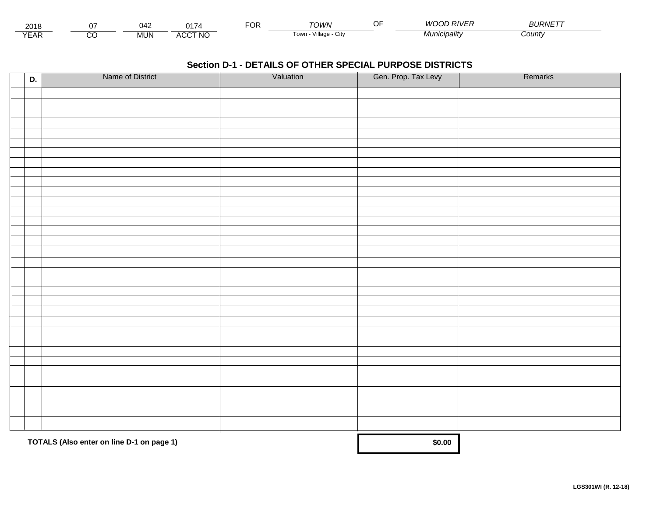| 2018              |         | 042        | $\lambda -$                         | -^-<br>◡┎ | <b>OWN</b>              | $-$<br>JF. | OD RIVER<br>M/C | $BURNET^-$ |  |
|-------------------|---------|------------|-------------------------------------|-----------|-------------------------|------------|-----------------|------------|--|
| $\sqrt{2}$<br>EAR | ~~<br>U | <b>MUN</b> | <b>CCT NO</b><br>$\cdots$<br>$\sim$ |           | Village<br>l own<br>utv |            | Vlunicipality   | County     |  |

| D. | Name of District                          | Valuation | Gen. Prop. Tax Levy | Remarks |
|----|-------------------------------------------|-----------|---------------------|---------|
|    |                                           |           |                     |         |
|    |                                           |           |                     |         |
|    |                                           |           |                     |         |
|    |                                           |           |                     |         |
|    |                                           |           |                     |         |
|    |                                           |           |                     |         |
|    |                                           |           |                     |         |
|    |                                           |           |                     |         |
|    |                                           |           |                     |         |
|    |                                           |           |                     |         |
|    |                                           |           |                     |         |
|    |                                           |           |                     |         |
|    |                                           |           |                     |         |
|    |                                           |           |                     |         |
|    |                                           |           |                     |         |
|    |                                           |           |                     |         |
|    |                                           |           |                     |         |
|    |                                           |           |                     |         |
|    |                                           |           |                     |         |
|    |                                           |           |                     |         |
|    |                                           |           |                     |         |
|    |                                           |           |                     |         |
|    |                                           |           |                     |         |
|    |                                           |           |                     |         |
|    |                                           |           |                     |         |
|    |                                           |           |                     |         |
|    |                                           |           |                     |         |
|    |                                           |           |                     |         |
|    |                                           |           |                     |         |
|    |                                           |           |                     |         |
|    |                                           |           |                     |         |
|    |                                           |           |                     |         |
|    |                                           |           |                     |         |
|    | TOTALS (Also enter on line D-1 on page 1) | \$0.00    |                     |         |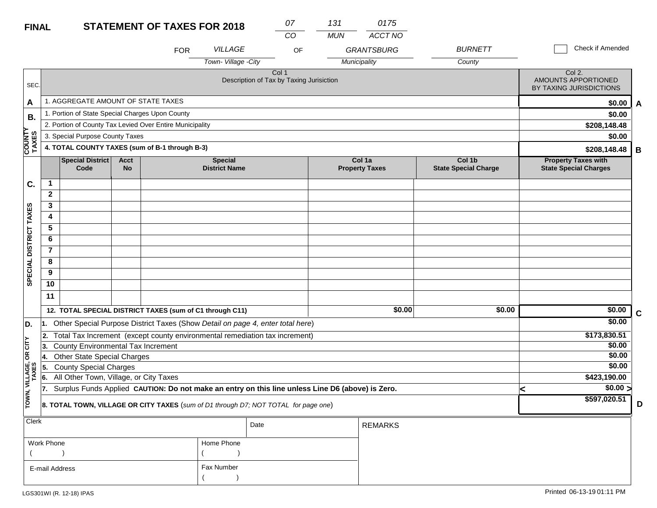### **STATEMENT OF TAXES FOR 2018**

| <b>FINAL</b>           |                                                          |                                                                                                                                            |                          | <b>STATEMENT OF TAXES FOR 2018</b> |                                        | 07                                                |    | 131        | 0175                            |                                       |   |                                                            |              |
|------------------------|----------------------------------------------------------|--------------------------------------------------------------------------------------------------------------------------------------------|--------------------------|------------------------------------|----------------------------------------|---------------------------------------------------|----|------------|---------------------------------|---------------------------------------|---|------------------------------------------------------------|--------------|
|                        |                                                          |                                                                                                                                            |                          |                                    |                                        | $\overline{CO}$                                   |    | <b>MUN</b> | <b>ACCT NO</b>                  |                                       |   |                                                            |              |
|                        |                                                          |                                                                                                                                            |                          | <b>FOR</b>                         | VILLAGE                                |                                                   | OF |            | <b>GRANTSBURG</b>               | <b>BURNETT</b>                        |   | <b>Check if Amended</b>                                    |              |
|                        |                                                          |                                                                                                                                            |                          |                                    | Town-Village -City                     |                                                   |    |            | Municipality                    | County                                |   |                                                            |              |
| SEC.                   |                                                          |                                                                                                                                            |                          |                                    |                                        | Col 1<br>Description of Tax by Taxing Jurisiction |    |            |                                 |                                       |   | Col 2.<br>AMOUNTS APPORTIONED<br>BY TAXING JURISDICTIONS   |              |
| A                      |                                                          | 1. AGGREGATE AMOUNT OF STATE TAXES                                                                                                         |                          |                                    |                                        |                                                   |    |            |                                 |                                       |   | \$0.00                                                     | $\mathbf{A}$ |
| В.                     |                                                          | 1. Portion of State Special Charges Upon County                                                                                            |                          |                                    |                                        |                                                   |    |            |                                 |                                       |   | \$0.00                                                     |              |
|                        | 2. Portion of County Tax Levied Over Entire Municipality |                                                                                                                                            |                          |                                    |                                        |                                                   |    |            |                                 |                                       |   | \$208,148.48                                               |              |
|                        | 3. Special Purpose County Taxes                          |                                                                                                                                            |                          |                                    |                                        |                                                   |    |            |                                 |                                       |   | \$0.00                                                     |              |
| <b>COUNTY</b><br>TAXES |                                                          | 4. TOTAL COUNTY TAXES (sum of B-1 through B-3)                                                                                             |                          |                                    |                                        |                                                   |    |            |                                 |                                       |   | \$208,148.48                                               | В            |
|                        |                                                          | <b>Special District</b><br>Code                                                                                                            | <b>Acct</b><br><b>No</b> |                                    | <b>Special</b><br><b>District Name</b> |                                                   |    |            | Col 1a<br><b>Property Taxes</b> | Col 1b<br><b>State Special Charge</b> |   | <b>Property Taxes with</b><br><b>State Special Charges</b> |              |
| C.                     | $\mathbf 1$                                              |                                                                                                                                            |                          |                                    |                                        |                                                   |    |            |                                 |                                       |   |                                                            |              |
|                        | $\mathbf{2}$                                             |                                                                                                                                            |                          |                                    |                                        |                                                   |    |            |                                 |                                       |   |                                                            |              |
|                        | 3                                                        |                                                                                                                                            |                          |                                    |                                        |                                                   |    |            |                                 |                                       |   |                                                            |              |
| SPECIAL DISTRICT TAXES | 4                                                        |                                                                                                                                            |                          |                                    |                                        |                                                   |    |            |                                 |                                       |   |                                                            |              |
|                        | 5                                                        |                                                                                                                                            |                          |                                    |                                        |                                                   |    |            |                                 |                                       |   |                                                            |              |
|                        | 6                                                        |                                                                                                                                            |                          |                                    |                                        |                                                   |    |            |                                 |                                       |   |                                                            |              |
|                        | $\overline{7}$                                           |                                                                                                                                            |                          |                                    |                                        |                                                   |    |            |                                 |                                       |   |                                                            |              |
|                        | 8                                                        |                                                                                                                                            |                          |                                    |                                        |                                                   |    |            |                                 |                                       |   |                                                            |              |
|                        | 9                                                        |                                                                                                                                            |                          |                                    |                                        |                                                   |    |            |                                 |                                       |   |                                                            |              |
|                        | 10                                                       |                                                                                                                                            |                          |                                    |                                        |                                                   |    |            |                                 |                                       |   |                                                            |              |
|                        | 11                                                       |                                                                                                                                            |                          |                                    |                                        |                                                   |    |            |                                 |                                       |   |                                                            |              |
|                        |                                                          | 12. TOTAL SPECIAL DISTRICT TAXES (sum of C1 through C11)                                                                                   |                          |                                    |                                        |                                                   |    |            | \$0.00                          | \$0.00                                |   | \$0.00                                                     | $\mathbf c$  |
| D.                     |                                                          | 1. Other Special Purpose District Taxes (Show Detail on page 4, enter total here)                                                          |                          |                                    |                                        |                                                   |    |            |                                 |                                       |   | \$0.00                                                     |              |
|                        | 2.                                                       | Total Tax Increment (except county environmental remediation tax increment)                                                                |                          |                                    |                                        |                                                   |    |            |                                 |                                       |   | \$173,830.51                                               |              |
| čL                     | 3.                                                       | County Environmental Tax Increment                                                                                                         |                          |                                    |                                        |                                                   |    |            |                                 |                                       |   | \$0.00                                                     |              |
| $\mathsf g$            | 14.                                                      | <b>Other State Special Charges</b>                                                                                                         |                          |                                    |                                        |                                                   |    |            |                                 |                                       |   | \$0.00                                                     |              |
| VILLAGE,<br>TAXES      | 5.                                                       | <b>County Special Charges</b>                                                                                                              |                          |                                    |                                        |                                                   |    |            |                                 |                                       |   | \$0.00<br>\$423,190.00                                     |              |
|                        | 6.<br>17.                                                | All Other Town, Village, or City Taxes<br>Surplus Funds Applied CAUTION: Do not make an entry on this line unless Line D6 (above) is Zero. |                          |                                    |                                        |                                                   |    |            |                                 |                                       |   | $\sqrt{$0.00}$                                             |              |
| TOWN,                  |                                                          | 8. TOTAL TOWN, VILLAGE OR CITY TAXES (sum of D1 through D7; NOT TOTAL for page one)                                                        |                          |                                    |                                        |                                                   |    |            |                                 |                                       | ≺ | \$597,020.51                                               | D            |
| Clerk                  |                                                          |                                                                                                                                            |                          |                                    |                                        | Date                                              |    |            | <b>REMARKS</b>                  |                                       |   |                                                            |              |
|                        | <b>Work Phone</b>                                        |                                                                                                                                            |                          |                                    | Home Phone                             |                                                   |    |            |                                 |                                       |   |                                                            |              |

| Work Phone     | Home Phone |
|----------------|------------|
|                |            |
| E-mail Address | Fax Number |
|                |            |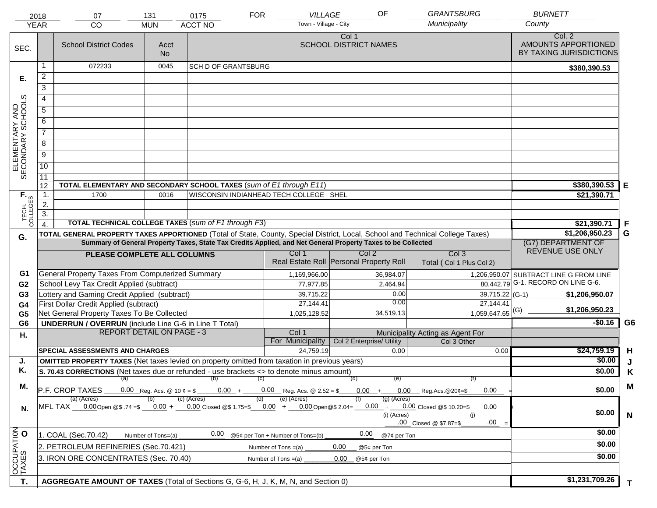|                                     | 2018<br><b>YEAR</b> | 07<br><b>CO</b>                                                                                                                                   | 131<br><b>MUN</b>                                                            | 0175<br><b>ACCT NO</b>     | <b>FOR</b><br><b>VILLAGE</b><br>Town - Village - City     | OF                                                                                                           | <b>GRANTSBURG</b><br>Municipality               | <b>BURNETT</b><br>County                                 |                |
|-------------------------------------|---------------------|---------------------------------------------------------------------------------------------------------------------------------------------------|------------------------------------------------------------------------------|----------------------------|-----------------------------------------------------------|--------------------------------------------------------------------------------------------------------------|-------------------------------------------------|----------------------------------------------------------|----------------|
| SEC.                                |                     | <b>School District Codes</b>                                                                                                                      | Acct<br><b>No</b>                                                            |                            |                                                           | Col 1<br><b>SCHOOL DISTRICT NAMES</b>                                                                        |                                                 | Col. 2<br>AMOUNTS APPORTIONED<br>BY TAXING JURISDICTIONS |                |
|                                     | 1                   | 072233                                                                                                                                            | 0045                                                                         | <b>SCH D OF GRANTSBURG</b> |                                                           |                                                                                                              |                                                 | \$380,390.53                                             |                |
| Е.                                  | $\overline{a}$      |                                                                                                                                                   |                                                                              |                            |                                                           |                                                                                                              |                                                 |                                                          |                |
|                                     | 3                   |                                                                                                                                                   |                                                                              |                            |                                                           |                                                                                                              |                                                 |                                                          |                |
|                                     | 4                   |                                                                                                                                                   |                                                                              |                            |                                                           |                                                                                                              |                                                 |                                                          |                |
|                                     | 5                   |                                                                                                                                                   |                                                                              |                            |                                                           |                                                                                                              |                                                 |                                                          |                |
|                                     | 6                   |                                                                                                                                                   |                                                                              |                            |                                                           |                                                                                                              |                                                 |                                                          |                |
| ELEMENTARY AND<br>SECONDARY SCHOOLS | $\overline{7}$      |                                                                                                                                                   |                                                                              |                            |                                                           |                                                                                                              |                                                 |                                                          |                |
|                                     | 8                   |                                                                                                                                                   |                                                                              |                            |                                                           |                                                                                                              |                                                 |                                                          |                |
|                                     | $\overline{9}$      |                                                                                                                                                   |                                                                              |                            |                                                           |                                                                                                              |                                                 |                                                          |                |
|                                     | $\overline{10}$     |                                                                                                                                                   |                                                                              |                            |                                                           |                                                                                                              |                                                 |                                                          |                |
|                                     |                     |                                                                                                                                                   |                                                                              |                            |                                                           |                                                                                                              |                                                 |                                                          |                |
|                                     | 11<br>12            | TOTAL ELEMENTARY AND SECONDARY SCHOOL TAXES (sum of E1 through E11)                                                                               |                                                                              |                            |                                                           |                                                                                                              |                                                 | \$380,390.53                                             | Е              |
|                                     | $\mathbf{1}$ .      | 1700                                                                                                                                              | 0016                                                                         |                            | WISCONSIN INDIANHEAD TECH COLLEGE SHEL                    |                                                                                                              |                                                 | \$21,390.71                                              |                |
|                                     | $\overline{2}$ .    |                                                                                                                                                   |                                                                              |                            |                                                           |                                                                                                              |                                                 |                                                          |                |
| TECH. T                             | $\overline{3}$ .    |                                                                                                                                                   |                                                                              |                            |                                                           |                                                                                                              |                                                 |                                                          |                |
|                                     | $\overline{4}$      | <b>TOTAL TECHNICAL COLLEGE TAXES (sum of F1 through F3)</b>                                                                                       |                                                                              | \$21,390.71                | -F                                                        |                                                                                                              |                                                 |                                                          |                |
| G.                                  |                     | TOTAL GENERAL PROPERTY TAXES APPORTIONED (Total of State, County, Special District, Local, School and Technical College Taxes)                    |                                                                              |                            |                                                           |                                                                                                              |                                                 | \$1,206,950.23                                           | G              |
|                                     |                     |                                                                                                                                                   |                                                                              |                            |                                                           | Summary of General Property Taxes, State Tax Credits Applied, and Net General Property Taxes to be Collected |                                                 | (G7) DEPARTMENT OF<br>REVENUE USE ONLY                   |                |
|                                     |                     | PLEASE COMPLETE ALL COLUMNS                                                                                                                       |                                                                              |                            | Col 1                                                     | Col <sub>2</sub><br>Real Estate Roll Personal Property Roll                                                  | Col <sub>3</sub><br>Total (Col 1 Plus Col 2)    |                                                          |                |
| G1                                  |                     | General Property Taxes From Computerized Summary                                                                                                  |                                                                              |                            | 1,169,966.00                                              | 36,984.07                                                                                                    |                                                 | 1,206,950.07 SUBTRACT LINE G FROM LINE                   |                |
| G <sub>2</sub>                      |                     | School Levy Tax Credit Applied (subtract)                                                                                                         |                                                                              |                            | 77,977.85                                                 | 2,464.94                                                                                                     |                                                 | $\overline{80,442.79}$ G-1. RECORD ON LINE G-6.          |                |
| G <sub>3</sub>                      |                     | Lottery and Gaming Credit Applied (subtract)                                                                                                      |                                                                              |                            | 39,715.22                                                 | 0.00                                                                                                         | $39,715.22$ (G-1)                               | \$1,206,950.07                                           |                |
| G4                                  |                     | First Dollar Credit Applied (subtract)                                                                                                            |                                                                              |                            | 27,144.41                                                 | 0.00                                                                                                         | 27,144.41                                       | \$1,206,950.23                                           |                |
| G <sub>5</sub>                      |                     | Net General Property Taxes To Be Collected                                                                                                        |                                                                              |                            | 1,025,128.52                                              | 34,519.13                                                                                                    | $1,059,647.65$ <sup>(G)</sup>                   |                                                          |                |
| G <sub>6</sub>                      |                     | <b>UNDERRUN / OVERRUN</b> (include Line G-6 in Line T Total)<br><b>REPORT DETAIL ON PAGE - 3</b>                                                  |                                                                              |                            |                                                           |                                                                                                              |                                                 | $-$0.16$                                                 | G <sub>6</sub> |
| Η.                                  |                     |                                                                                                                                                   |                                                                              |                            | Col 1<br>For Municipality                                 | Col 2 Enterprise/ Utility                                                                                    | Municipality Acting as Agent For<br>Col 3 Other |                                                          |                |
|                                     |                     | <b>SPECIAL ASSESSMENTS AND CHARGES</b>                                                                                                            |                                                                              |                            | 24,759.19                                                 | 0.00                                                                                                         | 0.00                                            | \$24,759.19                                              | H              |
| J.                                  |                     | <b>OMITTED PROPERTY TAXES</b> (Net taxes levied on property omitted from taxation in previous years)                                              |                                                                              |                            |                                                           |                                                                                                              |                                                 | \$0.00                                                   | J              |
| Κ.                                  |                     | S. 70.43 CORRECTIONS (Net taxes due or refunded - use brackets <> to denote minus amount)                                                         |                                                                              |                            |                                                           |                                                                                                              |                                                 | \$0.00                                                   | Κ              |
|                                     |                     | $(a)$ (b)                                                                                                                                         |                                                                              |                            | (C)                                                       | (d)<br>(e)                                                                                                   | (f)                                             |                                                          |                |
| М.                                  |                     | P.F. CROP TAXES                                                                                                                                   |                                                                              | (c) (Acres)                | $0.00 + 0.00$ Reg. Acs. @ 2.52 = \$<br>(e) (Acres)<br>(d) |                                                                                                              | $0.00 + 0.00$ Reg.Acs. @20¢=\$<br>0.00          | \$0.00                                                   | M              |
| N.                                  |                     | (a) (Acres)<br>MFL TAX __0.00Open @\$ .74 =\$ __0.00 + __0.00 Closed @\$ 1.75=\$ __0.00 + __0.00Open@\$ 2.04= __0.00 + __0.00 Closed @\$ 10.20=\$ | $(g)$ (Acres)<br>0.00<br>(i) (Acres)<br>(i)<br>.00<br>.00 Closed @ \$7.87=\$ | \$0.00                     | N                                                         |                                                                                                              |                                                 |                                                          |                |
|                                     |                     | 1. COAL (Sec.70.42)                                                                                                                               | Number of Tons=(a)                                                           | 0.00                       | @5¢ per Ton + Number of Tons=(b)                          | 0.00<br>@7¢ per Ton                                                                                          |                                                 | \$0.00                                                   |                |
| OCCUPATION                          |                     | 2. PETROLEUM REFINERIES (Sec.70.421)                                                                                                              |                                                                              | \$0.00                     |                                                           |                                                                                                              |                                                 |                                                          |                |
|                                     |                     | 3. IRON ORE CONCENTRATES (Sec. 70.40)                                                                                                             | \$0.00                                                                       |                            |                                                           |                                                                                                              |                                                 |                                                          |                |
|                                     |                     |                                                                                                                                                   |                                                                              |                            |                                                           |                                                                                                              |                                                 |                                                          |                |
|                                     |                     |                                                                                                                                                   |                                                                              |                            |                                                           |                                                                                                              |                                                 |                                                          |                |
| T.                                  |                     | AGGREGATE AMOUNT OF TAXES (Total of Sections G, G-6, H, J, K, M, N, and Section 0)                                                                |                                                                              | \$1,231,709.26             | T.                                                        |                                                                                                              |                                                 |                                                          |                |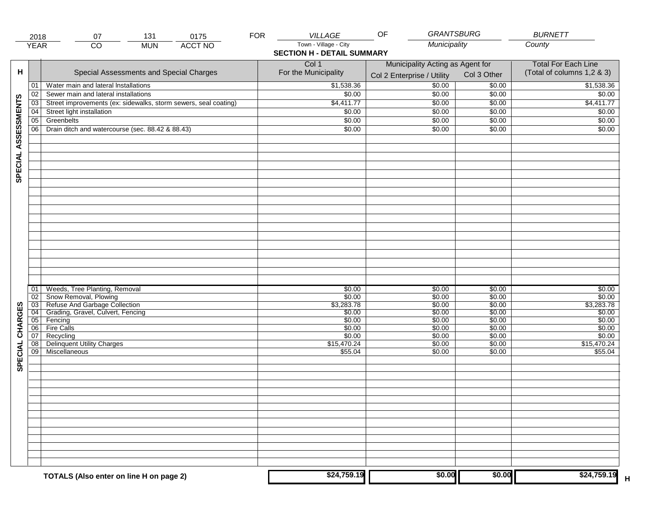|                     | 2018            | 131<br>07                                                       | 0175           | <b>FOR</b> | VILLAGE                           | <b>GRANTSBURG</b><br>OF          |                  | <b>BURNETT</b>             |
|---------------------|-----------------|-----------------------------------------------------------------|----------------|------------|-----------------------------------|----------------------------------|------------------|----------------------------|
|                     | <b>YEAR</b>     | $\overline{co}$<br><b>MUN</b>                                   | <b>ACCT NO</b> |            | Town - Village - City             | Municipality                     |                  | County                     |
|                     |                 |                                                                 |                |            | <b>SECTION H - DETAIL SUMMARY</b> |                                  |                  |                            |
|                     |                 | <b>Total For Each Line</b>                                      |                |            |                                   |                                  |                  |                            |
| н                   |                 | Special Assessments and Special Charges                         |                |            | Col 1<br>For the Municipality     | Municipality Acting as Agent for | Col 3 Other      | (Total of columns 1,2 & 3) |
|                     |                 |                                                                 |                |            |                                   | Col 2 Enterprise / Utility       |                  |                            |
|                     | 01              | Water main and lateral Installations                            |                |            | \$1,538.36                        | \$0.00                           | \$0.00           | \$1,538.36                 |
|                     | 02              | Sewer main and lateral installations                            |                |            | \$0.00                            | \$0.00                           | \$0.00           | \$0.00                     |
| SPECIAL ASSESSMENTS | $\overline{03}$ | Street improvements (ex: sidewalks, storm sewers, seal coating) |                |            | \$4,411.77                        | \$0.00                           | \$0.00           | \$4,411.77                 |
|                     | 04              | Street light installation                                       |                |            | \$0.00                            | \$0.00                           | \$0.00           | \$0.00                     |
|                     | $\overline{05}$ | Greenbelts                                                      |                |            | \$0.00                            | \$0.00                           | \$0.00           | \$0.00                     |
|                     | 06              | Drain ditch and watercourse (sec. 88.42 & 88.43)                |                |            | \$0.00                            | \$0.00                           | \$0.00           | \$0.00                     |
|                     |                 |                                                                 |                |            |                                   |                                  |                  |                            |
|                     |                 |                                                                 |                |            |                                   |                                  |                  |                            |
|                     |                 |                                                                 |                |            |                                   |                                  |                  |                            |
|                     |                 |                                                                 |                |            |                                   |                                  |                  |                            |
|                     |                 |                                                                 |                |            |                                   |                                  |                  |                            |
|                     |                 |                                                                 |                |            |                                   |                                  |                  |                            |
|                     |                 |                                                                 |                |            |                                   |                                  |                  |                            |
|                     |                 |                                                                 |                |            |                                   |                                  |                  |                            |
|                     |                 |                                                                 |                |            |                                   |                                  |                  |                            |
|                     |                 |                                                                 |                |            |                                   |                                  |                  |                            |
|                     |                 |                                                                 |                |            |                                   |                                  |                  |                            |
|                     |                 |                                                                 |                |            |                                   |                                  |                  |                            |
|                     |                 |                                                                 |                |            |                                   |                                  |                  |                            |
|                     |                 |                                                                 |                |            |                                   |                                  |                  |                            |
|                     |                 |                                                                 |                |            |                                   |                                  |                  |                            |
|                     |                 |                                                                 |                |            |                                   |                                  |                  |                            |
|                     |                 |                                                                 |                |            |                                   |                                  |                  |                            |
|                     |                 |                                                                 |                |            |                                   |                                  |                  |                            |
|                     |                 |                                                                 |                |            |                                   |                                  |                  |                            |
|                     | 01<br>02        | Weeds, Tree Planting, Removal<br>Snow Removal, Plowing          |                |            | \$0.00<br>\$0.00                  | \$0.00<br>\$0.00                 | \$0.00<br>\$0.00 | \$0.00<br>\$0.00           |
|                     | $\overline{03}$ | Refuse And Garbage Collection                                   |                |            | \$3,283.78                        | \$0.00                           | \$0.00           | \$3,283.78                 |
| SPECIAL CHARGES     | $\overline{04}$ | Grading, Gravel, Culvert, Fencing                               |                |            | \$0.00                            | \$0.00                           | \$0.00           | \$0.00                     |
|                     | $\overline{05}$ | Fencing                                                         |                |            | \$0.00                            | \$0.00                           | \$0.00           | \$0.00                     |
|                     | 06              | <b>Fire Calls</b>                                               |                |            | \$0.00                            | \$0.00                           | \$0.00           | \$0.00                     |
|                     | 07              | Recycling                                                       |                |            | \$0.00                            | \$0.00                           | \$0.00           | \$0.00                     |
|                     | $\overline{08}$ | <b>Delinquent Utility Charges</b>                               |                |            | \$15,470.24                       | \$0.00                           | \$0.00           | \$15,470.24                |
|                     | $\overline{09}$ | Miscellaneous                                                   |                |            | \$55.04                           | \$0.00                           | \$0.00           | \$55.04                    |
|                     |                 |                                                                 |                |            |                                   |                                  |                  |                            |
|                     |                 |                                                                 |                |            |                                   |                                  |                  |                            |
|                     |                 |                                                                 |                |            |                                   |                                  |                  |                            |
|                     |                 |                                                                 |                |            |                                   |                                  |                  |                            |
|                     |                 |                                                                 |                |            |                                   |                                  |                  |                            |
|                     |                 |                                                                 |                |            |                                   |                                  |                  |                            |
|                     |                 |                                                                 |                |            |                                   |                                  |                  |                            |
|                     |                 |                                                                 |                |            |                                   |                                  |                  |                            |
|                     |                 |                                                                 |                |            |                                   |                                  |                  |                            |
|                     |                 |                                                                 |                |            |                                   |                                  |                  |                            |
|                     |                 |                                                                 |                |            |                                   |                                  |                  |                            |
|                     |                 |                                                                 |                |            |                                   |                                  |                  |                            |
|                     |                 |                                                                 |                |            |                                   |                                  |                  |                            |
|                     |                 |                                                                 |                |            |                                   |                                  |                  |                            |
|                     |                 | TOTALS (Also enter on line H on page 2)                         |                |            | \$24,759.19                       | \$0.00                           | \$0.00           | \$24,759.19                |
|                     |                 |                                                                 |                |            |                                   |                                  |                  |                            |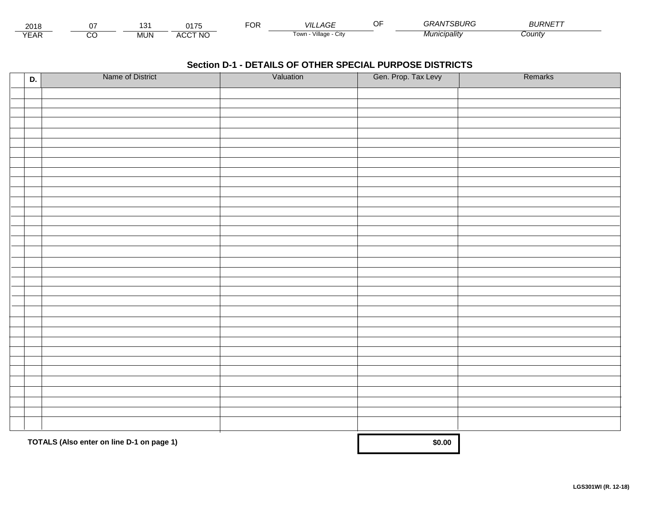| 0010<br>∠∪ ⊦c   |                 | $\ddot{\phantom{1}}$<br>՝ | 017F                                 | $\sim$<br>ັ | VIL.<br>$\sim$<br>' AGL | NTSBURG<br>6324N | <b>BURNETT</b> |  |
|-----------------|-----------------|---------------------------|--------------------------------------|-------------|-------------------------|------------------|----------------|--|
| $\sqrt{2}$<br>ᇊ | ``<br>$\cdot$ . | <b>MUN</b>                | <b>\CCT NO</b><br>$\mathbf{u}$<br>wu |             | Village<br>Town<br>اآب  | Municipality     | County         |  |

| D. | Name of District                          | Valuation | Gen. Prop. Tax Levy | Remarks |
|----|-------------------------------------------|-----------|---------------------|---------|
|    |                                           |           |                     |         |
|    |                                           |           |                     |         |
|    |                                           |           |                     |         |
|    |                                           |           |                     |         |
|    |                                           |           |                     |         |
|    |                                           |           |                     |         |
|    |                                           |           |                     |         |
|    |                                           |           |                     |         |
|    |                                           |           |                     |         |
|    |                                           |           |                     |         |
|    |                                           |           |                     |         |
|    |                                           |           |                     |         |
|    |                                           |           |                     |         |
|    |                                           |           |                     |         |
|    |                                           |           |                     |         |
|    |                                           |           |                     |         |
|    |                                           |           |                     |         |
|    |                                           |           |                     |         |
|    |                                           |           |                     |         |
|    |                                           |           |                     |         |
|    |                                           |           |                     |         |
|    |                                           |           |                     |         |
|    |                                           |           |                     |         |
|    |                                           |           |                     |         |
|    |                                           |           |                     |         |
|    |                                           |           |                     |         |
|    |                                           |           |                     |         |
|    |                                           |           |                     |         |
|    |                                           |           |                     |         |
|    |                                           |           |                     |         |
|    |                                           |           |                     |         |
|    |                                           |           |                     |         |
|    |                                           |           |                     |         |
|    | TOTALS (Also enter on line D-1 on page 1) |           | \$0.00              |         |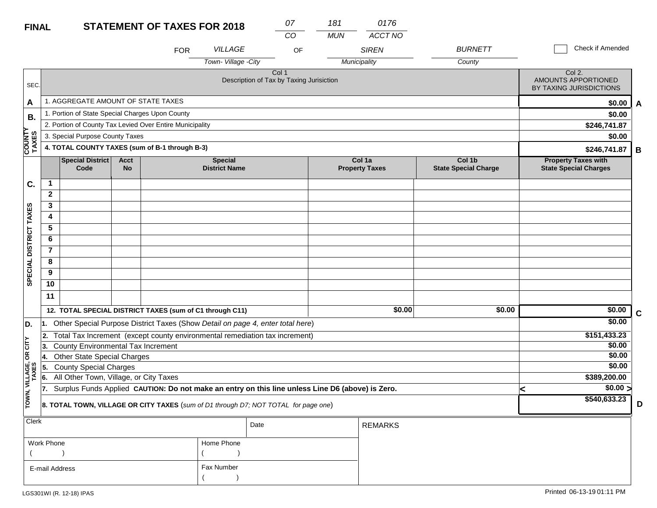| <b>FINAL</b>           |                                                                                     |                                                                                                  |                   | <b>STATEMENT OF TAXES FOR 2018</b> |                                        | 07<br>CO                                          | 181<br><b>MUN</b> | 0176<br><b>ACCT NO</b>          |                                       |                                                            |   |
|------------------------|-------------------------------------------------------------------------------------|--------------------------------------------------------------------------------------------------|-------------------|------------------------------------|----------------------------------------|---------------------------------------------------|-------------------|---------------------------------|---------------------------------------|------------------------------------------------------------|---|
|                        |                                                                                     |                                                                                                  |                   | <b>FOR</b>                         | <b>VILLAGE</b><br>Town-Village -City   |                                                   | OF                | <b>SIREN</b><br>Municipality    | <b>BURNETT</b><br>County              | Check if Amended                                           |   |
| SEC.                   |                                                                                     |                                                                                                  |                   |                                    |                                        | Col 1<br>Description of Tax by Taxing Jurisiction |                   |                                 |                                       | Col 2.<br>AMOUNTS APPORTIONED<br>BY TAXING JURISDICTIONS   |   |
| A                      |                                                                                     | 1. AGGREGATE AMOUNT OF STATE TAXES                                                               |                   |                                    |                                        |                                                   |                   |                                 |                                       | \$0.00                                                     | A |
| В.                     |                                                                                     | 1. Portion of State Special Charges Upon County                                                  |                   |                                    |                                        |                                                   |                   |                                 |                                       | \$0.00                                                     |   |
|                        |                                                                                     | 2. Portion of County Tax Levied Over Entire Municipality                                         |                   |                                    |                                        |                                                   |                   |                                 |                                       | \$246,741.87                                               |   |
| <b>COUNTY</b><br>TAXES |                                                                                     | 3. Special Purpose County Taxes                                                                  |                   |                                    |                                        |                                                   |                   |                                 |                                       | \$0.00                                                     |   |
|                        |                                                                                     | 4. TOTAL COUNTY TAXES (sum of B-1 through B-3)                                                   |                   |                                    |                                        |                                                   |                   |                                 |                                       | \$246,741.87                                               | В |
|                        |                                                                                     | <b>Special District</b><br>Code                                                                  | <b>Acct</b><br>No |                                    | <b>Special</b><br><b>District Name</b> |                                                   |                   | Col 1a<br><b>Property Taxes</b> | Col 1b<br><b>State Special Charge</b> | <b>Property Taxes with</b><br><b>State Special Charges</b> |   |
| C.                     | 1                                                                                   |                                                                                                  |                   |                                    |                                        |                                                   |                   |                                 |                                       |                                                            |   |
|                        | $\mathbf{2}$                                                                        |                                                                                                  |                   |                                    |                                        |                                                   |                   |                                 |                                       |                                                            |   |
|                        | 3                                                                                   |                                                                                                  |                   |                                    |                                        |                                                   |                   |                                 |                                       |                                                            |   |
|                        | 4                                                                                   |                                                                                                  |                   |                                    |                                        |                                                   |                   |                                 |                                       |                                                            |   |
|                        | 5                                                                                   |                                                                                                  |                   |                                    |                                        |                                                   |                   |                                 |                                       |                                                            |   |
|                        | 6                                                                                   |                                                                                                  |                   |                                    |                                        |                                                   |                   |                                 |                                       |                                                            |   |
|                        | $\overline{7}$                                                                      |                                                                                                  |                   |                                    |                                        |                                                   |                   |                                 |                                       |                                                            |   |
|                        | 8                                                                                   |                                                                                                  |                   |                                    |                                        |                                                   |                   |                                 |                                       |                                                            |   |
| SPECIAL DISTRICT TAXES | 9                                                                                   |                                                                                                  |                   |                                    |                                        |                                                   |                   |                                 |                                       |                                                            |   |
|                        | 10                                                                                  |                                                                                                  |                   |                                    |                                        |                                                   |                   |                                 |                                       |                                                            |   |
|                        | 11                                                                                  |                                                                                                  |                   |                                    |                                        |                                                   |                   |                                 |                                       |                                                            |   |
|                        |                                                                                     | 12. TOTAL SPECIAL DISTRICT TAXES (sum of C1 through C11)                                         |                   |                                    |                                        |                                                   |                   | \$0.00                          | \$0.00                                | \$0.00                                                     | C |
| D.                     | l1.                                                                                 | Other Special Purpose District Taxes (Show Detail on page 4, enter total here)                   |                   |                                    |                                        |                                                   |                   |                                 |                                       | \$0.00                                                     |   |
|                        | 2.                                                                                  | Total Tax Increment (except county environmental remediation tax increment)                      |                   |                                    |                                        |                                                   |                   |                                 |                                       | \$151,433.23                                               |   |
| čΕ                     | 13.                                                                                 | County Environmental Tax Increment                                                               |                   |                                    |                                        |                                                   |                   |                                 |                                       | \$0.00                                                     |   |
| бR                     | 14.                                                                                 | <b>Other State Special Charges</b>                                                               |                   |                                    |                                        |                                                   |                   |                                 |                                       | \$0.00                                                     |   |
|                        | <b>County Special Charges</b><br>15.                                                |                                                                                                  |                   |                                    |                                        |                                                   |                   |                                 |                                       | \$0.00                                                     |   |
| VILLAGE,<br>TAXES      | All Other Town, Village, or City Taxes<br>6.                                        |                                                                                                  |                   |                                    |                                        |                                                   |                   |                                 |                                       | \$389,200.00                                               |   |
|                        | 17                                                                                  | Surplus Funds Applied CAUTION: Do not make an entry on this line unless Line D6 (above) is Zero. |                   |                                    |                                        |                                                   |                   |                                 |                                       | \$0.00 >                                                   |   |
| TOWN,                  | 8. TOTAL TOWN, VILLAGE OR CITY TAXES (sum of D1 through D7; NOT TOTAL for page one) |                                                                                                  |                   |                                    |                                        |                                                   |                   |                                 |                                       | \$540,633.23                                               | D |
| Clerk                  |                                                                                     |                                                                                                  |                   |                                    |                                        | Date                                              |                   | <b>REMARKS</b>                  |                                       |                                                            |   |
|                        | Work Phone                                                                          |                                                                                                  |                   |                                    | Home Phone                             |                                                   |                   |                                 |                                       |                                                            |   |
|                        |                                                                                     |                                                                                                  |                   |                                    |                                        |                                                   |                   |                                 |                                       |                                                            |   |

Fax Number

 $($ 

E-mail Address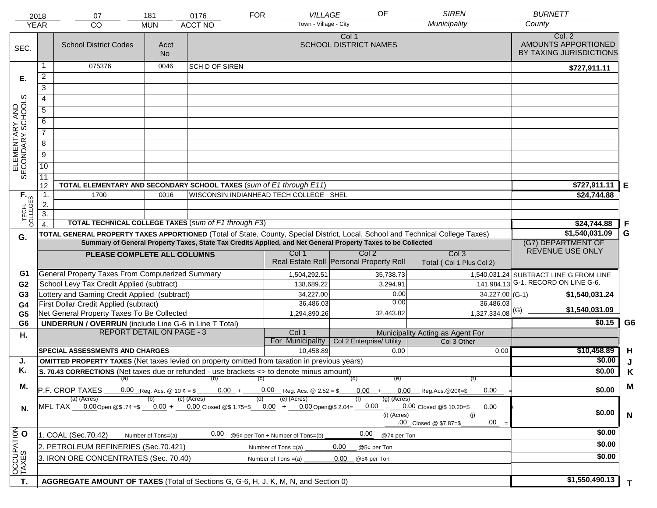|                                     | 2018<br><b>YEAR</b>  | 07<br><b>CO</b>                                                                                                                                                                                   | 181<br><b>MUN</b>              | <b>FOR</b><br>0176<br><b>ACCT NO</b>                                          | <b>VILLAGE</b><br>Town - Village - City | OF                                                                                                           | <b>SIREN</b><br>Municipality           | <b>BURNETT</b><br>County                                 |                |  |  |
|-------------------------------------|----------------------|---------------------------------------------------------------------------------------------------------------------------------------------------------------------------------------------------|--------------------------------|-------------------------------------------------------------------------------|-----------------------------------------|--------------------------------------------------------------------------------------------------------------|----------------------------------------|----------------------------------------------------------|----------------|--|--|
| SEC.                                |                      | <b>School District Codes</b>                                                                                                                                                                      | Acct<br><b>No</b>              |                                                                               |                                         | Col 1<br><b>SCHOOL DISTRICT NAMES</b>                                                                        |                                        | Col. 2<br>AMOUNTS APPORTIONED<br>BY TAXING JURISDICTIONS |                |  |  |
|                                     | 1                    | 075376                                                                                                                                                                                            | 0046                           | <b>SCH D OF SIREN</b>                                                         |                                         |                                                                                                              |                                        | \$727,911.11                                             |                |  |  |
| Е.                                  | $\overline{2}$       |                                                                                                                                                                                                   |                                |                                                                               |                                         |                                                                                                              |                                        |                                                          |                |  |  |
|                                     | 3                    |                                                                                                                                                                                                   |                                |                                                                               |                                         |                                                                                                              |                                        |                                                          |                |  |  |
|                                     | 4                    |                                                                                                                                                                                                   |                                |                                                                               |                                         |                                                                                                              |                                        |                                                          |                |  |  |
|                                     | 5                    |                                                                                                                                                                                                   |                                |                                                                               |                                         |                                                                                                              |                                        |                                                          |                |  |  |
|                                     | 6                    |                                                                                                                                                                                                   |                                |                                                                               |                                         |                                                                                                              |                                        |                                                          |                |  |  |
| ELEMENTARY AND<br>SECONDARY SCHOOLS |                      |                                                                                                                                                                                                   |                                |                                                                               |                                         |                                                                                                              |                                        |                                                          |                |  |  |
|                                     | $\overline{7}$       |                                                                                                                                                                                                   |                                |                                                                               |                                         |                                                                                                              |                                        |                                                          |                |  |  |
|                                     | 8                    |                                                                                                                                                                                                   |                                |                                                                               |                                         |                                                                                                              |                                        |                                                          |                |  |  |
|                                     | $\overline{9}$       |                                                                                                                                                                                                   |                                |                                                                               |                                         |                                                                                                              |                                        |                                                          |                |  |  |
|                                     | $\overline{10}$      |                                                                                                                                                                                                   |                                |                                                                               |                                         |                                                                                                              |                                        |                                                          |                |  |  |
|                                     | 11                   |                                                                                                                                                                                                   |                                |                                                                               |                                         |                                                                                                              |                                        |                                                          |                |  |  |
|                                     | 12<br>$\mathbf{1}$ . | TOTAL ELEMENTARY AND SECONDARY SCHOOL TAXES (sum of E1 through E11)<br>1700                                                                                                                       | 0016                           | WISCONSIN INDIANHEAD TECH COLLEGE SHEL                                        |                                         |                                                                                                              |                                        | \$727,911.11<br>\$24,744.88                              | Е              |  |  |
|                                     | $\overline{2}$ .     |                                                                                                                                                                                                   |                                |                                                                               |                                         |                                                                                                              |                                        |                                                          |                |  |  |
|                                     | $\overline{3}$ .     |                                                                                                                                                                                                   |                                |                                                                               |                                         |                                                                                                              |                                        |                                                          |                |  |  |
| TECH. T                             | $\overline{4}$       |                                                                                                                                                                                                   |                                | <b>TOTAL TECHNICAL COLLEGE TAXES (sum of F1 through F3)</b>                   |                                         |                                                                                                              |                                        | \$24,744.88                                              | F              |  |  |
| G.                                  |                      | TOTAL GENERAL PROPERTY TAXES APPORTIONED (Total of State, County, Special District, Local, School and Technical College Taxes)                                                                    |                                |                                                                               |                                         |                                                                                                              |                                        | \$1,540,031.09                                           | G              |  |  |
|                                     |                      |                                                                                                                                                                                                   |                                |                                                                               |                                         | Summary of General Property Taxes, State Tax Credits Applied, and Net General Property Taxes to be Collected |                                        | (G7) DEPARTMENT OF                                       |                |  |  |
|                                     |                      | PLEASE COMPLETE ALL COLUMNS                                                                                                                                                                       |                                |                                                                               | Col 1                                   | Col <sub>2</sub>                                                                                             | Col <sub>3</sub>                       | REVENUE USE ONLY                                         |                |  |  |
|                                     |                      |                                                                                                                                                                                                   |                                |                                                                               |                                         | Real Estate Roll Personal Property Roll                                                                      | Total (Col 1 Plus Col 2)               |                                                          |                |  |  |
| G1                                  |                      | General Property Taxes From Computerized Summary                                                                                                                                                  |                                |                                                                               | 1,504,292.51                            | 35,738.73                                                                                                    |                                        | 1,540,031.24 SUBTRACT LINE G FROM LINE                   |                |  |  |
| G <sub>2</sub>                      |                      | School Levy Tax Credit Applied (subtract)                                                                                                                                                         |                                |                                                                               | 138,689.22                              | 3,294.91                                                                                                     |                                        | 141,984.13 G-1. RECORD ON LINE G-6.                      |                |  |  |
| G <sub>3</sub>                      |                      | Lottery and Gaming Credit Applied (subtract)                                                                                                                                                      |                                |                                                                               | 34,227.00                               | 0.00                                                                                                         | $34,227.00$ (G-1)                      | \$1,540,031.24                                           |                |  |  |
| G4                                  |                      | First Dollar Credit Applied (subtract)                                                                                                                                                            |                                |                                                                               | 36,486.03                               | 0.00                                                                                                         | 36,486.03                              | \$1,540,031.09                                           |                |  |  |
| G <sub>5</sub>                      |                      | Net General Property Taxes To Be Collected                                                                                                                                                        |                                |                                                                               | 1,294,890.26                            | 32,443.82                                                                                                    | $1,327,334.08$ <sup>(G)</sup>          |                                                          |                |  |  |
| G <sub>6</sub>                      |                      | <b>UNDERRUN / OVERRUN</b> (include Line G-6 in Line T Total)                                                                                                                                      |                                |                                                                               |                                         |                                                                                                              |                                        | \$0.15                                                   | G <sub>6</sub> |  |  |
| Η.                                  |                      |                                                                                                                                                                                                   |                                | <b>REPORT DETAIL ON PAGE - 3</b><br>Col 1<br>Municipality Acting as Agent For |                                         |                                                                                                              |                                        |                                                          |                |  |  |
|                                     |                      |                                                                                                                                                                                                   |                                |                                                                               |                                         |                                                                                                              |                                        |                                                          |                |  |  |
|                                     |                      | <b>SPECIAL ASSESSMENTS AND CHARGES</b>                                                                                                                                                            |                                |                                                                               | For Municipality                        | Col 2 Enterprise/ Utility<br>0.00                                                                            | Col 3 Other<br>0.00                    |                                                          |                |  |  |
| J.                                  |                      |                                                                                                                                                                                                   |                                |                                                                               | 10,458.89                               |                                                                                                              |                                        | \$10,458.89<br>\$0.00                                    | H              |  |  |
| Κ.                                  |                      | <b>OMITTED PROPERTY TAXES</b> (Net taxes levied on property omitted from taxation in previous years)<br>S. 70.43 CORRECTIONS (Net taxes due or refunded - use brackets <> to denote minus amount) |                                |                                                                               |                                         |                                                                                                              |                                        | \$0.00                                                   | J              |  |  |
|                                     |                      | $(a)$ (b)                                                                                                                                                                                         |                                |                                                                               | (C)                                     | (d)<br>(e)                                                                                                   | (f)                                    |                                                          | Κ              |  |  |
| М.                                  |                      | P.F. CROP TAXES                                                                                                                                                                                   | 0.00 Reg. Acs. @ 10 $\phi = $$ |                                                                               | $0.00 + 0.00$ Reg. Acs. @ 2.52 = \$     |                                                                                                              | $0.00 + 0.00$ Reg.Acs. @20¢=\$<br>0.00 | \$0.00                                                   | M              |  |  |
|                                     |                      | (a) (Acres)                                                                                                                                                                                       |                                | (c) (Acres)                                                                   | (e) (Acres)<br>(d)                      | $(g)$ (Acres)                                                                                                |                                        |                                                          |                |  |  |
| N.                                  |                      | MFL TAX __0.00Open @\$ .74 =\$ __0.00 + __0.00 Closed @\$ 1.75=\$ __0.00 + __0.00Open@\$ 2.04= __0.00 + __0.00 Closed @\$ 10.20=\$                                                                |                                |                                                                               |                                         |                                                                                                              | 0.00                                   | \$0.00                                                   |                |  |  |
|                                     |                      |                                                                                                                                                                                                   |                                |                                                                               |                                         | (i) (Acres)                                                                                                  | (i)<br>.00<br>.00 Closed @ \$7.87=\$   |                                                          | N              |  |  |
|                                     |                      |                                                                                                                                                                                                   |                                | 0.00                                                                          |                                         | 0.00                                                                                                         |                                        | \$0.00                                                   |                |  |  |
|                                     |                      | 1. COAL (Sec.70.42)                                                                                                                                                                               | Number of Tons=(a)             |                                                                               | @5¢ per Ton + Number of Tons=(b)        | @7¢ per Ton                                                                                                  |                                        | \$0.00                                                   |                |  |  |
|                                     |                      | 2. PETROLEUM REFINERIES (Sec.70.421)                                                                                                                                                              |                                |                                                                               | Number of Tons $=(a)$                   | 0.00<br>@5¢ per Ton                                                                                          |                                        |                                                          |                |  |  |
|                                     |                      | 3. IRON ORE CONCENTRATES (Sec. 70.40)                                                                                                                                                             |                                |                                                                               | Number of Tons $=(a)$                   | 0.00<br>@5¢ per Ton                                                                                          |                                        | \$0.00                                                   |                |  |  |
| OCCUPATION<br>T.                    |                      | AGGREGATE AMOUNT OF TAXES (Total of Sections G, G-6, H, J, K, M, N, and Section 0)                                                                                                                |                                |                                                                               |                                         |                                                                                                              |                                        | \$1,550,490.13                                           |                |  |  |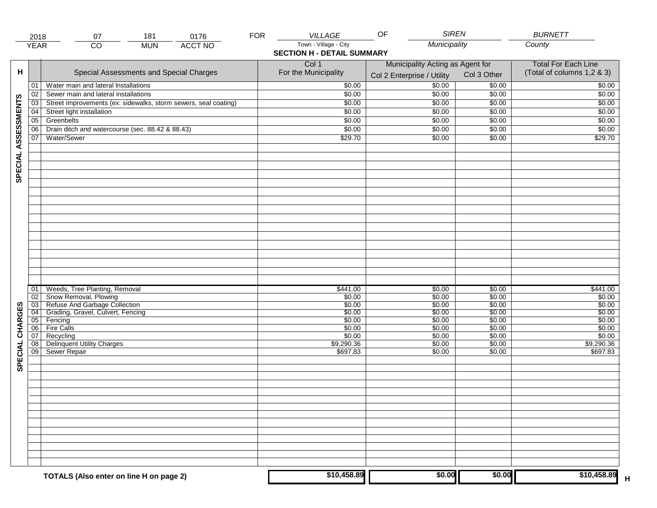|                     | 2018                               | 181<br>0176<br>07                                               | <b>FOR</b> | <b>VILLAGE</b>                    | <b>SIREN</b><br>OF               |                  | <b>BURNETT</b>             |
|---------------------|------------------------------------|-----------------------------------------------------------------|------------|-----------------------------------|----------------------------------|------------------|----------------------------|
|                     | <b>YEAR</b>                        | <b>ACCT NO</b><br>$\overline{CO}$<br><b>MUN</b>                 |            | Town - Village - City             | Municipality                     |                  | County                     |
|                     |                                    |                                                                 |            | <b>SECTION H - DETAIL SUMMARY</b> |                                  |                  |                            |
|                     |                                    |                                                                 |            | Col 1                             | Municipality Acting as Agent for |                  | <b>Total For Each Line</b> |
| н                   |                                    | Special Assessments and Special Charges                         |            | For the Municipality              |                                  | Col 3 Other      | (Total of columns 1,2 & 3) |
|                     |                                    |                                                                 |            |                                   | Col 2 Enterprise / Utility       |                  |                            |
|                     | 01                                 | Water main and lateral Installations                            |            | \$0.00                            | \$0.00                           | \$0.00           | \$0.00                     |
|                     | 02                                 | Sewer main and lateral installations                            |            | \$0.00                            | \$0.00                           | \$0.00           | \$0.00                     |
| SPECIAL ASSESSMENTS | 03                                 | Street improvements (ex: sidewalks, storm sewers, seal coating) |            | \$0.00                            | \$0.00                           | \$0.00           | \$0.00                     |
|                     | 04                                 | Street light installation                                       |            | \$0.00                            | \$0.00                           | \$0.00           | \$0.00                     |
|                     | $\overline{05}$                    | Greenbelts                                                      |            | \$0.00                            | \$0.00                           | \$0.00           | \$0.00                     |
|                     | 06                                 | Drain ditch and watercourse (sec. 88.42 & 88.43)                |            | \$0.00                            | \$0.00                           | \$0.00           | \$0.00                     |
|                     | 07                                 | Water/Sewer                                                     |            | \$29.70                           | \$0.00                           | \$0.00           | \$29.70                    |
|                     |                                    |                                                                 |            |                                   |                                  |                  |                            |
|                     |                                    |                                                                 |            |                                   |                                  |                  |                            |
|                     |                                    |                                                                 |            |                                   |                                  |                  |                            |
|                     |                                    |                                                                 |            |                                   |                                  |                  |                            |
|                     |                                    |                                                                 |            |                                   |                                  |                  |                            |
|                     |                                    |                                                                 |            |                                   |                                  |                  |                            |
|                     |                                    |                                                                 |            |                                   |                                  |                  |                            |
|                     |                                    |                                                                 |            |                                   |                                  |                  |                            |
|                     |                                    |                                                                 |            |                                   |                                  |                  |                            |
|                     |                                    |                                                                 |            |                                   |                                  |                  |                            |
|                     |                                    |                                                                 |            |                                   |                                  |                  |                            |
|                     |                                    |                                                                 |            |                                   |                                  |                  |                            |
|                     |                                    |                                                                 |            |                                   |                                  |                  |                            |
|                     |                                    |                                                                 |            |                                   |                                  |                  |                            |
|                     |                                    |                                                                 |            |                                   |                                  |                  |                            |
|                     |                                    |                                                                 |            |                                   |                                  |                  |                            |
|                     |                                    |                                                                 |            |                                   |                                  |                  |                            |
|                     | 01                                 | Weeds, Tree Planting, Removal                                   |            | \$441.00                          | \$0.00                           | \$0.00           | \$441.00                   |
|                     | $\overline{02}$<br>$\overline{03}$ | Snow Removal, Plowing<br>Refuse And Garbage Collection          |            | \$0.00<br>\$0.00                  | \$0.00<br>\$0.00                 | \$0.00<br>\$0.00 | \$0.00<br>\$0.00           |
|                     | 04                                 | Grading, Gravel, Culvert, Fencing                               |            | \$0.00                            | \$0.00                           | \$0.00           | \$0.00                     |
|                     | 05                                 | Fencing                                                         |            | \$0.00                            | \$0.00                           | \$0.00           | \$0.00                     |
|                     | 06                                 | <b>Fire Calls</b>                                               |            | \$0.00                            | \$0.00                           | \$0.00           | \$0.00                     |
| CHARGES             | 07                                 | Recycling                                                       |            | \$0.00                            | \$0.00                           | \$0.00           | \$0.00                     |
|                     | 08                                 | <b>Delinquent Utility Charges</b>                               |            | \$9,290.36                        | \$0.00                           | \$0.00           | \$9,290.36                 |
|                     | $\overline{09}$                    | Sewer Repair                                                    |            | \$697.83                          | \$0.00                           | \$0.00           | \$697.83                   |
| SPECIAL             |                                    |                                                                 |            |                                   |                                  |                  |                            |
|                     |                                    |                                                                 |            |                                   |                                  |                  |                            |
|                     |                                    |                                                                 |            |                                   |                                  |                  |                            |
|                     |                                    |                                                                 |            |                                   |                                  |                  |                            |
|                     |                                    |                                                                 |            |                                   |                                  |                  |                            |
|                     |                                    |                                                                 |            |                                   |                                  |                  |                            |
|                     |                                    |                                                                 |            |                                   |                                  |                  |                            |
|                     |                                    |                                                                 |            |                                   |                                  |                  |                            |
|                     |                                    |                                                                 |            |                                   |                                  |                  |                            |
|                     |                                    |                                                                 |            |                                   |                                  |                  |                            |
|                     |                                    |                                                                 |            |                                   |                                  |                  |                            |
|                     |                                    |                                                                 |            |                                   |                                  |                  |                            |
|                     |                                    |                                                                 |            |                                   |                                  |                  |                            |
|                     |                                    |                                                                 |            | \$10,458.89                       | \$0.00                           | \$0.00           | \$10,458.89                |
|                     |                                    | TOTALS (Also enter on line H on page 2)                         |            |                                   |                                  |                  | $\mathsf H$                |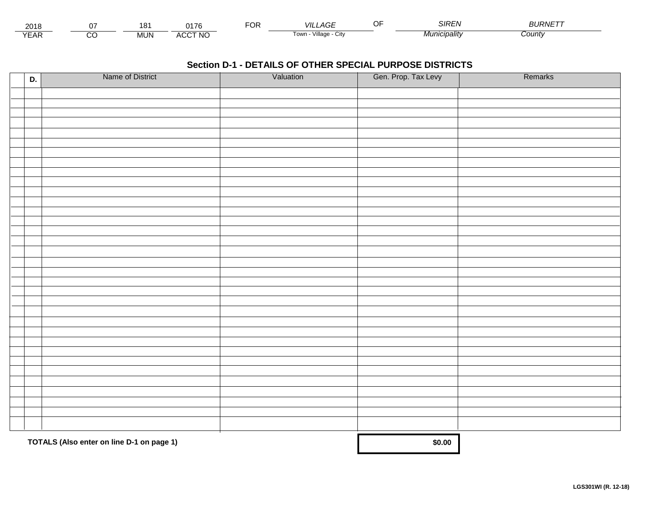| 201<br>∠∪ ır |               | 18 <sup>1</sup> | <b>0470</b>    | . | _AGE<br>VIL.                       | $\sim$<br>ואוכ | <b>JRNETT</b> |
|--------------|---------------|-----------------|----------------|---|------------------------------------|----------------|---------------|
| ⊢            | ~~<br>$\cdot$ | <b>MUN</b>      | CCT NO<br>A(x) |   | $\cdots$<br>Village<br>⊺OWN<br>URV | .ıcıpalıtv     | County        |

| D. | Name of District                          | Valuation | Gen. Prop. Tax Levy | Remarks |
|----|-------------------------------------------|-----------|---------------------|---------|
|    |                                           |           |                     |         |
|    |                                           |           |                     |         |
|    |                                           |           |                     |         |
|    |                                           |           |                     |         |
|    |                                           |           |                     |         |
|    |                                           |           |                     |         |
|    |                                           |           |                     |         |
|    |                                           |           |                     |         |
|    |                                           |           |                     |         |
|    |                                           |           |                     |         |
|    |                                           |           |                     |         |
|    |                                           |           |                     |         |
|    |                                           |           |                     |         |
|    |                                           |           |                     |         |
|    |                                           |           |                     |         |
|    |                                           |           |                     |         |
|    |                                           |           |                     |         |
|    |                                           |           |                     |         |
|    |                                           |           |                     |         |
|    |                                           |           |                     |         |
|    |                                           |           |                     |         |
|    |                                           |           |                     |         |
|    |                                           |           |                     |         |
|    |                                           |           |                     |         |
|    |                                           |           |                     |         |
|    |                                           |           |                     |         |
|    |                                           |           |                     |         |
|    |                                           |           |                     |         |
|    |                                           |           |                     |         |
|    |                                           |           |                     |         |
|    |                                           |           |                     |         |
|    | TOTALS (Also enter on line D-1 on page 1) | \$0.00    |                     |         |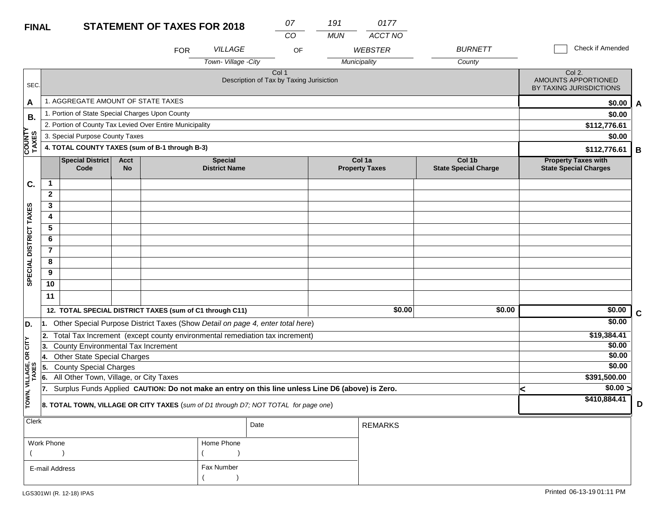### **STATEMENT OF TAXES FOR 2018**

LGS301WI (R. 12-18) IPAS

 $($  ) and  $($   $)$ 

E-mail Address

| <b>FINAL</b>            |                                                                                                                                                  |                                                                                     |                          | <b>STATEMENT OF TAXES FOR 2018</b> |                                        |                                                   | 07 | 191        | 0177                            |                                       |              |                                                            |                         |
|-------------------------|--------------------------------------------------------------------------------------------------------------------------------------------------|-------------------------------------------------------------------------------------|--------------------------|------------------------------------|----------------------------------------|---------------------------------------------------|----|------------|---------------------------------|---------------------------------------|--------------|------------------------------------------------------------|-------------------------|
|                         |                                                                                                                                                  |                                                                                     |                          |                                    |                                        |                                                   | CO | <b>MUN</b> | ACCT NO                         |                                       |              |                                                            |                         |
|                         |                                                                                                                                                  |                                                                                     |                          | <b>FOR</b>                         | <b>VILLAGE</b>                         |                                                   | OF |            | <b>WEBSTER</b>                  | <b>BURNETT</b>                        |              | Check if Amended                                           |                         |
|                         |                                                                                                                                                  |                                                                                     |                          |                                    | Town-Village -City                     |                                                   |    |            | Municipality                    | County                                |              |                                                            |                         |
| SEC.                    |                                                                                                                                                  |                                                                                     |                          |                                    |                                        | Col 1<br>Description of Tax by Taxing Jurisiction |    |            |                                 |                                       |              | Col 2.<br>AMOUNTS APPORTIONED<br>BY TAXING JURISDICTIONS   |                         |
| A                       |                                                                                                                                                  | 1. AGGREGATE AMOUNT OF STATE TAXES                                                  |                          |                                    |                                        |                                                   |    |            |                                 |                                       |              | \$0.00                                                     | $\overline{\mathsf{A}}$ |
| В.                      |                                                                                                                                                  | 1. Portion of State Special Charges Upon County                                     |                          |                                    |                                        |                                                   |    |            |                                 |                                       | \$0.00       |                                                            |                         |
|                         | 2. Portion of County Tax Levied Over Entire Municipality                                                                                         |                                                                                     |                          |                                    |                                        |                                                   |    |            |                                 |                                       | \$112,776.61 |                                                            |                         |
|                         | 3. Special Purpose County Taxes                                                                                                                  |                                                                                     |                          |                                    |                                        |                                                   |    |            |                                 |                                       |              | \$0.00                                                     |                         |
| COUNTY<br>TAXES         | 4. TOTAL COUNTY TAXES (sum of B-1 through B-3)                                                                                                   |                                                                                     |                          |                                    |                                        |                                                   |    |            |                                 |                                       |              | \$112,776.61                                               | B                       |
|                         |                                                                                                                                                  | <b>Special District</b><br>Code                                                     | <b>Acct</b><br><b>No</b> |                                    | <b>Special</b><br><b>District Name</b> |                                                   |    |            | Col 1a<br><b>Property Taxes</b> | Col 1b<br><b>State Special Charge</b> |              | <b>Property Taxes with</b><br><b>State Special Charges</b> |                         |
| C.                      | $\mathbf 1$                                                                                                                                      |                                                                                     |                          |                                    |                                        |                                                   |    |            |                                 |                                       |              |                                                            |                         |
|                         | $\mathbf{2}$                                                                                                                                     |                                                                                     |                          |                                    |                                        |                                                   |    |            |                                 |                                       |              |                                                            |                         |
|                         | 3                                                                                                                                                |                                                                                     |                          |                                    |                                        |                                                   |    |            |                                 |                                       |              |                                                            |                         |
|                         | 4                                                                                                                                                |                                                                                     |                          |                                    |                                        |                                                   |    |            |                                 |                                       |              |                                                            |                         |
|                         | 5                                                                                                                                                |                                                                                     |                          |                                    |                                        |                                                   |    |            |                                 |                                       |              |                                                            |                         |
|                         | 6                                                                                                                                                |                                                                                     |                          |                                    |                                        |                                                   |    |            |                                 |                                       |              |                                                            |                         |
|                         | $\overline{7}$                                                                                                                                   |                                                                                     |                          |                                    |                                        |                                                   |    |            |                                 |                                       |              |                                                            |                         |
|                         | 8                                                                                                                                                |                                                                                     |                          |                                    |                                        |                                                   |    |            |                                 |                                       |              |                                                            |                         |
| SPECIAL DISTRICT TAXES  | 9                                                                                                                                                |                                                                                     |                          |                                    |                                        |                                                   |    |            |                                 |                                       |              |                                                            |                         |
|                         | 10                                                                                                                                               |                                                                                     |                          |                                    |                                        |                                                   |    |            |                                 |                                       |              |                                                            |                         |
|                         | 11                                                                                                                                               |                                                                                     |                          |                                    |                                        |                                                   |    |            |                                 |                                       |              |                                                            |                         |
|                         |                                                                                                                                                  | 12. TOTAL SPECIAL DISTRICT TAXES (sum of C1 through C11)                            |                          |                                    |                                        |                                                   |    |            | \$0.00                          | \$0.00                                |              | \$0.00                                                     | $\mathbf c$             |
| D.                      | 11.                                                                                                                                              | Other Special Purpose District Taxes (Show Detail on page 4, enter total here)      |                          |                                    |                                        |                                                   |    |            |                                 |                                       |              | \$0.00                                                     |                         |
|                         | 2.                                                                                                                                               | Total Tax Increment (except county environmental remediation tax increment)         |                          |                                    |                                        |                                                   |    |            |                                 |                                       |              | \$19,384.41                                                |                         |
| OR CITY                 | 13.                                                                                                                                              | <b>County Environmental Tax Increment</b>                                           |                          |                                    |                                        |                                                   |    |            |                                 |                                       |              | \$0.00                                                     |                         |
|                         | 14.                                                                                                                                              | <b>Other State Special Charges</b>                                                  |                          |                                    |                                        |                                                   |    |            |                                 |                                       |              | \$0.00                                                     |                         |
|                         | 15.                                                                                                                                              | <b>County Special Charges</b>                                                       |                          |                                    |                                        |                                                   |    |            |                                 |                                       |              | \$0.00                                                     |                         |
|                         | All Other Town, Village, or City Taxes<br>6.<br>Surplus Funds Applied CAUTION: Do not make an entry on this line unless Line D6 (above) is Zero. |                                                                                     |                          |                                    |                                        |                                                   |    |            |                                 |                                       |              | \$391,500.00                                               |                         |
|                         | 17.                                                                                                                                              |                                                                                     |                          |                                    |                                        |                                                   |    |            |                                 |                                       |              | \$0.00 >                                                   |                         |
| TOWN, VILLAGE,<br>TAXES |                                                                                                                                                  | 8. TOTAL TOWN, VILLAGE OR CITY TAXES (sum of D1 through D7; NOT TOTAL for page one) |                          |                                    |                                        |                                                   |    |            |                                 |                                       |              | \$410,884.41                                               | D                       |
| Clerk                   |                                                                                                                                                  |                                                                                     |                          |                                    |                                        | Date                                              |    |            | <b>REMARKS</b>                  |                                       |              |                                                            |                         |
|                         | Work Phone                                                                                                                                       |                                                                                     |                          |                                    | Home Phone                             |                                                   |    |            |                                 |                                       |              |                                                            |                         |

Fax Number

 $($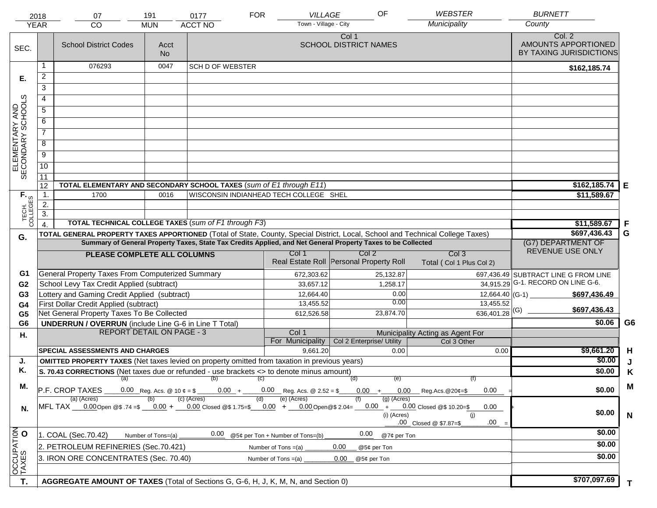|                                     | 2018             | 07                                                                                                                                     | 191                | 0177                                                                                                         | <b>FOR</b>                       | VILLAGE               | OF                                      | <b>WEBSTER</b>                                                                                                            |                             | <b>BURNETT</b>                                           |                |
|-------------------------------------|------------------|----------------------------------------------------------------------------------------------------------------------------------------|--------------------|--------------------------------------------------------------------------------------------------------------|----------------------------------|-----------------------|-----------------------------------------|---------------------------------------------------------------------------------------------------------------------------|-----------------------------|----------------------------------------------------------|----------------|
|                                     | <b>YEAR</b>      | CO                                                                                                                                     | <b>MUN</b>         | <b>ACCT NO</b>                                                                                               |                                  | Town - Village - City |                                         | Municipality                                                                                                              |                             | County                                                   |                |
| SEC.                                |                  | <b>School District Codes</b>                                                                                                           | Acct<br><b>No</b>  |                                                                                                              |                                  |                       | Col 1<br><b>SCHOOL DISTRICT NAMES</b>   |                                                                                                                           |                             | Col. 2<br>AMOUNTS APPORTIONED<br>BY TAXING JURISDICTIONS |                |
|                                     | 1                | 076293                                                                                                                                 | 0047               | <b>SCH D OF WEBSTER</b>                                                                                      |                                  |                       |                                         |                                                                                                                           |                             | \$162,185.74                                             |                |
| Е.                                  | 2                |                                                                                                                                        |                    |                                                                                                              |                                  |                       |                                         |                                                                                                                           |                             |                                                          |                |
|                                     | $\overline{3}$   |                                                                                                                                        |                    |                                                                                                              |                                  |                       |                                         |                                                                                                                           |                             |                                                          |                |
|                                     | 4                |                                                                                                                                        |                    |                                                                                                              |                                  |                       |                                         |                                                                                                                           |                             |                                                          |                |
|                                     | $\overline{5}$   |                                                                                                                                        |                    |                                                                                                              |                                  |                       |                                         |                                                                                                                           |                             |                                                          |                |
|                                     | 6                |                                                                                                                                        |                    |                                                                                                              |                                  |                       |                                         |                                                                                                                           |                             |                                                          |                |
|                                     | $\overline{7}$   |                                                                                                                                        |                    |                                                                                                              |                                  |                       |                                         |                                                                                                                           |                             |                                                          |                |
| ELEMENTARY AND<br>SECONDARY SCHOOLS | 8                |                                                                                                                                        |                    |                                                                                                              |                                  |                       |                                         |                                                                                                                           |                             |                                                          |                |
|                                     | $\overline{9}$   |                                                                                                                                        |                    |                                                                                                              |                                  |                       |                                         |                                                                                                                           |                             |                                                          |                |
|                                     | 10               |                                                                                                                                        |                    |                                                                                                              |                                  |                       |                                         |                                                                                                                           |                             |                                                          |                |
|                                     | $\overline{11}$  |                                                                                                                                        |                    |                                                                                                              |                                  |                       |                                         |                                                                                                                           |                             |                                                          |                |
|                                     | 12               | TOTAL ELEMENTARY AND SECONDARY SCHOOL TAXES (sum of E1 through E11)                                                                    |                    | \$162,185.74                                                                                                 | E                                |                       |                                         |                                                                                                                           |                             |                                                          |                |
| TECH. T                             | $\mathbf 1$ .    | 1700                                                                                                                                   | 0016               | WISCONSIN INDIANHEAD TECH COLLEGE SHEL                                                                       |                                  |                       |                                         |                                                                                                                           |                             | \$11,589.67                                              |                |
|                                     | 2.               |                                                                                                                                        |                    |                                                                                                              |                                  |                       |                                         |                                                                                                                           |                             |                                                          |                |
|                                     | $\overline{3}$ . | <b>TOTAL TECHNICAL COLLEGE TAXES (sum of F1 through F3)</b>                                                                            |                    |                                                                                                              |                                  |                       |                                         |                                                                                                                           |                             |                                                          |                |
|                                     | $\overline{4}$ . | TOTAL GENERAL PROPERTY TAXES APPORTIONED (Total of State, County, Special District, Local, School and Technical College Taxes)         |                    |                                                                                                              |                                  |                       |                                         |                                                                                                                           |                             | \$11,589.67<br>\$697,436.43                              | .F<br>G        |
| G.                                  |                  |                                                                                                                                        |                    | Summary of General Property Taxes, State Tax Credits Applied, and Net General Property Taxes to be Collected |                                  |                       |                                         |                                                                                                                           |                             | (G7) DEPARTMENT OF                                       |                |
|                                     |                  | PLEASE COMPLETE ALL COLUMNS                                                                                                            | REVENUE USE ONLY   |                                                                                                              |                                  |                       |                                         |                                                                                                                           |                             |                                                          |                |
|                                     |                  |                                                                                                                                        |                    |                                                                                                              |                                  |                       | Real Estate Roll Personal Property Roll | Col <sub>3</sub><br>Total (Col 1 Plus Col 2)                                                                              |                             |                                                          |                |
| G1                                  |                  | <b>General Property Taxes From Computerized Summary</b>                                                                                |                    |                                                                                                              |                                  | 672,303.62            | 25,132.87                               |                                                                                                                           |                             | 697,436.49 SUBTRACT LINE G FROM LINE                     |                |
| G <sub>2</sub>                      |                  | School Levy Tax Credit Applied (subtract)                                                                                              |                    |                                                                                                              |                                  | 33,657.12             |                                         | 1,258.17                                                                                                                  |                             | $\overline{34,915.29}$ G-1. RECORD ON LINE G-6.          |                |
| G <sub>3</sub>                      |                  | Lottery and Gaming Credit Applied (subtract)                                                                                           |                    |                                                                                                              |                                  | 12,664.40             |                                         | 0.00                                                                                                                      |                             | \$697,436.49                                             |                |
| G <sub>4</sub>                      |                  | First Dollar Credit Applied (subtract)                                                                                                 |                    |                                                                                                              |                                  | 13,455.52             |                                         | 0.00                                                                                                                      | 13,455.52                   | \$697,436.43                                             |                |
| G <sub>5</sub>                      |                  | Net General Property Taxes To Be Collected                                                                                             |                    |                                                                                                              |                                  | 612,526.58            | 23,874.70                               |                                                                                                                           | $636,401.28$ <sup>(G)</sup> |                                                          |                |
| G <sub>6</sub>                      |                  | <b>UNDERRUN / OVERRUN</b> (include Line G-6 in Line T Total)<br><b>REPORT DETAIL ON PAGE - 3</b>                                       |                    |                                                                                                              |                                  | Col 1                 |                                         |                                                                                                                           |                             | \$0.06                                                   | G <sub>6</sub> |
| Н.                                  |                  |                                                                                                                                        |                    |                                                                                                              |                                  | For Municipality      | Col 2 Enterprise/ Utility               | Municipality Acting as Agent For<br>Col 3 Other                                                                           |                             |                                                          |                |
|                                     |                  | <b>SPECIAL ASSESSMENTS AND CHARGES</b>                                                                                                 |                    |                                                                                                              |                                  | 9,661.20              |                                         | 0.00                                                                                                                      | 0.00                        | \$9,661.20                                               | H              |
| J.                                  |                  | <b>OMITTED PROPERTY TAXES</b> (Net taxes levied on property omitted from taxation in previous years)                                   |                    |                                                                                                              |                                  |                       |                                         |                                                                                                                           |                             | \$0.00                                                   | J              |
| Κ.                                  |                  | S. 70.43 CORRECTIONS (Net taxes due or refunded - use brackets <> to denote minus amount)                                              |                    |                                                                                                              |                                  |                       |                                         |                                                                                                                           |                             | \$0.00                                                   | Κ              |
| М.                                  |                  |                                                                                                                                        |                    | $(a)$ (b) (c)                                                                                                |                                  |                       | (d)                                     | (e)                                                                                                                       | (f)                         |                                                          | M              |
|                                     |                  | P.F. CROP TAXES                                                                                                                        |                    |                                                                                                              |                                  |                       |                                         | 0.00 Reg. Acs. @ 10 $\ell = $$ ______0.00 + _____0.00 Reg. Acs. @ 2.52 = \$ _____0.00 + ____0.00 Reg.Acs. @ 20 $\ell = $$ | 0.00                        | \$0.00                                                   |                |
| N.                                  |                  | (a) (Acres)<br>MFL TAX 0.00 Open @\$ .74 =\$ 0.00 + 0.00 Closed @\$ 1.75=\$ 0.00 + 0.00 Open @\$ 2.04= 0.00 + 0.00 Closed @\$ 10.20=\$ |                    | (c) (Acres)                                                                                                  | (d)                              | (e) (Acres)           | (f)                                     | $(g)$ (Acres)<br>(i) (Acres)<br>.00 Closed @ \$7.87=\$                                                                    | 0.00<br>(i)<br>.00          | \$0.00                                                   | $\mathsf{N}$   |
|                                     |                  | 1. COAL (Sec.70.42)                                                                                                                    | Number of Tons=(a) | 0.00                                                                                                         | @5¢ per Ton + Number of Tons=(b) |                       | 0.00                                    | @7¢ per Ton                                                                                                               |                             | \$0.00                                                   |                |
| OCCUPATION                          |                  | 2. PETROLEUM REFINERIES (Sec.70.421)                                                                                                   |                    |                                                                                                              | Number of Tons $=(a)$            |                       | 0.00<br>@5¢ per Ton                     |                                                                                                                           |                             | \$0.00                                                   |                |
|                                     |                  | 3. IRON ORE CONCENTRATES (Sec. 70.40)                                                                                                  |                    |                                                                                                              |                                  |                       | 0.00                                    |                                                                                                                           |                             | \$0.00                                                   |                |
|                                     |                  |                                                                                                                                        |                    |                                                                                                              | Number of Tons $=(a)$            |                       | @5¢ per Ton                             |                                                                                                                           |                             |                                                          |                |
|                                     |                  |                                                                                                                                        |                    |                                                                                                              |                                  |                       |                                         |                                                                                                                           |                             | \$707,097.69                                             |                |
| Т.                                  |                  | AGGREGATE AMOUNT OF TAXES (Total of Sections G, G-6, H, J, K, M, N, and Section 0)                                                     |                    |                                                                                                              |                                  |                       |                                         |                                                                                                                           |                             |                                                          | T.             |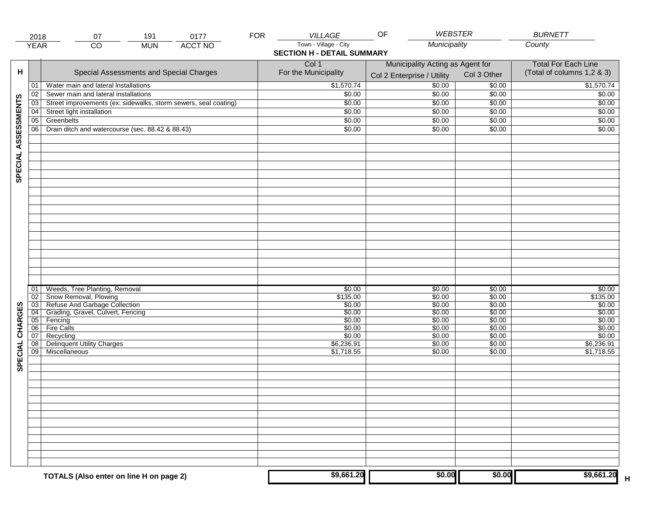|                     | 2018            | 191<br>0177<br>07                                               | <b>FOR</b> | VILLAGE                           | <b>WEBSTER</b><br>OF             |             | <b>BURNETT</b>             |
|---------------------|-----------------|-----------------------------------------------------------------|------------|-----------------------------------|----------------------------------|-------------|----------------------------|
|                     | <b>YEAR</b>     | <b>ACCT NO</b><br>CO<br><b>MUN</b>                              |            | Town - Village - City             | Municipality                     |             | County                     |
|                     |                 |                                                                 |            | <b>SECTION H - DETAIL SUMMARY</b> |                                  |             |                            |
|                     |                 |                                                                 |            | Col 1                             | Municipality Acting as Agent for |             | <b>Total For Each Line</b> |
| н                   |                 | Special Assessments and Special Charges                         |            | For the Municipality              |                                  | Col 3 Other | (Total of columns 1,2 & 3) |
|                     |                 |                                                                 |            |                                   | Col 2 Enterprise / Utility       |             |                            |
|                     | 01              | Water main and lateral Installations                            |            | \$1,570.74                        | \$0.00                           | \$0.00      | \$1,570.74                 |
|                     | 02              | Sewer main and lateral installations                            |            | \$0.00                            | \$0.00                           | \$0.00      | \$0.00                     |
|                     | $\overline{03}$ | Street improvements (ex: sidewalks, storm sewers, seal coating) |            | \$0.00                            | \$0.00                           | \$0.00      | \$0.00                     |
| SPECIAL ASSESSMENTS | 04              | Street light installation                                       |            | \$0.00                            | \$0.00                           | \$0.00      | \$0.00                     |
|                     | $\overline{05}$ | Greenbelts                                                      |            | \$0.00                            | \$0.00                           | \$0.00      | \$0.00                     |
|                     | 06              | Drain ditch and watercourse (sec. 88.42 & 88.43)                |            | \$0.00                            | \$0.00                           | \$0.00      | \$0.00                     |
|                     |                 |                                                                 |            |                                   |                                  |             |                            |
|                     |                 |                                                                 |            |                                   |                                  |             |                            |
|                     |                 |                                                                 |            |                                   |                                  |             |                            |
|                     |                 |                                                                 |            |                                   |                                  |             |                            |
|                     |                 |                                                                 |            |                                   |                                  |             |                            |
|                     |                 |                                                                 |            |                                   |                                  |             |                            |
|                     |                 |                                                                 |            |                                   |                                  |             |                            |
|                     |                 |                                                                 |            |                                   |                                  |             |                            |
|                     |                 |                                                                 |            |                                   |                                  |             |                            |
|                     |                 |                                                                 |            |                                   |                                  |             |                            |
|                     |                 |                                                                 |            |                                   |                                  |             |                            |
|                     |                 |                                                                 |            |                                   |                                  |             |                            |
|                     |                 |                                                                 |            |                                   |                                  |             |                            |
|                     |                 |                                                                 |            |                                   |                                  |             |                            |
|                     |                 |                                                                 |            |                                   |                                  |             |                            |
|                     |                 |                                                                 |            |                                   |                                  |             |                            |
|                     |                 |                                                                 |            |                                   |                                  |             |                            |
|                     |                 |                                                                 |            |                                   |                                  |             |                            |
|                     | 01              | Weeds, Tree Planting, Removal                                   |            | \$0.00                            | \$0.00                           | \$0.00      | \$0.00                     |
|                     | 02              | Snow Removal, Plowing                                           |            | \$135.00                          | \$0.00                           | \$0.00      | \$135.00                   |
|                     | 03              | Refuse And Garbage Collection                                   |            | \$0.00                            | \$0.00                           | \$0.00      | \$0.00                     |
|                     | $\overline{04}$ | Grading, Gravel, Culvert, Fencing                               |            | \$0.00                            | \$0.00                           | \$0.00      | \$0.00                     |
| CHARGES             | 05              | Fencing                                                         |            | \$0.00                            | \$0.00                           | \$0.00      | \$0.00                     |
|                     | 06              | <b>Fire Calls</b>                                               |            | \$0.00                            | \$0.00                           | \$0.00      | \$0.00                     |
|                     | 07              | Recycling                                                       |            | \$0.00                            | \$0.00                           | \$0.00      | \$0.00                     |
| <b>SPECIAL</b>      | $\overline{08}$ | <b>Delinquent Utility Charges</b>                               |            | \$6,236.91                        | \$0.00                           | \$0.00      | \$6,236.91                 |
|                     | 09              | Miscellaneous                                                   |            | \$1,718.55                        | \$0.00                           | \$0.00      | \$1,718.55                 |
|                     |                 |                                                                 |            |                                   |                                  |             |                            |
|                     |                 |                                                                 |            |                                   |                                  |             |                            |
|                     |                 |                                                                 |            |                                   |                                  |             |                            |
|                     |                 |                                                                 |            |                                   |                                  |             |                            |
|                     |                 |                                                                 |            |                                   |                                  |             |                            |
|                     |                 |                                                                 |            |                                   |                                  |             |                            |
|                     |                 |                                                                 |            |                                   |                                  |             |                            |
|                     |                 |                                                                 |            |                                   |                                  |             |                            |
|                     |                 |                                                                 |            |                                   |                                  |             |                            |
|                     |                 |                                                                 |            |                                   |                                  |             |                            |
|                     |                 |                                                                 |            |                                   |                                  |             |                            |
|                     |                 |                                                                 |            |                                   |                                  |             |                            |
|                     |                 |                                                                 |            |                                   |                                  |             |                            |
|                     |                 |                                                                 |            |                                   |                                  |             |                            |
|                     |                 | TOTALS (Also enter on line H on page 2)                         |            | \$9,661.20                        | \$0.00                           | \$0.00      | \$9,661.20                 |
|                     |                 |                                                                 |            |                                   |                                  |             |                            |